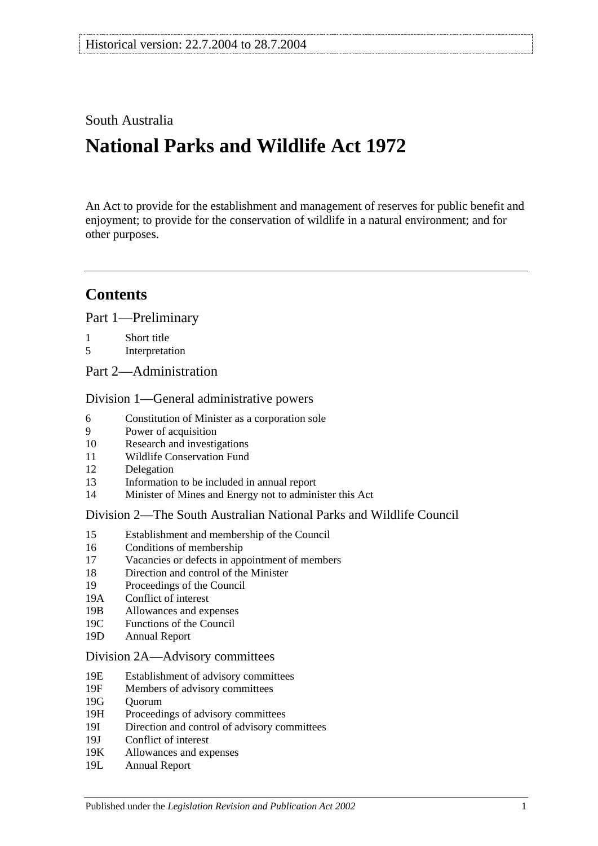### South Australia

# **National Parks and Wildlife Act 1972**

An Act to provide for the establishment and management of reserves for public benefit and enjoyment; to provide for the conservation of wildlife in a natural environment; and for other purposes.

## **Contents**

[Part 1—Preliminary](#page-6-0)

- 1 [Short title](#page-6-1)
- 5 [Interpretation](#page-6-2)
- [Part 2—Administration](#page-10-0)

### [Division 1—General administrative powers](#page-10-1)

- 6 [Constitution of Minister as a corporation sole](#page-10-2)
- 9 [Power of acquisition](#page-10-3)
- 10 [Research and investigations](#page-10-4)
- 11 [Wildlife Conservation Fund](#page-10-5)
- 12 [Delegation](#page-11-0)
- 13 [Information to be included in annual report](#page-11-1)
- 14 [Minister of Mines and Energy not to administer this Act](#page-12-0)

### [Division 2—The South Australian National Parks and Wildlife Council](#page-12-1)

- 15 [Establishment and membership of the Council](#page-12-2)
- 16 [Conditions of membership](#page-13-0)
- 17 [Vacancies or defects in appointment of members](#page-13-1)
- 18 [Direction and control of the Minister](#page-13-2)
- 19 [Proceedings of the Council](#page-13-3)
- 19A [Conflict of interest](#page-14-0)
- 19B [Allowances and expenses](#page-14-1)
- 19C [Functions of the Council](#page-14-2)
- 19D [Annual Report](#page-15-0)

### [Division 2A—Advisory committees](#page-15-1)

- 19E [Establishment of advisory committees](#page-15-2)
- 19F [Members of advisory committees](#page-16-0)
- 19G [Quorum](#page-16-1)
- 19H [Proceedings of advisory committees](#page-16-2)
- 19I [Direction and control of advisory committees](#page-16-3)
- 19J [Conflict of interest](#page-17-0)
- 19K [Allowances and expenses](#page-17-1)
- 19L [Annual Report](#page-17-2)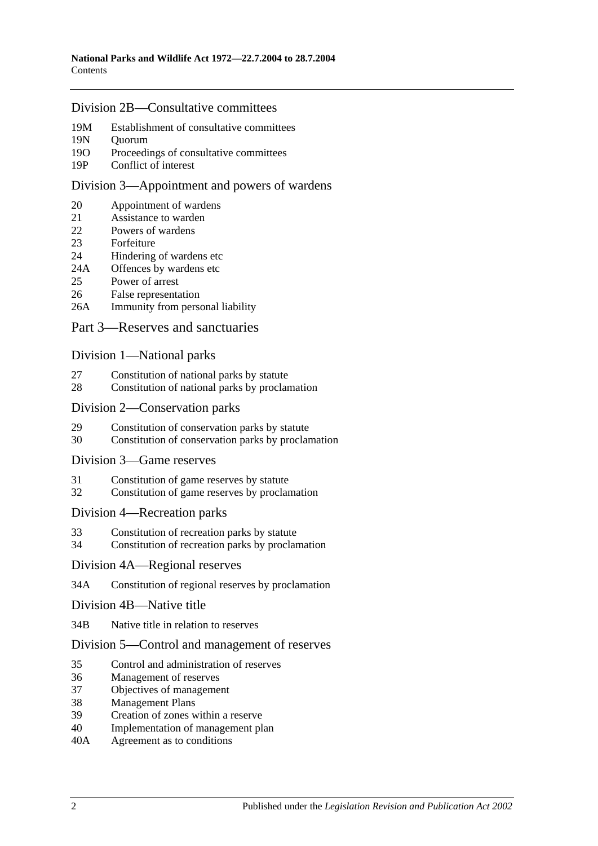### [Division 2B—Consultative committees](#page-17-3)

- 19M [Establishment of consultative committees](#page-17-4)
- 19N [Quorum](#page-17-5)
- 19O Proceedings of [consultative committees](#page-17-6)
- 19P [Conflict of interest](#page-18-0)

#### [Division 3—Appointment and powers of wardens](#page-18-1)

- 20 [Appointment of wardens](#page-18-2)
- 21 [Assistance to warden](#page-18-3)<br>22 Powers of wardens
- [Powers of wardens](#page-18-4)
- 23 [Forfeiture](#page-20-0)
- 24 [Hindering of wardens etc](#page-21-0)
- 24A [Offences by wardens etc](#page-22-0)<br>25 Power of arrest
- [Power of arrest](#page-22-1)
- 26 [False representation](#page-22-2)
- 26A [Immunity from personal liability](#page-22-3)

### [Part 3—Reserves and sanctuaries](#page-24-0)

#### [Division 1—National parks](#page-24-1)

- 27 [Constitution of national parks by statute](#page-24-2)
- 28 [Constitution of national parks by proclamation](#page-24-3)

#### [Division 2—Conservation parks](#page-24-4)

- 29 [Constitution of conservation parks by statute](#page-24-5)
- 30 [Constitution of conservation parks by proclamation](#page-25-0)
- [Division 3—Game reserves](#page-25-1)
- 31 [Constitution of game reserves by statute](#page-25-2)
- 32 [Constitution of game reserves by proclamation](#page-26-0)

#### [Division 4—Recreation parks](#page-26-1)

- 33 [Constitution of recreation parks by statute](#page-26-2)
- 34 [Constitution of recreation parks by proclamation](#page-26-3)

#### [Division 4A—Regional reserves](#page-27-0)

34A [Constitution of regional reserves by proclamation](#page-27-1)

#### [Division 4B—Native title](#page-27-2)

34B [Native title in relation to reserves](#page-27-3)

### [Division 5—Control and management of reserves](#page-28-0)

- 35 [Control and administration of reserves](#page-28-1)
- 36 [Management of reserves](#page-28-2)
- 37 [Objectives of management](#page-29-0)
- 38 [Management Plans](#page-29-1)
- 39 [Creation of zones within a reserve](#page-31-0)
- 40 [Implementation of management plan](#page-31-1)
- 40A [Agreement as to conditions](#page-31-2)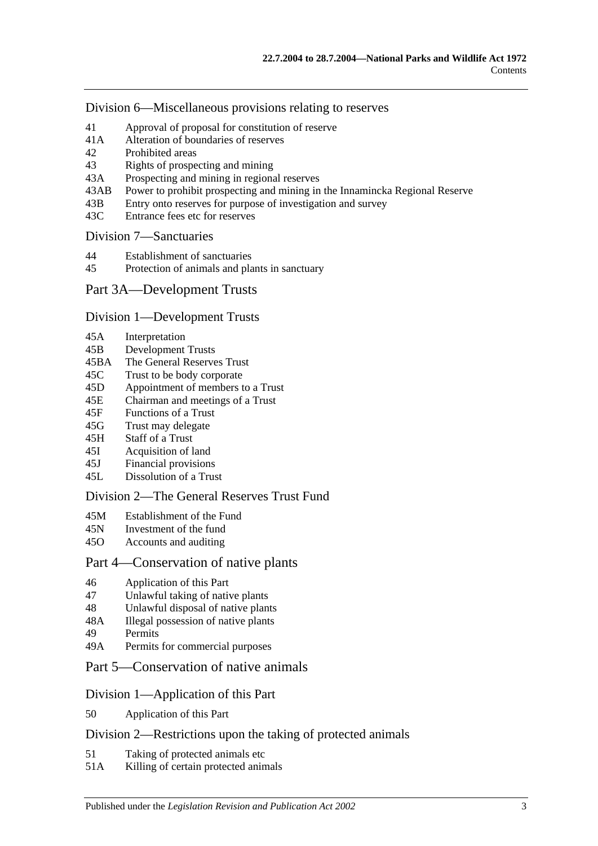[Division 6—Miscellaneous provisions relating to reserves](#page-31-3)

- 41 [Approval of proposal for constitution of reserve](#page-31-4)<br>41A Alteration of boundaries of reserves
- [Alteration of boundaries of reserves](#page-32-0)
- 42 [Prohibited areas](#page-32-1)
- 43 [Rights of prospecting and mining](#page-33-0)
- 43A [Prospecting and mining in regional reserves](#page-33-1)
- 43AB [Power to prohibit prospecting and mining in the Innamincka Regional Reserve](#page-34-0)
- 43B [Entry onto reserves for purpose of investigation and survey](#page-34-1)
- 43C [Entrance fees etc for reserves](#page-35-0)

### [Division 7—Sanctuaries](#page-35-1)

- 44 [Establishment of sanctuaries](#page-35-2)
- 45 [Protection of animals and plants in sanctuary](#page-35-3)

### [Part 3A—Development Trusts](#page-38-0)

#### [Division 1—Development Trusts](#page-38-1)

- 45A [Interpretation](#page-38-2)
- 45B [Development Trusts](#page-38-3)
- 45BA [The General Reserves Trust](#page-38-4)
- 45C [Trust to be body corporate](#page-39-0)
- 45D [Appointment of members to a Trust](#page-39-1)
- 45E [Chairman and meetings of a Trust](#page-39-2)
- 45F [Functions of a Trust](#page-40-0)
- 45G [Trust may delegate](#page-41-0)
- 45H [Staff of a Trust](#page-41-1)
- 45I [Acquisition of land](#page-41-2)
- 45J [Financial provisions](#page-41-3)
- 45L [Dissolution of a Trust](#page-42-0)

### [Division 2—The General Reserves Trust Fund](#page-42-1)

- 45M [Establishment of the Fund](#page-42-2)
- 45N [Investment of the fund](#page-42-3)
- 45O [Accounts and auditing](#page-43-0)

### [Part 4—Conservation of native plants](#page-44-0)

- 46 [Application of this Part](#page-44-1)
- 47 [Unlawful taking of native plants](#page-44-2)
- 48 [Unlawful disposal of native plants](#page-45-0)
- 48A [Illegal possession of native plants](#page-45-1)
- 49 [Permits](#page-45-2)
- 49A [Permits for commercial purposes](#page-46-0)
- [Part 5—Conservation of native animals](#page-48-0)

### [Division 1—Application of this Part](#page-48-1)

50 [Application of this Part](#page-48-2)

### [Division 2—Restrictions upon the taking of protected animals](#page-48-3)

- 51 [Taking of protected animals etc](#page-48-4)
- 51A [Killing of certain protected animals](#page-48-5)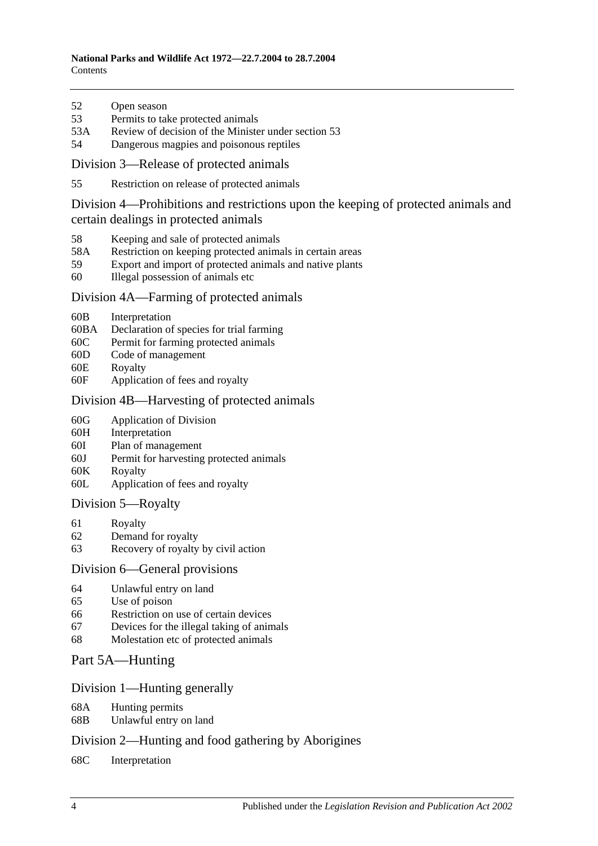- 52 [Open season](#page-49-0)
- 53 [Permits to take protected animals](#page-50-0)
- 53A [Review of decision of the Minister under section 53](#page-51-0)
- 54 [Dangerous magpies and poisonous reptiles](#page-51-1)

[Division 3—Release of protected animals](#page-51-2)

55 [Restriction on release of protected animals](#page-51-3)

[Division 4—Prohibitions and restrictions upon the keeping of protected animals and](#page-52-0)  [certain dealings in protected animals](#page-52-0)

- 58 [Keeping and sale of protected animals](#page-52-1)
- 58A [Restriction on keeping protected animals in certain areas](#page-53-0)
- 59 [Export and import of protected animals and native plants](#page-53-1)
- 60 [Illegal possession of animals etc](#page-53-2)

### [Division 4A—Farming of protected animals](#page-54-0)

- 60B [Interpretation](#page-54-1)
- 60BA [Declaration of species for trial farming](#page-54-2)
- 60C [Permit for farming protected animals](#page-55-0)
- 60D [Code of management](#page-56-0)
- 60E [Royalty](#page-57-0)
- 60F [Application of fees and royalty](#page-57-1)

### [Division 4B—Harvesting of protected animals](#page-58-0)

- 60G [Application of Division](#page-58-1)
- 60H [Interpretation](#page-58-2)
- 60I [Plan of management](#page-58-3)
- 60J [Permit for harvesting protected animals](#page-59-0)
- 60K [Royalty](#page-60-0)
- 60L [Application of fees and royalty](#page-60-1)

### [Division 5—Royalty](#page-61-0)

- 61 [Royalty](#page-61-1)
- 62 [Demand for royalty](#page-61-2)
- 63 [Recovery of royalty by civil action](#page-61-3)

### [Division 6—General provisions](#page-62-0)

- 64 [Unlawful entry on land](#page-62-1)
- 65 [Use of poison](#page-62-2)
- 66 [Restriction on use of certain devices](#page-63-0)
- 67 [Devices for the illegal taking of animals](#page-63-1)
- 68 [Molestation etc of protected animals](#page-63-2)

### [Part 5A—Hunting](#page-66-0)

### [Division 1—Hunting generally](#page-66-1)

- 68A [Hunting permits](#page-66-2)
- 68B [Unlawful entry on land](#page-66-3)

### [Division 2—Hunting and food gathering by Aborigines](#page-67-0)

68C [Interpretation](#page-67-1)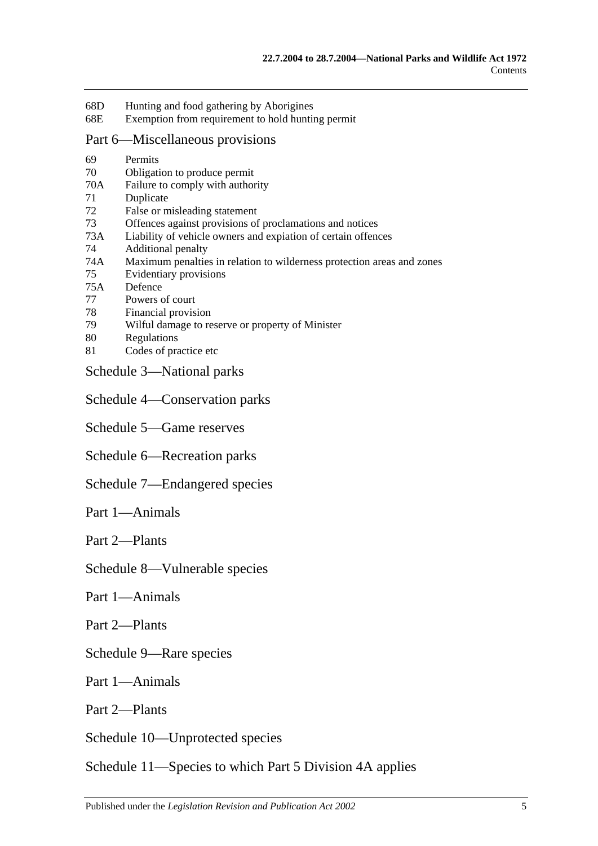- 68D [Hunting and food gathering by Aborigines](#page-67-2)
- 68E [Exemption from requirement to hold hunting permit](#page-68-0)

### [Part 6—Miscellaneous provisions](#page-70-0)

- 69 [Permits](#page-70-1) 70 [Obligation to produce permit](#page-71-0) 70A [Failure to comply with authority](#page-72-0) 71 [Duplicate](#page-72-1) 72 [False or misleading statement](#page-72-2) 73 [Offences against provisions of proclamations and notices](#page-72-3) 73A [Liability of vehicle owners and expiation of certain offences](#page-73-0) 74 [Additional penalty](#page-75-0) 74A [Maximum penalties in relation to wilderness protection areas and zones](#page-75-1) 75 [Evidentiary provisions](#page-75-2) 75A [Defence](#page-76-0) 77 [Powers of court](#page-76-1) 78 [Financial provision](#page-76-2) 79 [Wilful damage to reserve or property of Minister](#page-76-3) 80 [Regulations](#page-76-4) 81 [Codes of practice etc](#page-78-0)
- [Schedule 3—National parks](#page-80-0)

[Schedule 4—Conservation parks](#page-80-1)

- [Schedule 5—Game reserves](#page-85-0)
- [Schedule 6—Recreation parks](#page-86-0)
- [Schedule 7—Endangered species](#page-87-0)
- Part 1—Animals

Part 2—Plants

[Schedule 8—Vulnerable species](#page-95-0)

Part 1—Animals

Part 2—Plants

[Schedule 9—Rare species](#page-105-0)

Part 1—Animals

Part 2—Plants

[Schedule 10—Unprotected species](#page-124-0)

[Schedule 11—Species to which Part 5 Division 4A applies](#page-124-1)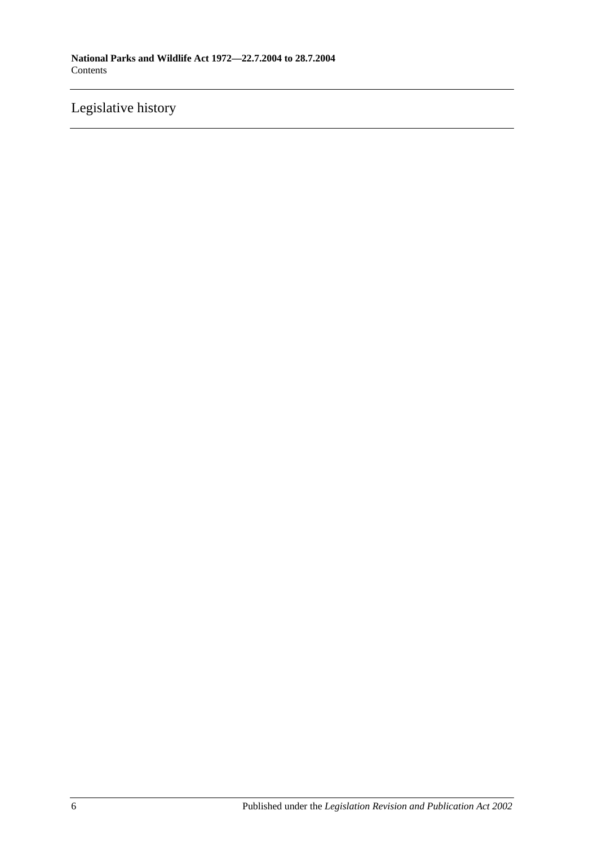## [Legislative history](#page-126-0)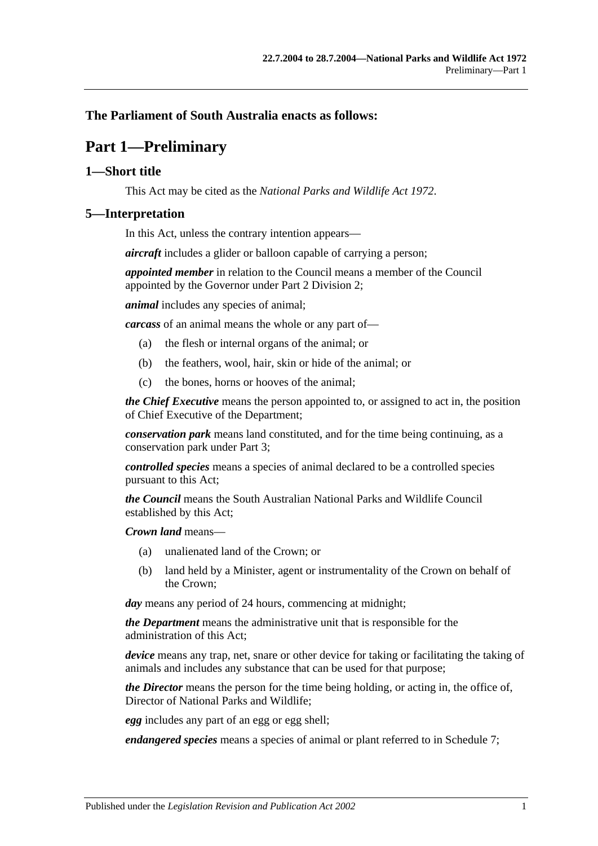### <span id="page-6-0"></span>**The Parliament of South Australia enacts as follows:**

## **Part 1—Preliminary**

### <span id="page-6-1"></span>**1—Short title**

This Act may be cited as the *National Parks and Wildlife Act 1972*.

#### <span id="page-6-2"></span>**5—Interpretation**

In this Act, unless the contrary intention appears—

*aircraft* includes a glider or balloon capable of carrying a person;

*appointed member* in relation to the Council means a member of the Council appointed by the Governor under Part 2 Division 2;

*animal* includes any species of animal;

*carcass* of an animal means the whole or any part of—

- (a) the flesh or internal organs of the animal; or
- (b) the feathers, wool, hair, skin or hide of the animal; or
- (c) the bones, horns or hooves of the animal;

*the Chief Executive* means the person appointed to, or assigned to act in, the position of Chief Executive of the Department;

*conservation park* means land constituted, and for the time being continuing, as a conservation park under Part 3;

*controlled species* means a species of animal declared to be a controlled species pursuant to this Act;

*the Council* means the South Australian National Parks and Wildlife Council established by this Act;

*Crown land* means—

- (a) unalienated land of the Crown; or
- (b) land held by a Minister, agent or instrumentality of the Crown on behalf of the Crown;

*day* means any period of 24 hours, commencing at midnight;

*the Department* means the administrative unit that is responsible for the administration of this Act;

*device* means any trap, net, snare or other device for taking or facilitating the taking of animals and includes any substance that can be used for that purpose;

*the Director* means the person for the time being holding, or acting in, the office of, Director of National Parks and Wildlife;

*egg* includes any part of an egg or egg shell;

*endangered species* means a species of animal or plant referred to in Schedule 7;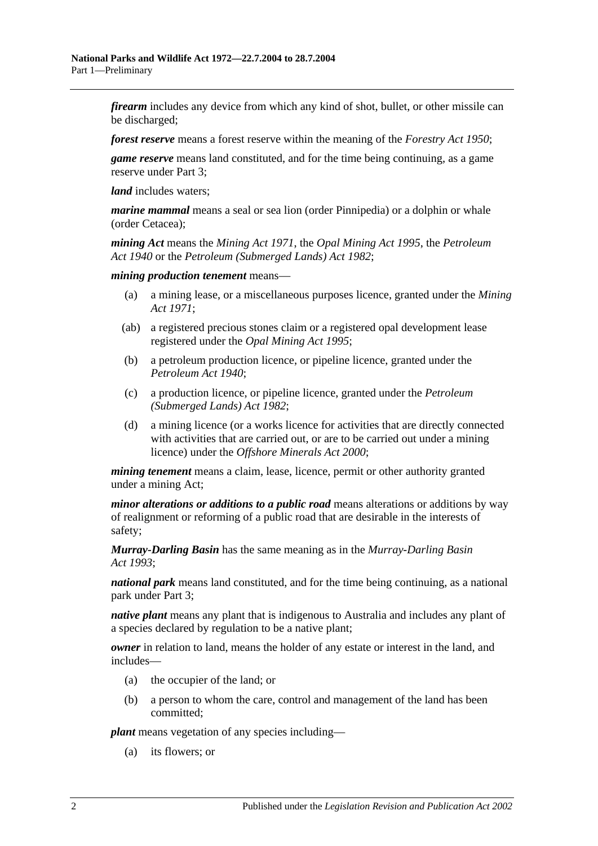*firearm* includes any device from which any kind of shot, bullet, or other missile can be discharged;

*forest reserve* means a forest reserve within the meaning of the *[Forestry Act](http://www.legislation.sa.gov.au/index.aspx?action=legref&type=act&legtitle=Forestry%20Act%201950) 1950*;

*game reserve* means land constituted, and for the time being continuing, as a game reserve under Part 3;

*land* includes waters;

*marine mammal* means a seal or sea lion (order Pinnipedia) or a dolphin or whale (order Cetacea);

*mining Act* means the *[Mining Act](http://www.legislation.sa.gov.au/index.aspx?action=legref&type=act&legtitle=Mining%20Act%201971) 1971*, the *[Opal Mining Act](http://www.legislation.sa.gov.au/index.aspx?action=legref&type=act&legtitle=Opal%20Mining%20Act%201995) 1995*, the *[Petroleum](http://www.legislation.sa.gov.au/index.aspx?action=legref&type=act&legtitle=Petroleum%20Act%201940)  Act [1940](http://www.legislation.sa.gov.au/index.aspx?action=legref&type=act&legtitle=Petroleum%20Act%201940)* or the *[Petroleum \(Submerged Lands\) Act](http://www.legislation.sa.gov.au/index.aspx?action=legref&type=act&legtitle=Petroleum%20(Submerged%20Lands)%20Act%201982) 1982*;

*mining production tenement* means—

- (a) a mining lease, or a miscellaneous purposes licence, granted under the *[Mining](http://www.legislation.sa.gov.au/index.aspx?action=legref&type=act&legtitle=Mining%20Act%201971)  Act [1971](http://www.legislation.sa.gov.au/index.aspx?action=legref&type=act&legtitle=Mining%20Act%201971)*;
- (ab) a registered precious stones claim or a registered opal development lease registered under the *[Opal Mining Act](http://www.legislation.sa.gov.au/index.aspx?action=legref&type=act&legtitle=Opal%20Mining%20Act%201995) 1995*;
- (b) a petroleum production licence, or pipeline licence, granted under the *[Petroleum Act](http://www.legislation.sa.gov.au/index.aspx?action=legref&type=act&legtitle=Petroleum%20Act%201940) 1940*;
- (c) a production licence, or pipeline licence, granted under the *[Petroleum](http://www.legislation.sa.gov.au/index.aspx?action=legref&type=act&legtitle=Petroleum%20(Submerged%20Lands)%20Act%201982)  [\(Submerged Lands\) Act](http://www.legislation.sa.gov.au/index.aspx?action=legref&type=act&legtitle=Petroleum%20(Submerged%20Lands)%20Act%201982) 1982*;
- (d) a mining licence (or a works licence for activities that are directly connected with activities that are carried out, or are to be carried out under a mining licence) under the *[Offshore Minerals Act](http://www.legislation.sa.gov.au/index.aspx?action=legref&type=act&legtitle=Offshore%20Minerals%20Act%202000) 2000*;

*mining tenement* means a claim, lease, licence, permit or other authority granted under a mining Act;

*minor alterations or additions to a public road* means alterations or additions by way of realignment or reforming of a public road that are desirable in the interests of safety;

*Murray-Darling Basin* has the same meaning as in the *[Murray-Darling Basin](http://www.legislation.sa.gov.au/index.aspx?action=legref&type=act&legtitle=Murray%E2%80%91Darling%20Basin%20Act%201993)  Act [1993](http://www.legislation.sa.gov.au/index.aspx?action=legref&type=act&legtitle=Murray%E2%80%91Darling%20Basin%20Act%201993)*;

*national park* means land constituted, and for the time being continuing, as a national park under Part 3;

*native plant* means any plant that is indigenous to Australia and includes any plant of a species declared by regulation to be a native plant;

*owner* in relation to land, means the holder of any estate or interest in the land, and includes—

- (a) the occupier of the land; or
- (b) a person to whom the care, control and management of the land has been committed;

*plant* means vegetation of any species including—

(a) its flowers; or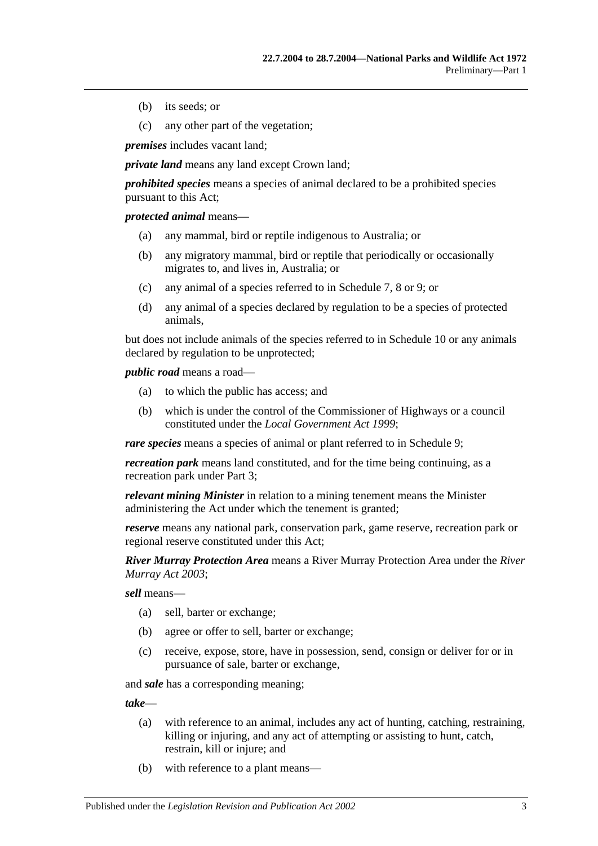- (b) its seeds; or
- (c) any other part of the vegetation;

*premises* includes vacant land;

*private land* means any land except Crown land:

*prohibited species* means a species of animal declared to be a prohibited species pursuant to this Act;

*protected animal* means—

- (a) any mammal, bird or reptile indigenous to Australia; or
- (b) any migratory mammal, bird or reptile that periodically or occasionally migrates to, and lives in, Australia; or
- (c) any animal of a species referred to in Schedule 7, 8 or 9; or
- (d) any animal of a species declared by regulation to be a species of protected animals,

but does not include animals of the species referred to in Schedule 10 or any animals declared by regulation to be unprotected;

*public road* means a road—

- (a) to which the public has access; and
- (b) which is under the control of the Commissioner of Highways or a council constituted under the *[Local Government Act](http://www.legislation.sa.gov.au/index.aspx?action=legref&type=act&legtitle=Local%20Government%20Act%201999) 1999*;

*rare species* means a species of animal or plant referred to in Schedule 9;

*recreation park* means land constituted, and for the time being continuing, as a recreation park under Part 3;

*relevant mining Minister* in relation to a mining tenement means the Minister administering the Act under which the tenement is granted;

*reserve* means any national park, conservation park, game reserve, recreation park or regional reserve constituted under this Act;

*River Murray Protection Area* means a River Murray Protection Area under the *[River](http://www.legislation.sa.gov.au/index.aspx?action=legref&type=act&legtitle=River%20Murray%20Act%202003)  [Murray Act](http://www.legislation.sa.gov.au/index.aspx?action=legref&type=act&legtitle=River%20Murray%20Act%202003) 2003*;

*sell* means—

- (a) sell, barter or exchange;
- (b) agree or offer to sell, barter or exchange;
- (c) receive, expose, store, have in possession, send, consign or deliver for or in pursuance of sale, barter or exchange,

and *sale* has a corresponding meaning;

*take*—

- (a) with reference to an animal, includes any act of hunting, catching, restraining, killing or injuring, and any act of attempting or assisting to hunt, catch, restrain, kill or injure; and
- (b) with reference to a plant means—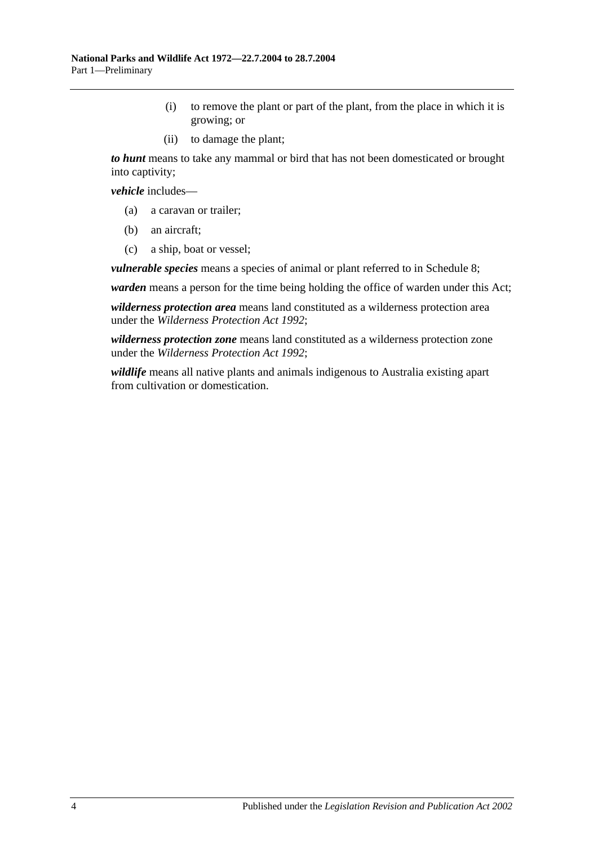- (i) to remove the plant or part of the plant, from the place in which it is growing; or
- (ii) to damage the plant;

*to hunt* means to take any mammal or bird that has not been domesticated or brought into captivity;

*vehicle* includes—

- (a) a caravan or trailer;
- (b) an aircraft;
- (c) a ship, boat or vessel;

*vulnerable species* means a species of animal or plant referred to in Schedule 8;

*warden* means a person for the time being holding the office of warden under this Act;

*wilderness protection area* means land constituted as a wilderness protection area under the *[Wilderness Protection Act](http://www.legislation.sa.gov.au/index.aspx?action=legref&type=act&legtitle=Wilderness%20Protection%20Act%201992) 1992*;

*wilderness protection zone* means land constituted as a wilderness protection zone under the *[Wilderness Protection Act](http://www.legislation.sa.gov.au/index.aspx?action=legref&type=act&legtitle=Wilderness%20Protection%20Act%201992) 1992*;

*wildlife* means all native plants and animals indigenous to Australia existing apart from cultivation or domestication.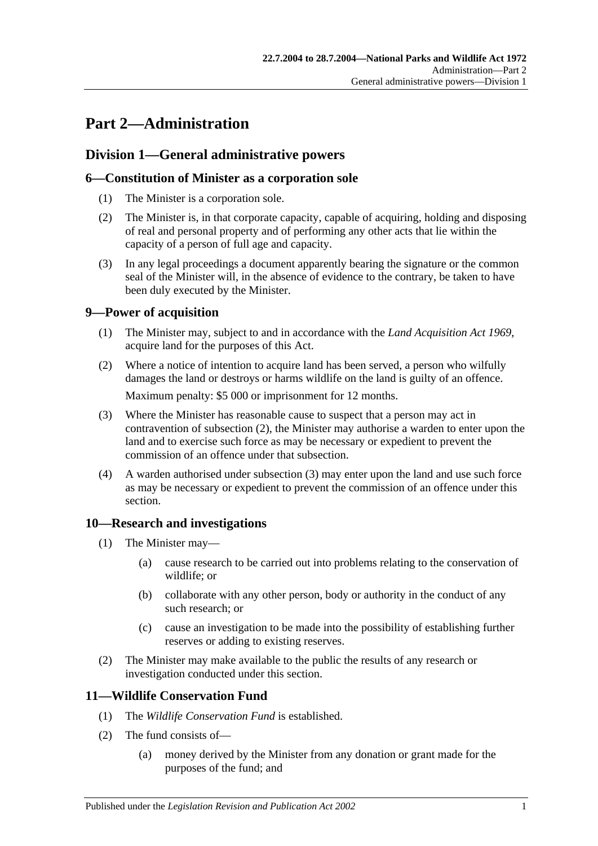## <span id="page-10-0"></span>**Part 2—Administration**

### <span id="page-10-1"></span>**Division 1—General administrative powers**

### <span id="page-10-2"></span>**6—Constitution of Minister as a corporation sole**

- (1) The Minister is a corporation sole.
- (2) The Minister is, in that corporate capacity, capable of acquiring, holding and disposing of real and personal property and of performing any other acts that lie within the capacity of a person of full age and capacity.
- (3) In any legal proceedings a document apparently bearing the signature or the common seal of the Minister will, in the absence of evidence to the contrary, be taken to have been duly executed by the Minister.

### <span id="page-10-3"></span>**9—Power of acquisition**

- (1) The Minister may, subject to and in accordance with the *[Land Acquisition Act](http://www.legislation.sa.gov.au/index.aspx?action=legref&type=act&legtitle=Land%20Acquisition%20Act%201969) 1969*, acquire land for the purposes of this Act.
- (2) Where a notice of intention to acquire land has been served, a person who wilfully damages the land or destroys or harms wildlife on the land is guilty of an offence. Maximum penalty: \$5 000 or imprisonment for 12 months.
- (3) Where the Minister has reasonable cause to suspect that a person may act in contravention of subsection (2), the Minister may authorise a warden to enter upon the land and to exercise such force as may be necessary or expedient to prevent the commission of an offence under that subsection.
- (4) A warden authorised under subsection (3) may enter upon the land and use such force as may be necessary or expedient to prevent the commission of an offence under this section.

### <span id="page-10-4"></span>**10—Research and investigations**

- (1) The Minister may—
	- (a) cause research to be carried out into problems relating to the conservation of wildlife; or
	- (b) collaborate with any other person, body or authority in the conduct of any such research; or
	- (c) cause an investigation to be made into the possibility of establishing further reserves or adding to existing reserves.
- (2) The Minister may make available to the public the results of any research or investigation conducted under this section.

### <span id="page-10-5"></span>**11—Wildlife Conservation Fund**

- (1) The *Wildlife Conservation Fund* is established.
- (2) The fund consists of—
	- (a) money derived by the Minister from any donation or grant made for the purposes of the fund; and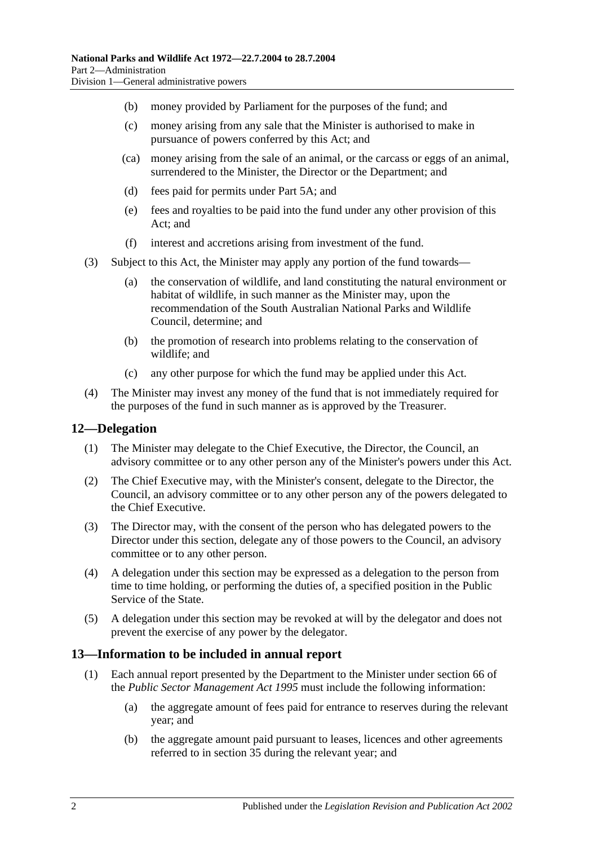- (b) money provided by Parliament for the purposes of the fund; and
- (c) money arising from any sale that the Minister is authorised to make in pursuance of powers conferred by this Act; and
- (ca) money arising from the sale of an animal, or the carcass or eggs of an animal, surrendered to the Minister, the Director or the Department; and
- (d) fees paid for permits under Part 5A; and
- (e) fees and royalties to be paid into the fund under any other provision of this Act; and
- (f) interest and accretions arising from investment of the fund.
- (3) Subject to this Act, the Minister may apply any portion of the fund towards—
	- (a) the conservation of wildlife, and land constituting the natural environment or habitat of wildlife, in such manner as the Minister may, upon the recommendation of the South Australian National Parks and Wildlife Council, determine; and
	- (b) the promotion of research into problems relating to the conservation of wildlife; and
	- (c) any other purpose for which the fund may be applied under this Act.
- (4) The Minister may invest any money of the fund that is not immediately required for the purposes of the fund in such manner as is approved by the Treasurer.

### <span id="page-11-0"></span>**12—Delegation**

- (1) The Minister may delegate to the Chief Executive, the Director, the Council, an advisory committee or to any other person any of the Minister's powers under this Act.
- (2) The Chief Executive may, with the Minister's consent, delegate to the Director, the Council, an advisory committee or to any other person any of the powers delegated to the Chief Executive.
- (3) The Director may, with the consent of the person who has delegated powers to the Director under this section, delegate any of those powers to the Council, an advisory committee or to any other person.
- (4) A delegation under this section may be expressed as a delegation to the person from time to time holding, or performing the duties of, a specified position in the Public Service of the State.
- (5) A delegation under this section may be revoked at will by the delegator and does not prevent the exercise of any power by the delegator.

### <span id="page-11-1"></span>**13—Information to be included in annual report**

- (1) Each annual report presented by the Department to the Minister under section 66 of the *[Public Sector Management Act](http://www.legislation.sa.gov.au/index.aspx?action=legref&type=act&legtitle=Public%20Sector%20Management%20Act%201995) 1995* must include the following information:
	- (a) the aggregate amount of fees paid for entrance to reserves during the relevant year; and
	- (b) the aggregate amount paid pursuant to leases, licences and other agreements referred to in section 35 during the relevant year; and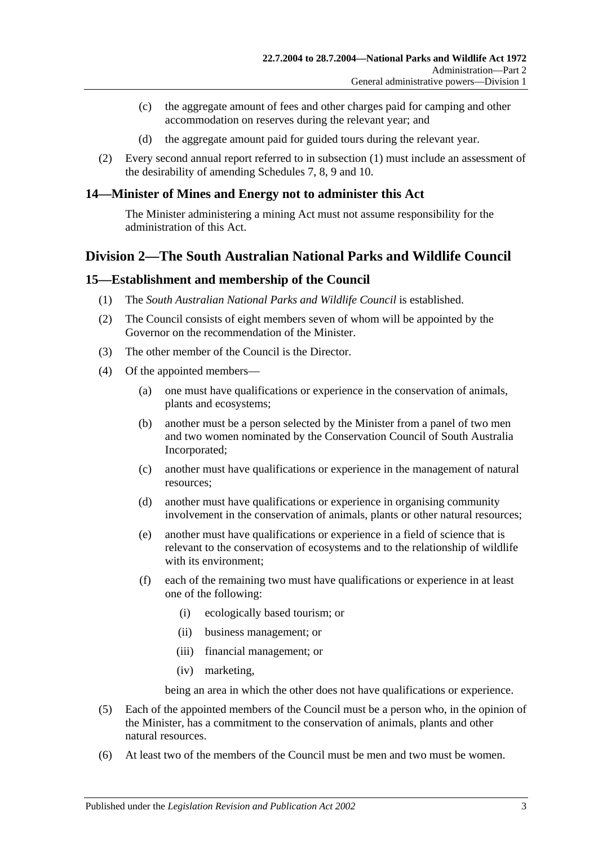- (c) the aggregate amount of fees and other charges paid for camping and other accommodation on reserves during the relevant year; and
- (d) the aggregate amount paid for guided tours during the relevant year.
- (2) Every second annual report referred to in subsection (1) must include an assessment of the desirability of amending Schedules 7, 8, 9 and 10.

### <span id="page-12-0"></span>**14—Minister of Mines and Energy not to administer this Act**

The Minister administering a mining Act must not assume responsibility for the administration of this Act.

### <span id="page-12-1"></span>**Division 2—The South Australian National Parks and Wildlife Council**

### <span id="page-12-2"></span>**15—Establishment and membership of the Council**

- (1) The *South Australian National Parks and Wildlife Council* is established.
- (2) The Council consists of eight members seven of whom will be appointed by the Governor on the recommendation of the Minister.
- (3) The other member of the Council is the Director.
- (4) Of the appointed members—
	- (a) one must have qualifications or experience in the conservation of animals, plants and ecosystems;
	- (b) another must be a person selected by the Minister from a panel of two men and two women nominated by the Conservation Council of South Australia Incorporated;
	- (c) another must have qualifications or experience in the management of natural resources;
	- (d) another must have qualifications or experience in organising community involvement in the conservation of animals, plants or other natural resources;
	- (e) another must have qualifications or experience in a field of science that is relevant to the conservation of ecosystems and to the relationship of wildlife with its environment;
	- (f) each of the remaining two must have qualifications or experience in at least one of the following:
		- (i) ecologically based tourism; or
		- (ii) business management; or
		- (iii) financial management; or
		- (iv) marketing,

being an area in which the other does not have qualifications or experience.

- (5) Each of the appointed members of the Council must be a person who, in the opinion of the Minister, has a commitment to the conservation of animals, plants and other natural resources.
- (6) At least two of the members of the Council must be men and two must be women.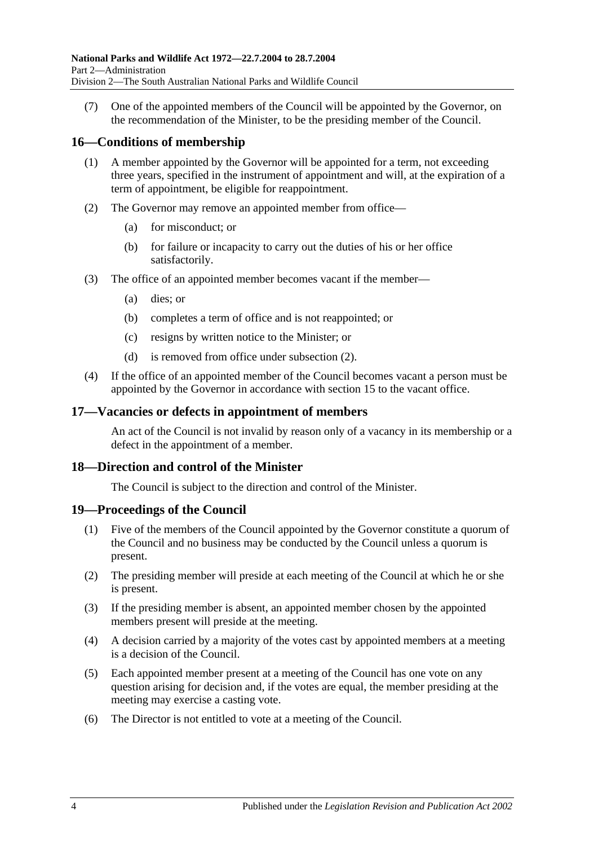(7) One of the appointed members of the Council will be appointed by the Governor, on the recommendation of the Minister, to be the presiding member of the Council.

### <span id="page-13-0"></span>**16—Conditions of membership**

- (1) A member appointed by the Governor will be appointed for a term, not exceeding three years, specified in the instrument of appointment and will, at the expiration of a term of appointment, be eligible for reappointment.
- (2) The Governor may remove an appointed member from office—
	- (a) for misconduct; or
	- (b) for failure or incapacity to carry out the duties of his or her office satisfactorily.
- (3) The office of an appointed member becomes vacant if the member—
	- (a) dies; or
	- (b) completes a term of office and is not reappointed; or
	- (c) resigns by written notice to the Minister; or
	- (d) is removed from office under subsection (2).
- (4) If the office of an appointed member of the Council becomes vacant a person must be appointed by the Governor in accordance with section 15 to the vacant office.

### <span id="page-13-1"></span>**17—Vacancies or defects in appointment of members**

An act of the Council is not invalid by reason only of a vacancy in its membership or a defect in the appointment of a member.

### <span id="page-13-2"></span>**18—Direction and control of the Minister**

The Council is subject to the direction and control of the Minister.

### <span id="page-13-3"></span>**19—Proceedings of the Council**

- (1) Five of the members of the Council appointed by the Governor constitute a quorum of the Council and no business may be conducted by the Council unless a quorum is present.
- (2) The presiding member will preside at each meeting of the Council at which he or she is present.
- (3) If the presiding member is absent, an appointed member chosen by the appointed members present will preside at the meeting.
- (4) A decision carried by a majority of the votes cast by appointed members at a meeting is a decision of the Council.
- (5) Each appointed member present at a meeting of the Council has one vote on any question arising for decision and, if the votes are equal, the member presiding at the meeting may exercise a casting vote.
- (6) The Director is not entitled to vote at a meeting of the Council.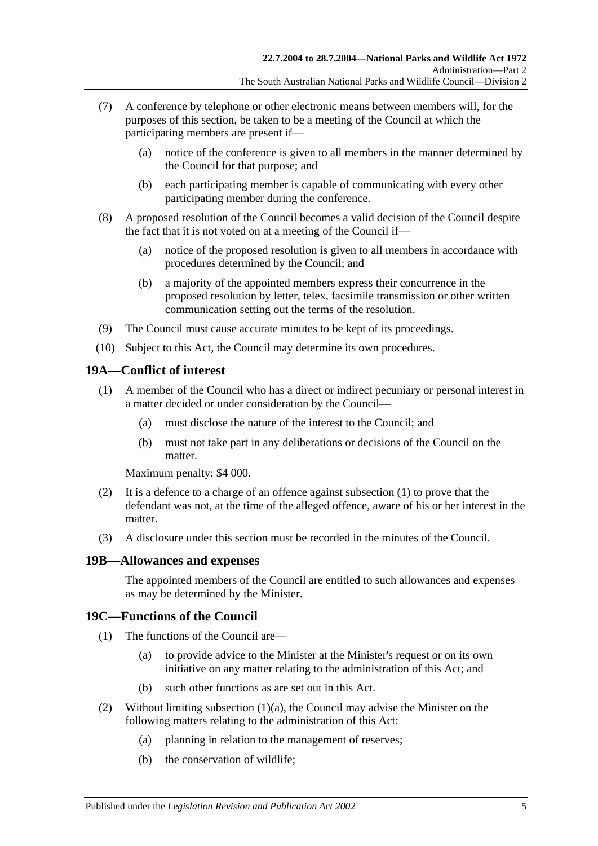- (7) A conference by telephone or other electronic means between members will, for the purposes of this section, be taken to be a meeting of the Council at which the participating members are present if—
	- (a) notice of the conference is given to all members in the manner determined by the Council for that purpose; and
	- (b) each participating member is capable of communicating with every other participating member during the conference.
- (8) A proposed resolution of the Council becomes a valid decision of the Council despite the fact that it is not voted on at a meeting of the Council if—
	- (a) notice of the proposed resolution is given to all members in accordance with procedures determined by the Council; and
	- (b) a majority of the appointed members express their concurrence in the proposed resolution by letter, telex, facsimile transmission or other written communication setting out the terms of the resolution.
- (9) The Council must cause accurate minutes to be kept of its proceedings.
- (10) Subject to this Act, the Council may determine its own procedures.

### <span id="page-14-0"></span>**19A—Conflict of interest**

- (1) A member of the Council who has a direct or indirect pecuniary or personal interest in a matter decided or under consideration by the Council—
	- (a) must disclose the nature of the interest to the Council; and
	- (b) must not take part in any deliberations or decisions of the Council on the matter.

Maximum penalty: \$4 000.

- (2) It is a defence to a charge of an offence against subsection  $(1)$  to prove that the defendant was not, at the time of the alleged offence, aware of his or her interest in the matter.
- (3) A disclosure under this section must be recorded in the minutes of the Council.

### <span id="page-14-1"></span>**19B—Allowances and expenses**

The appointed members of the Council are entitled to such allowances and expenses as may be determined by the Minister.

### <span id="page-14-2"></span>**19C—Functions of the Council**

- (1) The functions of the Council are—
	- (a) to provide advice to the Minister at the Minister's request or on its own initiative on any matter relating to the administration of this Act; and
	- (b) such other functions as are set out in this Act.
- (2) Without limiting subsection  $(1)(a)$ , the Council may advise the Minister on the following matters relating to the administration of this Act:
	- (a) planning in relation to the management of reserves;
	- (b) the conservation of wildlife;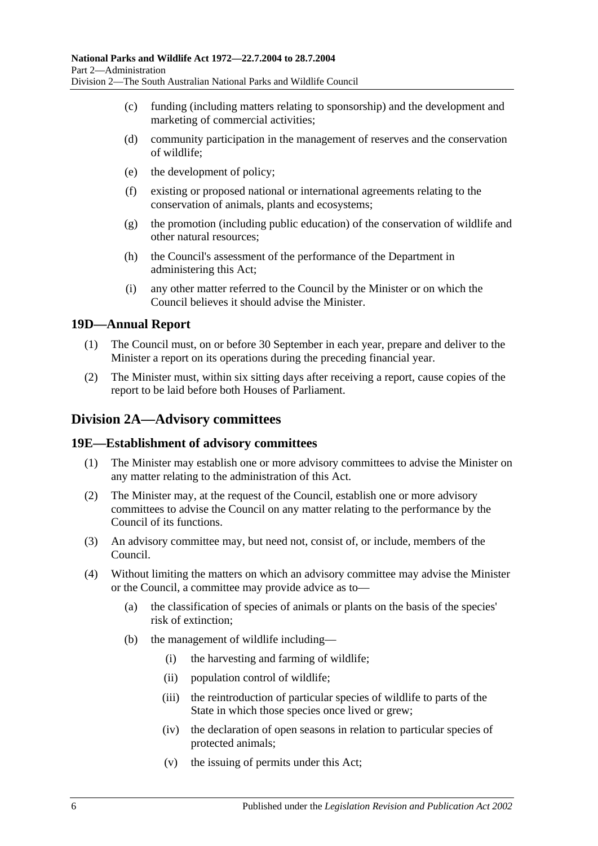- (c) funding (including matters relating to sponsorship) and the development and marketing of commercial activities;
- (d) community participation in the management of reserves and the conservation of wildlife;
- (e) the development of policy;
- (f) existing or proposed national or international agreements relating to the conservation of animals, plants and ecosystems;
- (g) the promotion (including public education) of the conservation of wildlife and other natural resources;
- (h) the Council's assessment of the performance of the Department in administering this Act;
- (i) any other matter referred to the Council by the Minister or on which the Council believes it should advise the Minister.

### <span id="page-15-0"></span>**19D—Annual Report**

- (1) The Council must, on or before 30 September in each year, prepare and deliver to the Minister a report on its operations during the preceding financial year.
- (2) The Minister must, within six sitting days after receiving a report, cause copies of the report to be laid before both Houses of Parliament.

### <span id="page-15-1"></span>**Division 2A—Advisory committees**

### <span id="page-15-2"></span>**19E—Establishment of advisory committees**

- (1) The Minister may establish one or more advisory committees to advise the Minister on any matter relating to the administration of this Act.
- (2) The Minister may, at the request of the Council, establish one or more advisory committees to advise the Council on any matter relating to the performance by the Council of its functions.
- (3) An advisory committee may, but need not, consist of, or include, members of the Council.
- (4) Without limiting the matters on which an advisory committee may advise the Minister or the Council, a committee may provide advice as to—
	- (a) the classification of species of animals or plants on the basis of the species' risk of extinction;
	- (b) the management of wildlife including—
		- (i) the harvesting and farming of wildlife;
		- (ii) population control of wildlife;
		- (iii) the reintroduction of particular species of wildlife to parts of the State in which those species once lived or grew;
		- (iv) the declaration of open seasons in relation to particular species of protected animals;
		- (v) the issuing of permits under this Act;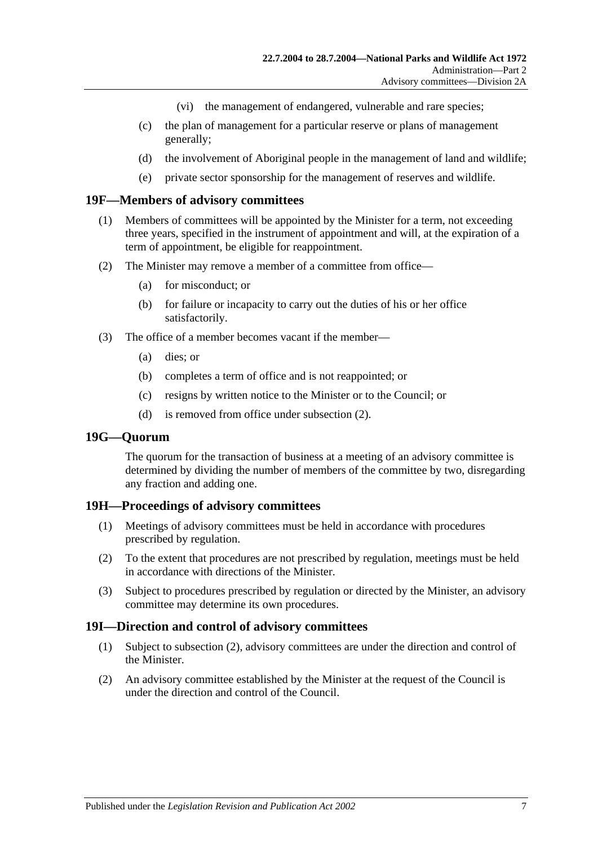- (vi) the management of endangered, vulnerable and rare species;
- (c) the plan of management for a particular reserve or plans of management generally;
- (d) the involvement of Aboriginal people in the management of land and wildlife;
- (e) private sector sponsorship for the management of reserves and wildlife.

### <span id="page-16-0"></span>**19F—Members of advisory committees**

- (1) Members of committees will be appointed by the Minister for a term, not exceeding three years, specified in the instrument of appointment and will, at the expiration of a term of appointment, be eligible for reappointment.
- (2) The Minister may remove a member of a committee from office—
	- (a) for misconduct; or
	- (b) for failure or incapacity to carry out the duties of his or her office satisfactorily.
- (3) The office of a member becomes vacant if the member—
	- (a) dies; or
	- (b) completes a term of office and is not reappointed; or
	- (c) resigns by written notice to the Minister or to the Council; or
	- (d) is removed from office under subsection (2).

### <span id="page-16-1"></span>**19G—Quorum**

The quorum for the transaction of business at a meeting of an advisory committee is determined by dividing the number of members of the committee by two, disregarding any fraction and adding one.

### <span id="page-16-2"></span>**19H—Proceedings of advisory committees**

- (1) Meetings of advisory committees must be held in accordance with procedures prescribed by regulation.
- (2) To the extent that procedures are not prescribed by regulation, meetings must be held in accordance with directions of the Minister.
- (3) Subject to procedures prescribed by regulation or directed by the Minister, an advisory committee may determine its own procedures.

### <span id="page-16-3"></span>**19I—Direction and control of advisory committees**

- (1) Subject to subsection (2), advisory committees are under the direction and control of the Minister.
- (2) An advisory committee established by the Minister at the request of the Council is under the direction and control of the Council.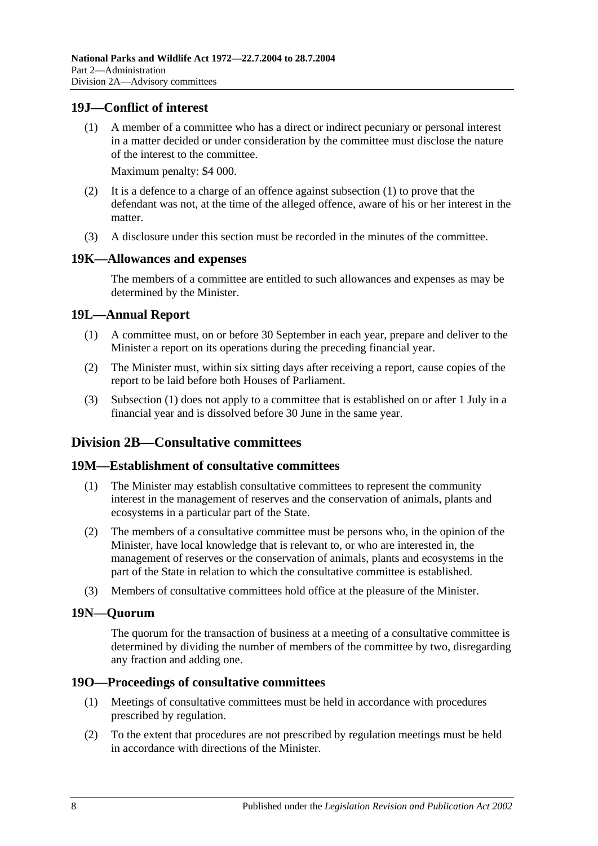### <span id="page-17-0"></span>**19J—Conflict of interest**

(1) A member of a committee who has a direct or indirect pecuniary or personal interest in a matter decided or under consideration by the committee must disclose the nature of the interest to the committee.

Maximum penalty: \$4 000.

- (2) It is a defence to a charge of an offence against subsection (1) to prove that the defendant was not, at the time of the alleged offence, aware of his or her interest in the matter.
- (3) A disclosure under this section must be recorded in the minutes of the committee.

### <span id="page-17-1"></span>**19K—Allowances and expenses**

The members of a committee are entitled to such allowances and expenses as may be determined by the Minister.

### <span id="page-17-2"></span>**19L—Annual Report**

- (1) A committee must, on or before 30 September in each year, prepare and deliver to the Minister a report on its operations during the preceding financial year.
- (2) The Minister must, within six sitting days after receiving a report, cause copies of the report to be laid before both Houses of Parliament.
- (3) Subsection (1) does not apply to a committee that is established on or after 1 July in a financial year and is dissolved before 30 June in the same year.

### <span id="page-17-3"></span>**Division 2B—Consultative committees**

### <span id="page-17-4"></span>**19M—Establishment of consultative committees**

- (1) The Minister may establish consultative committees to represent the community interest in the management of reserves and the conservation of animals, plants and ecosystems in a particular part of the State.
- (2) The members of a consultative committee must be persons who, in the opinion of the Minister, have local knowledge that is relevant to, or who are interested in, the management of reserves or the conservation of animals, plants and ecosystems in the part of the State in relation to which the consultative committee is established.
- (3) Members of consultative committees hold office at the pleasure of the Minister.

### <span id="page-17-5"></span>**19N—Quorum**

The quorum for the transaction of business at a meeting of a consultative committee is determined by dividing the number of members of the committee by two, disregarding any fraction and adding one.

### <span id="page-17-6"></span>**19O—Proceedings of consultative committees**

- (1) Meetings of consultative committees must be held in accordance with procedures prescribed by regulation.
- (2) To the extent that procedures are not prescribed by regulation meetings must be held in accordance with directions of the Minister.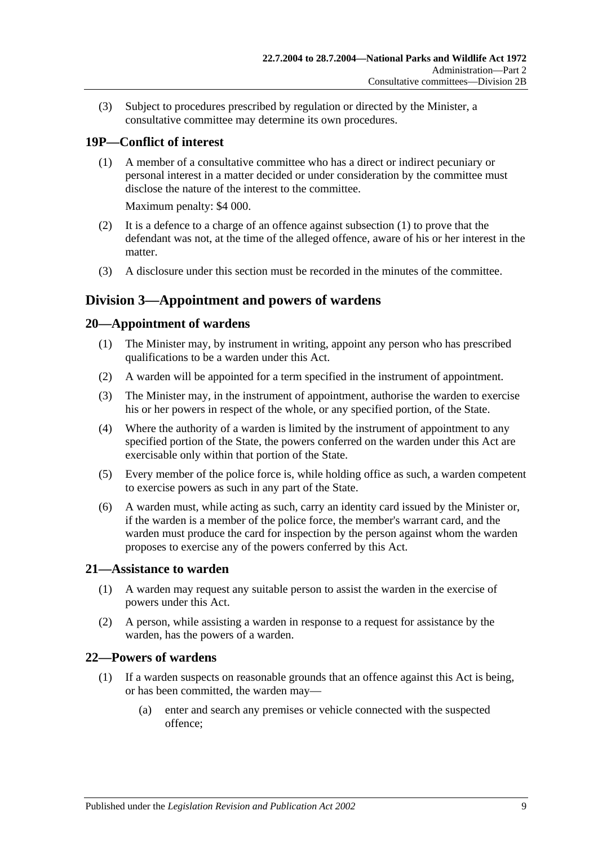(3) Subject to procedures prescribed by regulation or directed by the Minister, a consultative committee may determine its own procedures.

### <span id="page-18-0"></span>**19P—Conflict of interest**

(1) A member of a consultative committee who has a direct or indirect pecuniary or personal interest in a matter decided or under consideration by the committee must disclose the nature of the interest to the committee.

Maximum penalty: \$4 000.

- (2) It is a defence to a charge of an offence against subsection (1) to prove that the defendant was not, at the time of the alleged offence, aware of his or her interest in the matter.
- (3) A disclosure under this section must be recorded in the minutes of the committee.

### <span id="page-18-1"></span>**Division 3—Appointment and powers of wardens**

### <span id="page-18-2"></span>**20—Appointment of wardens**

- (1) The Minister may, by instrument in writing, appoint any person who has prescribed qualifications to be a warden under this Act.
- (2) A warden will be appointed for a term specified in the instrument of appointment.
- (3) The Minister may, in the instrument of appointment, authorise the warden to exercise his or her powers in respect of the whole, or any specified portion, of the State.
- (4) Where the authority of a warden is limited by the instrument of appointment to any specified portion of the State, the powers conferred on the warden under this Act are exercisable only within that portion of the State.
- (5) Every member of the police force is, while holding office as such, a warden competent to exercise powers as such in any part of the State.
- (6) A warden must, while acting as such, carry an identity card issued by the Minister or, if the warden is a member of the police force, the member's warrant card, and the warden must produce the card for inspection by the person against whom the warden proposes to exercise any of the powers conferred by this Act.

### <span id="page-18-3"></span>**21—Assistance to warden**

- (1) A warden may request any suitable person to assist the warden in the exercise of powers under this Act.
- (2) A person, while assisting a warden in response to a request for assistance by the warden, has the powers of a warden.

### <span id="page-18-4"></span>**22—Powers of wardens**

- (1) If a warden suspects on reasonable grounds that an offence against this Act is being, or has been committed, the warden may—
	- (a) enter and search any premises or vehicle connected with the suspected offence;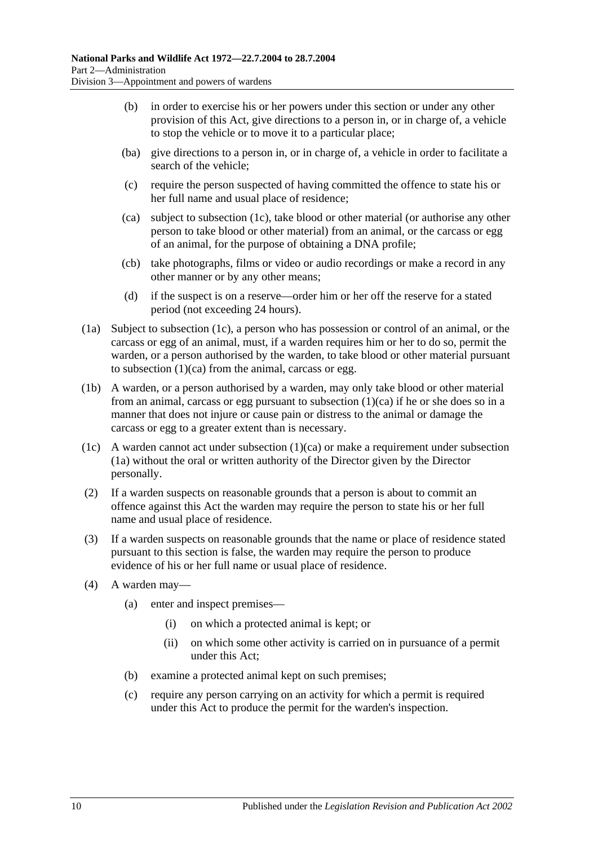- (b) in order to exercise his or her powers under this section or under any other provision of this Act, give directions to a person in, or in charge of, a vehicle to stop the vehicle or to move it to a particular place;
- (ba) give directions to a person in, or in charge of, a vehicle in order to facilitate a search of the vehicle;
- (c) require the person suspected of having committed the offence to state his or her full name and usual place of residence;
- (ca) subject to subsection (1c), take blood or other material (or authorise any other person to take blood or other material) from an animal, or the carcass or egg of an animal, for the purpose of obtaining a DNA profile;
- (cb) take photographs, films or video or audio recordings or make a record in any other manner or by any other means;
- (d) if the suspect is on a reserve—order him or her off the reserve for a stated period (not exceeding 24 hours).
- (1a) Subject to subsection (1c), a person who has possession or control of an animal, or the carcass or egg of an animal, must, if a warden requires him or her to do so, permit the warden, or a person authorised by the warden, to take blood or other material pursuant to subsection (1)(ca) from the animal, carcass or egg.
- (1b) A warden, or a person authorised by a warden, may only take blood or other material from an animal, carcass or egg pursuant to subsection (1)(ca) if he or she does so in a manner that does not injure or cause pain or distress to the animal or damage the carcass or egg to a greater extent than is necessary.
- (1c) A warden cannot act under subsection  $(1)(ca)$  or make a requirement under subsection (1a) without the oral or written authority of the Director given by the Director personally.
- (2) If a warden suspects on reasonable grounds that a person is about to commit an offence against this Act the warden may require the person to state his or her full name and usual place of residence.
- (3) If a warden suspects on reasonable grounds that the name or place of residence stated pursuant to this section is false, the warden may require the person to produce evidence of his or her full name or usual place of residence.
- (4) A warden may—
	- (a) enter and inspect premises—
		- (i) on which a protected animal is kept; or
		- (ii) on which some other activity is carried on in pursuance of a permit under this Act;
	- (b) examine a protected animal kept on such premises;
	- (c) require any person carrying on an activity for which a permit is required under this Act to produce the permit for the warden's inspection.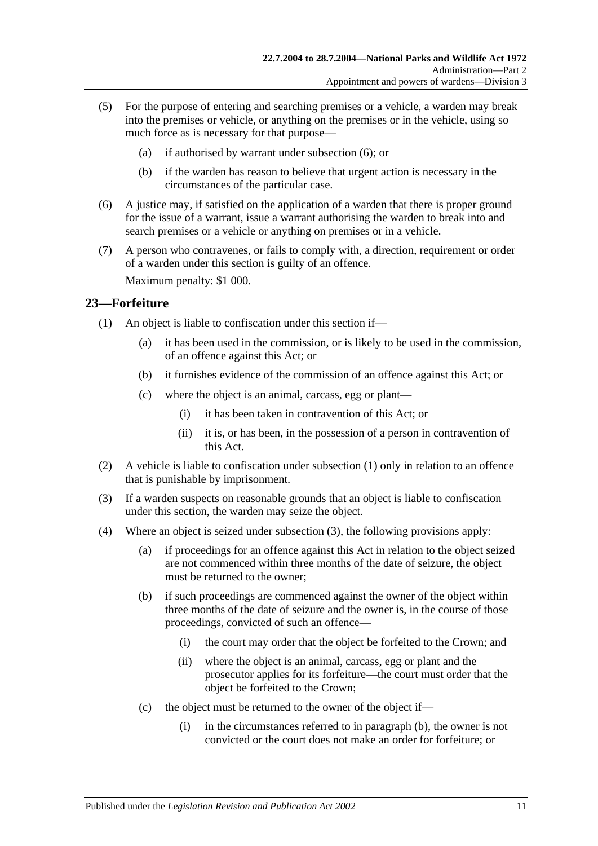- (5) For the purpose of entering and searching premises or a vehicle, a warden may break into the premises or vehicle, or anything on the premises or in the vehicle, using so much force as is necessary for that purpose—
	- (a) if authorised by warrant under subsection (6); or
	- (b) if the warden has reason to believe that urgent action is necessary in the circumstances of the particular case.
- (6) A justice may, if satisfied on the application of a warden that there is proper ground for the issue of a warrant, issue a warrant authorising the warden to break into and search premises or a vehicle or anything on premises or in a vehicle.
- (7) A person who contravenes, or fails to comply with, a direction, requirement or order of a warden under this section is guilty of an offence.

Maximum penalty: \$1 000.

### <span id="page-20-0"></span>**23—Forfeiture**

- (1) An object is liable to confiscation under this section if—
	- (a) it has been used in the commission, or is likely to be used in the commission, of an offence against this Act; or
	- (b) it furnishes evidence of the commission of an offence against this Act; or
	- (c) where the object is an animal, carcass, egg or plant—
		- (i) it has been taken in contravention of this Act; or
		- (ii) it is, or has been, in the possession of a person in contravention of this Act.
- (2) A vehicle is liable to confiscation under subsection (1) only in relation to an offence that is punishable by imprisonment.
- (3) If a warden suspects on reasonable grounds that an object is liable to confiscation under this section, the warden may seize the object.
- (4) Where an object is seized under subsection (3), the following provisions apply:
	- (a) if proceedings for an offence against this Act in relation to the object seized are not commenced within three months of the date of seizure, the object must be returned to the owner;
	- (b) if such proceedings are commenced against the owner of the object within three months of the date of seizure and the owner is, in the course of those proceedings, convicted of such an offence—
		- (i) the court may order that the object be forfeited to the Crown; and
		- (ii) where the object is an animal, carcass, egg or plant and the prosecutor applies for its forfeiture—the court must order that the object be forfeited to the Crown;
	- (c) the object must be returned to the owner of the object if—
		- (i) in the circumstances referred to in paragraph (b), the owner is not convicted or the court does not make an order for forfeiture; or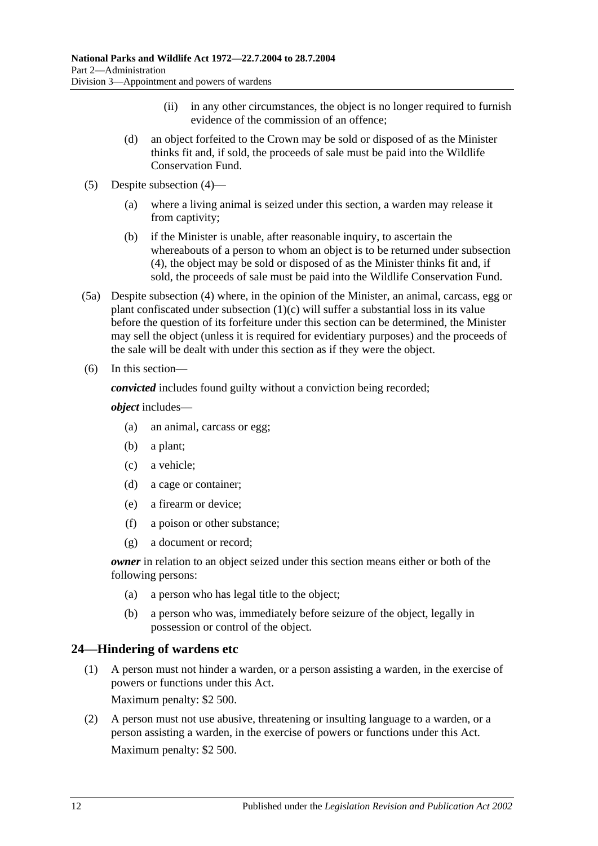- (ii) in any other circumstances, the object is no longer required to furnish evidence of the commission of an offence;
- (d) an object forfeited to the Crown may be sold or disposed of as the Minister thinks fit and, if sold, the proceeds of sale must be paid into the Wildlife Conservation Fund.
- (5) Despite subsection (4)—
	- (a) where a living animal is seized under this section, a warden may release it from captivity;
	- (b) if the Minister is unable, after reasonable inquiry, to ascertain the whereabouts of a person to whom an object is to be returned under subsection (4), the object may be sold or disposed of as the Minister thinks fit and, if sold, the proceeds of sale must be paid into the Wildlife Conservation Fund.
- (5a) Despite subsection (4) where, in the opinion of the Minister, an animal, carcass, egg or plant confiscated under subsection (1)(c) will suffer a substantial loss in its value before the question of its forfeiture under this section can be determined, the Minister may sell the object (unless it is required for evidentiary purposes) and the proceeds of the sale will be dealt with under this section as if they were the object.
- (6) In this section—

*convicted* includes found guilty without a conviction being recorded;

*object* includes—

- (a) an animal, carcass or egg;
- (b) a plant;
- (c) a vehicle;
- (d) a cage or container;
- (e) a firearm or device;
- (f) a poison or other substance;
- (g) a document or record;

*owner* in relation to an object seized under this section means either or both of the following persons:

- (a) a person who has legal title to the object;
- (b) a person who was, immediately before seizure of the object, legally in possession or control of the object.

### <span id="page-21-0"></span>**24—Hindering of wardens etc**

(1) A person must not hinder a warden, or a person assisting a warden, in the exercise of powers or functions under this Act.

Maximum penalty: \$2 500.

(2) A person must not use abusive, threatening or insulting language to a warden, or a person assisting a warden, in the exercise of powers or functions under this Act. Maximum penalty: \$2 500.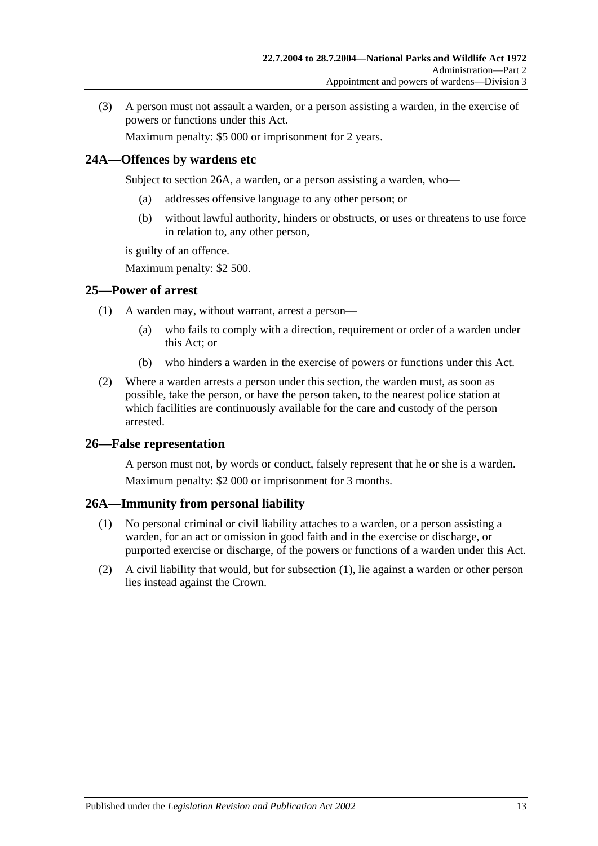(3) A person must not assault a warden, or a person assisting a warden, in the exercise of powers or functions under this Act.

Maximum penalty: \$5 000 or imprisonment for 2 years.

### <span id="page-22-0"></span>**24A—Offences by wardens etc**

Subject to section 26A, a warden, or a person assisting a warden, who—

- (a) addresses offensive language to any other person; or
- (b) without lawful authority, hinders or obstructs, or uses or threatens to use force in relation to, any other person,

is guilty of an offence.

Maximum penalty: \$2 500.

### <span id="page-22-1"></span>**25—Power of arrest**

- (1) A warden may, without warrant, arrest a person—
	- (a) who fails to comply with a direction, requirement or order of a warden under this Act; or
	- (b) who hinders a warden in the exercise of powers or functions under this Act.
- (2) Where a warden arrests a person under this section, the warden must, as soon as possible, take the person, or have the person taken, to the nearest police station at which facilities are continuously available for the care and custody of the person arrested.

### <span id="page-22-2"></span>**26—False representation**

A person must not, by words or conduct, falsely represent that he or she is a warden. Maximum penalty: \$2 000 or imprisonment for 3 months.

### <span id="page-22-3"></span>**26A—Immunity from personal liability**

- (1) No personal criminal or civil liability attaches to a warden, or a person assisting a warden, for an act or omission in good faith and in the exercise or discharge, or purported exercise or discharge, of the powers or functions of a warden under this Act.
- (2) A civil liability that would, but for subsection (1), lie against a warden or other person lies instead against the Crown.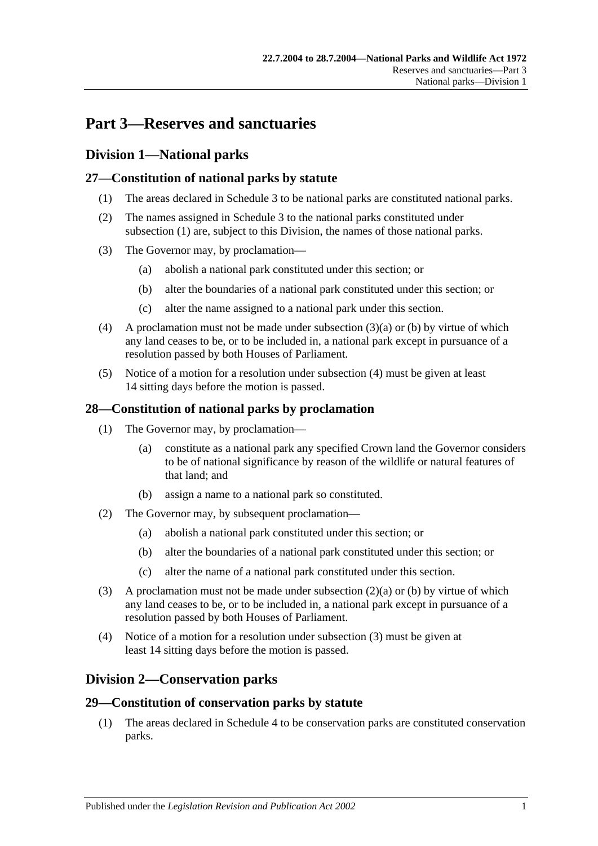## <span id="page-24-0"></span>**Part 3—Reserves and sanctuaries**

### <span id="page-24-1"></span>**Division 1—National parks**

### <span id="page-24-2"></span>**27—Constitution of national parks by statute**

- (1) The areas declared in Schedule 3 to be national parks are constituted national parks.
- (2) The names assigned in Schedule 3 to the national parks constituted under subsection (1) are, subject to this Division, the names of those national parks.
- (3) The Governor may, by proclamation—
	- (a) abolish a national park constituted under this section; or
	- (b) alter the boundaries of a national park constituted under this section; or
	- (c) alter the name assigned to a national park under this section.
- (4) A proclamation must not be made under subsection (3)(a) or (b) by virtue of which any land ceases to be, or to be included in, a national park except in pursuance of a resolution passed by both Houses of Parliament.
- (5) Notice of a motion for a resolution under subsection (4) must be given at least 14 sitting days before the motion is passed.

### <span id="page-24-3"></span>**28—Constitution of national parks by proclamation**

- (1) The Governor may, by proclamation—
	- (a) constitute as a national park any specified Crown land the Governor considers to be of national significance by reason of the wildlife or natural features of that land; and
	- (b) assign a name to a national park so constituted.
- (2) The Governor may, by subsequent proclamation—
	- (a) abolish a national park constituted under this section; or
	- (b) alter the boundaries of a national park constituted under this section; or
	- (c) alter the name of a national park constituted under this section.
- (3) A proclamation must not be made under subsection (2)(a) or (b) by virtue of which any land ceases to be, or to be included in, a national park except in pursuance of a resolution passed by both Houses of Parliament.
- (4) Notice of a motion for a resolution under subsection (3) must be given at least 14 sitting days before the motion is passed.

### <span id="page-24-4"></span>**Division 2—Conservation parks**

### <span id="page-24-5"></span>**29—Constitution of conservation parks by statute**

(1) The areas declared in Schedule 4 to be conservation parks are constituted conservation parks.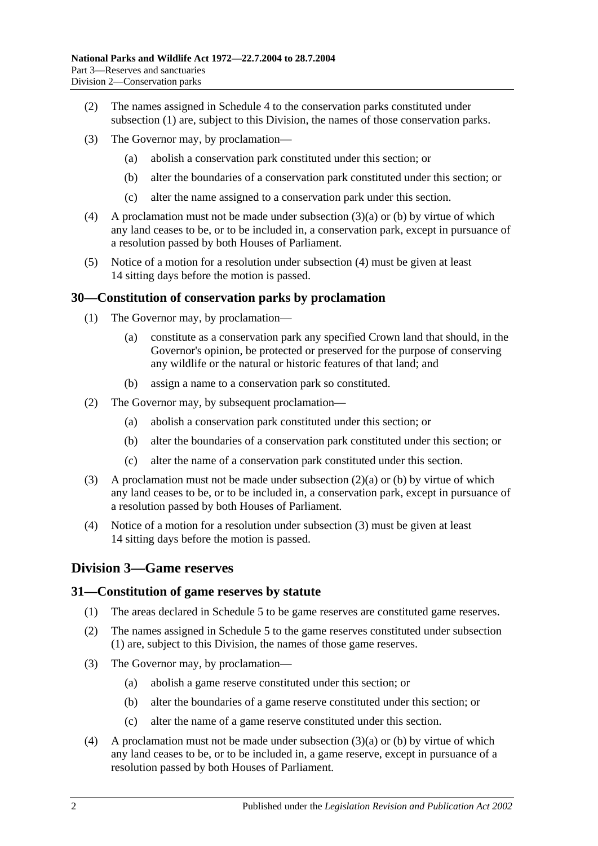- (2) The names assigned in Schedule 4 to the conservation parks constituted under subsection (1) are, subject to this Division, the names of those conservation parks.
- (3) The Governor may, by proclamation—
	- (a) abolish a conservation park constituted under this section; or
	- (b) alter the boundaries of a conservation park constituted under this section; or
	- (c) alter the name assigned to a conservation park under this section.
- (4) A proclamation must not be made under subsection (3)(a) or (b) by virtue of which any land ceases to be, or to be included in, a conservation park, except in pursuance of a resolution passed by both Houses of Parliament.
- (5) Notice of a motion for a resolution under subsection (4) must be given at least 14 sitting days before the motion is passed.

### <span id="page-25-0"></span>**30—Constitution of conservation parks by proclamation**

- (1) The Governor may, by proclamation—
	- (a) constitute as a conservation park any specified Crown land that should, in the Governor's opinion, be protected or preserved for the purpose of conserving any wildlife or the natural or historic features of that land; and
	- (b) assign a name to a conservation park so constituted.
- (2) The Governor may, by subsequent proclamation—
	- (a) abolish a conservation park constituted under this section; or
	- (b) alter the boundaries of a conservation park constituted under this section; or
	- (c) alter the name of a conservation park constituted under this section.
- (3) A proclamation must not be made under subsection (2)(a) or (b) by virtue of which any land ceases to be, or to be included in, a conservation park, except in pursuance of a resolution passed by both Houses of Parliament.
- (4) Notice of a motion for a resolution under subsection (3) must be given at least 14 sitting days before the motion is passed.

### <span id="page-25-1"></span>**Division 3—Game reserves**

### <span id="page-25-2"></span>**31—Constitution of game reserves by statute**

- (1) The areas declared in Schedule 5 to be game reserves are constituted game reserves.
- (2) The names assigned in Schedule 5 to the game reserves constituted under subsection (1) are, subject to this Division, the names of those game reserves.
- (3) The Governor may, by proclamation—
	- (a) abolish a game reserve constituted under this section; or
	- (b) alter the boundaries of a game reserve constituted under this section; or
	- (c) alter the name of a game reserve constituted under this section.
- (4) A proclamation must not be made under subsection  $(3)(a)$  or (b) by virtue of which any land ceases to be, or to be included in, a game reserve, except in pursuance of a resolution passed by both Houses of Parliament.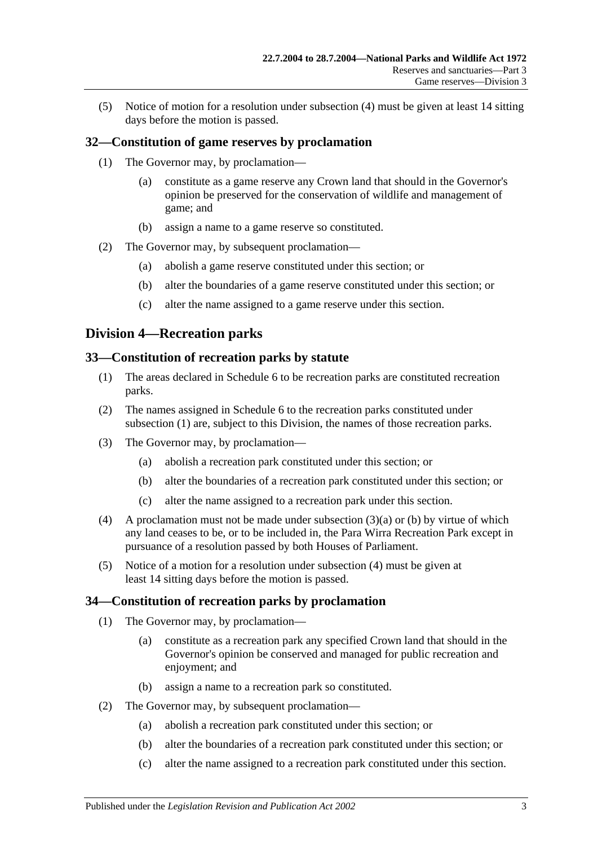(5) Notice of motion for a resolution under subsection (4) must be given at least 14 sitting days before the motion is passed.

### <span id="page-26-0"></span>**32—Constitution of game reserves by proclamation**

- (1) The Governor may, by proclamation—
	- (a) constitute as a game reserve any Crown land that should in the Governor's opinion be preserved for the conservation of wildlife and management of game; and
	- (b) assign a name to a game reserve so constituted.
- (2) The Governor may, by subsequent proclamation—
	- (a) abolish a game reserve constituted under this section; or
	- (b) alter the boundaries of a game reserve constituted under this section; or
	- (c) alter the name assigned to a game reserve under this section.

### <span id="page-26-1"></span>**Division 4—Recreation parks**

### <span id="page-26-2"></span>**33—Constitution of recreation parks by statute**

- (1) The areas declared in Schedule 6 to be recreation parks are constituted recreation parks.
- (2) The names assigned in Schedule 6 to the recreation parks constituted under subsection (1) are, subject to this Division, the names of those recreation parks.
- (3) The Governor may, by proclamation—
	- (a) abolish a recreation park constituted under this section; or
	- (b) alter the boundaries of a recreation park constituted under this section; or
	- (c) alter the name assigned to a recreation park under this section.
- (4) A proclamation must not be made under subsection (3)(a) or (b) by virtue of which any land ceases to be, or to be included in, the Para Wirra Recreation Park except in pursuance of a resolution passed by both Houses of Parliament.
- (5) Notice of a motion for a resolution under subsection (4) must be given at least 14 sitting days before the motion is passed.

### <span id="page-26-3"></span>**34—Constitution of recreation parks by proclamation**

- (1) The Governor may, by proclamation—
	- (a) constitute as a recreation park any specified Crown land that should in the Governor's opinion be conserved and managed for public recreation and enjoyment; and
	- (b) assign a name to a recreation park so constituted.
- (2) The Governor may, by subsequent proclamation—
	- (a) abolish a recreation park constituted under this section; or
	- (b) alter the boundaries of a recreation park constituted under this section; or
	- (c) alter the name assigned to a recreation park constituted under this section.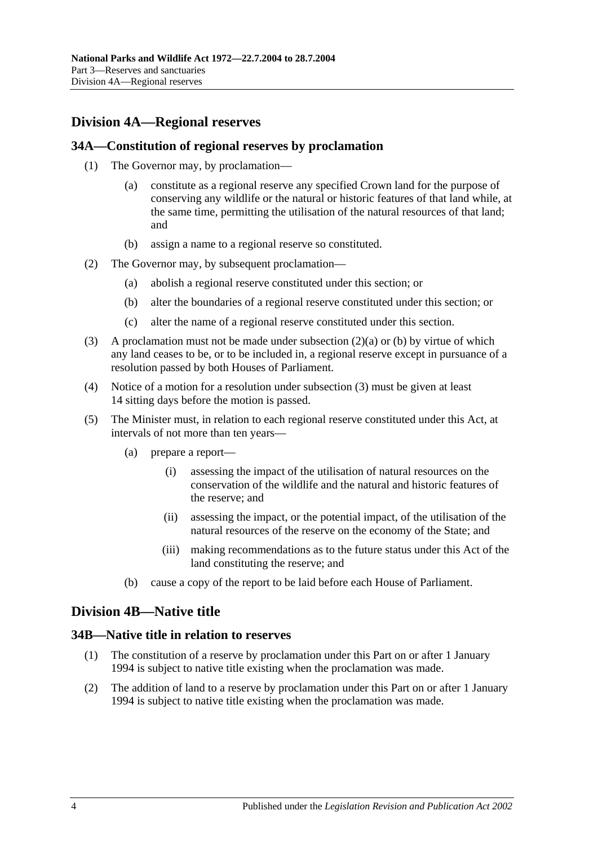### <span id="page-27-0"></span>**Division 4A—Regional reserves**

### <span id="page-27-1"></span>**34A—Constitution of regional reserves by proclamation**

- (1) The Governor may, by proclamation—
	- (a) constitute as a regional reserve any specified Crown land for the purpose of conserving any wildlife or the natural or historic features of that land while, at the same time, permitting the utilisation of the natural resources of that land; and
	- (b) assign a name to a regional reserve so constituted.
- (2) The Governor may, by subsequent proclamation—
	- (a) abolish a regional reserve constituted under this section; or
	- (b) alter the boundaries of a regional reserve constituted under this section; or
	- (c) alter the name of a regional reserve constituted under this section.
- (3) A proclamation must not be made under subsection (2)(a) or (b) by virtue of which any land ceases to be, or to be included in, a regional reserve except in pursuance of a resolution passed by both Houses of Parliament.
- (4) Notice of a motion for a resolution under subsection (3) must be given at least 14 sitting days before the motion is passed.
- (5) The Minister must, in relation to each regional reserve constituted under this Act, at intervals of not more than ten years—
	- (a) prepare a report—
		- (i) assessing the impact of the utilisation of natural resources on the conservation of the wildlife and the natural and historic features of the reserve; and
		- (ii) assessing the impact, or the potential impact, of the utilisation of the natural resources of the reserve on the economy of the State; and
		- (iii) making recommendations as to the future status under this Act of the land constituting the reserve; and
	- (b) cause a copy of the report to be laid before each House of Parliament.

### <span id="page-27-2"></span>**Division 4B—Native title**

### <span id="page-27-3"></span>**34B—Native title in relation to reserves**

- (1) The constitution of a reserve by proclamation under this Part on or after 1 January 1994 is subject to native title existing when the proclamation was made.
- (2) The addition of land to a reserve by proclamation under this Part on or after 1 January 1994 is subject to native title existing when the proclamation was made.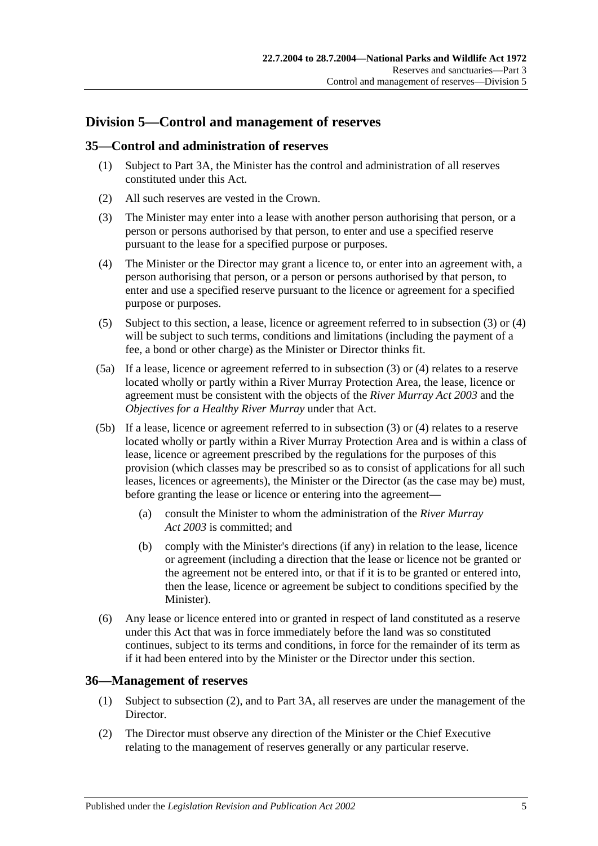### <span id="page-28-0"></span>**Division 5—Control and management of reserves**

### <span id="page-28-1"></span>**35—Control and administration of reserves**

- (1) Subject to Part 3A, the Minister has the control and administration of all reserves constituted under this Act.
- (2) All such reserves are vested in the Crown.
- (3) The Minister may enter into a lease with another person authorising that person, or a person or persons authorised by that person, to enter and use a specified reserve pursuant to the lease for a specified purpose or purposes.
- (4) The Minister or the Director may grant a licence to, or enter into an agreement with, a person authorising that person, or a person or persons authorised by that person, to enter and use a specified reserve pursuant to the licence or agreement for a specified purpose or purposes.
- (5) Subject to this section, a lease, licence or agreement referred to in subsection (3) or (4) will be subject to such terms, conditions and limitations (including the payment of a fee, a bond or other charge) as the Minister or Director thinks fit.
- (5a) If a lease, licence or agreement referred to in subsection (3) or (4) relates to a reserve located wholly or partly within a River Murray Protection Area, the lease, licence or agreement must be consistent with the objects of the *[River Murray Act](http://www.legislation.sa.gov.au/index.aspx?action=legref&type=act&legtitle=River%20Murray%20Act%202003) 2003* and the *Objectives for a Healthy River Murray* under that Act.
- (5b) If a lease, licence or agreement referred to in subsection (3) or (4) relates to a reserve located wholly or partly within a River Murray Protection Area and is within a class of lease, licence or agreement prescribed by the regulations for the purposes of this provision (which classes may be prescribed so as to consist of applications for all such leases, licences or agreements), the Minister or the Director (as the case may be) must, before granting the lease or licence or entering into the agreement-
	- (a) consult the Minister to whom the administration of the *[River Murray](http://www.legislation.sa.gov.au/index.aspx?action=legref&type=act&legtitle=River%20Murray%20Act%202003)  Act [2003](http://www.legislation.sa.gov.au/index.aspx?action=legref&type=act&legtitle=River%20Murray%20Act%202003)* is committed; and
	- (b) comply with the Minister's directions (if any) in relation to the lease, licence or agreement (including a direction that the lease or licence not be granted or the agreement not be entered into, or that if it is to be granted or entered into, then the lease, licence or agreement be subject to conditions specified by the Minister).
- (6) Any lease or licence entered into or granted in respect of land constituted as a reserve under this Act that was in force immediately before the land was so constituted continues, subject to its terms and conditions, in force for the remainder of its term as if it had been entered into by the Minister or the Director under this section.

### <span id="page-28-2"></span>**36—Management of reserves**

- (1) Subject to subsection (2), and to Part 3A, all reserves are under the management of the Director.
- (2) The Director must observe any direction of the Minister or the Chief Executive relating to the management of reserves generally or any particular reserve.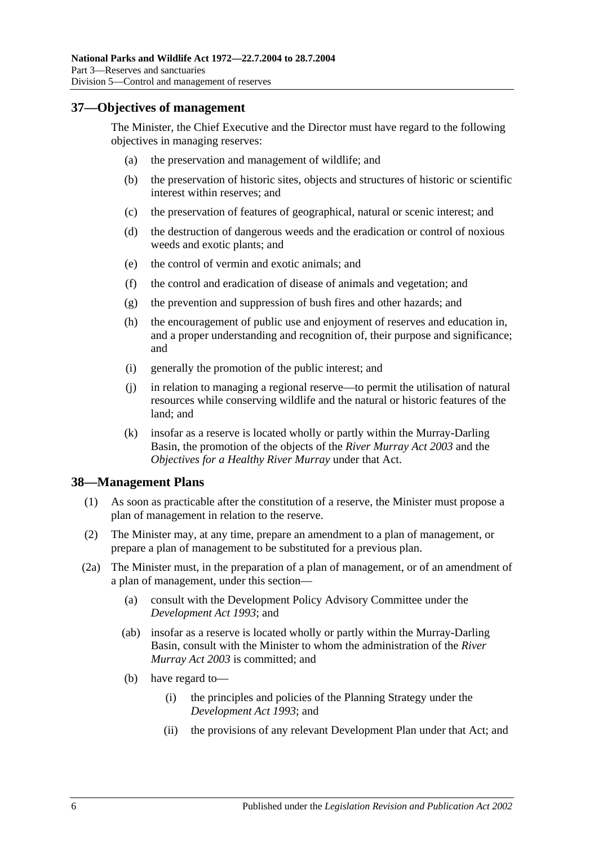### <span id="page-29-0"></span>**37—Objectives of management**

The Minister, the Chief Executive and the Director must have regard to the following objectives in managing reserves:

- (a) the preservation and management of wildlife; and
- (b) the preservation of historic sites, objects and structures of historic or scientific interest within reserves; and
- (c) the preservation of features of geographical, natural or scenic interest; and
- (d) the destruction of dangerous weeds and the eradication or control of noxious weeds and exotic plants; and
- (e) the control of vermin and exotic animals; and
- (f) the control and eradication of disease of animals and vegetation; and
- (g) the prevention and suppression of bush fires and other hazards; and
- (h) the encouragement of public use and enjoyment of reserves and education in, and a proper understanding and recognition of, their purpose and significance; and
- (i) generally the promotion of the public interest; and
- (j) in relation to managing a regional reserve—to permit the utilisation of natural resources while conserving wildlife and the natural or historic features of the land; and
- (k) insofar as a reserve is located wholly or partly within the Murray-Darling Basin, the promotion of the objects of the *[River Murray Act](http://www.legislation.sa.gov.au/index.aspx?action=legref&type=act&legtitle=River%20Murray%20Act%202003) 2003* and the *Objectives for a Healthy River Murray* under that Act.

### <span id="page-29-1"></span>**38—Management Plans**

- (1) As soon as practicable after the constitution of a reserve, the Minister must propose a plan of management in relation to the reserve.
- (2) The Minister may, at any time, prepare an amendment to a plan of management, or prepare a plan of management to be substituted for a previous plan.
- (2a) The Minister must, in the preparation of a plan of management, or of an amendment of a plan of management, under this section—
	- (a) consult with the Development Policy Advisory Committee under the *[Development Act](http://www.legislation.sa.gov.au/index.aspx?action=legref&type=act&legtitle=Development%20Act%201993) 1993*; and
	- (ab) insofar as a reserve is located wholly or partly within the Murray-Darling Basin, consult with the Minister to whom the administration of the *[River](http://www.legislation.sa.gov.au/index.aspx?action=legref&type=act&legtitle=River%20Murray%20Act%202003)  [Murray Act](http://www.legislation.sa.gov.au/index.aspx?action=legref&type=act&legtitle=River%20Murray%20Act%202003) 2003* is committed; and
	- (b) have regard to—
		- (i) the principles and policies of the Planning Strategy under the *[Development Act](http://www.legislation.sa.gov.au/index.aspx?action=legref&type=act&legtitle=Development%20Act%201993) 1993*; and
		- (ii) the provisions of any relevant Development Plan under that Act; and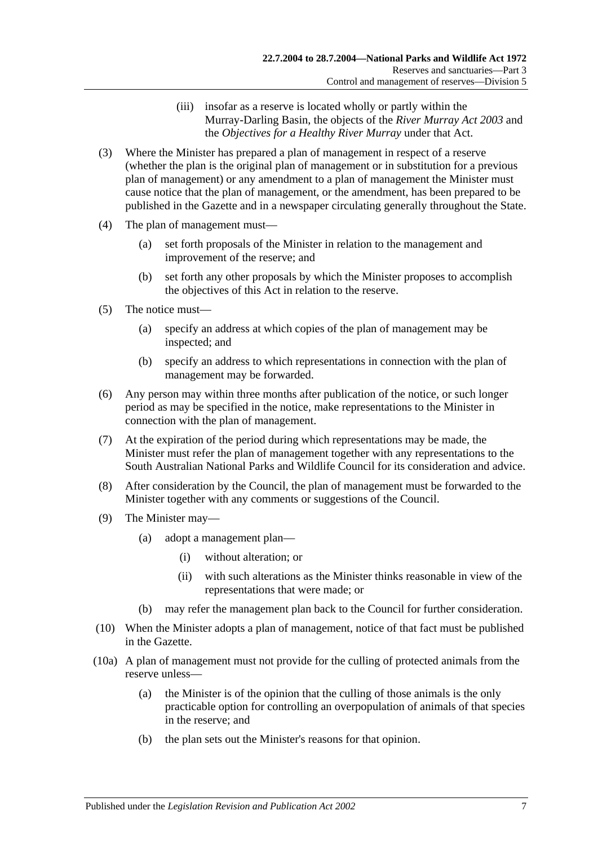- (iii) insofar as a reserve is located wholly or partly within the Murray-Darling Basin, the objects of the *[River Murray Act](http://www.legislation.sa.gov.au/index.aspx?action=legref&type=act&legtitle=River%20Murray%20Act%202003) 2003* and the *Objectives for a Healthy River Murray* under that Act.
- (3) Where the Minister has prepared a plan of management in respect of a reserve (whether the plan is the original plan of management or in substitution for a previous plan of management) or any amendment to a plan of management the Minister must cause notice that the plan of management, or the amendment, has been prepared to be published in the Gazette and in a newspaper circulating generally throughout the State.
- (4) The plan of management must—
	- (a) set forth proposals of the Minister in relation to the management and improvement of the reserve; and
	- (b) set forth any other proposals by which the Minister proposes to accomplish the objectives of this Act in relation to the reserve.
- (5) The notice must—
	- (a) specify an address at which copies of the plan of management may be inspected; and
	- (b) specify an address to which representations in connection with the plan of management may be forwarded.
- (6) Any person may within three months after publication of the notice, or such longer period as may be specified in the notice, make representations to the Minister in connection with the plan of management.
- (7) At the expiration of the period during which representations may be made, the Minister must refer the plan of management together with any representations to the South Australian National Parks and Wildlife Council for its consideration and advice.
- (8) After consideration by the Council, the plan of management must be forwarded to the Minister together with any comments or suggestions of the Council.
- (9) The Minister may—
	- (a) adopt a management plan—
		- (i) without alteration; or
		- (ii) with such alterations as the Minister thinks reasonable in view of the representations that were made; or
	- (b) may refer the management plan back to the Council for further consideration.
- (10) When the Minister adopts a plan of management, notice of that fact must be published in the Gazette.
- (10a) A plan of management must not provide for the culling of protected animals from the reserve unless—
	- (a) the Minister is of the opinion that the culling of those animals is the only practicable option for controlling an overpopulation of animals of that species in the reserve; and
	- (b) the plan sets out the Minister's reasons for that opinion.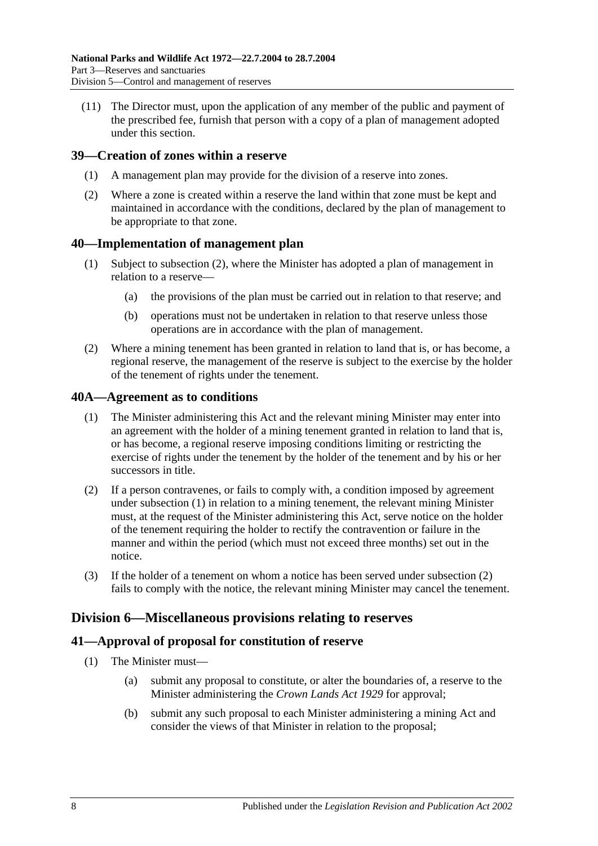(11) The Director must, upon the application of any member of the public and payment of the prescribed fee, furnish that person with a copy of a plan of management adopted under this section.

### <span id="page-31-0"></span>**39—Creation of zones within a reserve**

- (1) A management plan may provide for the division of a reserve into zones.
- (2) Where a zone is created within a reserve the land within that zone must be kept and maintained in accordance with the conditions, declared by the plan of management to be appropriate to that zone.

### <span id="page-31-1"></span>**40—Implementation of management plan**

- (1) Subject to subsection (2), where the Minister has adopted a plan of management in relation to a reserve—
	- (a) the provisions of the plan must be carried out in relation to that reserve; and
	- (b) operations must not be undertaken in relation to that reserve unless those operations are in accordance with the plan of management.
- (2) Where a mining tenement has been granted in relation to land that is, or has become, a regional reserve, the management of the reserve is subject to the exercise by the holder of the tenement of rights under the tenement.

### <span id="page-31-2"></span>**40A—Agreement as to conditions**

- (1) The Minister administering this Act and the relevant mining Minister may enter into an agreement with the holder of a mining tenement granted in relation to land that is, or has become, a regional reserve imposing conditions limiting or restricting the exercise of rights under the tenement by the holder of the tenement and by his or her successors in title.
- (2) If a person contravenes, or fails to comply with, a condition imposed by agreement under subsection (1) in relation to a mining tenement, the relevant mining Minister must, at the request of the Minister administering this Act, serve notice on the holder of the tenement requiring the holder to rectify the contravention or failure in the manner and within the period (which must not exceed three months) set out in the notice.
- (3) If the holder of a tenement on whom a notice has been served under subsection (2) fails to comply with the notice, the relevant mining Minister may cancel the tenement.

### <span id="page-31-3"></span>**Division 6—Miscellaneous provisions relating to reserves**

### <span id="page-31-4"></span>**41—Approval of proposal for constitution of reserve**

- (1) The Minister must—
	- (a) submit any proposal to constitute, or alter the boundaries of, a reserve to the Minister administering the *[Crown Lands Act](http://www.legislation.sa.gov.au/index.aspx?action=legref&type=act&legtitle=Crown%20Lands%20Act%201929) 1929* for approval;
	- (b) submit any such proposal to each Minister administering a mining Act and consider the views of that Minister in relation to the proposal;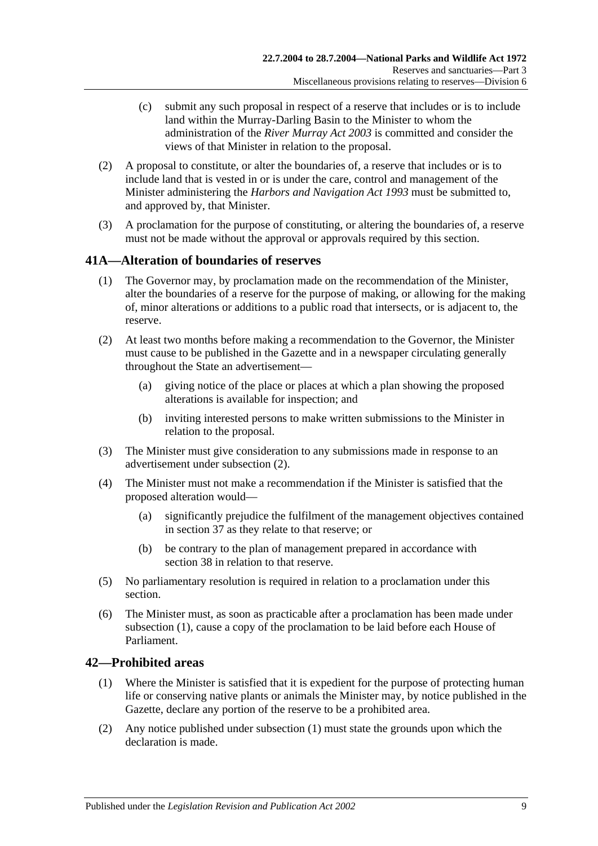- (c) submit any such proposal in respect of a reserve that includes or is to include land within the Murray-Darling Basin to the Minister to whom the administration of the *[River Murray Act](http://www.legislation.sa.gov.au/index.aspx?action=legref&type=act&legtitle=River%20Murray%20Act%202003) 2003* is committed and consider the views of that Minister in relation to the proposal.
- (2) A proposal to constitute, or alter the boundaries of, a reserve that includes or is to include land that is vested in or is under the care, control and management of the Minister administering the *[Harbors and Navigation Act](http://www.legislation.sa.gov.au/index.aspx?action=legref&type=act&legtitle=Harbors%20and%20Navigation%20Act%201993) 1993* must be submitted to, and approved by, that Minister.
- (3) A proclamation for the purpose of constituting, or altering the boundaries of, a reserve must not be made without the approval or approvals required by this section.

### <span id="page-32-0"></span>**41A—Alteration of boundaries of reserves**

- (1) The Governor may, by proclamation made on the recommendation of the Minister, alter the boundaries of a reserve for the purpose of making, or allowing for the making of, minor alterations or additions to a public road that intersects, or is adjacent to, the reserve.
- (2) At least two months before making a recommendation to the Governor, the Minister must cause to be published in the Gazette and in a newspaper circulating generally throughout the State an advertisement—
	- (a) giving notice of the place or places at which a plan showing the proposed alterations is available for inspection; and
	- (b) inviting interested persons to make written submissions to the Minister in relation to the proposal.
- (3) The Minister must give consideration to any submissions made in response to an advertisement under subsection (2).
- (4) The Minister must not make a recommendation if the Minister is satisfied that the proposed alteration would—
	- (a) significantly prejudice the fulfilment of the management objectives contained in section 37 as they relate to that reserve; or
	- (b) be contrary to the plan of management prepared in accordance with section 38 in relation to that reserve.
- (5) No parliamentary resolution is required in relation to a proclamation under this section.
- (6) The Minister must, as soon as practicable after a proclamation has been made under subsection (1), cause a copy of the proclamation to be laid before each House of Parliament.

### <span id="page-32-1"></span>**42—Prohibited areas**

- (1) Where the Minister is satisfied that it is expedient for the purpose of protecting human life or conserving native plants or animals the Minister may, by notice published in the Gazette, declare any portion of the reserve to be a prohibited area.
- (2) Any notice published under subsection (1) must state the grounds upon which the declaration is made.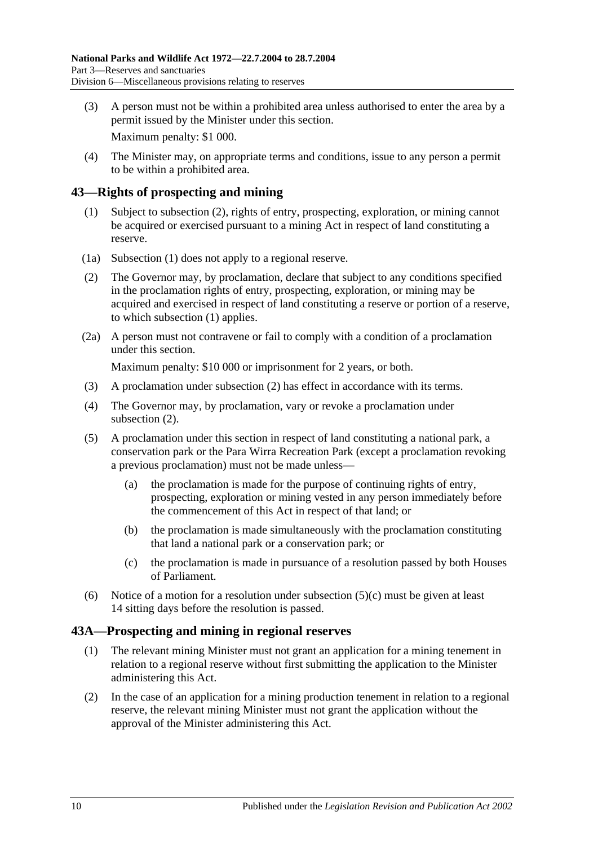(3) A person must not be within a prohibited area unless authorised to enter the area by a permit issued by the Minister under this section.

Maximum penalty: \$1 000.

(4) The Minister may, on appropriate terms and conditions, issue to any person a permit to be within a prohibited area.

### <span id="page-33-0"></span>**43—Rights of prospecting and mining**

- (1) Subject to subsection (2), rights of entry, prospecting, exploration, or mining cannot be acquired or exercised pursuant to a mining Act in respect of land constituting a reserve.
- (1a) Subsection (1) does not apply to a regional reserve.
- (2) The Governor may, by proclamation, declare that subject to any conditions specified in the proclamation rights of entry, prospecting, exploration, or mining may be acquired and exercised in respect of land constituting a reserve or portion of a reserve, to which subsection (1) applies.
- (2a) A person must not contravene or fail to comply with a condition of a proclamation under this section.

Maximum penalty: \$10 000 or imprisonment for 2 years, or both.

- (3) A proclamation under subsection (2) has effect in accordance with its terms.
- (4) The Governor may, by proclamation, vary or revoke a proclamation under subsection  $(2)$ .
- (5) A proclamation under this section in respect of land constituting a national park, a conservation park or the Para Wirra Recreation Park (except a proclamation revoking a previous proclamation) must not be made unless—
	- (a) the proclamation is made for the purpose of continuing rights of entry, prospecting, exploration or mining vested in any person immediately before the commencement of this Act in respect of that land; or
	- (b) the proclamation is made simultaneously with the proclamation constituting that land a national park or a conservation park; or
	- (c) the proclamation is made in pursuance of a resolution passed by both Houses of Parliament.
- (6) Notice of a motion for a resolution under subsection  $(5)(c)$  must be given at least 14 sitting days before the resolution is passed.

### <span id="page-33-1"></span>**43A—Prospecting and mining in regional reserves**

- (1) The relevant mining Minister must not grant an application for a mining tenement in relation to a regional reserve without first submitting the application to the Minister administering this Act.
- (2) In the case of an application for a mining production tenement in relation to a regional reserve, the relevant mining Minister must not grant the application without the approval of the Minister administering this Act.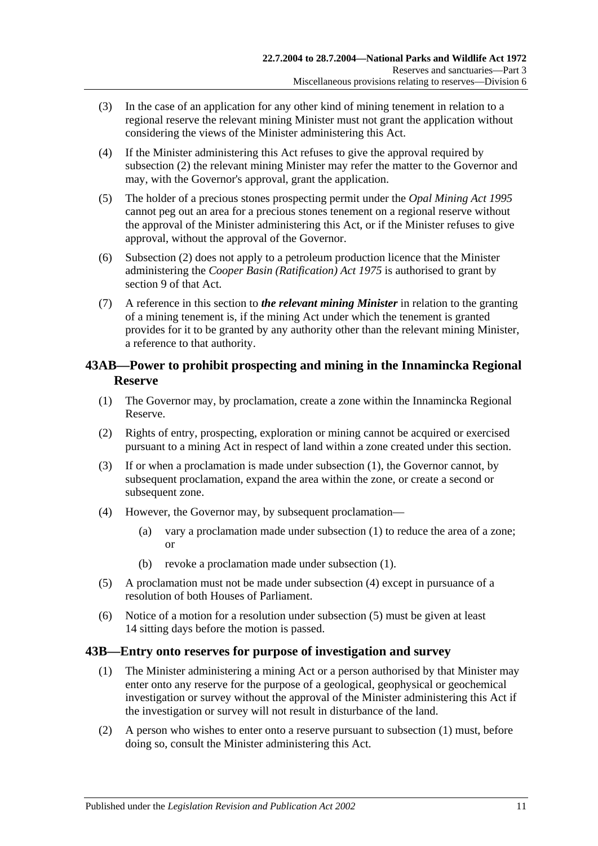- (3) In the case of an application for any other kind of mining tenement in relation to a regional reserve the relevant mining Minister must not grant the application without considering the views of the Minister administering this Act.
- (4) If the Minister administering this Act refuses to give the approval required by subsection (2) the relevant mining Minister may refer the matter to the Governor and may, with the Governor's approval, grant the application.
- (5) The holder of a precious stones prospecting permit under the *[Opal Mining Act](http://www.legislation.sa.gov.au/index.aspx?action=legref&type=act&legtitle=Opal%20Mining%20Act%201995) 1995* cannot peg out an area for a precious stones tenement on a regional reserve without the approval of the Minister administering this Act, or if the Minister refuses to give approval, without the approval of the Governor.
- (6) Subsection (2) does not apply to a petroleum production licence that the Minister administering the *[Cooper Basin \(Ratification\) Act](http://www.legislation.sa.gov.au/index.aspx?action=legref&type=act&legtitle=Cooper%20Basin%20(Ratification)%20Act%201975) 1975* is authorised to grant by section 9 of that Act.
- (7) A reference in this section to *the relevant mining Minister* in relation to the granting of a mining tenement is, if the mining Act under which the tenement is granted provides for it to be granted by any authority other than the relevant mining Minister, a reference to that authority.

### <span id="page-34-0"></span>**43AB—Power to prohibit prospecting and mining in the Innamincka Regional Reserve**

- <span id="page-34-2"></span>(1) The Governor may, by proclamation, create a zone within the Innamincka Regional Reserve.
- (2) Rights of entry, prospecting, exploration or mining cannot be acquired or exercised pursuant to a mining Act in respect of land within a zone created under this section.
- (3) If or when a proclamation is made under [subsection](#page-34-2) (1), the Governor cannot, by subsequent proclamation, expand the area within the zone, or create a second or subsequent zone.
- <span id="page-34-3"></span>(4) However, the Governor may, by subsequent proclamation—
	- (a) vary a proclamation made under [subsection](#page-34-2) (1) to reduce the area of a zone; or
	- (b) revoke a proclamation made under [subsection](#page-34-2) (1).
- <span id="page-34-4"></span>(5) A proclamation must not be made under [subsection](#page-34-3) (4) except in pursuance of a resolution of both Houses of Parliament.
- (6) Notice of a motion for a resolution under [subsection](#page-34-4) (5) must be given at least 14 sitting days before the motion is passed.

### <span id="page-34-1"></span>**43B—Entry onto reserves for purpose of investigation and survey**

- (1) The Minister administering a mining Act or a person authorised by that Minister may enter onto any reserve for the purpose of a geological, geophysical or geochemical investigation or survey without the approval of the Minister administering this Act if the investigation or survey will not result in disturbance of the land.
- (2) A person who wishes to enter onto a reserve pursuant to subsection (1) must, before doing so, consult the Minister administering this Act.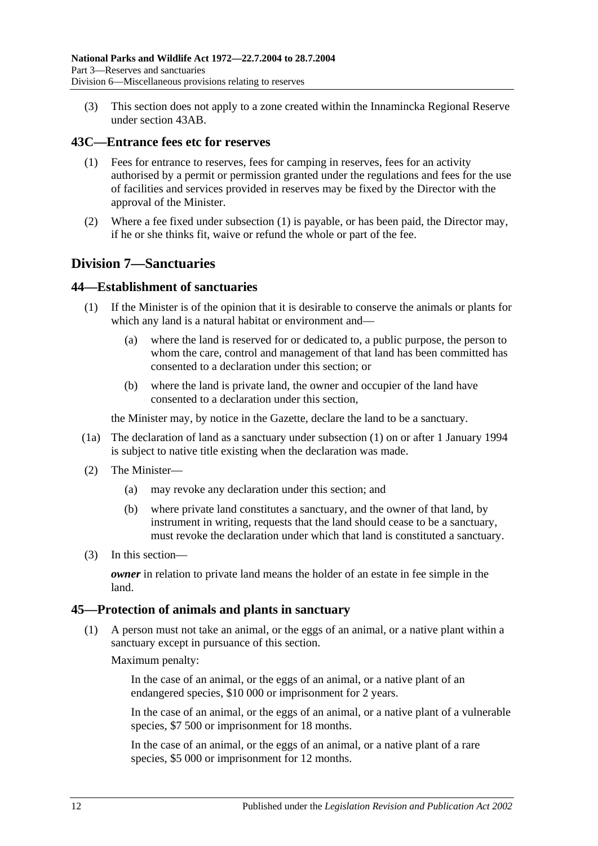(3) This section does not apply to a zone created within the Innamincka Regional Reserve under section 43AB.

### <span id="page-35-0"></span>**43C—Entrance fees etc for reserves**

- (1) Fees for entrance to reserves, fees for camping in reserves, fees for an activity authorised by a permit or permission granted under the regulations and fees for the use of facilities and services provided in reserves may be fixed by the Director with the approval of the Minister.
- (2) Where a fee fixed under subsection (1) is payable, or has been paid, the Director may, if he or she thinks fit, waive or refund the whole or part of the fee.

### <span id="page-35-1"></span>**Division 7—Sanctuaries**

### <span id="page-35-2"></span>**44—Establishment of sanctuaries**

- (1) If the Minister is of the opinion that it is desirable to conserve the animals or plants for which any land is a natural habitat or environment and—
	- (a) where the land is reserved for or dedicated to, a public purpose, the person to whom the care, control and management of that land has been committed has consented to a declaration under this section; or
	- (b) where the land is private land, the owner and occupier of the land have consented to a declaration under this section,

the Minister may, by notice in the Gazette, declare the land to be a sanctuary.

- (1a) The declaration of land as a sanctuary under subsection (1) on or after 1 January 1994 is subject to native title existing when the declaration was made.
- (2) The Minister—
	- (a) may revoke any declaration under this section; and
	- (b) where private land constitutes a sanctuary, and the owner of that land, by instrument in writing, requests that the land should cease to be a sanctuary, must revoke the declaration under which that land is constituted a sanctuary.
- (3) In this section—

*owner* in relation to private land means the holder of an estate in fee simple in the land.

### <span id="page-35-3"></span>**45—Protection of animals and plants in sanctuary**

(1) A person must not take an animal, or the eggs of an animal, or a native plant within a sanctuary except in pursuance of this section.

Maximum penalty:

In the case of an animal, or the eggs of an animal, or a native plant of an endangered species, \$10 000 or imprisonment for 2 years.

In the case of an animal, or the eggs of an animal, or a native plant of a vulnerable species, \$7 500 or imprisonment for 18 months.

In the case of an animal, or the eggs of an animal, or a native plant of a rare species, \$5 000 or imprisonment for 12 months.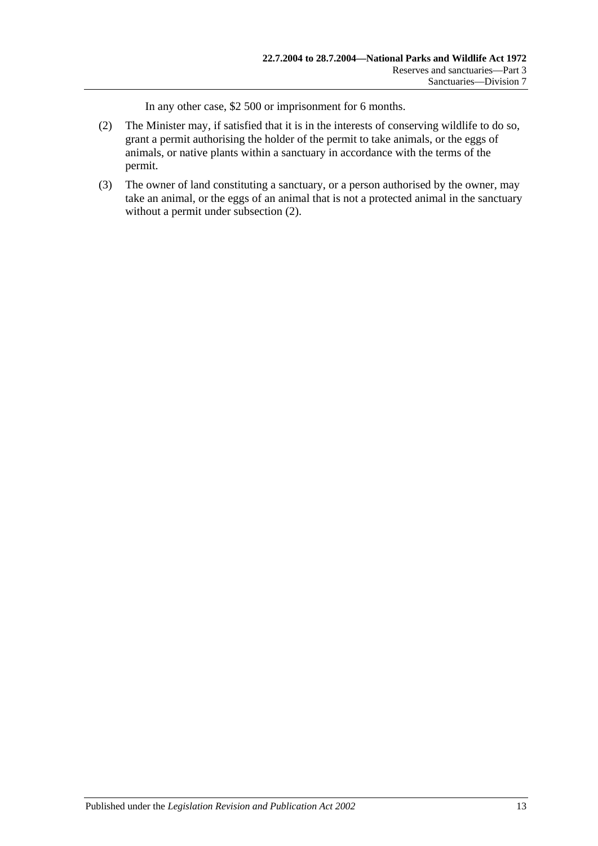In any other case, \$2 500 or imprisonment for 6 months.

- (2) The Minister may, if satisfied that it is in the interests of conserving wildlife to do so, grant a permit authorising the holder of the permit to take animals, or the eggs of animals, or native plants within a sanctuary in accordance with the terms of the permit.
- (3) The owner of land constituting a sanctuary, or a person authorised by the owner, may take an animal, or the eggs of an animal that is not a protected animal in the sanctuary without a permit under subsection (2).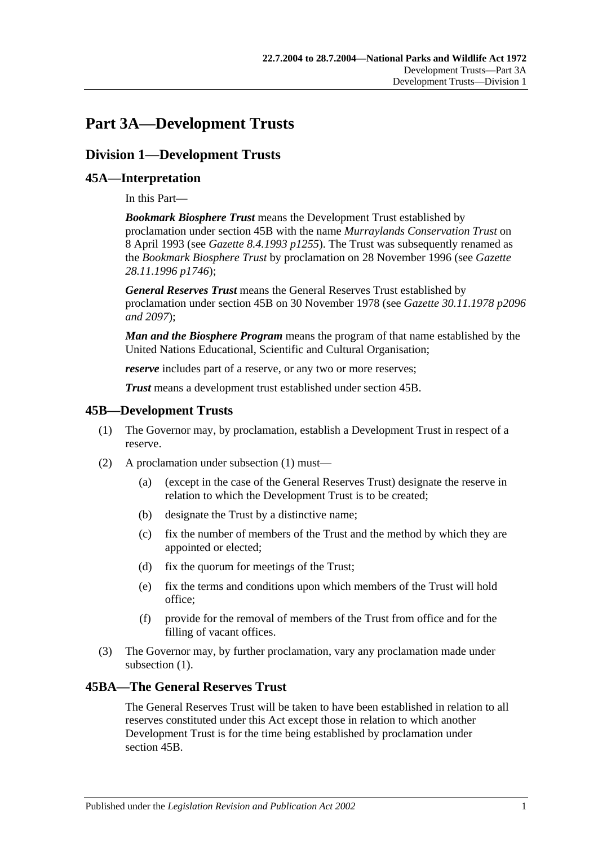# **Part 3A—Development Trusts**

# **Division 1—Development Trusts**

# **45A—Interpretation**

In this Part—

*Bookmark Biosphere Trust* means the Development Trust established by proclamation under section 45B with the name *Murraylands Conservation Trust* on 8 April 1993 (see *Gazette 8.4.1993 p1255*). The Trust was subsequently renamed as the *Bookmark Biosphere Trust* by proclamation on 28 November 1996 (see *Gazette 28.11.1996 p1746*);

*General Reserves Trust* means the General Reserves Trust established by proclamation under section 45B on 30 November 1978 (see *Gazette 30.11.1978 p2096 and 2097*);

*Man and the Biosphere Program* means the program of that name established by the United Nations Educational, Scientific and Cultural Organisation;

*reserve* includes part of a reserve, or any two or more reserves;

*Trust* means a development trust established under section 45B.

## **45B—Development Trusts**

- (1) The Governor may, by proclamation, establish a Development Trust in respect of a reserve.
- (2) A proclamation under subsection (1) must—
	- (a) (except in the case of the General Reserves Trust) designate the reserve in relation to which the Development Trust is to be created;
	- (b) designate the Trust by a distinctive name;
	- (c) fix the number of members of the Trust and the method by which they are appointed or elected;
	- (d) fix the quorum for meetings of the Trust;
	- (e) fix the terms and conditions upon which members of the Trust will hold office;
	- (f) provide for the removal of members of the Trust from office and for the filling of vacant offices.
- (3) The Governor may, by further proclamation, vary any proclamation made under subsection (1).

# **45BA—The General Reserves Trust**

The General Reserves Trust will be taken to have been established in relation to all reserves constituted under this Act except those in relation to which another Development Trust is for the time being established by proclamation under section 45B.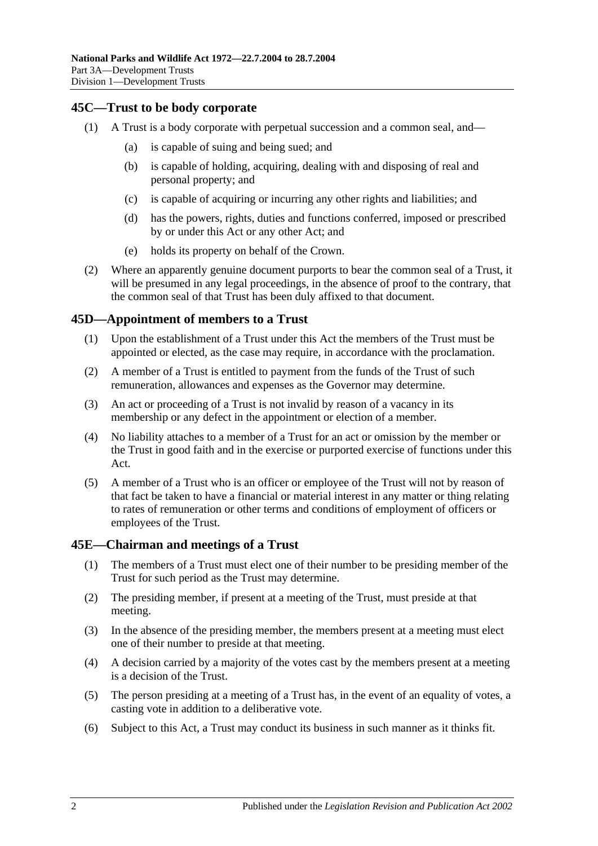# **45C—Trust to be body corporate**

- (1) A Trust is a body corporate with perpetual succession and a common seal, and—
	- (a) is capable of suing and being sued; and
	- (b) is capable of holding, acquiring, dealing with and disposing of real and personal property; and
	- (c) is capable of acquiring or incurring any other rights and liabilities; and
	- (d) has the powers, rights, duties and functions conferred, imposed or prescribed by or under this Act or any other Act; and
	- (e) holds its property on behalf of the Crown.
- (2) Where an apparently genuine document purports to bear the common seal of a Trust, it will be presumed in any legal proceedings, in the absence of proof to the contrary, that the common seal of that Trust has been duly affixed to that document.

### **45D—Appointment of members to a Trust**

- (1) Upon the establishment of a Trust under this Act the members of the Trust must be appointed or elected, as the case may require, in accordance with the proclamation.
- (2) A member of a Trust is entitled to payment from the funds of the Trust of such remuneration, allowances and expenses as the Governor may determine.
- (3) An act or proceeding of a Trust is not invalid by reason of a vacancy in its membership or any defect in the appointment or election of a member.
- (4) No liability attaches to a member of a Trust for an act or omission by the member or the Trust in good faith and in the exercise or purported exercise of functions under this Act.
- (5) A member of a Trust who is an officer or employee of the Trust will not by reason of that fact be taken to have a financial or material interest in any matter or thing relating to rates of remuneration or other terms and conditions of employment of officers or employees of the Trust.

## **45E—Chairman and meetings of a Trust**

- (1) The members of a Trust must elect one of their number to be presiding member of the Trust for such period as the Trust may determine.
- (2) The presiding member, if present at a meeting of the Trust, must preside at that meeting.
- (3) In the absence of the presiding member, the members present at a meeting must elect one of their number to preside at that meeting.
- (4) A decision carried by a majority of the votes cast by the members present at a meeting is a decision of the Trust.
- (5) The person presiding at a meeting of a Trust has, in the event of an equality of votes, a casting vote in addition to a deliberative vote.
- (6) Subject to this Act, a Trust may conduct its business in such manner as it thinks fit.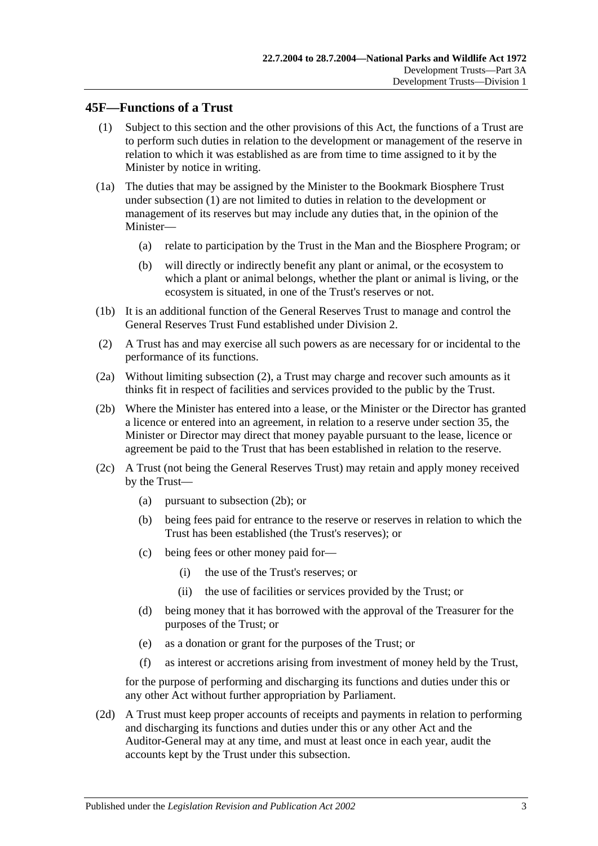## **45F—Functions of a Trust**

- (1) Subject to this section and the other provisions of this Act, the functions of a Trust are to perform such duties in relation to the development or management of the reserve in relation to which it was established as are from time to time assigned to it by the Minister by notice in writing.
- (1a) The duties that may be assigned by the Minister to the Bookmark Biosphere Trust under subsection (1) are not limited to duties in relation to the development or management of its reserves but may include any duties that, in the opinion of the Minister—
	- (a) relate to participation by the Trust in the Man and the Biosphere Program; or
	- (b) will directly or indirectly benefit any plant or animal, or the ecosystem to which a plant or animal belongs, whether the plant or animal is living, or the ecosystem is situated, in one of the Trust's reserves or not.
- (1b) It is an additional function of the General Reserves Trust to manage and control the General Reserves Trust Fund established under Division 2.
- (2) A Trust has and may exercise all such powers as are necessary for or incidental to the performance of its functions.
- (2a) Without limiting subsection (2), a Trust may charge and recover such amounts as it thinks fit in respect of facilities and services provided to the public by the Trust.
- (2b) Where the Minister has entered into a lease, or the Minister or the Director has granted a licence or entered into an agreement, in relation to a reserve under section 35, the Minister or Director may direct that money payable pursuant to the lease, licence or agreement be paid to the Trust that has been established in relation to the reserve.
- (2c) A Trust (not being the General Reserves Trust) may retain and apply money received by the Trust—
	- (a) pursuant to subsection (2b); or
	- (b) being fees paid for entrance to the reserve or reserves in relation to which the Trust has been established (the Trust's reserves); or
	- (c) being fees or other money paid for—
		- (i) the use of the Trust's reserves; or
		- (ii) the use of facilities or services provided by the Trust; or
	- (d) being money that it has borrowed with the approval of the Treasurer for the purposes of the Trust; or
	- (e) as a donation or grant for the purposes of the Trust; or
	- (f) as interest or accretions arising from investment of money held by the Trust,

for the purpose of performing and discharging its functions and duties under this or any other Act without further appropriation by Parliament.

(2d) A Trust must keep proper accounts of receipts and payments in relation to performing and discharging its functions and duties under this or any other Act and the Auditor-General may at any time, and must at least once in each year, audit the accounts kept by the Trust under this subsection.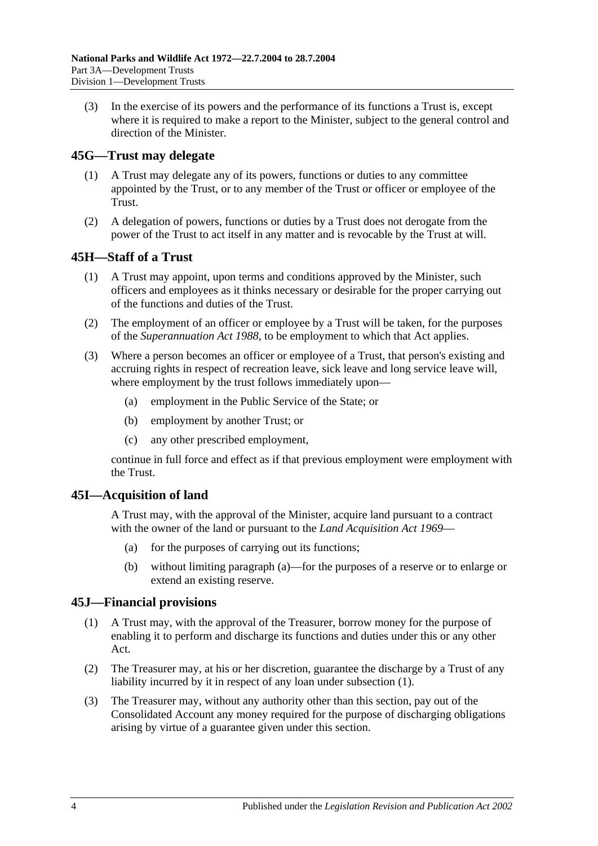(3) In the exercise of its powers and the performance of its functions a Trust is, except where it is required to make a report to the Minister, subject to the general control and direction of the Minister.

## **45G—Trust may delegate**

- (1) A Trust may delegate any of its powers, functions or duties to any committee appointed by the Trust, or to any member of the Trust or officer or employee of the Trust.
- (2) A delegation of powers, functions or duties by a Trust does not derogate from the power of the Trust to act itself in any matter and is revocable by the Trust at will.

# **45H—Staff of a Trust**

- (1) A Trust may appoint, upon terms and conditions approved by the Minister, such officers and employees as it thinks necessary or desirable for the proper carrying out of the functions and duties of the Trust.
- (2) The employment of an officer or employee by a Trust will be taken, for the purposes of the *[Superannuation Act](http://www.legislation.sa.gov.au/index.aspx?action=legref&type=act&legtitle=Superannuation%20Act%201988) 1988*, to be employment to which that Act applies.
- (3) Where a person becomes an officer or employee of a Trust, that person's existing and accruing rights in respect of recreation leave, sick leave and long service leave will, where employment by the trust follows immediately upon—
	- (a) employment in the Public Service of the State; or
	- (b) employment by another Trust; or
	- (c) any other prescribed employment,

continue in full force and effect as if that previous employment were employment with the Trust.

## **45I—Acquisition of land**

A Trust may, with the approval of the Minister, acquire land pursuant to a contract with the owner of the land or pursuant to the *[Land Acquisition Act](http://www.legislation.sa.gov.au/index.aspx?action=legref&type=act&legtitle=Land%20Acquisition%20Act%201969) 1969*—

- (a) for the purposes of carrying out its functions;
- (b) without limiting paragraph (a)—for the purposes of a reserve or to enlarge or extend an existing reserve.

## **45J—Financial provisions**

- (1) A Trust may, with the approval of the Treasurer, borrow money for the purpose of enabling it to perform and discharge its functions and duties under this or any other Act.
- (2) The Treasurer may, at his or her discretion, guarantee the discharge by a Trust of any liability incurred by it in respect of any loan under subsection (1).
- (3) The Treasurer may, without any authority other than this section, pay out of the Consolidated Account any money required for the purpose of discharging obligations arising by virtue of a guarantee given under this section.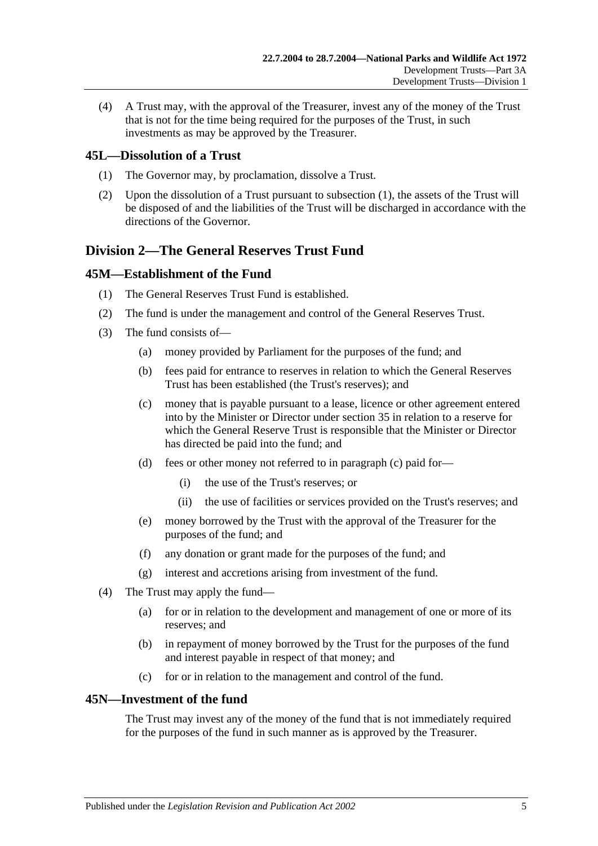(4) A Trust may, with the approval of the Treasurer, invest any of the money of the Trust that is not for the time being required for the purposes of the Trust, in such investments as may be approved by the Treasurer.

## **45L—Dissolution of a Trust**

- (1) The Governor may, by proclamation, dissolve a Trust.
- (2) Upon the dissolution of a Trust pursuant to subsection (1), the assets of the Trust will be disposed of and the liabilities of the Trust will be discharged in accordance with the directions of the Governor.

# **Division 2—The General Reserves Trust Fund**

## **45M—Establishment of the Fund**

- (1) The General Reserves Trust Fund is established.
- (2) The fund is under the management and control of the General Reserves Trust.
- (3) The fund consists of—
	- (a) money provided by Parliament for the purposes of the fund; and
	- (b) fees paid for entrance to reserves in relation to which the General Reserves Trust has been established (the Trust's reserves); and
	- (c) money that is payable pursuant to a lease, licence or other agreement entered into by the Minister or Director under section 35 in relation to a reserve for which the General Reserve Trust is responsible that the Minister or Director has directed be paid into the fund; and
	- (d) fees or other money not referred to in paragraph (c) paid for—
		- (i) the use of the Trust's reserves; or
		- (ii) the use of facilities or services provided on the Trust's reserves; and
	- (e) money borrowed by the Trust with the approval of the Treasurer for the purposes of the fund; and
	- (f) any donation or grant made for the purposes of the fund; and
	- (g) interest and accretions arising from investment of the fund.
- (4) The Trust may apply the fund—
	- (a) for or in relation to the development and management of one or more of its reserves; and
	- (b) in repayment of money borrowed by the Trust for the purposes of the fund and interest payable in respect of that money; and
	- (c) for or in relation to the management and control of the fund.

# **45N—Investment of the fund**

The Trust may invest any of the money of the fund that is not immediately required for the purposes of the fund in such manner as is approved by the Treasurer.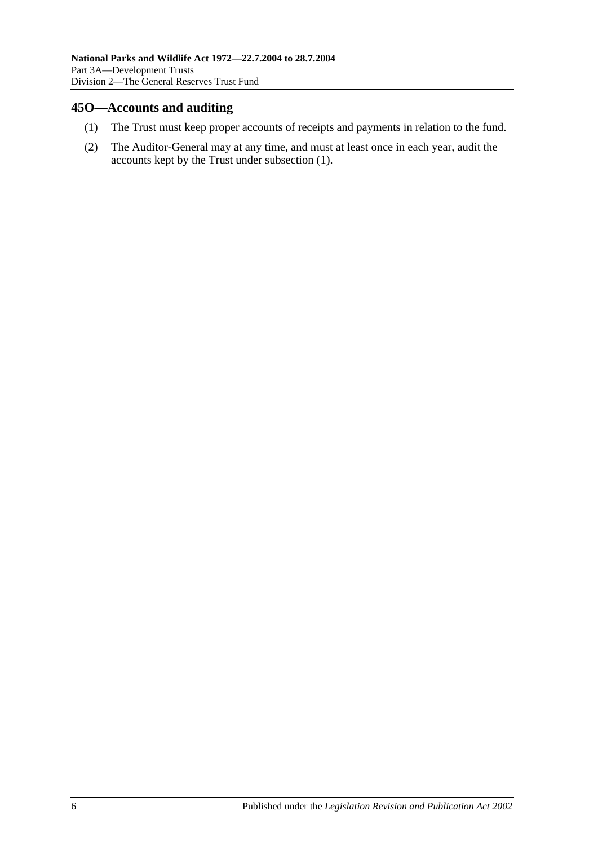## **45O—Accounts and auditing**

- (1) The Trust must keep proper accounts of receipts and payments in relation to the fund.
- (2) The Auditor-General may at any time, and must at least once in each year, audit the accounts kept by the Trust under subsection (1).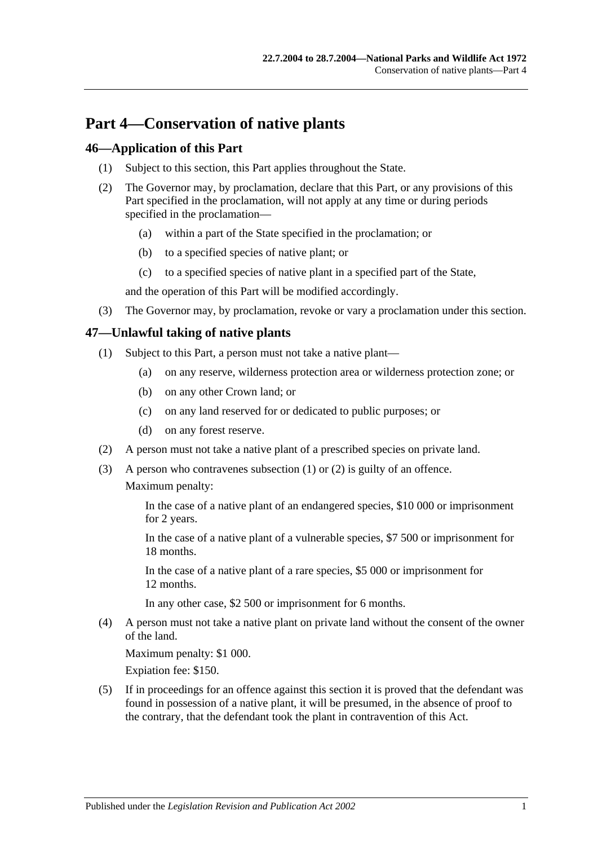# **Part 4—Conservation of native plants**

## **46—Application of this Part**

- (1) Subject to this section, this Part applies throughout the State.
- (2) The Governor may, by proclamation, declare that this Part, or any provisions of this Part specified in the proclamation, will not apply at any time or during periods specified in the proclamation—
	- (a) within a part of the State specified in the proclamation; or
	- (b) to a specified species of native plant; or
	- (c) to a specified species of native plant in a specified part of the State,

and the operation of this Part will be modified accordingly.

(3) The Governor may, by proclamation, revoke or vary a proclamation under this section.

# **47—Unlawful taking of native plants**

- (1) Subject to this Part, a person must not take a native plant—
	- (a) on any reserve, wilderness protection area or wilderness protection zone; or
	- (b) on any other Crown land; or
	- (c) on any land reserved for or dedicated to public purposes; or
	- (d) on any forest reserve.
- (2) A person must not take a native plant of a prescribed species on private land.
- (3) A person who contravenes subsection (1) or (2) is guilty of an offence. Maximum penalty:

In the case of a native plant of an endangered species, \$10 000 or imprisonment for 2 years.

In the case of a native plant of a vulnerable species, \$7 500 or imprisonment for 18 months.

In the case of a native plant of a rare species, \$5 000 or imprisonment for 12 months.

In any other case, \$2 500 or imprisonment for 6 months.

(4) A person must not take a native plant on private land without the consent of the owner of the land.

Maximum penalty: \$1 000.

Expiation fee: \$150.

(5) If in proceedings for an offence against this section it is proved that the defendant was found in possession of a native plant, it will be presumed, in the absence of proof to the contrary, that the defendant took the plant in contravention of this Act.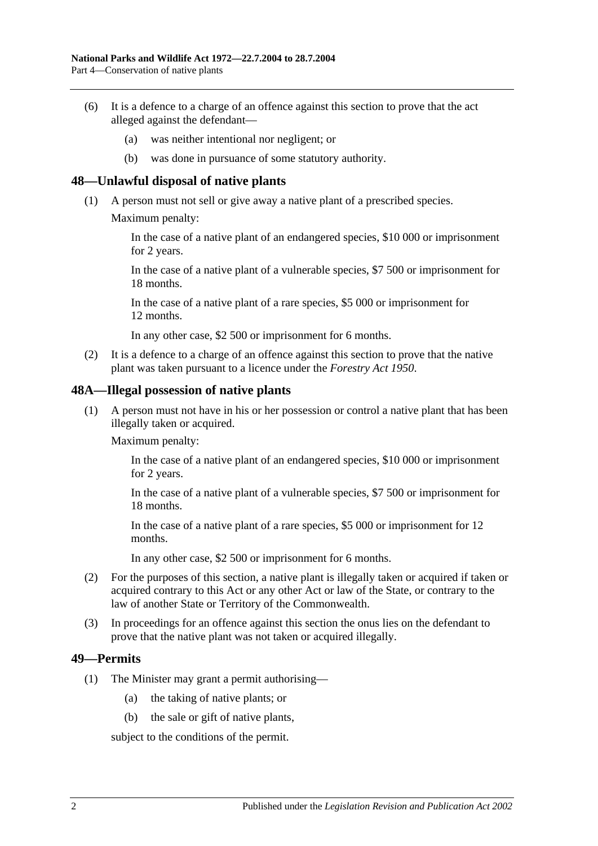- (6) It is a defence to a charge of an offence against this section to prove that the act alleged against the defendant—
	- (a) was neither intentional nor negligent; or
	- (b) was done in pursuance of some statutory authority.

#### **48—Unlawful disposal of native plants**

- (1) A person must not sell or give away a native plant of a prescribed species.
	- Maximum penalty:

In the case of a native plant of an endangered species, \$10 000 or imprisonment for 2 years.

In the case of a native plant of a vulnerable species, \$7 500 or imprisonment for 18 months.

In the case of a native plant of a rare species, \$5 000 or imprisonment for 12 months.

In any other case, \$2 500 or imprisonment for 6 months.

(2) It is a defence to a charge of an offence against this section to prove that the native plant was taken pursuant to a licence under the *[Forestry Act](http://www.legislation.sa.gov.au/index.aspx?action=legref&type=act&legtitle=Forestry%20Act%201950) 1950*.

#### **48A—Illegal possession of native plants**

(1) A person must not have in his or her possession or control a native plant that has been illegally taken or acquired.

Maximum penalty:

In the case of a native plant of an endangered species, \$10 000 or imprisonment for 2 years.

In the case of a native plant of a vulnerable species, \$7 500 or imprisonment for 18 months.

In the case of a native plant of a rare species, \$5 000 or imprisonment for 12 months.

In any other case, \$2 500 or imprisonment for 6 months.

- (2) For the purposes of this section, a native plant is illegally taken or acquired if taken or acquired contrary to this Act or any other Act or law of the State, or contrary to the law of another State or Territory of the Commonwealth.
- (3) In proceedings for an offence against this section the onus lies on the defendant to prove that the native plant was not taken or acquired illegally.

#### **49—Permits**

- (1) The Minister may grant a permit authorising—
	- (a) the taking of native plants; or
	- (b) the sale or gift of native plants,

subject to the conditions of the permit.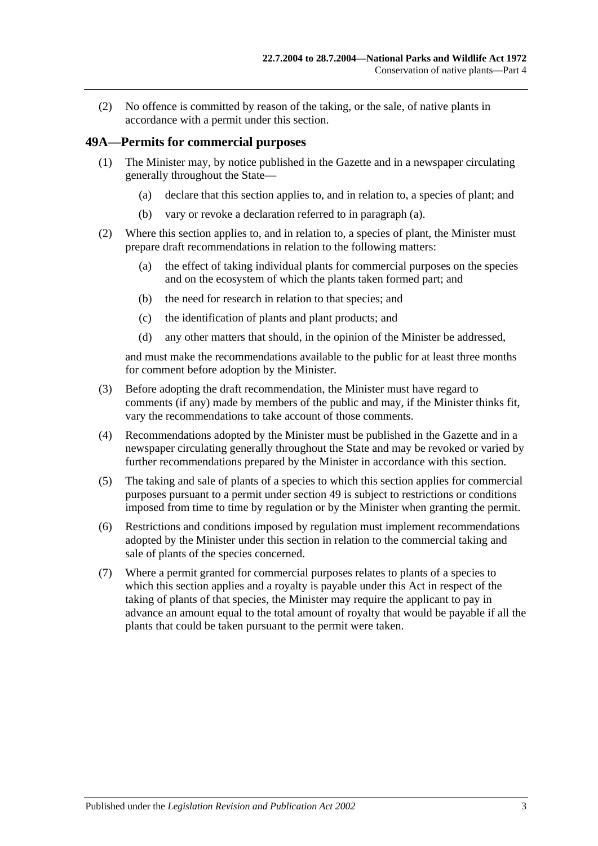(2) No offence is committed by reason of the taking, or the sale, of native plants in accordance with a permit under this section.

### **49A—Permits for commercial purposes**

- (1) The Minister may, by notice published in the Gazette and in a newspaper circulating generally throughout the State—
	- (a) declare that this section applies to, and in relation to, a species of plant; and
	- (b) vary or revoke a declaration referred to in paragraph (a).
- (2) Where this section applies to, and in relation to, a species of plant, the Minister must prepare draft recommendations in relation to the following matters:
	- (a) the effect of taking individual plants for commercial purposes on the species and on the ecosystem of which the plants taken formed part; and
	- (b) the need for research in relation to that species; and
	- (c) the identification of plants and plant products; and
	- (d) any other matters that should, in the opinion of the Minister be addressed,

and must make the recommendations available to the public for at least three months for comment before adoption by the Minister.

- (3) Before adopting the draft recommendation, the Minister must have regard to comments (if any) made by members of the public and may, if the Minister thinks fit, vary the recommendations to take account of those comments.
- (4) Recommendations adopted by the Minister must be published in the Gazette and in a newspaper circulating generally throughout the State and may be revoked or varied by further recommendations prepared by the Minister in accordance with this section.
- (5) The taking and sale of plants of a species to which this section applies for commercial purposes pursuant to a permit under section 49 is subject to restrictions or conditions imposed from time to time by regulation or by the Minister when granting the permit.
- (6) Restrictions and conditions imposed by regulation must implement recommendations adopted by the Minister under this section in relation to the commercial taking and sale of plants of the species concerned.
- (7) Where a permit granted for commercial purposes relates to plants of a species to which this section applies and a royalty is payable under this Act in respect of the taking of plants of that species, the Minister may require the applicant to pay in advance an amount equal to the total amount of royalty that would be payable if all the plants that could be taken pursuant to the permit were taken.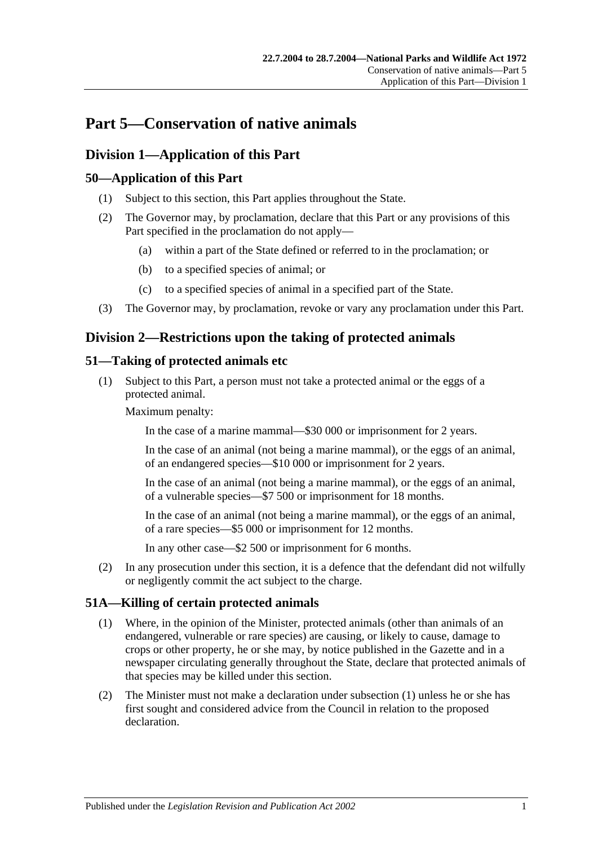# **Part 5—Conservation of native animals**

# **Division 1—Application of this Part**

# **50—Application of this Part**

- (1) Subject to this section, this Part applies throughout the State.
- (2) The Governor may, by proclamation, declare that this Part or any provisions of this Part specified in the proclamation do not apply—
	- (a) within a part of the State defined or referred to in the proclamation; or
	- (b) to a specified species of animal; or
	- (c) to a specified species of animal in a specified part of the State.
- (3) The Governor may, by proclamation, revoke or vary any proclamation under this Part.

# **Division 2—Restrictions upon the taking of protected animals**

# **51—Taking of protected animals etc**

(1) Subject to this Part, a person must not take a protected animal or the eggs of a protected animal.

Maximum penalty:

In the case of a marine mammal—\$30 000 or imprisonment for 2 years.

In the case of an animal (not being a marine mammal), or the eggs of an animal, of an endangered species—\$10 000 or imprisonment for 2 years.

In the case of an animal (not being a marine mammal), or the eggs of an animal, of a vulnerable species—\$7 500 or imprisonment for 18 months.

In the case of an animal (not being a marine mammal), or the eggs of an animal, of a rare species—\$5 000 or imprisonment for 12 months.

In any other case—\$2 500 or imprisonment for 6 months.

(2) In any prosecution under this section, it is a defence that the defendant did not wilfully or negligently commit the act subject to the charge.

## **51A—Killing of certain protected animals**

- (1) Where, in the opinion of the Minister, protected animals (other than animals of an endangered, vulnerable or rare species) are causing, or likely to cause, damage to crops or other property, he or she may, by notice published in the Gazette and in a newspaper circulating generally throughout the State, declare that protected animals of that species may be killed under this section.
- (2) The Minister must not make a declaration under subsection (1) unless he or she has first sought and considered advice from the Council in relation to the proposed declaration.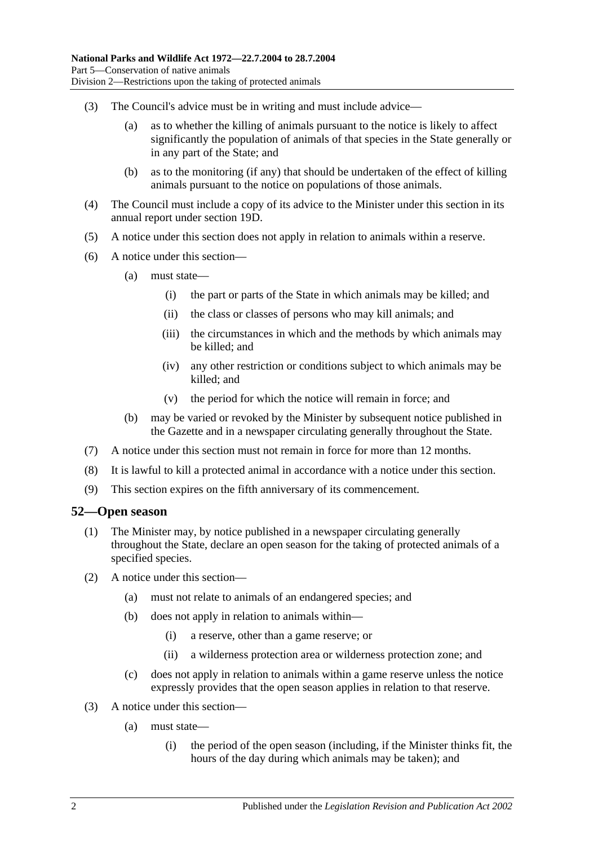- (3) The Council's advice must be in writing and must include advice—
	- (a) as to whether the killing of animals pursuant to the notice is likely to affect significantly the population of animals of that species in the State generally or in any part of the State; and
	- (b) as to the monitoring (if any) that should be undertaken of the effect of killing animals pursuant to the notice on populations of those animals.
- (4) The Council must include a copy of its advice to the Minister under this section in its annual report under section 19D.
- (5) A notice under this section does not apply in relation to animals within a reserve.
- (6) A notice under this section—
	- (a) must state—
		- (i) the part or parts of the State in which animals may be killed; and
		- (ii) the class or classes of persons who may kill animals; and
		- (iii) the circumstances in which and the methods by which animals may be killed; and
		- (iv) any other restriction or conditions subject to which animals may be killed; and
		- (v) the period for which the notice will remain in force; and
	- (b) may be varied or revoked by the Minister by subsequent notice published in the Gazette and in a newspaper circulating generally throughout the State.
- (7) A notice under this section must not remain in force for more than 12 months.
- (8) It is lawful to kill a protected animal in accordance with a notice under this section.
- (9) This section expires on the fifth anniversary of its commencement.

#### **52—Open season**

- (1) The Minister may, by notice published in a newspaper circulating generally throughout the State, declare an open season for the taking of protected animals of a specified species.
- (2) A notice under this section—
	- (a) must not relate to animals of an endangered species; and
	- (b) does not apply in relation to animals within—
		- (i) a reserve, other than a game reserve; or
		- (ii) a wilderness protection area or wilderness protection zone; and
	- (c) does not apply in relation to animals within a game reserve unless the notice expressly provides that the open season applies in relation to that reserve.
- (3) A notice under this section—
	- (a) must state—
		- (i) the period of the open season (including, if the Minister thinks fit, the hours of the day during which animals may be taken); and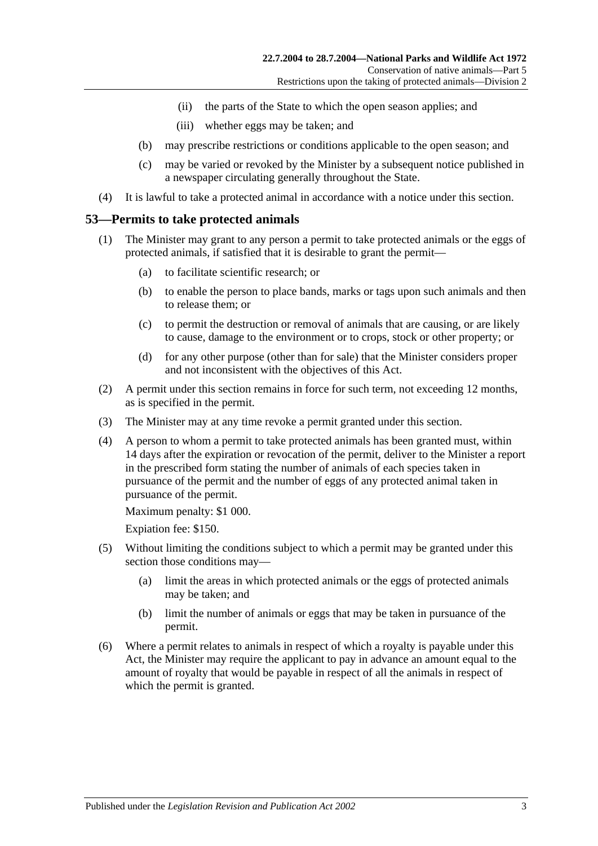- (ii) the parts of the State to which the open season applies; and
- (iii) whether eggs may be taken; and
- (b) may prescribe restrictions or conditions applicable to the open season; and
- (c) may be varied or revoked by the Minister by a subsequent notice published in a newspaper circulating generally throughout the State.
- (4) It is lawful to take a protected animal in accordance with a notice under this section.

### **53—Permits to take protected animals**

- (1) The Minister may grant to any person a permit to take protected animals or the eggs of protected animals, if satisfied that it is desirable to grant the permit—
	- (a) to facilitate scientific research; or
	- (b) to enable the person to place bands, marks or tags upon such animals and then to release them; or
	- (c) to permit the destruction or removal of animals that are causing, or are likely to cause, damage to the environment or to crops, stock or other property; or
	- (d) for any other purpose (other than for sale) that the Minister considers proper and not inconsistent with the objectives of this Act.
- (2) A permit under this section remains in force for such term, not exceeding 12 months, as is specified in the permit.
- (3) The Minister may at any time revoke a permit granted under this section.
- (4) A person to whom a permit to take protected animals has been granted must, within 14 days after the expiration or revocation of the permit, deliver to the Minister a report in the prescribed form stating the number of animals of each species taken in pursuance of the permit and the number of eggs of any protected animal taken in pursuance of the permit.

Maximum penalty: \$1 000.

Expiation fee: \$150.

- (5) Without limiting the conditions subject to which a permit may be granted under this section those conditions may—
	- (a) limit the areas in which protected animals or the eggs of protected animals may be taken; and
	- (b) limit the number of animals or eggs that may be taken in pursuance of the permit.
- (6) Where a permit relates to animals in respect of which a royalty is payable under this Act, the Minister may require the applicant to pay in advance an amount equal to the amount of royalty that would be payable in respect of all the animals in respect of which the permit is granted.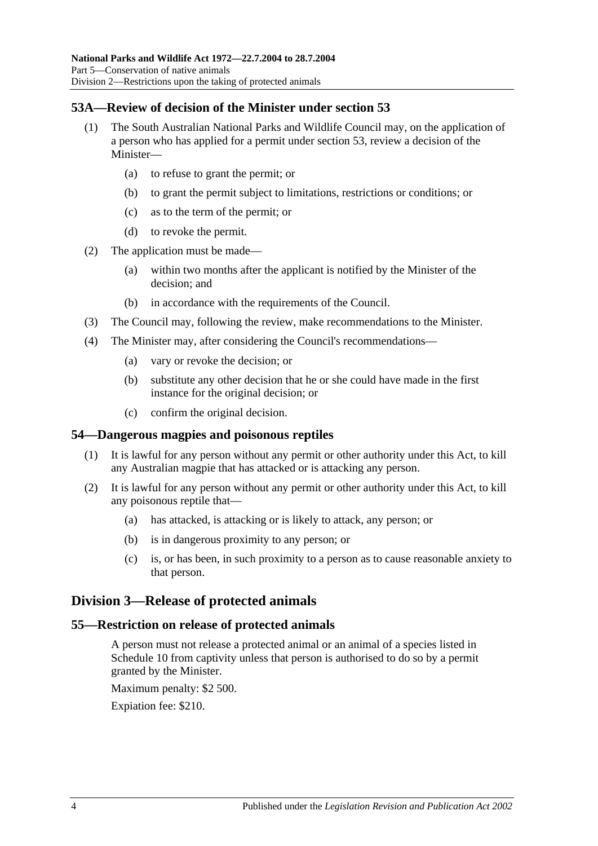# **53A—Review of decision of the Minister under section 53**

- (1) The South Australian National Parks and Wildlife Council may, on the application of a person who has applied for a permit under section 53, review a decision of the Minister—
	- (a) to refuse to grant the permit; or
	- (b) to grant the permit subject to limitations, restrictions or conditions; or
	- (c) as to the term of the permit; or
	- (d) to revoke the permit.
- (2) The application must be made—
	- (a) within two months after the applicant is notified by the Minister of the decision; and
	- (b) in accordance with the requirements of the Council.
- (3) The Council may, following the review, make recommendations to the Minister.
- (4) The Minister may, after considering the Council's recommendations—
	- (a) vary or revoke the decision; or
	- (b) substitute any other decision that he or she could have made in the first instance for the original decision; or
	- (c) confirm the original decision.

## **54—Dangerous magpies and poisonous reptiles**

- (1) It is lawful for any person without any permit or other authority under this Act, to kill any Australian magpie that has attacked or is attacking any person.
- (2) It is lawful for any person without any permit or other authority under this Act, to kill any poisonous reptile that—
	- (a) has attacked, is attacking or is likely to attack, any person; or
	- (b) is in dangerous proximity to any person; or
	- (c) is, or has been, in such proximity to a person as to cause reasonable anxiety to that person.

# **Division 3—Release of protected animals**

#### **55—Restriction on release of protected animals**

A person must not release a protected animal or an animal of a species listed in Schedule 10 from captivity unless that person is authorised to do so by a permit granted by the Minister.

Maximum penalty: \$2 500.

Expiation fee: \$210.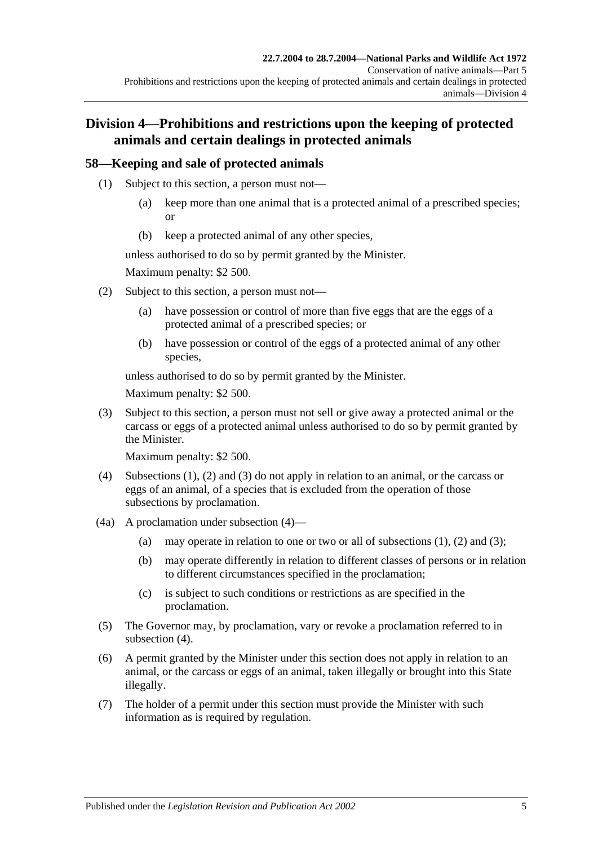# **Division 4—Prohibitions and restrictions upon the keeping of protected animals and certain dealings in protected animals**

# **58—Keeping and sale of protected animals**

- (1) Subject to this section, a person must not—
	- (a) keep more than one animal that is a protected animal of a prescribed species; or
	- (b) keep a protected animal of any other species,

unless authorised to do so by permit granted by the Minister.

Maximum penalty: \$2 500.

- (2) Subject to this section, a person must not—
	- (a) have possession or control of more than five eggs that are the eggs of a protected animal of a prescribed species; or
	- (b) have possession or control of the eggs of a protected animal of any other species,

unless authorised to do so by permit granted by the Minister.

Maximum penalty: \$2 500.

(3) Subject to this section, a person must not sell or give away a protected animal or the carcass or eggs of a protected animal unless authorised to do so by permit granted by the Minister.

Maximum penalty: \$2 500.

- (4) Subsections (1), (2) and (3) do not apply in relation to an animal, or the carcass or eggs of an animal, of a species that is excluded from the operation of those subsections by proclamation.
- (4a) A proclamation under subsection (4)—
	- (a) may operate in relation to one or two or all of subsections  $(1)$ ,  $(2)$  and  $(3)$ ;
	- (b) may operate differently in relation to different classes of persons or in relation to different circumstances specified in the proclamation;
	- (c) is subject to such conditions or restrictions as are specified in the proclamation.
- (5) The Governor may, by proclamation, vary or revoke a proclamation referred to in subsection (4).
- (6) A permit granted by the Minister under this section does not apply in relation to an animal, or the carcass or eggs of an animal, taken illegally or brought into this State illegally.
- (7) The holder of a permit under this section must provide the Minister with such information as is required by regulation.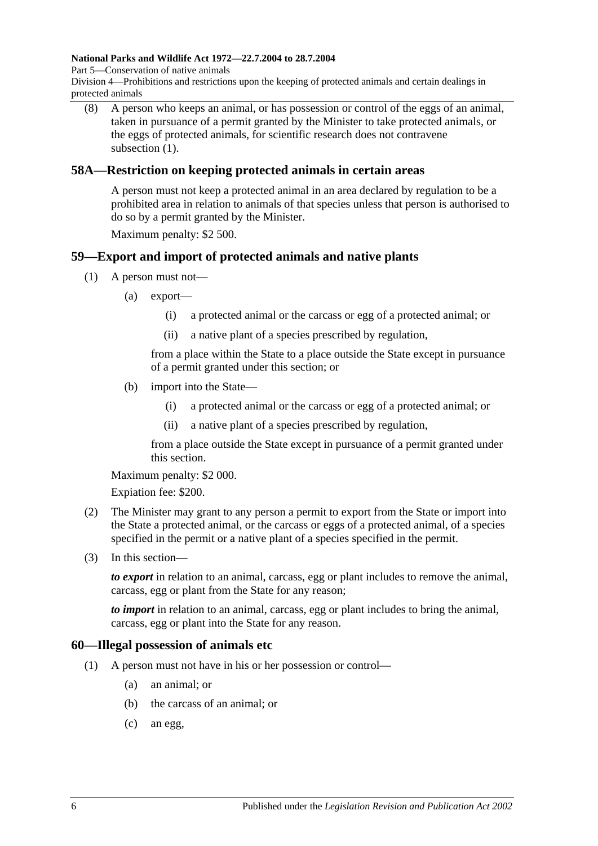#### **National Parks and Wildlife Act 1972—22.7.2004 to 28.7.2004**

Part 5—Conservation of native animals

Division 4—Prohibitions and restrictions upon the keeping of protected animals and certain dealings in protected animals

(8) A person who keeps an animal, or has possession or control of the eggs of an animal, taken in pursuance of a permit granted by the Minister to take protected animals, or the eggs of protected animals, for scientific research does not contravene subsection (1).

### **58A—Restriction on keeping protected animals in certain areas**

A person must not keep a protected animal in an area declared by regulation to be a prohibited area in relation to animals of that species unless that person is authorised to do so by a permit granted by the Minister.

Maximum penalty: \$2 500.

# **59—Export and import of protected animals and native plants**

- (1) A person must not—
	- (a) export—
		- (i) a protected animal or the carcass or egg of a protected animal; or
		- (ii) a native plant of a species prescribed by regulation,

from a place within the State to a place outside the State except in pursuance of a permit granted under this section; or

- (b) import into the State—
	- (i) a protected animal or the carcass or egg of a protected animal; or
	- (ii) a native plant of a species prescribed by regulation,

from a place outside the State except in pursuance of a permit granted under this section.

Maximum penalty: \$2 000.

Expiation fee: \$200.

- (2) The Minister may grant to any person a permit to export from the State or import into the State a protected animal, or the carcass or eggs of a protected animal, of a species specified in the permit or a native plant of a species specified in the permit.
- (3) In this section—

*to export* in relation to an animal, carcass, egg or plant includes to remove the animal, carcass, egg or plant from the State for any reason;

*to import* in relation to an animal, carcass, egg or plant includes to bring the animal, carcass, egg or plant into the State for any reason.

#### **60—Illegal possession of animals etc**

- (1) A person must not have in his or her possession or control—
	- (a) an animal; or
	- (b) the carcass of an animal; or
	- (c) an egg,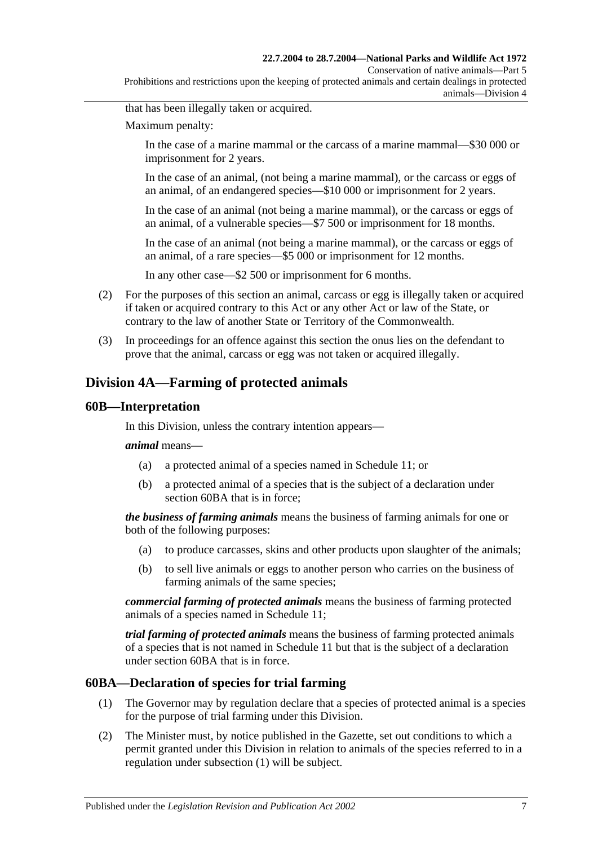Conservation of native animals—Part 5

Prohibitions and restrictions upon the keeping of protected animals and certain dealings in protected animals—Division 4

that has been illegally taken or acquired.

Maximum penalty:

In the case of a marine mammal or the carcass of a marine mammal—\$30 000 or imprisonment for 2 years.

In the case of an animal, (not being a marine mammal), or the carcass or eggs of an animal, of an endangered species—\$10 000 or imprisonment for 2 years.

In the case of an animal (not being a marine mammal), or the carcass or eggs of an animal, of a vulnerable species—\$7 500 or imprisonment for 18 months.

In the case of an animal (not being a marine mammal), or the carcass or eggs of an animal, of a rare species—\$5 000 or imprisonment for 12 months.

In any other case—\$2 500 or imprisonment for 6 months.

- (2) For the purposes of this section an animal, carcass or egg is illegally taken or acquired if taken or acquired contrary to this Act or any other Act or law of the State, or contrary to the law of another State or Territory of the Commonwealth.
- (3) In proceedings for an offence against this section the onus lies on the defendant to prove that the animal, carcass or egg was not taken or acquired illegally.

# **Division 4A—Farming of protected animals**

#### **60B—Interpretation**

In this Division, unless the contrary intention appears—

#### *animal* means—

- (a) a protected animal of a species named in Schedule 11; or
- (b) a protected animal of a species that is the subject of a declaration under section 60BA that is in force;

*the business of farming animals* means the business of farming animals for one or both of the following purposes:

- (a) to produce carcasses, skins and other products upon slaughter of the animals;
- (b) to sell live animals or eggs to another person who carries on the business of farming animals of the same species;

*commercial farming of protected animals* means the business of farming protected animals of a species named in Schedule 11;

*trial farming of protected animals* means the business of farming protected animals of a species that is not named in Schedule 11 but that is the subject of a declaration under section 60BA that is in force.

#### **60BA—Declaration of species for trial farming**

- (1) The Governor may by regulation declare that a species of protected animal is a species for the purpose of trial farming under this Division.
- (2) The Minister must, by notice published in the Gazette, set out conditions to which a permit granted under this Division in relation to animals of the species referred to in a regulation under subsection (1) will be subject.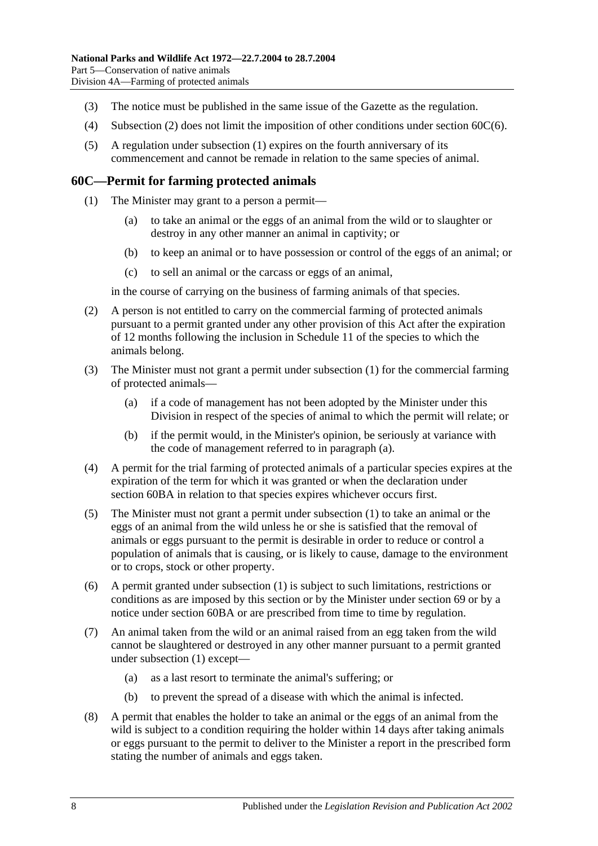- (3) The notice must be published in the same issue of the Gazette as the regulation.
- (4) Subsection (2) does not limit the imposition of other conditions under section 60C(6).
- (5) A regulation under subsection (1) expires on the fourth anniversary of its commencement and cannot be remade in relation to the same species of animal.

#### **60C—Permit for farming protected animals**

- (1) The Minister may grant to a person a permit—
	- (a) to take an animal or the eggs of an animal from the wild or to slaughter or destroy in any other manner an animal in captivity; or
	- (b) to keep an animal or to have possession or control of the eggs of an animal; or
	- (c) to sell an animal or the carcass or eggs of an animal,

in the course of carrying on the business of farming animals of that species.

- (2) A person is not entitled to carry on the commercial farming of protected animals pursuant to a permit granted under any other provision of this Act after the expiration of 12 months following the inclusion in Schedule 11 of the species to which the animals belong.
- (3) The Minister must not grant a permit under subsection (1) for the commercial farming of protected animals—
	- (a) if a code of management has not been adopted by the Minister under this Division in respect of the species of animal to which the permit will relate; or
	- (b) if the permit would, in the Minister's opinion, be seriously at variance with the code of management referred to in paragraph (a).
- (4) A permit for the trial farming of protected animals of a particular species expires at the expiration of the term for which it was granted or when the declaration under section 60BA in relation to that species expires whichever occurs first.
- (5) The Minister must not grant a permit under subsection (1) to take an animal or the eggs of an animal from the wild unless he or she is satisfied that the removal of animals or eggs pursuant to the permit is desirable in order to reduce or control a population of animals that is causing, or is likely to cause, damage to the environment or to crops, stock or other property.
- (6) A permit granted under subsection (1) is subject to such limitations, restrictions or conditions as are imposed by this section or by the Minister under section 69 or by a notice under section 60BA or are prescribed from time to time by regulation.
- (7) An animal taken from the wild or an animal raised from an egg taken from the wild cannot be slaughtered or destroyed in any other manner pursuant to a permit granted under subsection (1) except—
	- (a) as a last resort to terminate the animal's suffering; or
	- (b) to prevent the spread of a disease with which the animal is infected.
- (8) A permit that enables the holder to take an animal or the eggs of an animal from the wild is subject to a condition requiring the holder within 14 days after taking animals or eggs pursuant to the permit to deliver to the Minister a report in the prescribed form stating the number of animals and eggs taken.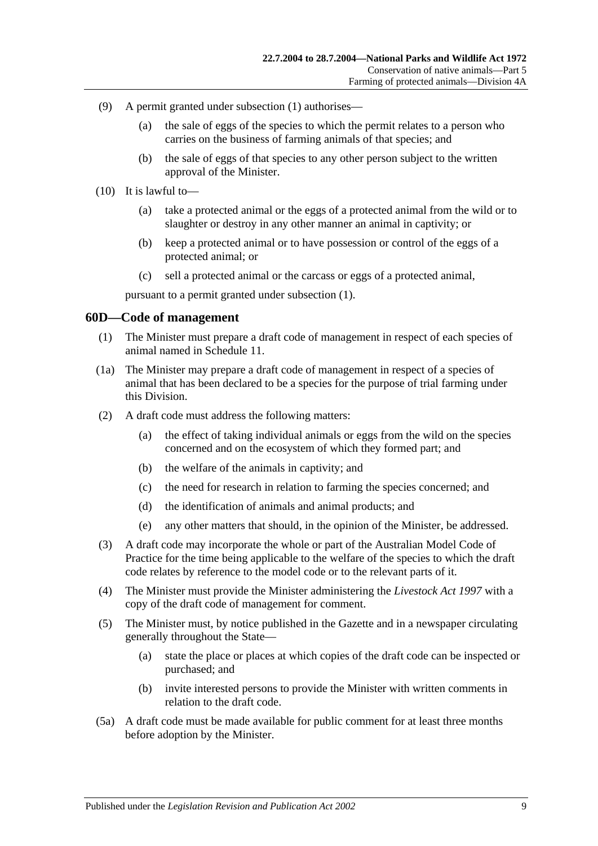- (9) A permit granted under subsection (1) authorises—
	- (a) the sale of eggs of the species to which the permit relates to a person who carries on the business of farming animals of that species; and
	- (b) the sale of eggs of that species to any other person subject to the written approval of the Minister.
- (10) It is lawful to—
	- (a) take a protected animal or the eggs of a protected animal from the wild or to slaughter or destroy in any other manner an animal in captivity; or
	- (b) keep a protected animal or to have possession or control of the eggs of a protected animal; or
	- (c) sell a protected animal or the carcass or eggs of a protected animal,

pursuant to a permit granted under subsection (1).

#### **60D—Code of management**

- (1) The Minister must prepare a draft code of management in respect of each species of animal named in Schedule 11.
- (1a) The Minister may prepare a draft code of management in respect of a species of animal that has been declared to be a species for the purpose of trial farming under this Division.
- (2) A draft code must address the following matters:
	- (a) the effect of taking individual animals or eggs from the wild on the species concerned and on the ecosystem of which they formed part; and
	- (b) the welfare of the animals in captivity; and
	- (c) the need for research in relation to farming the species concerned; and
	- (d) the identification of animals and animal products; and
	- (e) any other matters that should, in the opinion of the Minister, be addressed.
- (3) A draft code may incorporate the whole or part of the Australian Model Code of Practice for the time being applicable to the welfare of the species to which the draft code relates by reference to the model code or to the relevant parts of it.
- (4) The Minister must provide the Minister administering the *[Livestock Act](http://www.legislation.sa.gov.au/index.aspx?action=legref&type=act&legtitle=Livestock%20Act%201997) 1997* with a copy of the draft code of management for comment.
- (5) The Minister must, by notice published in the Gazette and in a newspaper circulating generally throughout the State—
	- (a) state the place or places at which copies of the draft code can be inspected or purchased; and
	- (b) invite interested persons to provide the Minister with written comments in relation to the draft code.
- (5a) A draft code must be made available for public comment for at least three months before adoption by the Minister.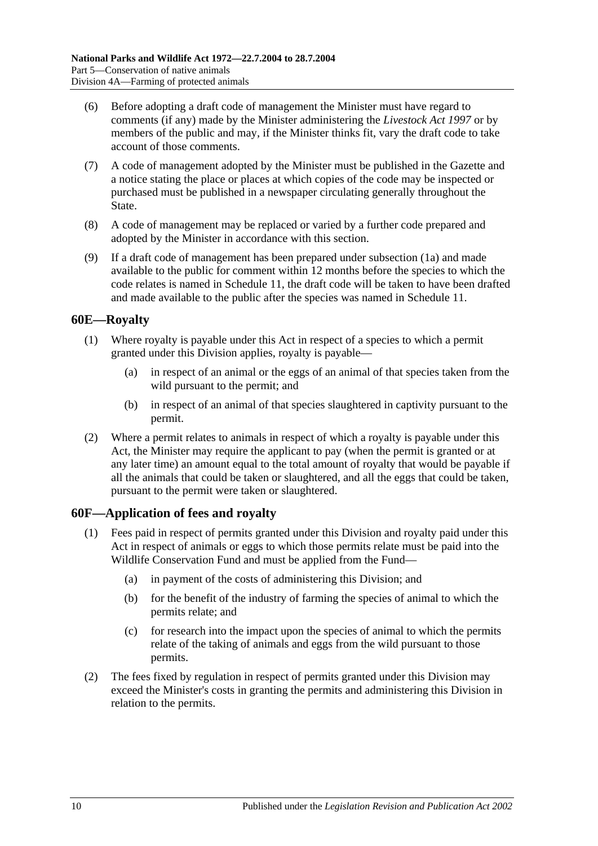- (6) Before adopting a draft code of management the Minister must have regard to comments (if any) made by the Minister administering the *[Livestock Act](http://www.legislation.sa.gov.au/index.aspx?action=legref&type=act&legtitle=Livestock%20Act%201997) 1997* or by members of the public and may, if the Minister thinks fit, vary the draft code to take account of those comments.
- (7) A code of management adopted by the Minister must be published in the Gazette and a notice stating the place or places at which copies of the code may be inspected or purchased must be published in a newspaper circulating generally throughout the State.
- (8) A code of management may be replaced or varied by a further code prepared and adopted by the Minister in accordance with this section.
- (9) If a draft code of management has been prepared under subsection (1a) and made available to the public for comment within 12 months before the species to which the code relates is named in Schedule 11, the draft code will be taken to have been drafted and made available to the public after the species was named in Schedule 11.

## **60E—Royalty**

- (1) Where royalty is payable under this Act in respect of a species to which a permit granted under this Division applies, royalty is payable—
	- (a) in respect of an animal or the eggs of an animal of that species taken from the wild pursuant to the permit; and
	- (b) in respect of an animal of that species slaughtered in captivity pursuant to the permit.
- (2) Where a permit relates to animals in respect of which a royalty is payable under this Act, the Minister may require the applicant to pay (when the permit is granted or at any later time) an amount equal to the total amount of royalty that would be payable if all the animals that could be taken or slaughtered, and all the eggs that could be taken, pursuant to the permit were taken or slaughtered.

## **60F—Application of fees and royalty**

- (1) Fees paid in respect of permits granted under this Division and royalty paid under this Act in respect of animals or eggs to which those permits relate must be paid into the Wildlife Conservation Fund and must be applied from the Fund—
	- (a) in payment of the costs of administering this Division; and
	- (b) for the benefit of the industry of farming the species of animal to which the permits relate; and
	- (c) for research into the impact upon the species of animal to which the permits relate of the taking of animals and eggs from the wild pursuant to those permits.
- (2) The fees fixed by regulation in respect of permits granted under this Division may exceed the Minister's costs in granting the permits and administering this Division in relation to the permits.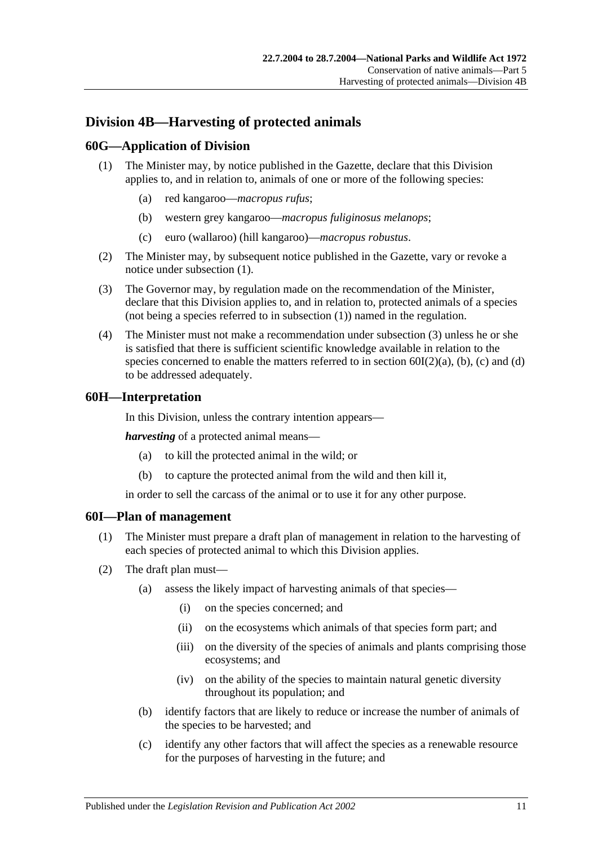# **Division 4B—Harvesting of protected animals**

# **60G—Application of Division**

- (1) The Minister may, by notice published in the Gazette, declare that this Division applies to, and in relation to, animals of one or more of the following species:
	- (a) red kangaroo—*macropus rufus*;
	- (b) western grey kangaroo—*macropus fuliginosus melanops*;
	- (c) euro (wallaroo) (hill kangaroo)—*macropus robustus*.
- (2) The Minister may, by subsequent notice published in the Gazette, vary or revoke a notice under subsection (1).
- (3) The Governor may, by regulation made on the recommendation of the Minister, declare that this Division applies to, and in relation to, protected animals of a species (not being a species referred to in subsection (1)) named in the regulation.
- (4) The Minister must not make a recommendation under subsection (3) unless he or she is satisfied that there is sufficient scientific knowledge available in relation to the species concerned to enable the matters referred to in section  $60I(2)(a)$ , (b), (c) and (d) to be addressed adequately.

## **60H—Interpretation**

In this Division, unless the contrary intention appears—

*harvesting* of a protected animal means—

- (a) to kill the protected animal in the wild; or
- (b) to capture the protected animal from the wild and then kill it,

in order to sell the carcass of the animal or to use it for any other purpose.

#### **60I—Plan of management**

- (1) The Minister must prepare a draft plan of management in relation to the harvesting of each species of protected animal to which this Division applies.
- (2) The draft plan must—
	- (a) assess the likely impact of harvesting animals of that species—
		- (i) on the species concerned; and
		- (ii) on the ecosystems which animals of that species form part; and
		- (iii) on the diversity of the species of animals and plants comprising those ecosystems; and
		- (iv) on the ability of the species to maintain natural genetic diversity throughout its population; and
	- (b) identify factors that are likely to reduce or increase the number of animals of the species to be harvested; and
	- (c) identify any other factors that will affect the species as a renewable resource for the purposes of harvesting in the future; and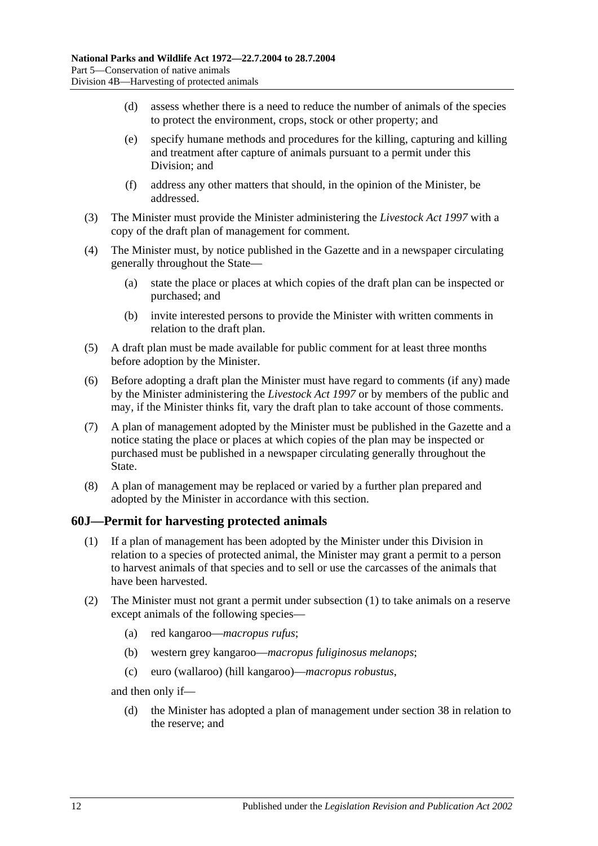- (d) assess whether there is a need to reduce the number of animals of the species to protect the environment, crops, stock or other property; and
- (e) specify humane methods and procedures for the killing, capturing and killing and treatment after capture of animals pursuant to a permit under this Division; and
- (f) address any other matters that should, in the opinion of the Minister, be addressed.
- (3) The Minister must provide the Minister administering the *[Livestock Act](http://www.legislation.sa.gov.au/index.aspx?action=legref&type=act&legtitle=Livestock%20Act%201997) 1997* with a copy of the draft plan of management for comment.
- (4) The Minister must, by notice published in the Gazette and in a newspaper circulating generally throughout the State—
	- (a) state the place or places at which copies of the draft plan can be inspected or purchased; and
	- (b) invite interested persons to provide the Minister with written comments in relation to the draft plan.
- (5) A draft plan must be made available for public comment for at least three months before adoption by the Minister.
- (6) Before adopting a draft plan the Minister must have regard to comments (if any) made by the Minister administering the *[Livestock Act](http://www.legislation.sa.gov.au/index.aspx?action=legref&type=act&legtitle=Livestock%20Act%201997) 1997* or by members of the public and may, if the Minister thinks fit, vary the draft plan to take account of those comments.
- (7) A plan of management adopted by the Minister must be published in the Gazette and a notice stating the place or places at which copies of the plan may be inspected or purchased must be published in a newspaper circulating generally throughout the State.
- (8) A plan of management may be replaced or varied by a further plan prepared and adopted by the Minister in accordance with this section.

## **60J—Permit for harvesting protected animals**

- (1) If a plan of management has been adopted by the Minister under this Division in relation to a species of protected animal, the Minister may grant a permit to a person to harvest animals of that species and to sell or use the carcasses of the animals that have been harvested.
- (2) The Minister must not grant a permit under subsection (1) to take animals on a reserve except animals of the following species—
	- (a) red kangaroo—*macropus rufus*;
	- (b) western grey kangaroo—*macropus fuliginosus melanops*;
	- (c) euro (wallaroo) (hill kangaroo)—*macropus robustus*,

and then only if—

(d) the Minister has adopted a plan of management under section 38 in relation to the reserve; and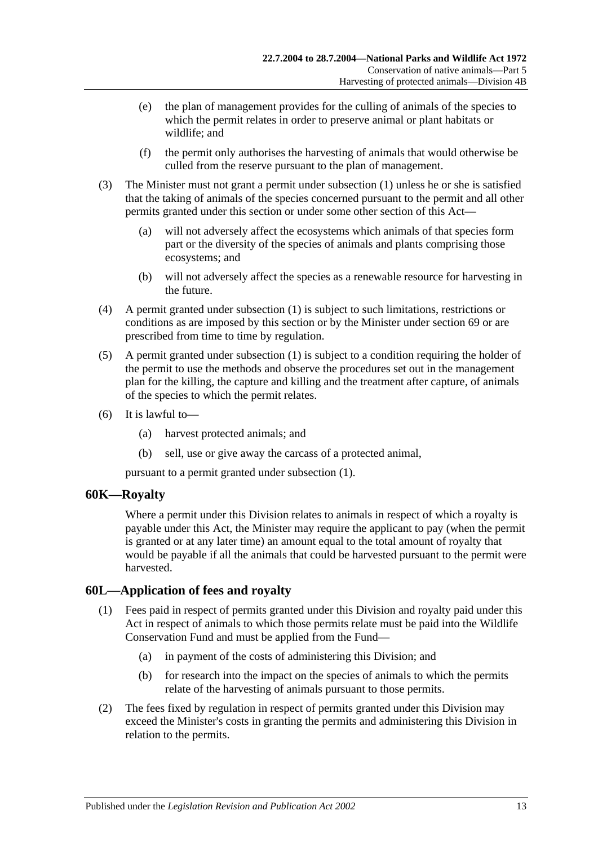- (e) the plan of management provides for the culling of animals of the species to which the permit relates in order to preserve animal or plant habitats or wildlife; and
- (f) the permit only authorises the harvesting of animals that would otherwise be culled from the reserve pursuant to the plan of management.
- (3) The Minister must not grant a permit under subsection (1) unless he or she is satisfied that the taking of animals of the species concerned pursuant to the permit and all other permits granted under this section or under some other section of this Act—
	- (a) will not adversely affect the ecosystems which animals of that species form part or the diversity of the species of animals and plants comprising those ecosystems; and
	- (b) will not adversely affect the species as a renewable resource for harvesting in the future.
- (4) A permit granted under subsection (1) is subject to such limitations, restrictions or conditions as are imposed by this section or by the Minister under section 69 or are prescribed from time to time by regulation.
- (5) A permit granted under subsection (1) is subject to a condition requiring the holder of the permit to use the methods and observe the procedures set out in the management plan for the killing, the capture and killing and the treatment after capture, of animals of the species to which the permit relates.
- (6) It is lawful to—
	- (a) harvest protected animals; and
	- (b) sell, use or give away the carcass of a protected animal,

pursuant to a permit granted under subsection (1).

## **60K—Royalty**

Where a permit under this Division relates to animals in respect of which a royalty is payable under this Act, the Minister may require the applicant to pay (when the permit is granted or at any later time) an amount equal to the total amount of royalty that would be payable if all the animals that could be harvested pursuant to the permit were harvested.

# **60L—Application of fees and royalty**

- (1) Fees paid in respect of permits granted under this Division and royalty paid under this Act in respect of animals to which those permits relate must be paid into the Wildlife Conservation Fund and must be applied from the Fund—
	- (a) in payment of the costs of administering this Division; and
	- (b) for research into the impact on the species of animals to which the permits relate of the harvesting of animals pursuant to those permits.
- (2) The fees fixed by regulation in respect of permits granted under this Division may exceed the Minister's costs in granting the permits and administering this Division in relation to the permits.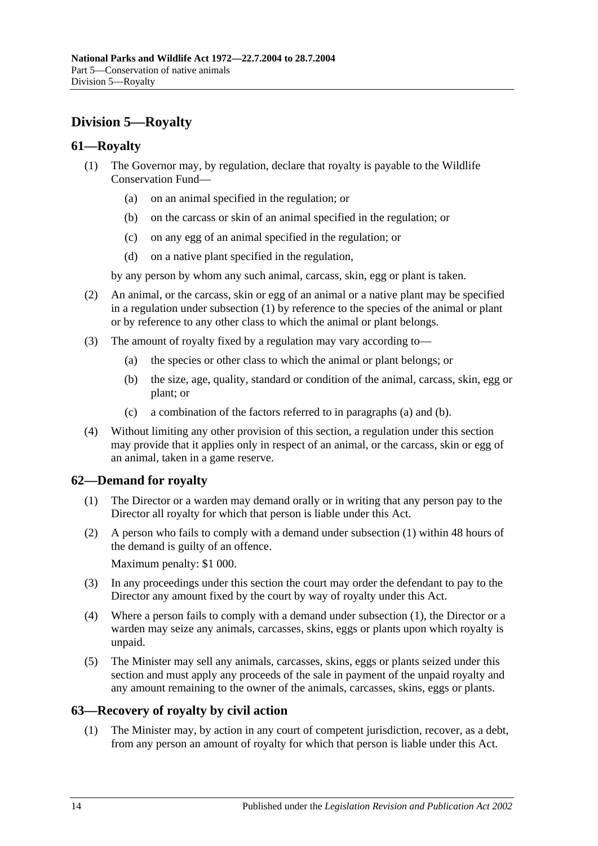# **Division 5—Royalty**

# **61—Royalty**

- (1) The Governor may, by regulation, declare that royalty is payable to the Wildlife Conservation Fund—
	- (a) on an animal specified in the regulation; or
	- (b) on the carcass or skin of an animal specified in the regulation; or
	- (c) on any egg of an animal specified in the regulation; or
	- (d) on a native plant specified in the regulation,

by any person by whom any such animal, carcass, skin, egg or plant is taken.

- (2) An animal, or the carcass, skin or egg of an animal or a native plant may be specified in a regulation under subsection (1) by reference to the species of the animal or plant or by reference to any other class to which the animal or plant belongs.
- (3) The amount of royalty fixed by a regulation may vary according to—
	- (a) the species or other class to which the animal or plant belongs; or
	- (b) the size, age, quality, standard or condition of the animal, carcass, skin, egg or plant; or
	- (c) a combination of the factors referred to in paragraphs (a) and (b).
- (4) Without limiting any other provision of this section, a regulation under this section may provide that it applies only in respect of an animal, or the carcass, skin or egg of an animal, taken in a game reserve.

# **62—Demand for royalty**

- (1) The Director or a warden may demand orally or in writing that any person pay to the Director all royalty for which that person is liable under this Act.
- (2) A person who fails to comply with a demand under subsection (1) within 48 hours of the demand is guilty of an offence.

Maximum penalty: \$1 000.

- (3) In any proceedings under this section the court may order the defendant to pay to the Director any amount fixed by the court by way of royalty under this Act.
- (4) Where a person fails to comply with a demand under subsection (1), the Director or a warden may seize any animals, carcasses, skins, eggs or plants upon which royalty is unpaid.
- (5) The Minister may sell any animals, carcasses, skins, eggs or plants seized under this section and must apply any proceeds of the sale in payment of the unpaid royalty and any amount remaining to the owner of the animals, carcasses, skins, eggs or plants.

# **63—Recovery of royalty by civil action**

(1) The Minister may, by action in any court of competent jurisdiction, recover, as a debt, from any person an amount of royalty for which that person is liable under this Act.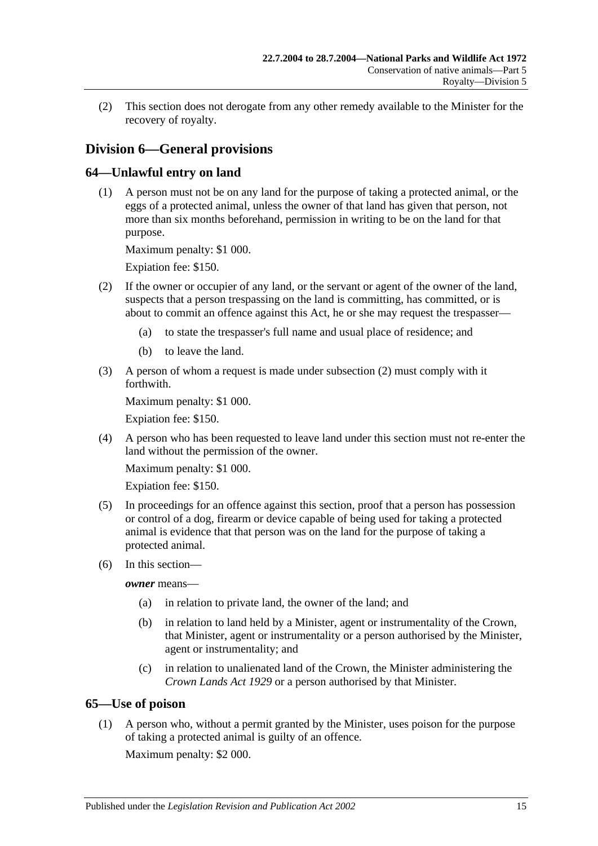(2) This section does not derogate from any other remedy available to the Minister for the recovery of royalty.

# **Division 6—General provisions**

# **64—Unlawful entry on land**

(1) A person must not be on any land for the purpose of taking a protected animal, or the eggs of a protected animal, unless the owner of that land has given that person, not more than six months beforehand, permission in writing to be on the land for that purpose.

Maximum penalty: \$1 000.

Expiation fee: \$150.

- (2) If the owner or occupier of any land, or the servant or agent of the owner of the land, suspects that a person trespassing on the land is committing, has committed, or is about to commit an offence against this Act, he or she may request the trespasser—
	- (a) to state the trespasser's full name and usual place of residence; and
	- (b) to leave the land.
- (3) A person of whom a request is made under subsection (2) must comply with it forthwith.

Maximum penalty: \$1 000.

Expiation fee: \$150.

(4) A person who has been requested to leave land under this section must not re-enter the land without the permission of the owner.

Maximum penalty: \$1 000.

Expiation fee: \$150.

- (5) In proceedings for an offence against this section, proof that a person has possession or control of a dog, firearm or device capable of being used for taking a protected animal is evidence that that person was on the land for the purpose of taking a protected animal.
- (6) In this section—

*owner* means—

- (a) in relation to private land, the owner of the land; and
- (b) in relation to land held by a Minister, agent or instrumentality of the Crown, that Minister, agent or instrumentality or a person authorised by the Minister, agent or instrumentality; and
- (c) in relation to unalienated land of the Crown, the Minister administering the *[Crown Lands Act](http://www.legislation.sa.gov.au/index.aspx?action=legref&type=act&legtitle=Crown%20Lands%20Act%201929) 1929* or a person authorised by that Minister.

## **65—Use of poison**

(1) A person who, without a permit granted by the Minister, uses poison for the purpose of taking a protected animal is guilty of an offence.

Maximum penalty: \$2 000.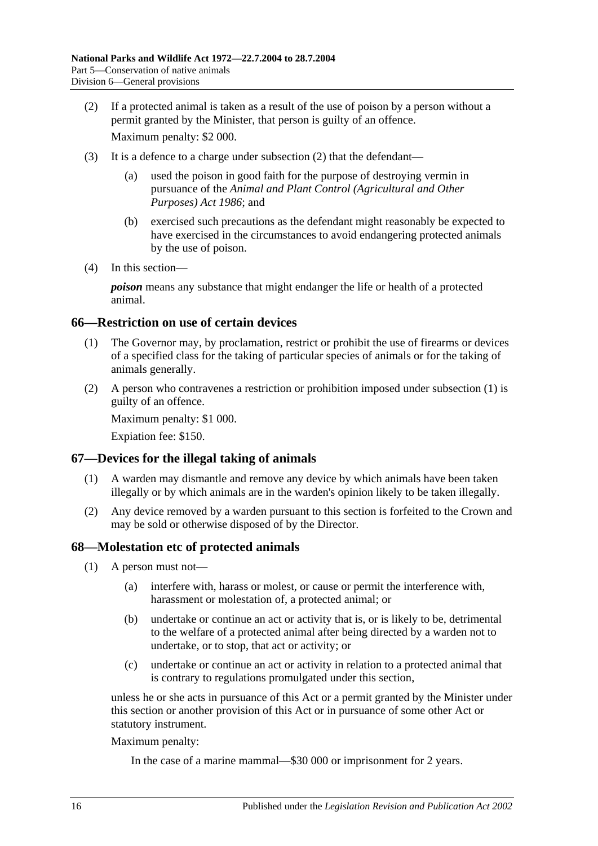(2) If a protected animal is taken as a result of the use of poison by a person without a permit granted by the Minister, that person is guilty of an offence.

Maximum penalty: \$2 000.

- (3) It is a defence to a charge under subsection (2) that the defendant—
	- (a) used the poison in good faith for the purpose of destroying vermin in pursuance of the *[Animal and Plant Control \(Agricultural and Other](http://www.legislation.sa.gov.au/index.aspx?action=legref&type=act&legtitle=Animal%20and%20Plant%20Control%20(Agricultural%20and%20Other%20Purposes)%20Act%201986)  [Purposes\) Act](http://www.legislation.sa.gov.au/index.aspx?action=legref&type=act&legtitle=Animal%20and%20Plant%20Control%20(Agricultural%20and%20Other%20Purposes)%20Act%201986) 1986*; and
	- (b) exercised such precautions as the defendant might reasonably be expected to have exercised in the circumstances to avoid endangering protected animals by the use of poison.
- (4) In this section—

*poison* means any substance that might endanger the life or health of a protected animal.

## **66—Restriction on use of certain devices**

- (1) The Governor may, by proclamation, restrict or prohibit the use of firearms or devices of a specified class for the taking of particular species of animals or for the taking of animals generally.
- (2) A person who contravenes a restriction or prohibition imposed under subsection (1) is guilty of an offence.

Maximum penalty: \$1 000.

Expiation fee: \$150.

## **67—Devices for the illegal taking of animals**

- (1) A warden may dismantle and remove any device by which animals have been taken illegally or by which animals are in the warden's opinion likely to be taken illegally.
- (2) Any device removed by a warden pursuant to this section is forfeited to the Crown and may be sold or otherwise disposed of by the Director.

#### **68—Molestation etc of protected animals**

- (1) A person must not—
	- (a) interfere with, harass or molest, or cause or permit the interference with, harassment or molestation of, a protected animal; or
	- (b) undertake or continue an act or activity that is, or is likely to be, detrimental to the welfare of a protected animal after being directed by a warden not to undertake, or to stop, that act or activity; or
	- (c) undertake or continue an act or activity in relation to a protected animal that is contrary to regulations promulgated under this section,

unless he or she acts in pursuance of this Act or a permit granted by the Minister under this section or another provision of this Act or in pursuance of some other Act or statutory instrument.

Maximum penalty:

In the case of a marine mammal—\$30 000 or imprisonment for 2 years.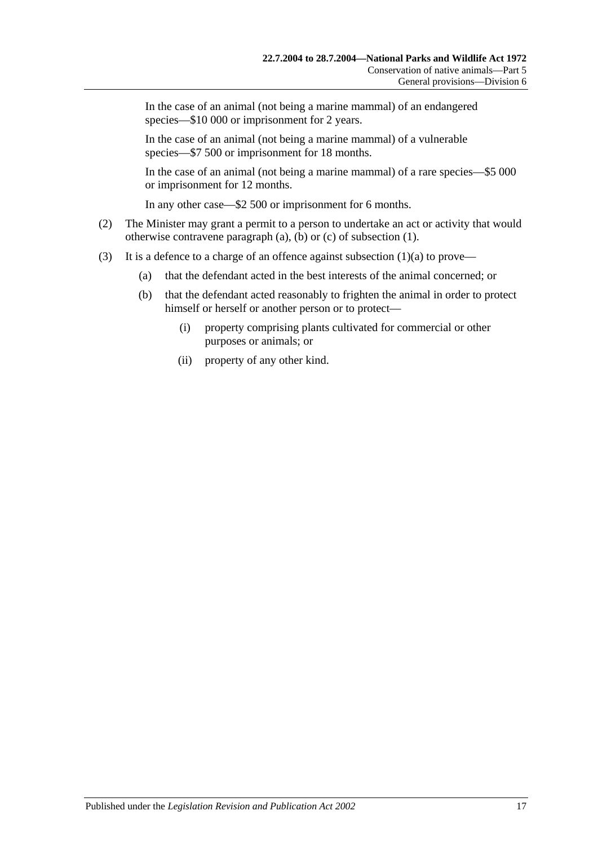In the case of an animal (not being a marine mammal) of an endangered species—\$10 000 or imprisonment for 2 years.

In the case of an animal (not being a marine mammal) of a vulnerable species—\$7 500 or imprisonment for 18 months.

In the case of an animal (not being a marine mammal) of a rare species—\$5 000 or imprisonment for 12 months.

In any other case—\$2 500 or imprisonment for 6 months.

- (2) The Minister may grant a permit to a person to undertake an act or activity that would otherwise contravene paragraph (a), (b) or (c) of subsection (1).
- (3) It is a defence to a charge of an offence against subsection  $(1)(a)$  to prove—
	- (a) that the defendant acted in the best interests of the animal concerned; or
	- (b) that the defendant acted reasonably to frighten the animal in order to protect himself or herself or another person or to protect—
		- (i) property comprising plants cultivated for commercial or other purposes or animals; or
		- (ii) property of any other kind.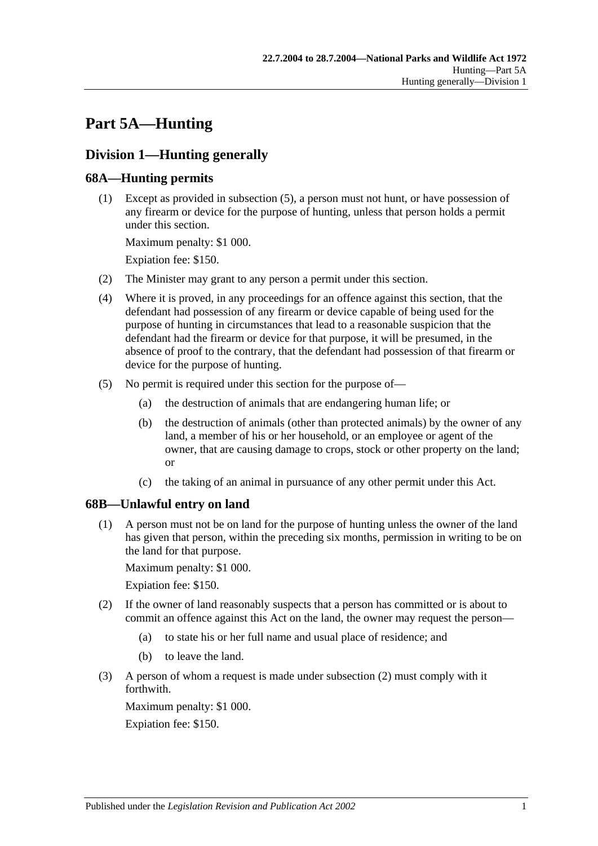# **Part 5A—Hunting**

# **Division 1—Hunting generally**

# **68A—Hunting permits**

(1) Except as provided in subsection (5), a person must not hunt, or have possession of any firearm or device for the purpose of hunting, unless that person holds a permit under this section.

Maximum penalty: \$1 000.

Expiation fee: \$150.

- (2) The Minister may grant to any person a permit under this section.
- (4) Where it is proved, in any proceedings for an offence against this section, that the defendant had possession of any firearm or device capable of being used for the purpose of hunting in circumstances that lead to a reasonable suspicion that the defendant had the firearm or device for that purpose, it will be presumed, in the absence of proof to the contrary, that the defendant had possession of that firearm or device for the purpose of hunting.
- (5) No permit is required under this section for the purpose of—
	- (a) the destruction of animals that are endangering human life; or
	- (b) the destruction of animals (other than protected animals) by the owner of any land, a member of his or her household, or an employee or agent of the owner, that are causing damage to crops, stock or other property on the land; or
	- (c) the taking of an animal in pursuance of any other permit under this Act.

# **68B—Unlawful entry on land**

(1) A person must not be on land for the purpose of hunting unless the owner of the land has given that person, within the preceding six months, permission in writing to be on the land for that purpose.

Maximum penalty: \$1 000.

Expiation fee: \$150.

- (2) If the owner of land reasonably suspects that a person has committed or is about to commit an offence against this Act on the land, the owner may request the person—
	- (a) to state his or her full name and usual place of residence; and
	- (b) to leave the land.
- (3) A person of whom a request is made under subsection (2) must comply with it forthwith.

Maximum penalty: \$1 000. Expiation fee: \$150.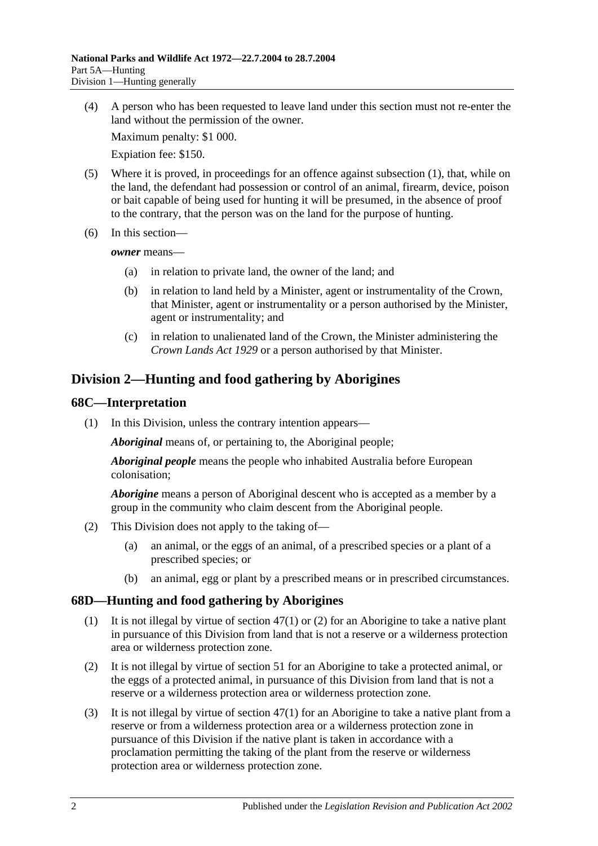(4) A person who has been requested to leave land under this section must not re-enter the land without the permission of the owner.

Maximum penalty: \$1 000.

Expiation fee: \$150.

- (5) Where it is proved, in proceedings for an offence against subsection (1), that, while on the land, the defendant had possession or control of an animal, firearm, device, poison or bait capable of being used for hunting it will be presumed, in the absence of proof to the contrary, that the person was on the land for the purpose of hunting.
- (6) In this section—

*owner* means—

- (a) in relation to private land, the owner of the land; and
- (b) in relation to land held by a Minister, agent or instrumentality of the Crown, that Minister, agent or instrumentality or a person authorised by the Minister, agent or instrumentality; and
- (c) in relation to unalienated land of the Crown, the Minister administering the *[Crown Lands Act](http://www.legislation.sa.gov.au/index.aspx?action=legref&type=act&legtitle=Crown%20Lands%20Act%201929) 1929* or a person authorised by that Minister.

# **Division 2—Hunting and food gathering by Aborigines**

#### **68C—Interpretation**

(1) In this Division, unless the contrary intention appears—

*Aboriginal* means of, or pertaining to, the Aboriginal people;

*Aboriginal people* means the people who inhabited Australia before European colonisation;

*Aborigine* means a person of Aboriginal descent who is accepted as a member by a group in the community who claim descent from the Aboriginal people.

- (2) This Division does not apply to the taking of—
	- (a) an animal, or the eggs of an animal, of a prescribed species or a plant of a prescribed species; or
	- (b) an animal, egg or plant by a prescribed means or in prescribed circumstances.

#### **68D—Hunting and food gathering by Aborigines**

- (1) It is not illegal by virtue of section 47(1) or (2) for an Aborigine to take a native plant in pursuance of this Division from land that is not a reserve or a wilderness protection area or wilderness protection zone.
- (2) It is not illegal by virtue of section 51 for an Aborigine to take a protected animal, or the eggs of a protected animal, in pursuance of this Division from land that is not a reserve or a wilderness protection area or wilderness protection zone.
- (3) It is not illegal by virtue of section 47(1) for an Aborigine to take a native plant from a reserve or from a wilderness protection area or a wilderness protection zone in pursuance of this Division if the native plant is taken in accordance with a proclamation permitting the taking of the plant from the reserve or wilderness protection area or wilderness protection zone.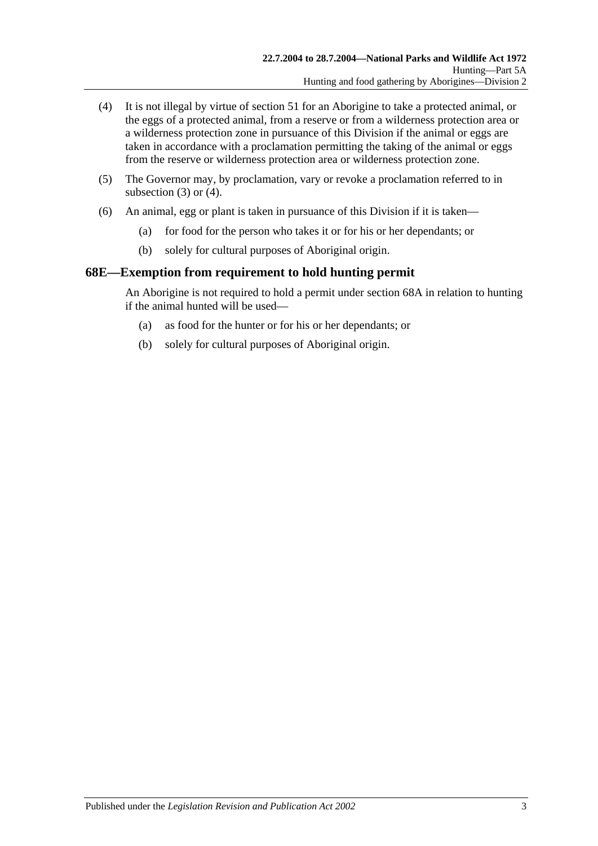- (4) It is not illegal by virtue of section 51 for an Aborigine to take a protected animal, or the eggs of a protected animal, from a reserve or from a wilderness protection area or a wilderness protection zone in pursuance of this Division if the animal or eggs are taken in accordance with a proclamation permitting the taking of the animal or eggs from the reserve or wilderness protection area or wilderness protection zone.
- (5) The Governor may, by proclamation, vary or revoke a proclamation referred to in subsection  $(3)$  or  $(4)$ .
- (6) An animal, egg or plant is taken in pursuance of this Division if it is taken—
	- (a) for food for the person who takes it or for his or her dependants; or
	- (b) solely for cultural purposes of Aboriginal origin.

### **68E—Exemption from requirement to hold hunting permit**

An Aborigine is not required to hold a permit under section 68A in relation to hunting if the animal hunted will be used—

- (a) as food for the hunter or for his or her dependants; or
- (b) solely for cultural purposes of Aboriginal origin.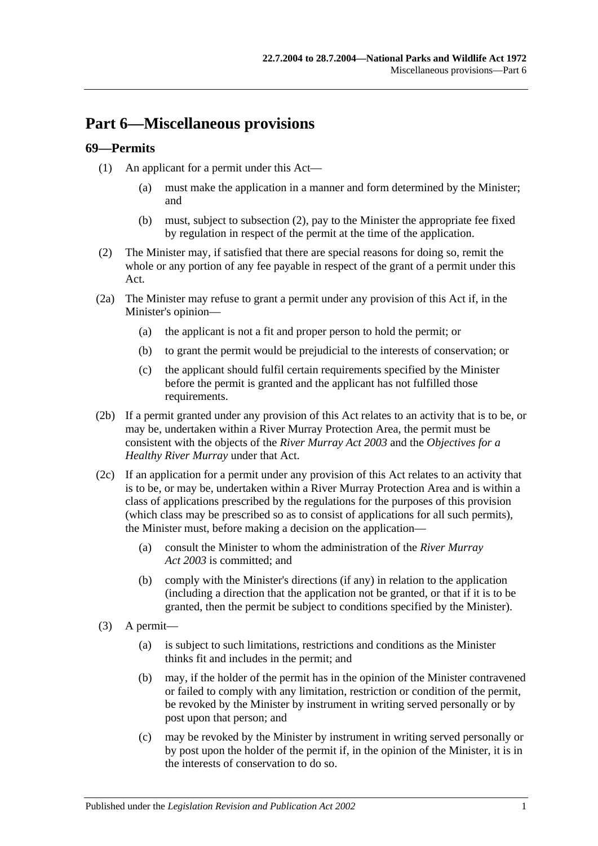# **Part 6—Miscellaneous provisions**

# **69—Permits**

- (1) An applicant for a permit under this Act—
	- (a) must make the application in a manner and form determined by the Minister; and
	- (b) must, subject to subsection (2), pay to the Minister the appropriate fee fixed by regulation in respect of the permit at the time of the application.
- (2) The Minister may, if satisfied that there are special reasons for doing so, remit the whole or any portion of any fee payable in respect of the grant of a permit under this Act.
- (2a) The Minister may refuse to grant a permit under any provision of this Act if, in the Minister's opinion—
	- (a) the applicant is not a fit and proper person to hold the permit; or
	- (b) to grant the permit would be prejudicial to the interests of conservation; or
	- (c) the applicant should fulfil certain requirements specified by the Minister before the permit is granted and the applicant has not fulfilled those requirements.
- (2b) If a permit granted under any provision of this Act relates to an activity that is to be, or may be, undertaken within a River Murray Protection Area, the permit must be consistent with the objects of the *[River Murray Act](http://www.legislation.sa.gov.au/index.aspx?action=legref&type=act&legtitle=River%20Murray%20Act%202003) 2003* and the *Objectives for a Healthy River Murray* under that Act.
- (2c) If an application for a permit under any provision of this Act relates to an activity that is to be, or may be, undertaken within a River Murray Protection Area and is within a class of applications prescribed by the regulations for the purposes of this provision (which class may be prescribed so as to consist of applications for all such permits), the Minister must, before making a decision on the application—
	- (a) consult the Minister to whom the administration of the *[River Murray](http://www.legislation.sa.gov.au/index.aspx?action=legref&type=act&legtitle=River%20Murray%20Act%202003)  Act [2003](http://www.legislation.sa.gov.au/index.aspx?action=legref&type=act&legtitle=River%20Murray%20Act%202003)* is committed; and
	- (b) comply with the Minister's directions (if any) in relation to the application (including a direction that the application not be granted, or that if it is to be granted, then the permit be subject to conditions specified by the Minister).
- (3) A permit—
	- (a) is subject to such limitations, restrictions and conditions as the Minister thinks fit and includes in the permit; and
	- (b) may, if the holder of the permit has in the opinion of the Minister contravened or failed to comply with any limitation, restriction or condition of the permit, be revoked by the Minister by instrument in writing served personally or by post upon that person; and
	- (c) may be revoked by the Minister by instrument in writing served personally or by post upon the holder of the permit if, in the opinion of the Minister, it is in the interests of conservation to do so.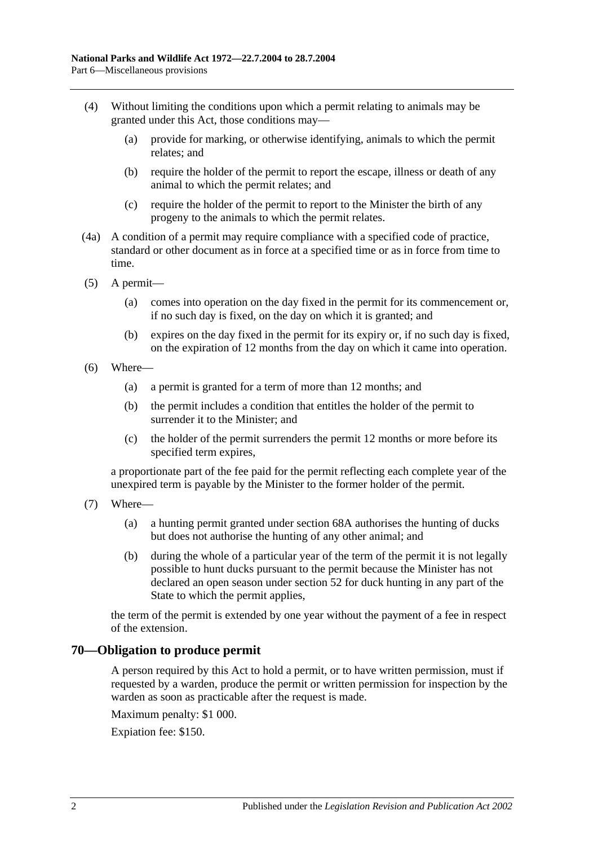- (4) Without limiting the conditions upon which a permit relating to animals may be granted under this Act, those conditions may—
	- (a) provide for marking, or otherwise identifying, animals to which the permit relates; and
	- (b) require the holder of the permit to report the escape, illness or death of any animal to which the permit relates; and
	- (c) require the holder of the permit to report to the Minister the birth of any progeny to the animals to which the permit relates.
- (4a) A condition of a permit may require compliance with a specified code of practice, standard or other document as in force at a specified time or as in force from time to time.
- (5) A permit—
	- (a) comes into operation on the day fixed in the permit for its commencement or, if no such day is fixed, on the day on which it is granted; and
	- (b) expires on the day fixed in the permit for its expiry or, if no such day is fixed, on the expiration of 12 months from the day on which it came into operation.
- (6) Where—
	- (a) a permit is granted for a term of more than 12 months; and
	- (b) the permit includes a condition that entitles the holder of the permit to surrender it to the Minister; and
	- (c) the holder of the permit surrenders the permit 12 months or more before its specified term expires,

a proportionate part of the fee paid for the permit reflecting each complete year of the unexpired term is payable by the Minister to the former holder of the permit.

- (7) Where—
	- (a) a hunting permit granted under section 68A authorises the hunting of ducks but does not authorise the hunting of any other animal; and
	- (b) during the whole of a particular year of the term of the permit it is not legally possible to hunt ducks pursuant to the permit because the Minister has not declared an open season under section 52 for duck hunting in any part of the State to which the permit applies,

the term of the permit is extended by one year without the payment of a fee in respect of the extension.

#### **70—Obligation to produce permit**

A person required by this Act to hold a permit, or to have written permission, must if requested by a warden, produce the permit or written permission for inspection by the warden as soon as practicable after the request is made.

Maximum penalty: \$1 000.

Expiation fee: \$150.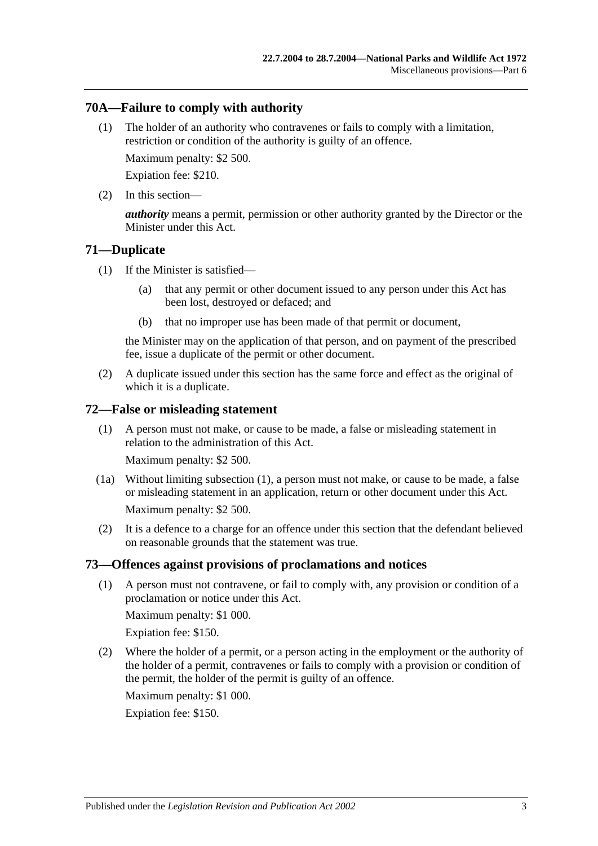## **70A—Failure to comply with authority**

(1) The holder of an authority who contravenes or fails to comply with a limitation, restriction or condition of the authority is guilty of an offence.

Maximum penalty: \$2 500.

Expiation fee: \$210.

(2) In this section—

*authority* means a permit, permission or other authority granted by the Director or the Minister under this Act.

### **71—Duplicate**

- (1) If the Minister is satisfied—
	- (a) that any permit or other document issued to any person under this Act has been lost, destroyed or defaced; and
	- (b) that no improper use has been made of that permit or document,

the Minister may on the application of that person, and on payment of the prescribed fee, issue a duplicate of the permit or other document.

(2) A duplicate issued under this section has the same force and effect as the original of which it is a duplicate.

### **72—False or misleading statement**

(1) A person must not make, or cause to be made, a false or misleading statement in relation to the administration of this Act.

Maximum penalty: \$2 500.

- (1a) Without limiting subsection (1), a person must not make, or cause to be made, a false or misleading statement in an application, return or other document under this Act. Maximum penalty: \$2 500.
- (2) It is a defence to a charge for an offence under this section that the defendant believed on reasonable grounds that the statement was true.

### **73—Offences against provisions of proclamations and notices**

(1) A person must not contravene, or fail to comply with, any provision or condition of a proclamation or notice under this Act.

Maximum penalty: \$1 000.

Expiation fee: \$150.

(2) Where the holder of a permit, or a person acting in the employment or the authority of the holder of a permit, contravenes or fails to comply with a provision or condition of the permit, the holder of the permit is guilty of an offence.

Maximum penalty: \$1 000.

Expiation fee: \$150.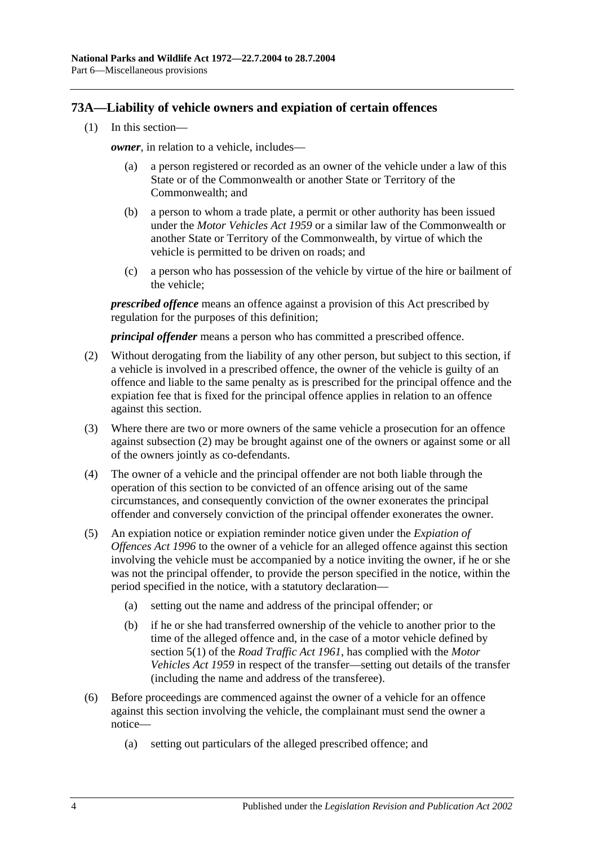## **73A—Liability of vehicle owners and expiation of certain offences**

(1) In this section—

*owner*, in relation to a vehicle, includes–

- (a) a person registered or recorded as an owner of the vehicle under a law of this State or of the Commonwealth or another State or Territory of the Commonwealth; and
- (b) a person to whom a trade plate, a permit or other authority has been issued under the *Motor Vehicles Act 1959* or a similar law of the Commonwealth or another State or Territory of the Commonwealth, by virtue of which the vehicle is permitted to be driven on roads; and
- (c) a person who has possession of the vehicle by virtue of the hire or bailment of the vehicle;

*prescribed offence* means an offence against a provision of this Act prescribed by regulation for the purposes of this definition;

*principal offender* means a person who has committed a prescribed offence.

- (2) Without derogating from the liability of any other person, but subject to this section, if a vehicle is involved in a prescribed offence, the owner of the vehicle is guilty of an offence and liable to the same penalty as is prescribed for the principal offence and the expiation fee that is fixed for the principal offence applies in relation to an offence against this section.
- (3) Where there are two or more owners of the same vehicle a prosecution for an offence against subsection (2) may be brought against one of the owners or against some or all of the owners jointly as co-defendants.
- (4) The owner of a vehicle and the principal offender are not both liable through the operation of this section to be convicted of an offence arising out of the same circumstances, and consequently conviction of the owner exonerates the principal offender and conversely conviction of the principal offender exonerates the owner.
- (5) An expiation notice or expiation reminder notice given under the *[Expiation of](http://www.legislation.sa.gov.au/index.aspx?action=legref&type=act&legtitle=Expiation%20of%20Offences%20Act%201996)  [Offences Act](http://www.legislation.sa.gov.au/index.aspx?action=legref&type=act&legtitle=Expiation%20of%20Offences%20Act%201996) 1996* to the owner of a vehicle for an alleged offence against this section involving the vehicle must be accompanied by a notice inviting the owner, if he or she was not the principal offender, to provide the person specified in the notice, within the period specified in the notice, with a statutory declaration—
	- (a) setting out the name and address of the principal offender; or
	- (b) if he or she had transferred ownership of the vehicle to another prior to the time of the alleged offence and, in the case of a motor vehicle defined by section 5(1) of the *[Road Traffic Act](http://www.legislation.sa.gov.au/index.aspx?action=legref&type=act&legtitle=Road%20Traffic%20Act%201961) 1961*, has complied with the *[Motor](http://www.legislation.sa.gov.au/index.aspx?action=legref&type=act&legtitle=Motor%20Vehicles%20Act%201959)  [Vehicles Act](http://www.legislation.sa.gov.au/index.aspx?action=legref&type=act&legtitle=Motor%20Vehicles%20Act%201959) 1959* in respect of the transfer—setting out details of the transfer (including the name and address of the transferee).
- (6) Before proceedings are commenced against the owner of a vehicle for an offence against this section involving the vehicle, the complainant must send the owner a notice—
	- (a) setting out particulars of the alleged prescribed offence; and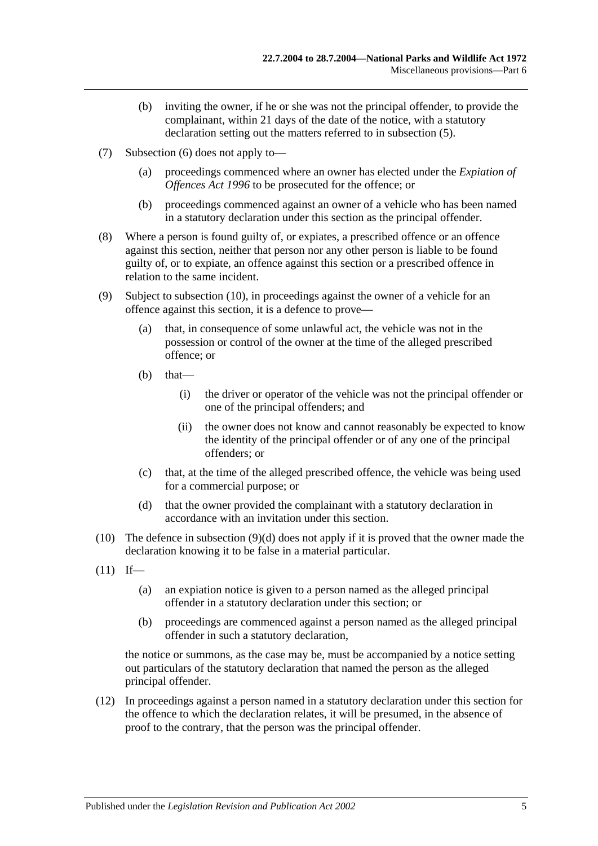- (b) inviting the owner, if he or she was not the principal offender, to provide the complainant, within 21 days of the date of the notice, with a statutory declaration setting out the matters referred to in subsection (5).
- (7) Subsection (6) does not apply to—
	- (a) proceedings commenced where an owner has elected under the *[Expiation of](http://www.legislation.sa.gov.au/index.aspx?action=legref&type=act&legtitle=Expiation%20of%20Offences%20Act%201996)  [Offences Act](http://www.legislation.sa.gov.au/index.aspx?action=legref&type=act&legtitle=Expiation%20of%20Offences%20Act%201996) 1996* to be prosecuted for the offence; or
	- (b) proceedings commenced against an owner of a vehicle who has been named in a statutory declaration under this section as the principal offender.
- (8) Where a person is found guilty of, or expiates, a prescribed offence or an offence against this section, neither that person nor any other person is liable to be found guilty of, or to expiate, an offence against this section or a prescribed offence in relation to the same incident.
- (9) Subject to subsection (10), in proceedings against the owner of a vehicle for an offence against this section, it is a defence to prove—
	- (a) that, in consequence of some unlawful act, the vehicle was not in the possession or control of the owner at the time of the alleged prescribed offence; or
	- $(b)$  that—
		- (i) the driver or operator of the vehicle was not the principal offender or one of the principal offenders; and
		- (ii) the owner does not know and cannot reasonably be expected to know the identity of the principal offender or of any one of the principal offenders; or
	- (c) that, at the time of the alleged prescribed offence, the vehicle was being used for a commercial purpose; or
	- (d) that the owner provided the complainant with a statutory declaration in accordance with an invitation under this section.
- (10) The defence in subsection (9)(d) does not apply if it is proved that the owner made the declaration knowing it to be false in a material particular.
- $(11)$  If—
	- (a) an expiation notice is given to a person named as the alleged principal offender in a statutory declaration under this section; or
	- (b) proceedings are commenced against a person named as the alleged principal offender in such a statutory declaration,

the notice or summons, as the case may be, must be accompanied by a notice setting out particulars of the statutory declaration that named the person as the alleged principal offender.

(12) In proceedings against a person named in a statutory declaration under this section for the offence to which the declaration relates, it will be presumed, in the absence of proof to the contrary, that the person was the principal offender.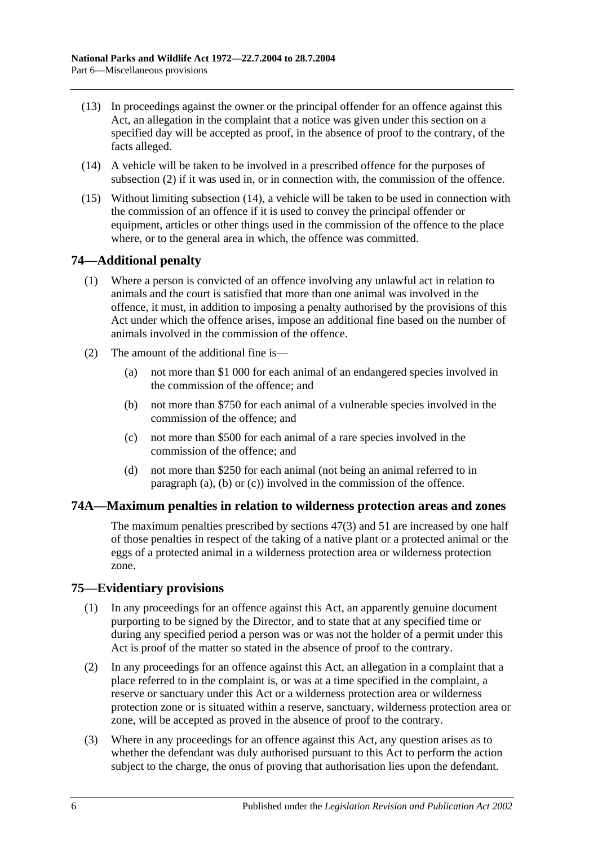- (13) In proceedings against the owner or the principal offender for an offence against this Act, an allegation in the complaint that a notice was given under this section on a specified day will be accepted as proof, in the absence of proof to the contrary, of the facts alleged.
- (14) A vehicle will be taken to be involved in a prescribed offence for the purposes of subsection (2) if it was used in, or in connection with, the commission of the offence.
- (15) Without limiting subsection (14), a vehicle will be taken to be used in connection with the commission of an offence if it is used to convey the principal offender or equipment, articles or other things used in the commission of the offence to the place where, or to the general area in which, the offence was committed.

## **74—Additional penalty**

- (1) Where a person is convicted of an offence involving any unlawful act in relation to animals and the court is satisfied that more than one animal was involved in the offence, it must, in addition to imposing a penalty authorised by the provisions of this Act under which the offence arises, impose an additional fine based on the number of animals involved in the commission of the offence.
- (2) The amount of the additional fine is—
	- (a) not more than \$1 000 for each animal of an endangered species involved in the commission of the offence; and
	- (b) not more than \$750 for each animal of a vulnerable species involved in the commission of the offence; and
	- (c) not more than \$500 for each animal of a rare species involved in the commission of the offence; and
	- (d) not more than \$250 for each animal (not being an animal referred to in paragraph (a), (b) or (c)) involved in the commission of the offence.

## **74A—Maximum penalties in relation to wilderness protection areas and zones**

The maximum penalties prescribed by sections 47(3) and 51 are increased by one half of those penalties in respect of the taking of a native plant or a protected animal or the eggs of a protected animal in a wilderness protection area or wilderness protection zone.

## **75—Evidentiary provisions**

- (1) In any proceedings for an offence against this Act, an apparently genuine document purporting to be signed by the Director, and to state that at any specified time or during any specified period a person was or was not the holder of a permit under this Act is proof of the matter so stated in the absence of proof to the contrary.
- (2) In any proceedings for an offence against this Act, an allegation in a complaint that a place referred to in the complaint is, or was at a time specified in the complaint, a reserve or sanctuary under this Act or a wilderness protection area or wilderness protection zone or is situated within a reserve, sanctuary, wilderness protection area or zone, will be accepted as proved in the absence of proof to the contrary.
- (3) Where in any proceedings for an offence against this Act, any question arises as to whether the defendant was duly authorised pursuant to this Act to perform the action subject to the charge, the onus of proving that authorisation lies upon the defendant.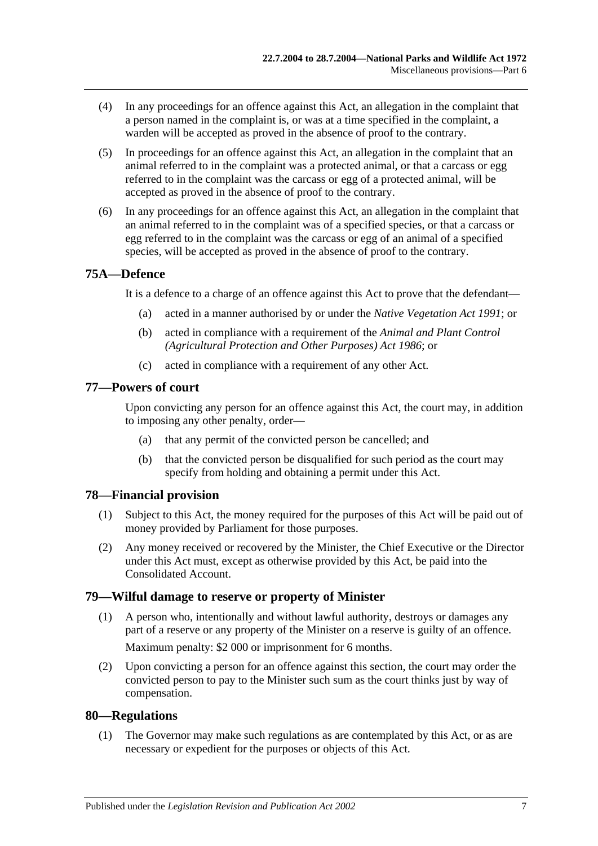- (4) In any proceedings for an offence against this Act, an allegation in the complaint that a person named in the complaint is, or was at a time specified in the complaint, a warden will be accepted as proved in the absence of proof to the contrary.
- (5) In proceedings for an offence against this Act, an allegation in the complaint that an animal referred to in the complaint was a protected animal, or that a carcass or egg referred to in the complaint was the carcass or egg of a protected animal, will be accepted as proved in the absence of proof to the contrary.
- (6) In any proceedings for an offence against this Act, an allegation in the complaint that an animal referred to in the complaint was of a specified species, or that a carcass or egg referred to in the complaint was the carcass or egg of an animal of a specified species, will be accepted as proved in the absence of proof to the contrary.

## **75A—Defence**

It is a defence to a charge of an offence against this Act to prove that the defendant—

- (a) acted in a manner authorised by or under the *[Native Vegetation Act](http://www.legislation.sa.gov.au/index.aspx?action=legref&type=act&legtitle=Native%20Vegetation%20Act%201991) 1991*; or
- (b) acted in compliance with a requirement of the *[Animal and Plant Control](http://www.legislation.sa.gov.au/index.aspx?action=legref&type=act&legtitle=Animal%20and%20Plant%20Control%20(Agricultural%20Protection%20and%20Other%20Purposes)%20Act%201986)  [\(Agricultural Protection and Other Purposes\) Act](http://www.legislation.sa.gov.au/index.aspx?action=legref&type=act&legtitle=Animal%20and%20Plant%20Control%20(Agricultural%20Protection%20and%20Other%20Purposes)%20Act%201986) 1986*; or
- (c) acted in compliance with a requirement of any other Act.

### **77—Powers of court**

Upon convicting any person for an offence against this Act, the court may, in addition to imposing any other penalty, order—

- (a) that any permit of the convicted person be cancelled; and
- (b) that the convicted person be disqualified for such period as the court may specify from holding and obtaining a permit under this Act.

## **78—Financial provision**

- (1) Subject to this Act, the money required for the purposes of this Act will be paid out of money provided by Parliament for those purposes.
- (2) Any money received or recovered by the Minister, the Chief Executive or the Director under this Act must, except as otherwise provided by this Act, be paid into the Consolidated Account.

### **79—Wilful damage to reserve or property of Minister**

(1) A person who, intentionally and without lawful authority, destroys or damages any part of a reserve or any property of the Minister on a reserve is guilty of an offence.

Maximum penalty: \$2 000 or imprisonment for 6 months.

(2) Upon convicting a person for an offence against this section, the court may order the convicted person to pay to the Minister such sum as the court thinks just by way of compensation.

### **80—Regulations**

(1) The Governor may make such regulations as are contemplated by this Act, or as are necessary or expedient for the purposes or objects of this Act.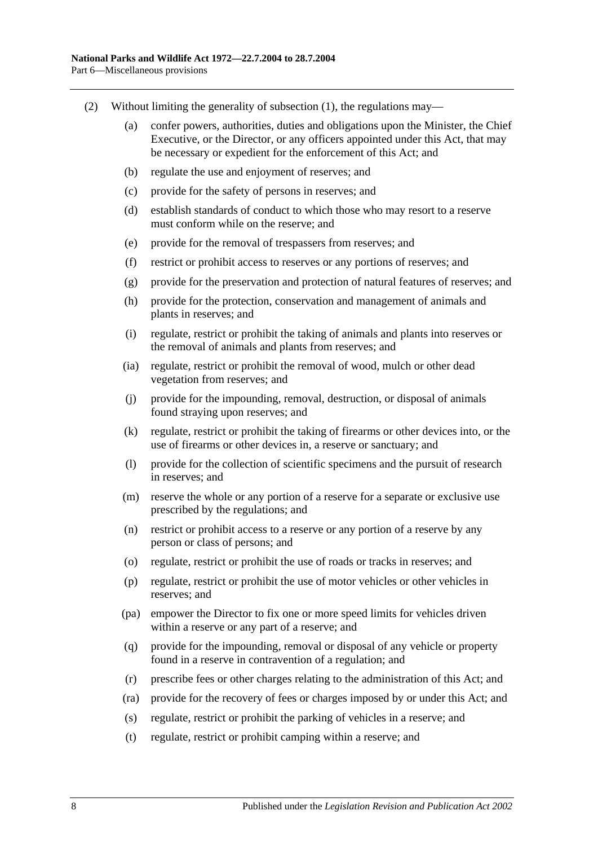- (2) Without limiting the generality of subsection  $(1)$ , the regulations may—
	- (a) confer powers, authorities, duties and obligations upon the Minister, the Chief Executive, or the Director, or any officers appointed under this Act, that may be necessary or expedient for the enforcement of this Act; and
	- (b) regulate the use and enjoyment of reserves; and
	- (c) provide for the safety of persons in reserves; and
	- (d) establish standards of conduct to which those who may resort to a reserve must conform while on the reserve; and
	- (e) provide for the removal of trespassers from reserves; and
	- (f) restrict or prohibit access to reserves or any portions of reserves; and
	- (g) provide for the preservation and protection of natural features of reserves; and
	- (h) provide for the protection, conservation and management of animals and plants in reserves; and
	- (i) regulate, restrict or prohibit the taking of animals and plants into reserves or the removal of animals and plants from reserves; and
	- (ia) regulate, restrict or prohibit the removal of wood, mulch or other dead vegetation from reserves; and
	- (j) provide for the impounding, removal, destruction, or disposal of animals found straying upon reserves; and
	- (k) regulate, restrict or prohibit the taking of firearms or other devices into, or the use of firearms or other devices in, a reserve or sanctuary; and
	- (l) provide for the collection of scientific specimens and the pursuit of research in reserves; and
	- (m) reserve the whole or any portion of a reserve for a separate or exclusive use prescribed by the regulations; and
	- (n) restrict or prohibit access to a reserve or any portion of a reserve by any person or class of persons; and
	- (o) regulate, restrict or prohibit the use of roads or tracks in reserves; and
	- (p) regulate, restrict or prohibit the use of motor vehicles or other vehicles in reserves; and
	- (pa) empower the Director to fix one or more speed limits for vehicles driven within a reserve or any part of a reserve; and
	- (q) provide for the impounding, removal or disposal of any vehicle or property found in a reserve in contravention of a regulation; and
	- (r) prescribe fees or other charges relating to the administration of this Act; and
	- (ra) provide for the recovery of fees or charges imposed by or under this Act; and
	- (s) regulate, restrict or prohibit the parking of vehicles in a reserve; and
	- (t) regulate, restrict or prohibit camping within a reserve; and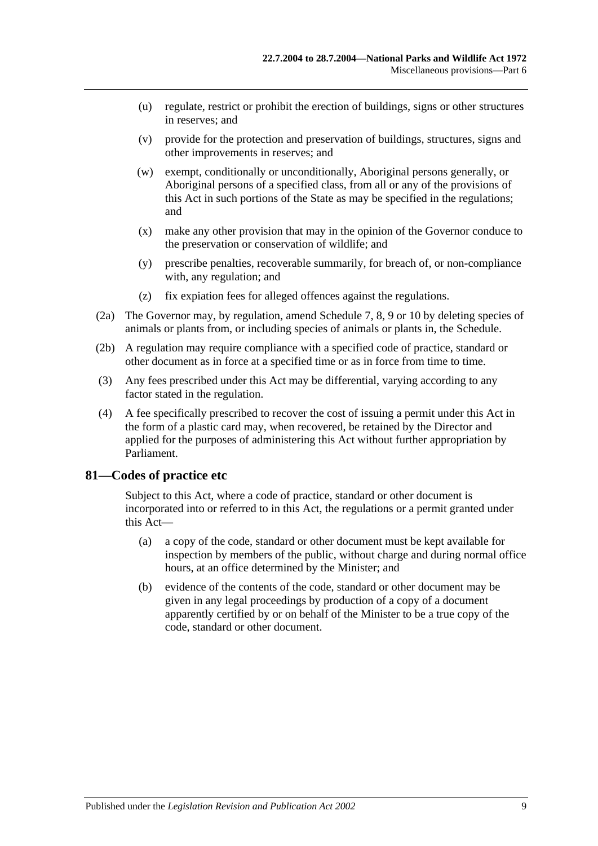- (u) regulate, restrict or prohibit the erection of buildings, signs or other structures in reserves; and
- (v) provide for the protection and preservation of buildings, structures, signs and other improvements in reserves; and
- (w) exempt, conditionally or unconditionally, Aboriginal persons generally, or Aboriginal persons of a specified class, from all or any of the provisions of this Act in such portions of the State as may be specified in the regulations; and
- (x) make any other provision that may in the opinion of the Governor conduce to the preservation or conservation of wildlife; and
- (y) prescribe penalties, recoverable summarily, for breach of, or non-compliance with, any regulation; and
- (z) fix expiation fees for alleged offences against the regulations.
- (2a) The Governor may, by regulation, amend Schedule 7, 8, 9 or 10 by deleting species of animals or plants from, or including species of animals or plants in, the Schedule.
- (2b) A regulation may require compliance with a specified code of practice, standard or other document as in force at a specified time or as in force from time to time.
- (3) Any fees prescribed under this Act may be differential, varying according to any factor stated in the regulation.
- (4) A fee specifically prescribed to recover the cost of issuing a permit under this Act in the form of a plastic card may, when recovered, be retained by the Director and applied for the purposes of administering this Act without further appropriation by Parliament.

### **81—Codes of practice etc**

Subject to this Act, where a code of practice, standard or other document is incorporated into or referred to in this Act, the regulations or a permit granted under this Act—

- (a) a copy of the code, standard or other document must be kept available for inspection by members of the public, without charge and during normal office hours, at an office determined by the Minister; and
- (b) evidence of the contents of the code, standard or other document may be given in any legal proceedings by production of a copy of a document apparently certified by or on behalf of the Minister to be a true copy of the code, standard or other document.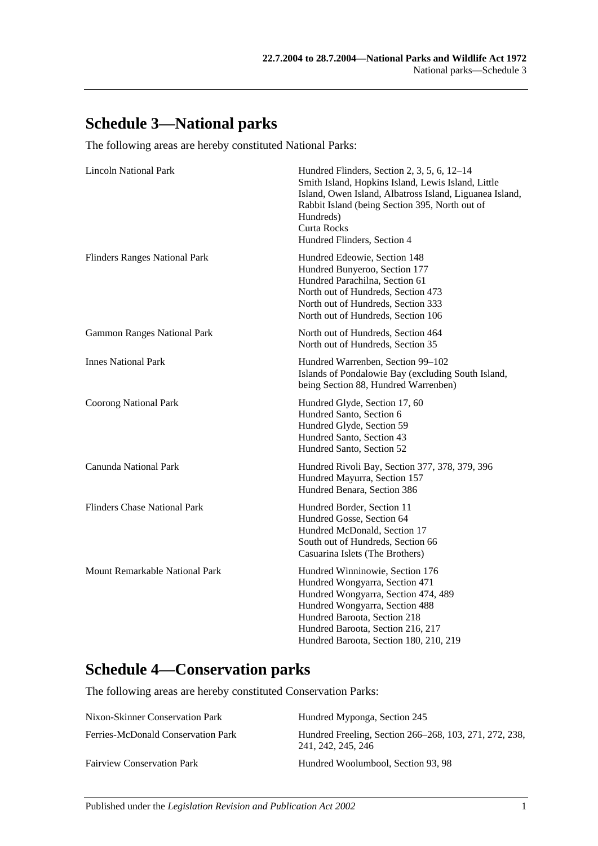## **Schedule 3—National parks**

The following areas are hereby constituted National Parks:

| <b>Lincoln National Park</b>         | Hundred Flinders, Section 2, 3, 5, 6, 12–14<br>Smith Island, Hopkins Island, Lewis Island, Little<br>Island, Owen Island, Albatross Island, Liguanea Island,<br>Rabbit Island (being Section 395, North out of<br>Hundreds)<br><b>Curta Rocks</b><br>Hundred Flinders, Section 4 |
|--------------------------------------|----------------------------------------------------------------------------------------------------------------------------------------------------------------------------------------------------------------------------------------------------------------------------------|
| <b>Flinders Ranges National Park</b> | Hundred Edeowie, Section 148<br>Hundred Bunyeroo, Section 177<br>Hundred Parachilna, Section 61<br>North out of Hundreds, Section 473<br>North out of Hundreds, Section 333<br>North out of Hundreds, Section 106                                                                |
| <b>Gammon Ranges National Park</b>   | North out of Hundreds, Section 464<br>North out of Hundreds, Section 35                                                                                                                                                                                                          |
| <b>Innes National Park</b>           | Hundred Warrenben, Section 99-102<br>Islands of Pondalowie Bay (excluding South Island,<br>being Section 88, Hundred Warrenben)                                                                                                                                                  |
| <b>Coorong National Park</b>         | Hundred Glyde, Section 17, 60<br>Hundred Santo, Section 6<br>Hundred Glyde, Section 59<br>Hundred Santo, Section 43<br>Hundred Santo, Section 52                                                                                                                                 |
| Canunda National Park                | Hundred Rivoli Bay, Section 377, 378, 379, 396<br>Hundred Mayurra, Section 157<br>Hundred Benara, Section 386                                                                                                                                                                    |
| <b>Flinders Chase National Park</b>  | Hundred Border, Section 11<br>Hundred Gosse, Section 64<br>Hundred McDonald, Section 17<br>South out of Hundreds, Section 66<br>Casuarina Islets (The Brothers)                                                                                                                  |
| Mount Remarkable National Park       | Hundred Winninowie, Section 176<br>Hundred Wongyarra, Section 471<br>Hundred Wongyarra, Section 474, 489<br>Hundred Wongyarra, Section 488<br>Hundred Baroota, Section 218<br>Hundred Baroota, Section 216, 217<br>Hundred Baroota, Section 180, 210, 219                        |

## **Schedule 4—Conservation parks**

The following areas are hereby constituted Conservation Parks:

| Nixon-Skinner Conservation Park    | Hundred Myponga, Section 245                                                 |
|------------------------------------|------------------------------------------------------------------------------|
| Ferries-McDonald Conservation Park | Hundred Freeling, Section 266–268, 103, 271, 272, 238,<br>241, 242, 245, 246 |
| <b>Fairview Conservation Park</b>  | Hundred Woolumbool, Section 93, 98                                           |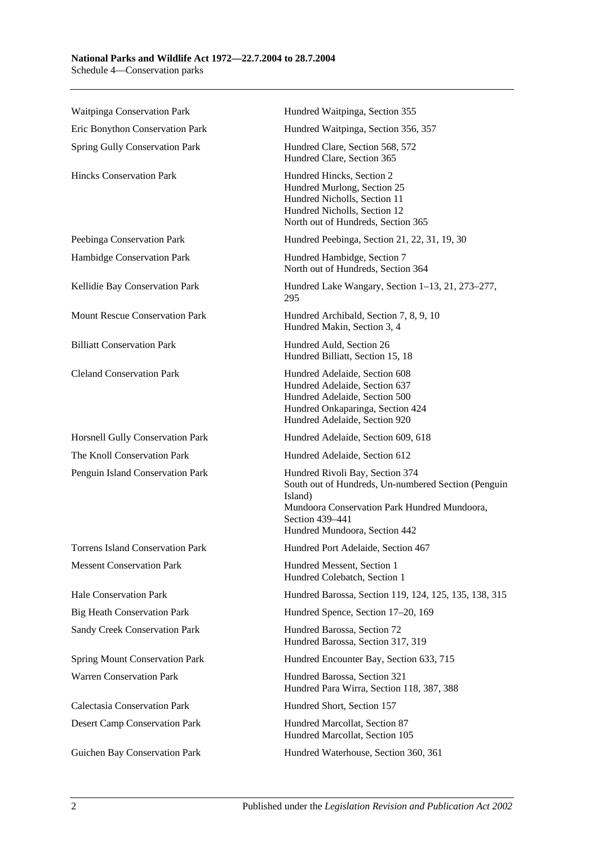| Waitpinga Conservation Park             | Hundred Waitpinga, Section 355                                                                                                                                                                        |
|-----------------------------------------|-------------------------------------------------------------------------------------------------------------------------------------------------------------------------------------------------------|
| Eric Bonython Conservation Park         | Hundred Waitpinga, Section 356, 357                                                                                                                                                                   |
| Spring Gully Conservation Park          | Hundred Clare, Section 568, 572<br>Hundred Clare, Section 365                                                                                                                                         |
| <b>Hincks Conservation Park</b>         | Hundred Hincks, Section 2<br>Hundred Murlong, Section 25<br>Hundred Nicholls, Section 11<br>Hundred Nicholls, Section 12<br>North out of Hundreds, Section 365                                        |
| Peebinga Conservation Park              | Hundred Peebinga, Section 21, 22, 31, 19, 30                                                                                                                                                          |
| Hambidge Conservation Park              | Hundred Hambidge, Section 7<br>North out of Hundreds, Section 364                                                                                                                                     |
| Kellidie Bay Conservation Park          | Hundred Lake Wangary, Section 1–13, 21, 273–277,<br>295                                                                                                                                               |
| <b>Mount Rescue Conservation Park</b>   | Hundred Archibald, Section 7, 8, 9, 10<br>Hundred Makin, Section 3, 4                                                                                                                                 |
| <b>Billiatt Conservation Park</b>       | Hundred Auld, Section 26<br>Hundred Billiatt, Section 15, 18                                                                                                                                          |
| <b>Cleland Conservation Park</b>        | Hundred Adelaide, Section 608<br>Hundred Adelaide, Section 637<br>Hundred Adelaide, Section 500<br>Hundred Onkaparinga, Section 424<br>Hundred Adelaide, Section 920                                  |
| Horsnell Gully Conservation Park        | Hundred Adelaide, Section 609, 618                                                                                                                                                                    |
| The Knoll Conservation Park             | Hundred Adelaide, Section 612                                                                                                                                                                         |
| Penguin Island Conservation Park        | Hundred Rivoli Bay, Section 374<br>South out of Hundreds, Un-numbered Section (Penguin<br>Island)<br>Mundoora Conservation Park Hundred Mundoora,<br>Section 439-441<br>Hundred Mundoora, Section 442 |
| <b>Torrens Island Conservation Park</b> | Hundred Port Adelaide, Section 467                                                                                                                                                                    |
| <b>Messent Conservation Park</b>        | Hundred Messent, Section 1<br>Hundred Colebatch, Section 1                                                                                                                                            |
| <b>Hale Conservation Park</b>           | Hundred Barossa, Section 119, 124, 125, 135, 138, 315                                                                                                                                                 |
| <b>Big Heath Conservation Park</b>      | Hundred Spence, Section 17-20, 169                                                                                                                                                                    |
| Sandy Creek Conservation Park           | Hundred Barossa, Section 72<br>Hundred Barossa, Section 317, 319                                                                                                                                      |
| <b>Spring Mount Conservation Park</b>   | Hundred Encounter Bay, Section 633, 715                                                                                                                                                               |
| <b>Warren Conservation Park</b>         | Hundred Barossa, Section 321<br>Hundred Para Wirra, Section 118, 387, 388                                                                                                                             |
| <b>Calectasia Conservation Park</b>     | Hundred Short, Section 157                                                                                                                                                                            |
| <b>Desert Camp Conservation Park</b>    | Hundred Marcollat, Section 87<br>Hundred Marcollat, Section 105                                                                                                                                       |
| Guichen Bay Conservation Park           | Hundred Waterhouse, Section 360, 361                                                                                                                                                                  |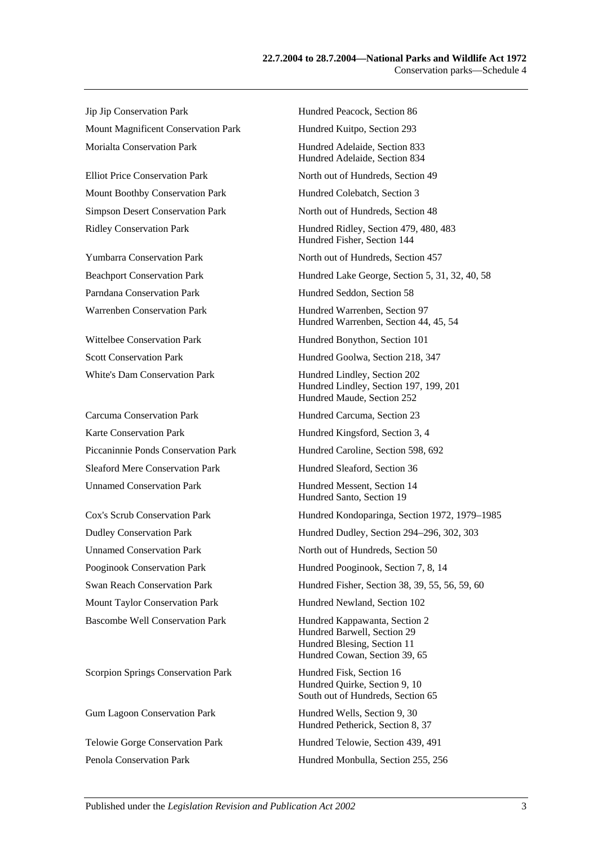Jip Jip Conservation Park Hundred Peacock, Section 86 Mount Magnificent Conservation Park Hundred Kuitpo, Section 293 Morialta Conservation Park **Hundred Adelaide**, Section 833

Mount Boothby Conservation Park Hundred Colebatch, Section 3

Carcuma Conservation Park Hundred Carcuma, Section 23 Karte Conservation Park Hundred Kingsford, Section 3, 4 Sleaford Mere Conservation Park Hundred Sleaford, Section 36 Unnamed Conservation Park Hundred Messent, Section 14

Scorpion Springs Conservation Park Hundred Fisk, Section 16

Hundred Adelaide, Section 834 Elliot Price Conservation Park North out of Hundreds, Section 49 Simpson Desert Conservation Park North out of Hundreds, Section 48 Ridley Conservation Park Hundred Ridley, Section 479, 480, 483 Hundred Fisher, Section 144 Yumbarra Conservation Park North out of Hundreds, Section 457 Beachport Conservation Park Hundred Lake George, Section 5, 31, 32, 40, 58 Parndana Conservation Park Hundred Seddon, Section 58 Warrenben Conservation Park Hundred Warrenben, Section 97 Hundred Warrenben, Section 44, 45, 54 Wittelbee Conservation Park Hundred Bonython, Section 101 Scott Conservation Park Hundred Goolwa, Section 218, 347 White's Dam Conservation Park Hundred Lindley, Section 202 Hundred Lindley, Section 197, 199, 201 Hundred Maude, Section 252 Piccaninnie Ponds Conservation Park Hundred Caroline, Section 598, 692 Hundred Santo, Section 19 Cox's Scrub Conservation Park Hundred Kondoparinga, Section 1972, 1979–1985 Dudley Conservation Park Hundred Dudley, Section 294–296, 302, 303 Unnamed Conservation Park North out of Hundreds, Section 50 Pooginook Conservation Park Hundred Pooginook, Section 7, 8, 14 Swan Reach Conservation Park Hundred Fisher, Section 38, 39, 55, 56, 59, 60 Mount Taylor Conservation Park Hundred Newland, Section 102 Bascombe Well Conservation Park Hundred Kappawanta, Section 2 Hundred Barwell, Section 29 Hundred Blesing, Section 11 Hundred Cowan, Section 39, 65 Hundred Quirke, Section 9, 10 South out of Hundreds, Section 65 Gum Lagoon Conservation Park Hundred Wells, Section 9, 30 Hundred Petherick, Section 8, 37 Telowie Gorge Conservation Park Hundred Telowie, Section 439, 491 Penola Conservation Park Hundred Monbulla, Section 255, 256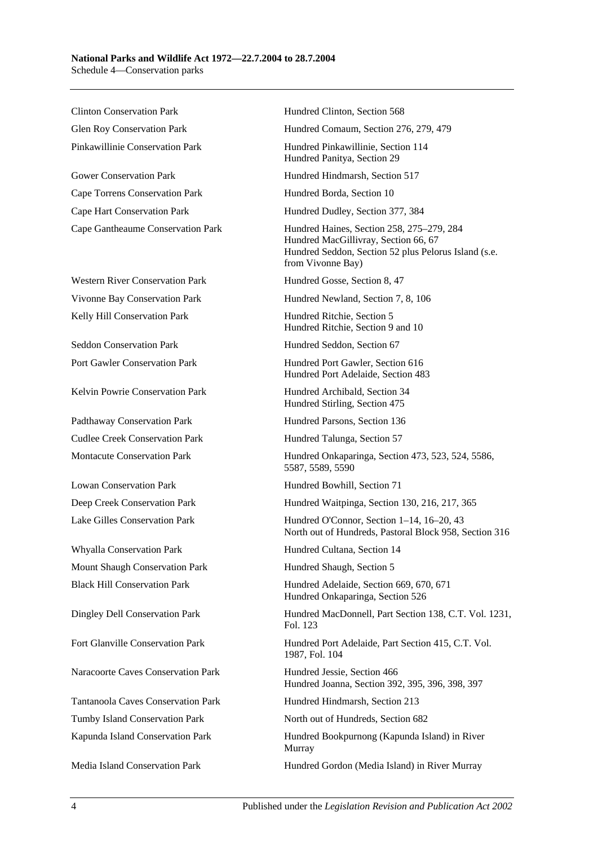Clinton Conservation Park Hundred Clinton, Section 568

Gower Conservation Park Hundred Hindmarsh, Section 517 Cape Torrens Conservation Park Hundred Borda, Section 10 Cape Hart Conservation Park Hundred Dudley, Section 377, 384

Western River Conservation Park Hundred Gosse, Section 8, 47 Kelly Hill Conservation Park **Hundred Ritchie, Section 5** 

Seddon Conservation Park Hundred Seddon, Section 67

Kelvin Powrie Conservation Park Hundred Archibald, Section 34

Padthaway Conservation Park Hundred Parsons, Section 136 Cudlee Creek Conservation Park Hundred Talunga, Section 57

Whyalla Conservation Park Hundred Cultana, Section 14 Mount Shaugh Conservation Park Hundred Shaugh, Section 5

Naracoorte Caves Conservation Park Hundred Jessie, Section 466

Tumby Island Conservation Park North out of Hundreds, Section 682

Glen Roy Conservation Park Hundred Comaum, Section 276, 279, 479

Pinkawillinie Conservation Park Hundred Pinkawillinie, Section 114 Hundred Panitya, Section 29

Cape Gantheaume Conservation Park Hundred Haines, Section 258, 275–279, 284 Hundred MacGillivray, Section 66, 67 Hundred Seddon, Section 52 plus Pelorus Island (s.e. from Vivonne Bay)

Vivonne Bay Conservation Park Hundred Newland, Section 7, 8, 106

Hundred Ritchie, Section 9 and 10

Port Gawler Conservation Park Hundred Port Gawler, Section 616 Hundred Port Adelaide, Section 483

Hundred Stirling, Section 475

Montacute Conservation Park Hundred Onkaparinga, Section 473, 523, 524, 5586, 5587, 5589, 5590

Lowan Conservation Park Hundred Bowhill, Section 71

Deep Creek Conservation Park Hundred Waitpinga, Section 130, 216, 217, 365

Lake Gilles Conservation Park Hundred O'Connor, Section 1–14, 16–20, 43 North out of Hundreds, Pastoral Block 958, Section 316

Black Hill Conservation Park Hundred Adelaide, Section 669, 670, 671 Hundred Onkaparinga, Section 526

Dingley Dell Conservation Park Hundred MacDonnell, Part Section 138, C.T. Vol. 1231, Fol. 123

Fort Glanville Conservation Park Hundred Port Adelaide, Part Section 415, C.T. Vol. 1987, Fol. 104

Hundred Joanna, Section 392, 395, 396, 398, 397

Tantanoola Caves Conservation Park Hundred Hindmarsh, Section 213

Kapunda Island Conservation Park Hundred Bookpurnong (Kapunda Island) in River Murray

Media Island Conservation Park Hundred Gordon (Media Island) in River Murray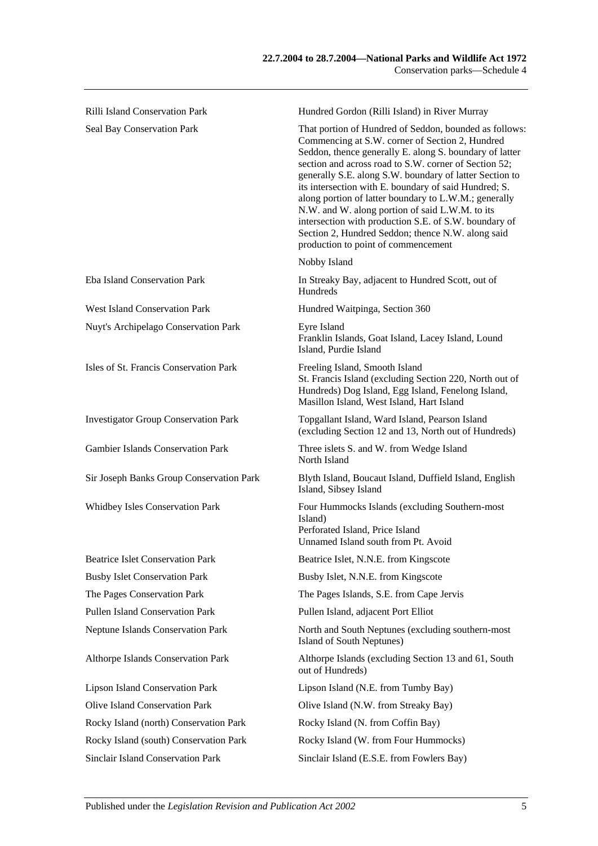| <b>Rilli Island Conservation Park</b>       | Hundred Gordon (Rilli Island) in River Murray                                                                                                                                                                                                                                                                                                                                                                                                                                                                                                                                                                      |
|---------------------------------------------|--------------------------------------------------------------------------------------------------------------------------------------------------------------------------------------------------------------------------------------------------------------------------------------------------------------------------------------------------------------------------------------------------------------------------------------------------------------------------------------------------------------------------------------------------------------------------------------------------------------------|
| Seal Bay Conservation Park                  | That portion of Hundred of Seddon, bounded as follows:<br>Commencing at S.W. corner of Section 2, Hundred<br>Seddon, thence generally E. along S. boundary of latter<br>section and across road to S.W. corner of Section 52;<br>generally S.E. along S.W. boundary of latter Section to<br>its intersection with E. boundary of said Hundred; S.<br>along portion of latter boundary to L.W.M.; generally<br>N.W. and W. along portion of said L.W.M. to its<br>intersection with production S.E. of S.W. boundary of<br>Section 2, Hundred Seddon; thence N.W. along said<br>production to point of commencement |
|                                             | Nobby Island                                                                                                                                                                                                                                                                                                                                                                                                                                                                                                                                                                                                       |
| Eba Island Conservation Park                | In Streaky Bay, adjacent to Hundred Scott, out of<br>Hundreds                                                                                                                                                                                                                                                                                                                                                                                                                                                                                                                                                      |
| <b>West Island Conservation Park</b>        | Hundred Waitpinga, Section 360                                                                                                                                                                                                                                                                                                                                                                                                                                                                                                                                                                                     |
| Nuyt's Archipelago Conservation Park        | Eyre Island<br>Franklin Islands, Goat Island, Lacey Island, Lound<br>Island, Purdie Island                                                                                                                                                                                                                                                                                                                                                                                                                                                                                                                         |
| Isles of St. Francis Conservation Park      | Freeling Island, Smooth Island<br>St. Francis Island (excluding Section 220, North out of<br>Hundreds) Dog Island, Egg Island, Fenelong Island,<br>Masillon Island, West Island, Hart Island                                                                                                                                                                                                                                                                                                                                                                                                                       |
| <b>Investigator Group Conservation Park</b> | Topgallant Island, Ward Island, Pearson Island<br>(excluding Section 12 and 13, North out of Hundreds)                                                                                                                                                                                                                                                                                                                                                                                                                                                                                                             |
| <b>Gambier Islands Conservation Park</b>    | Three islets S. and W. from Wedge Island<br>North Island                                                                                                                                                                                                                                                                                                                                                                                                                                                                                                                                                           |
| Sir Joseph Banks Group Conservation Park    | Blyth Island, Boucaut Island, Duffield Island, English<br>Island, Sibsey Island                                                                                                                                                                                                                                                                                                                                                                                                                                                                                                                                    |
| Whidbey Isles Conservation Park             | Four Hummocks Islands (excluding Southern-most<br>Island)<br>Perforated Island, Price Island<br>Unnamed Island south from Pt. Avoid                                                                                                                                                                                                                                                                                                                                                                                                                                                                                |
| <b>Beatrice Islet Conservation Park</b>     | Beatrice Islet, N.N.E. from Kingscote                                                                                                                                                                                                                                                                                                                                                                                                                                                                                                                                                                              |
| <b>Busby Islet Conservation Park</b>        | Busby Islet, N.N.E. from Kingscote                                                                                                                                                                                                                                                                                                                                                                                                                                                                                                                                                                                 |
| The Pages Conservation Park                 | The Pages Islands, S.E. from Cape Jervis                                                                                                                                                                                                                                                                                                                                                                                                                                                                                                                                                                           |
| <b>Pullen Island Conservation Park</b>      | Pullen Island, adjacent Port Elliot                                                                                                                                                                                                                                                                                                                                                                                                                                                                                                                                                                                |
| <b>Neptune Islands Conservation Park</b>    | North and South Neptunes (excluding southern-most<br>Island of South Neptunes)                                                                                                                                                                                                                                                                                                                                                                                                                                                                                                                                     |
| Althorpe Islands Conservation Park          | Althorpe Islands (excluding Section 13 and 61, South<br>out of Hundreds)                                                                                                                                                                                                                                                                                                                                                                                                                                                                                                                                           |
| <b>Lipson Island Conservation Park</b>      | Lipson Island (N.E. from Tumby Bay)                                                                                                                                                                                                                                                                                                                                                                                                                                                                                                                                                                                |
| <b>Olive Island Conservation Park</b>       | Olive Island (N.W. from Streaky Bay)                                                                                                                                                                                                                                                                                                                                                                                                                                                                                                                                                                               |
| Rocky Island (north) Conservation Park      | Rocky Island (N. from Coffin Bay)                                                                                                                                                                                                                                                                                                                                                                                                                                                                                                                                                                                  |
| Rocky Island (south) Conservation Park      | Rocky Island (W. from Four Hummocks)                                                                                                                                                                                                                                                                                                                                                                                                                                                                                                                                                                               |

Sinclair Island Conservation Park Sinclair Island (E.S.E. from Fowlers Bay)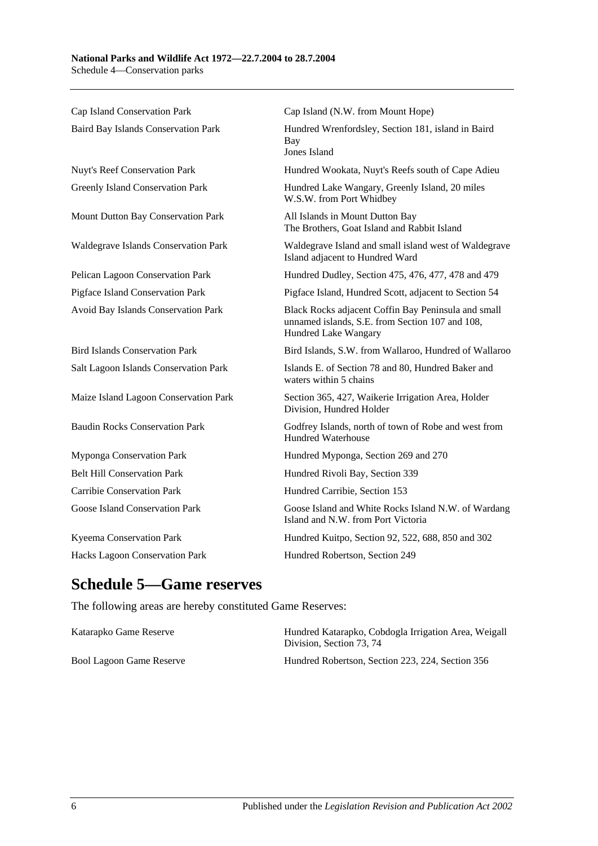Cap Island Conservation Park Cap Island (N.W. from Mount Hope) Baird Bay Islands Conservation Park Hundred Wrenfordsley, Section 181, island in Baird Bay Jones Island Nuyt's Reef Conservation Park Hundred Wookata, Nuyt's Reefs south of Cape Adieu Greenly Island Conservation Park Hundred Lake Wangary, Greenly Island, 20 miles W.S.W. from Port Whidbey Mount Dutton Bay Conservation Park All Islands in Mount Dutton Bay The Brothers, Goat Island and Rabbit Island Waldegrave Islands Conservation Park Waldegrave Island and small island west of Waldegrave Island adjacent to Hundred Ward Pelican Lagoon Conservation Park Hundred Dudley, Section 475, 476, 477, 478 and 479 Pigface Island Conservation Park Pigface Island, Hundred Scott, adjacent to Section 54 Avoid Bay Islands Conservation Park Black Rocks adjacent Coffin Bay Peninsula and small unnamed islands, S.E. from Section 107 and 108, Hundred Lake Wangary Bird Islands Conservation Park Bird Islands, S.W. from Wallaroo, Hundred of Wallaroo Salt Lagoon Islands Conservation Park Islands E. of Section 78 and 80, Hundred Baker and waters within 5 chains Maize Island Lagoon Conservation Park Section 365, 427, Waikerie Irrigation Area, Holder Division, Hundred Holder Baudin Rocks Conservation Park Godfrey Islands, north of town of Robe and west from Hundred Waterhouse Myponga Conservation Park Hundred Myponga, Section 269 and 270 Belt Hill Conservation Park Hundred Rivoli Bay, Section 339 Carribie Conservation Park Hundred Carribie, Section 153 Goose Island Conservation Park Goose Island and White Rocks Island N.W. of Wardang Island and N.W. from Port Victoria Kyeema Conservation Park Hundred Kuitpo, Section 92, 522, 688, 850 and 302 Hacks Lagoon Conservation Park Hundred Robertson, Section 249

## **Schedule 5—Game reserves**

The following areas are hereby constituted Game Reserves:

| Katarapko Game Reserve   | Hundred Katarapko, Cobdogla Irrigation Area, Weigall<br>Division. Section 73, 74 |
|--------------------------|----------------------------------------------------------------------------------|
| Bool Lagoon Game Reserve | Hundred Robertson, Section 223, 224, Section 356                                 |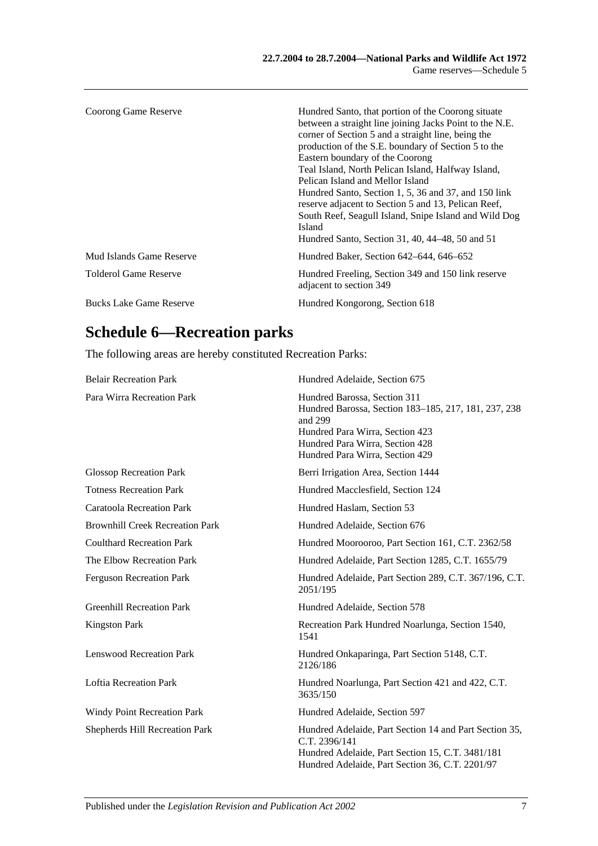| Coorong Game Reserve           | Hundred Santo, that portion of the Coorong situate<br>between a straight line joining Jacks Point to the N.E.<br>corner of Section 5 and a straight line, being the<br>production of the S.E. boundary of Section 5 to the<br>Eastern boundary of the Coorong<br>Teal Island, North Pelican Island, Halfway Island,<br>Pelican Island and Mellor Island<br>Hundred Santo, Section 1, 5, 36 and 37, and 150 link<br>reserve adjacent to Section 5 and 13, Pelican Reef,<br>South Reef, Seagull Island, Snipe Island and Wild Dog<br>Island<br>Hundred Santo, Section 31, 40, 44–48, 50 and 51 |
|--------------------------------|----------------------------------------------------------------------------------------------------------------------------------------------------------------------------------------------------------------------------------------------------------------------------------------------------------------------------------------------------------------------------------------------------------------------------------------------------------------------------------------------------------------------------------------------------------------------------------------------|
| Mud Islands Game Reserve       | Hundred Baker, Section 642–644, 646–652                                                                                                                                                                                                                                                                                                                                                                                                                                                                                                                                                      |
| <b>Tolderol Game Reserve</b>   | Hundred Freeling, Section 349 and 150 link reserve<br>adjacent to section 349                                                                                                                                                                                                                                                                                                                                                                                                                                                                                                                |
| <b>Bucks Lake Game Reserve</b> | Hundred Kongorong, Section 618                                                                                                                                                                                                                                                                                                                                                                                                                                                                                                                                                               |

# **Schedule 6—Recreation parks**

The following areas are hereby constituted Recreation Parks:

| <b>Belair Recreation Park</b>          | Hundred Adelaide, Section 675                                                                                                                                                                            |
|----------------------------------------|----------------------------------------------------------------------------------------------------------------------------------------------------------------------------------------------------------|
| Para Wirra Recreation Park             | Hundred Barossa, Section 311<br>Hundred Barossa, Section 183–185, 217, 181, 237, 238<br>and 299<br>Hundred Para Wirra, Section 423<br>Hundred Para Wirra, Section 428<br>Hundred Para Wirra, Section 429 |
| <b>Glossop Recreation Park</b>         | Berri Irrigation Area, Section 1444                                                                                                                                                                      |
| <b>Totness Recreation Park</b>         | Hundred Macclesfield, Section 124                                                                                                                                                                        |
| <b>Caratoola Recreation Park</b>       | Hundred Haslam, Section 53                                                                                                                                                                               |
| <b>Brownhill Creek Recreation Park</b> | Hundred Adelaide, Section 676                                                                                                                                                                            |
| <b>Coulthard Recreation Park</b>       | Hundred Moorooroo, Part Section 161, C.T. 2362/58                                                                                                                                                        |
| The Elbow Recreation Park              | Hundred Adelaide, Part Section 1285, C.T. 1655/79                                                                                                                                                        |
| <b>Ferguson Recreation Park</b>        | Hundred Adelaide, Part Section 289, C.T. 367/196, C.T.<br>2051/195                                                                                                                                       |
| <b>Greenhill Recreation Park</b>       | Hundred Adelaide, Section 578                                                                                                                                                                            |
| <b>Kingston Park</b>                   | Recreation Park Hundred Noarlunga, Section 1540,<br>1541                                                                                                                                                 |
| <b>Lenswood Recreation Park</b>        | Hundred Onkaparinga, Part Section 5148, C.T.<br>2126/186                                                                                                                                                 |
| <b>Loftia Recreation Park</b>          | Hundred Noarlunga, Part Section 421 and 422, C.T.<br>3635/150                                                                                                                                            |
| Windy Point Recreation Park            | Hundred Adelaide, Section 597                                                                                                                                                                            |
| <b>Shepherds Hill Recreation Park</b>  | Hundred Adelaide, Part Section 14 and Part Section 35,<br>C.T. 2396/141<br>Hundred Adelaide, Part Section 15, C.T. 3481/181<br>Hundred Adelaide, Part Section 36, C.T. 2201/97                           |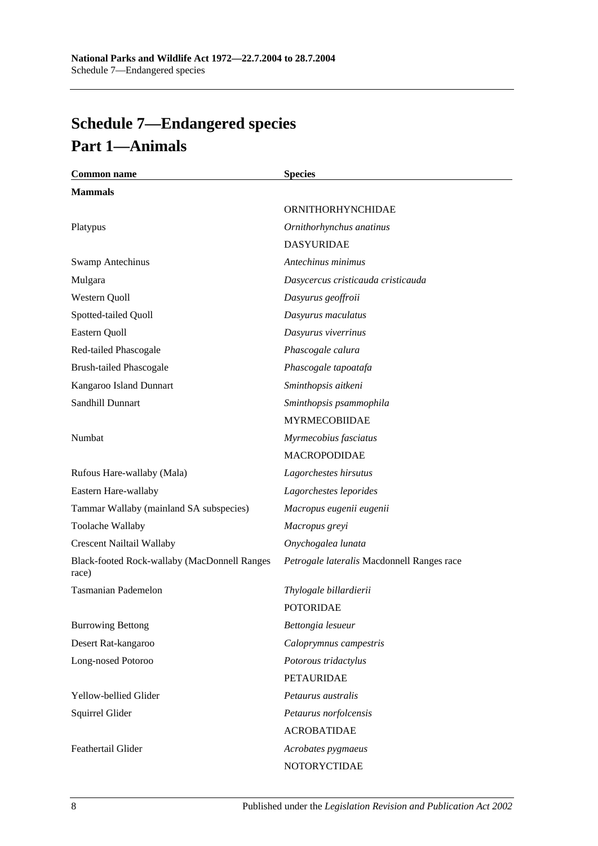# **Schedule 7—Endangered species Part 1—Animals**

| <b>Common name</b>                                    | <b>Species</b>                             |
|-------------------------------------------------------|--------------------------------------------|
| <b>Mammals</b>                                        |                                            |
|                                                       | ORNITHORHYNCHIDAE                          |
| Platypus                                              | Ornithorhynchus anatinus                   |
|                                                       | <b>DASYURIDAE</b>                          |
| <b>Swamp Antechinus</b>                               | Antechinus minimus                         |
| Mulgara                                               | Dasycercus cristicauda cristicauda         |
| Western Quoll                                         | Dasyurus geoffroii                         |
| Spotted-tailed Quoll                                  | Dasyurus maculatus                         |
| Eastern Quoll                                         | Dasyurus viverrinus                        |
| Red-tailed Phascogale                                 | Phascogale calura                          |
| <b>Brush-tailed Phascogale</b>                        | Phascogale tapoatafa                       |
| Kangaroo Island Dunnart                               | Sminthopsis aitkeni                        |
| Sandhill Dunnart                                      | Sminthopsis psammophila                    |
|                                                       | <b>MYRMECOBIIDAE</b>                       |
| Numbat                                                | Myrmecobius fasciatus                      |
|                                                       | <b>MACROPODIDAE</b>                        |
| Rufous Hare-wallaby (Mala)                            | Lagorchestes hirsutus                      |
| Eastern Hare-wallaby                                  | Lagorchestes leporides                     |
| Tammar Wallaby (mainland SA subspecies)               | Macropus eugenii eugenii                   |
| Toolache Wallaby                                      | Macropus greyi                             |
| <b>Crescent Nailtail Wallaby</b>                      | Onychogalea lunata                         |
| Black-footed Rock-wallaby (MacDonnell Ranges<br>race) | Petrogale lateralis Macdonnell Ranges race |
| <b>Tasmanian Pademelon</b>                            | Thylogale billardierii                     |
|                                                       | <b>POTORIDAE</b>                           |
| <b>Burrowing Bettong</b>                              | Bettongia lesueur                          |
| Desert Rat-kangaroo                                   | Caloprymnus campestris                     |
| Long-nosed Potoroo                                    | Potorous tridactylus                       |
|                                                       | <b>PETAURIDAE</b>                          |
| Yellow-bellied Glider                                 | Petaurus australis                         |
| Squirrel Glider                                       | Petaurus norfolcensis                      |
|                                                       | <b>ACROBATIDAE</b>                         |
| Feathertail Glider                                    | Acrobates pygmaeus                         |
|                                                       | NOTORYCTIDAE                               |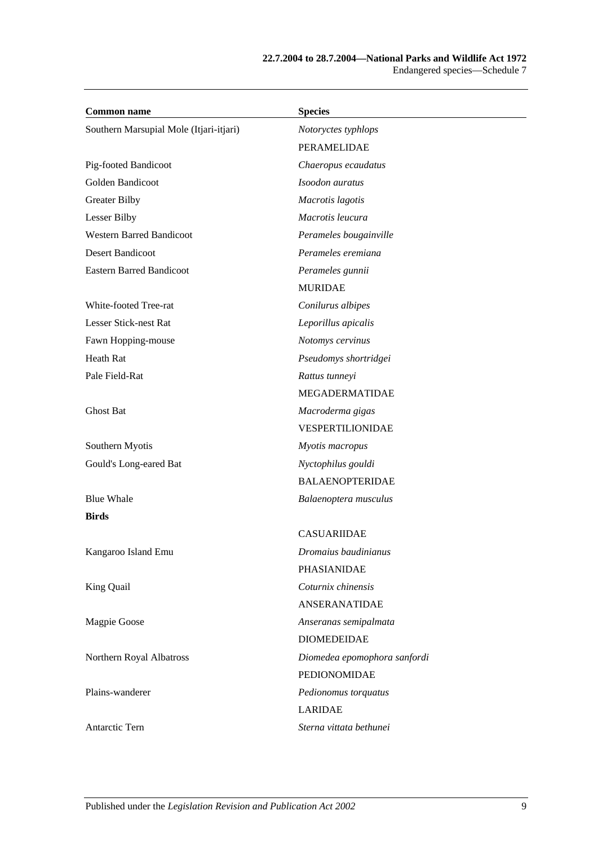| <b>Common name</b>                      | <b>Species</b>               |
|-----------------------------------------|------------------------------|
| Southern Marsupial Mole (Itjari-itjari) | Notoryctes typhlops          |
|                                         | PERAMELIDAE                  |
| Pig-footed Bandicoot                    | Chaeropus ecaudatus          |
| Golden Bandicoot                        | Isoodon auratus              |
| <b>Greater Bilby</b>                    | Macrotis lagotis             |
| Lesser Bilby                            | Macrotis leucura             |
| <b>Western Barred Bandicoot</b>         | Perameles bougainville       |
| <b>Desert Bandicoot</b>                 | Perameles eremiana           |
| <b>Eastern Barred Bandicoot</b>         | Perameles gunnii             |
|                                         | <b>MURIDAE</b>               |
| White-footed Tree-rat                   | Conilurus albipes            |
| Lesser Stick-nest Rat                   | Leporillus apicalis          |
| Fawn Hopping-mouse                      | Notomys cervinus             |
| Heath Rat                               | Pseudomys shortridgei        |
| Pale Field-Rat                          | Rattus tunneyi               |
|                                         | MEGADERMATIDAE               |
| Ghost Bat                               | Macroderma gigas             |
|                                         | VESPERTILIONIDAE             |
| Southern Myotis                         | Myotis macropus              |
| Gould's Long-eared Bat                  | Nyctophilus gouldi           |
|                                         | <b>BALAENOPTERIDAE</b>       |
| <b>Blue Whale</b>                       | Balaenoptera musculus        |
| <b>Birds</b>                            |                              |
|                                         | <b>CASUARIIDAE</b>           |
| Kangaroo Island Emu                     | Dromaius baudinianus         |
|                                         | PHASIANIDAE                  |
| King Quail                              | Coturnix chinensis           |
|                                         | <b>ANSERANATIDAE</b>         |
| Magpie Goose                            | Anseranas semipalmata        |
|                                         | <b>DIOMEDEIDAE</b>           |
| Northern Royal Albatross                | Diomedea epomophora sanfordi |
|                                         | PEDIONOMIDAE                 |
| Plains-wanderer                         | Pedionomus torquatus         |
|                                         | <b>LARIDAE</b>               |
| Antarctic Tern                          | Sterna vittata bethunei      |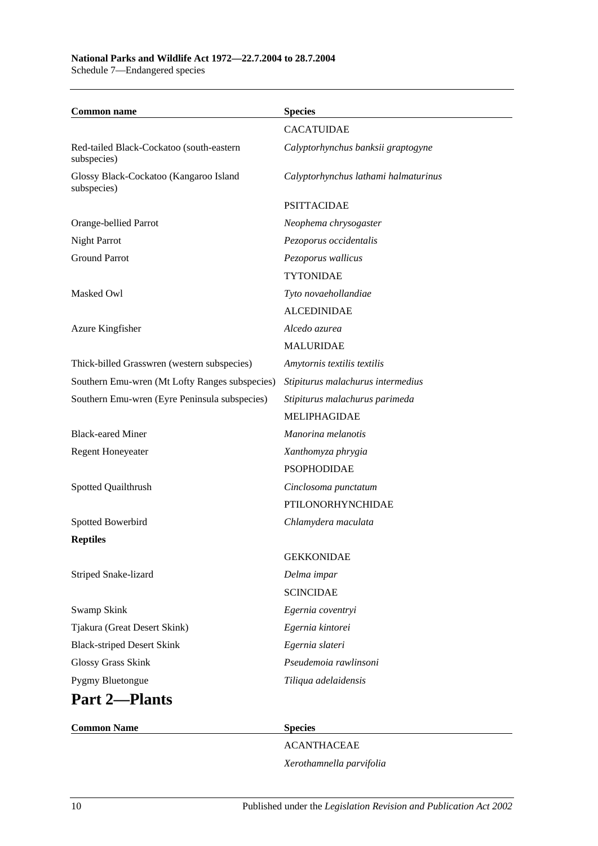#### **National Parks and Wildlife Act 1972—22.7.2004 to 28.7.2004** Schedule 7—Endangered species

| <b>Common name</b>                                      | <b>Species</b>                       |
|---------------------------------------------------------|--------------------------------------|
|                                                         | <b>CACATUIDAE</b>                    |
| Red-tailed Black-Cockatoo (south-eastern<br>subspecies) | Calyptorhynchus banksii graptogyne   |
| Glossy Black-Cockatoo (Kangaroo Island<br>subspecies)   | Calyptorhynchus lathami halmaturinus |
|                                                         | <b>PSITTACIDAE</b>                   |
| Orange-bellied Parrot                                   | Neophema chrysogaster                |
| <b>Night Parrot</b>                                     | Pezoporus occidentalis               |
| <b>Ground Parrot</b>                                    | Pezoporus wallicus                   |
|                                                         | <b>TYTONIDAE</b>                     |
| Masked Owl                                              | Tyto novaehollandiae                 |
|                                                         | <b>ALCEDINIDAE</b>                   |
| Azure Kingfisher                                        | Alcedo azurea                        |
|                                                         | <b>MALURIDAE</b>                     |
| Thick-billed Grasswren (western subspecies)             | Amytornis textilis textilis          |
| Southern Emu-wren (Mt Lofty Ranges subspecies)          | Stipiturus malachurus intermedius    |
| Southern Emu-wren (Eyre Peninsula subspecies)           | Stipiturus malachurus parimeda       |
|                                                         | <b>MELIPHAGIDAE</b>                  |
| <b>Black-eared Miner</b>                                | Manorina melanotis                   |
| <b>Regent Honeyeater</b>                                | Xanthomyza phrygia                   |
|                                                         | <b>PSOPHODIDAE</b>                   |
| Spotted Quailthrush                                     | Cinclosoma punctatum                 |
|                                                         | PTILONORHYNCHIDAE                    |
| Spotted Bowerbird                                       | Chlamydera maculata                  |
| <b>Reptiles</b>                                         |                                      |
|                                                         | <b>GEKKONIDAE</b>                    |
| Striped Snake-lizard                                    | Delma impar                          |
|                                                         | <b>SCINCIDAE</b>                     |
| Swamp Skink                                             | Egernia coventryi                    |
| Tjakura (Great Desert Skink)                            | Egernia kintorei                     |
| <b>Black-striped Desert Skink</b>                       | Egernia slateri                      |
| Glossy Grass Skink                                      | Pseudemoia rawlinsoni                |
| Pygmy Bluetongue                                        | Tiliqua adelaidensis                 |
| <b>Part 2-Plants</b>                                    |                                      |

ACANTHACEAE *Xerothamnella parvifolia*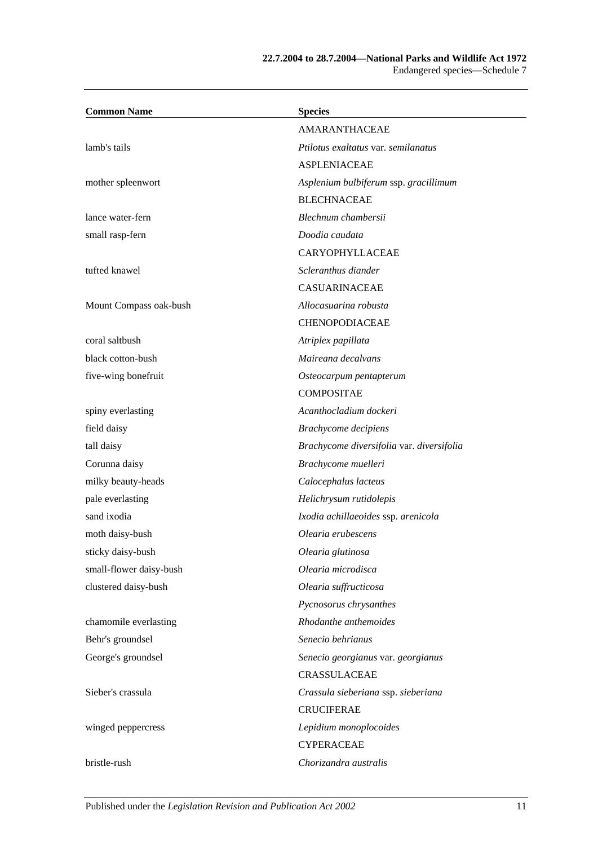### **22.7.2004 to 28.7.2004—National Parks and Wildlife Act 1972** Endangered species—Schedule 7

| <b>Common Name</b>      | <b>Species</b>                            |
|-------------------------|-------------------------------------------|
|                         | <b>AMARANTHACEAE</b>                      |
| lamb's tails            | Ptilotus exaltatus var. semilanatus       |
|                         | <b>ASPLENIACEAE</b>                       |
| mother spleenwort       | Asplenium bulbiferum ssp. gracillimum     |
|                         | <b>BLECHNACEAE</b>                        |
| lance water-fern        | Blechnum chambersii                       |
| small rasp-fern         | Doodia caudata                            |
|                         | CARYOPHYLLACEAE                           |
| tufted knawel           | Scleranthus diander                       |
|                         | CASUARINACEAE                             |
| Mount Compass oak-bush  | Allocasuarina robusta                     |
|                         | <b>CHENOPODIACEAE</b>                     |
| coral saltbush          | Atriplex papillata                        |
| black cotton-bush       | Maireana decalvans                        |
| five-wing bonefruit     | Osteocarpum pentapterum                   |
|                         | <b>COMPOSITAE</b>                         |
| spiny everlasting       | Acanthocladium dockeri                    |
| field daisy             | Brachycome decipiens                      |
| tall daisy              | Brachycome diversifolia var. diversifolia |
| Corunna daisy           | Brachycome muelleri                       |
| milky beauty-heads      | Calocephalus lacteus                      |
| pale everlasting        | Helichrysum rutidolepis                   |
| sand ixodia             | Ixodia achillaeoides ssp. arenicola       |
| moth daisy-bush         | Olearia erubescens                        |
| sticky daisy-bush       | Olearia glutinosa                         |
| small-flower daisy-bush | Olearia microdisca                        |
| clustered daisy-bush    | Olearia suffructicosa                     |
|                         | Pycnosorus chrysanthes                    |
| chamomile everlasting   | Rhodanthe anthemoides                     |
| Behr's groundsel        | Senecio behrianus                         |
| George's groundsel      | Senecio georgianus var. georgianus        |
|                         | <b>CRASSULACEAE</b>                       |
| Sieber's crassula       | Crassula sieberiana ssp. sieberiana       |
|                         | <b>CRUCIFERAE</b>                         |
| winged peppercress      | Lepidium monoplocoides                    |
|                         | <b>CYPERACEAE</b>                         |
| bristle-rush            | Chorizandra australis                     |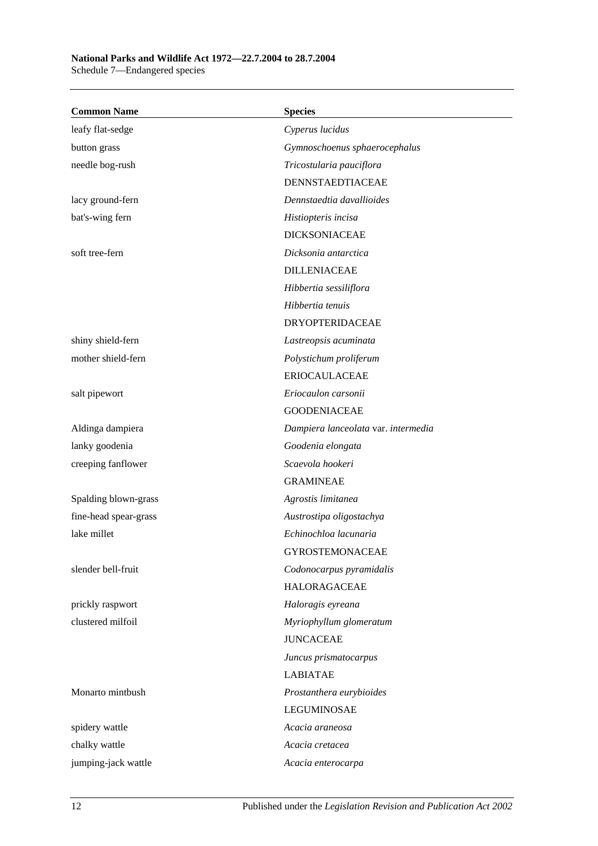## **National Parks and Wildlife Act 1972—22.7.2004 to 28.7.2004**

Schedule 7—Endangered species

| <b>Common Name</b>    | <b>Species</b>                      |
|-----------------------|-------------------------------------|
| leafy flat-sedge      | Cyperus lucidus                     |
| button grass          | Gymnoschoenus sphaerocephalus       |
| needle bog-rush       | Tricostularia pauciflora            |
|                       | DENNSTAEDTIACEAE                    |
| lacy ground-fern      | Dennstaedtia davallioides           |
| bat's-wing fern       | Histiopteris incisa                 |
|                       | <b>DICKSONIACEAE</b>                |
| soft tree-fern        | Dicksonia antarctica                |
|                       | <b>DILLENIACEAE</b>                 |
|                       | Hibbertia sessiliflora              |
|                       | Hibbertia tenuis                    |
|                       | <b>DRYOPTERIDACEAE</b>              |
| shiny shield-fern     | Lastreopsis acuminata               |
| mother shield-fern    | Polystichum proliferum              |
|                       | <b>ERIOCAULACEAE</b>                |
| salt pipewort         | Eriocaulon carsonii                 |
|                       | <b>GOODENIACEAE</b>                 |
| Aldinga dampiera      | Dampiera lanceolata var. intermedia |
| lanky goodenia        | Goodenia elongata                   |
| creeping fanflower    | Scaevola hookeri                    |
|                       | <b>GRAMINEAE</b>                    |
| Spalding blown-grass  | Agrostis limitanea                  |
| fine-head spear-grass | Austrostipa oligostachya            |
| lake millet           | Echinochloa lacunaria               |
|                       | <b>GYROSTEMONACEAE</b>              |
| slender bell-fruit    | Codonocarpus pyramidalis            |
|                       | <b>HALORAGACEAE</b>                 |
| prickly raspwort      | Haloragis eyreana                   |
| clustered milfoil     | Myriophyllum glomeratum             |
|                       | <b>JUNCACEAE</b>                    |
|                       | Juncus prismatocarpus               |
|                       | <b>LABIATAE</b>                     |
| Monarto mintbush      | Prostanthera eurybioides            |
|                       | <b>LEGUMINOSAE</b>                  |
| spidery wattle        | Acacia araneosa                     |
| chalky wattle         | Acacia cretacea                     |
| jumping-jack wattle   | Acacia enterocarpa                  |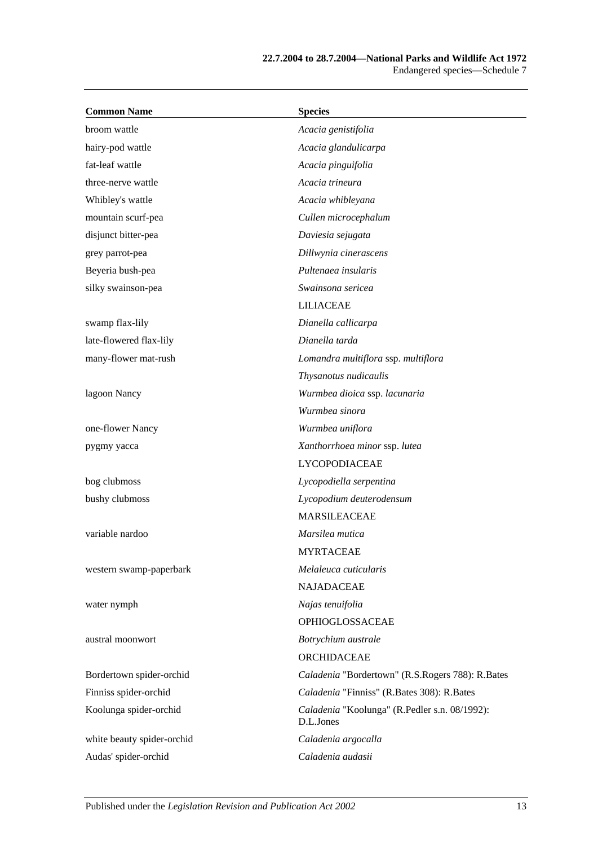| <b>Common Name</b>         | <b>Species</b>                                             |
|----------------------------|------------------------------------------------------------|
| broom wattle               | Acacia genistifolia                                        |
| hairy-pod wattle           | Acacia glandulicarpa                                       |
| fat-leaf wattle            | Acacia pinguifolia                                         |
| three-nerve wattle         | Acacia trineura                                            |
| Whibley's wattle           | Acacia whibleyana                                          |
| mountain scurf-pea         | Cullen microcephalum                                       |
| disjunct bitter-pea        | Daviesia sejugata                                          |
| grey parrot-pea            | Dillwynia cinerascens                                      |
| Beyeria bush-pea           | Pultenaea insularis                                        |
| silky swainson-pea         | Swainsona sericea                                          |
|                            | <b>LILIACEAE</b>                                           |
| swamp flax-lily            | Dianella callicarpa                                        |
| late-flowered flax-lily    | Dianella tarda                                             |
| many-flower mat-rush       | Lomandra multiflora ssp. multiflora                        |
|                            | Thysanotus nudicaulis                                      |
| lagoon Nancy               | Wurmbea dioica ssp. lacunaria                              |
|                            | Wurmbea sinora                                             |
| one-flower Nancy           | Wurmbea uniflora                                           |
| pygmy yacca                | Xanthorrhoea minor ssp. lutea                              |
|                            | <b>LYCOPODIACEAE</b>                                       |
| bog clubmoss               | Lycopodiella serpentina                                    |
| bushy clubmoss             | Lycopodium deuterodensum                                   |
|                            | <b>MARSILEACEAE</b>                                        |
| variable nardoo            | Marsilea mutica                                            |
|                            | <b>MYRTACEAE</b>                                           |
| western swamp-paperbark    | Melaleuca cuticularis                                      |
|                            | <b>NAJADACEAE</b>                                          |
| water nymph                | Najas tenuifolia                                           |
|                            | OPHIOGLOSSACEAE                                            |
| austral moonwort           | Botrychium australe                                        |
|                            | ORCHIDACEAE                                                |
| Bordertown spider-orchid   | Caladenia "Bordertown" (R.S.Rogers 788): R.Bates           |
| Finniss spider-orchid      | Caladenia "Finniss" (R.Bates 308): R.Bates                 |
| Koolunga spider-orchid     | Caladenia "Koolunga" (R.Pedler s.n. 08/1992):<br>D.L.Jones |
| white beauty spider-orchid | Caladenia argocalla                                        |
| Audas' spider-orchid       | Caladenia audasii                                          |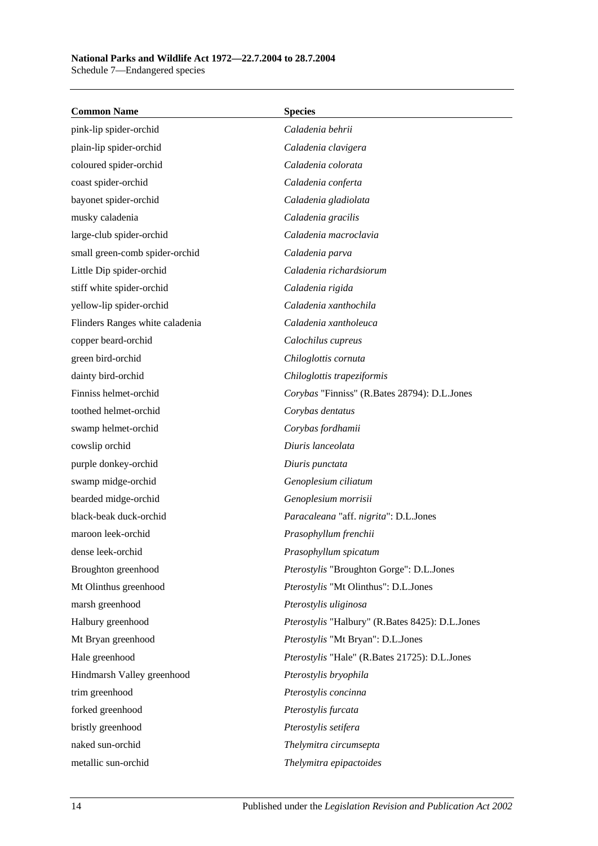| <b>Common Name</b>              | <b>Species</b>                                  |
|---------------------------------|-------------------------------------------------|
| pink-lip spider-orchid          | Caladenia behrii                                |
| plain-lip spider-orchid         | Caladenia clavigera                             |
| coloured spider-orchid          | Caladenia colorata                              |
| coast spider-orchid             | Caladenia conferta                              |
| bayonet spider-orchid           | Caladenia gladiolata                            |
| musky caladenia                 | Caladenia gracilis                              |
| large-club spider-orchid        | Caladenia macroclavia                           |
| small green-comb spider-orchid  | Caladenia parva                                 |
| Little Dip spider-orchid        | Caladenia richardsiorum                         |
| stiff white spider-orchid       | Caladenia rigida                                |
| yellow-lip spider-orchid        | Caladenia xanthochila                           |
| Flinders Ranges white caladenia | Caladenia xantholeuca                           |
| copper beard-orchid             | Calochilus cupreus                              |
| green bird-orchid               | Chiloglottis cornuta                            |
| dainty bird-orchid              | Chiloglottis trapeziformis                      |
| Finniss helmet-orchid           | Corybas "Finniss" (R.Bates 28794): D.L.Jones    |
| toothed helmet-orchid           | Corybas dentatus                                |
| swamp helmet-orchid             | Corybas fordhamii                               |
| cowslip orchid                  | Diuris lanceolata                               |
| purple donkey-orchid            | Diuris punctata                                 |
| swamp midge-orchid              | Genoplesium ciliatum                            |
| bearded midge-orchid            | Genoplesium morrisii                            |
| black-beak duck-orchid          | Paracaleana "aff. nigrita": D.L.Jones           |
| maroon leek-orchid              | Prasophyllum frenchii                           |
| dense leek-orchid               | Prasophyllum spicatum                           |
| Broughton greenhood             | Pterostylis "Broughton Gorge": D.L.Jones        |
| Mt Olinthus greenhood           | Pterostylis "Mt Olinthus": D.L.Jones            |
| marsh greenhood                 | Pterostylis uliginosa                           |
| Halbury greenhood               | Pterostylis "Halbury" (R.Bates 8425): D.L.Jones |
| Mt Bryan greenhood              | Pterostylis "Mt Bryan": D.L.Jones               |
| Hale greenhood                  | Pterostylis "Hale" (R.Bates 21725): D.L.Jones   |
| Hindmarsh Valley greenhood      | Pterostylis bryophila                           |
| trim greenhood                  | Pterostylis concinna                            |
| forked greenhood                | Pterostylis furcata                             |
| bristly greenhood               | Pterostylis setifera                            |
| naked sun-orchid                | Thelymitra circumsepta                          |
| metallic sun-orchid             | Thelymitra epipactoides                         |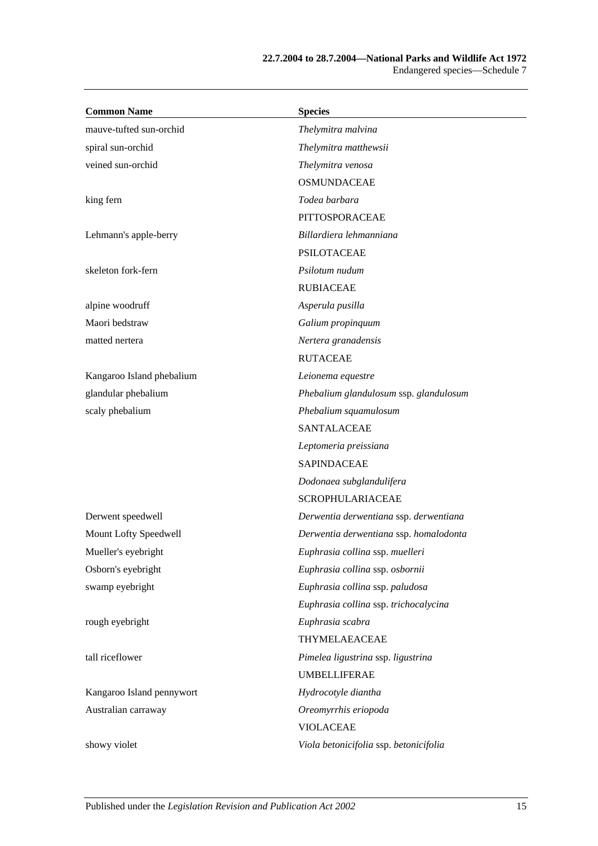| <b>Common Name</b>        | <b>Species</b>                         |
|---------------------------|----------------------------------------|
| mauve-tufted sun-orchid   | Thelymitra malvina                     |
| spiral sun-orchid         | Thelymitra matthewsii                  |
| veined sun-orchid         | Thelymitra venosa                      |
|                           | <b>OSMUNDACEAE</b>                     |
| king fern                 | Todea barbara                          |
|                           | PITTOSPORACEAE                         |
| Lehmann's apple-berry     | Billardiera lehmanniana                |
|                           | <b>PSILOTACEAE</b>                     |
| skeleton fork-fern        | Psilotum nudum                         |
|                           | <b>RUBIACEAE</b>                       |
| alpine woodruff           | Asperula pusilla                       |
| Maori bedstraw            | Galium propinquum                      |
| matted nertera            | Nertera granadensis                    |
|                           | <b>RUTACEAE</b>                        |
| Kangaroo Island phebalium | Leionema equestre                      |
| glandular phebalium       | Phebalium glandulosum ssp. glandulosum |
| scaly phebalium           | Phebalium squamulosum                  |
|                           | <b>SANTALACEAE</b>                     |
|                           | Leptomeria preissiana                  |
|                           | <b>SAPINDACEAE</b>                     |
|                           | Dodonaea subglandulifera               |
|                           | <b>SCROPHULARIACEAE</b>                |
| Derwent speedwell         | Derwentia derwentiana ssp. derwentiana |
| Mount Lofty Speedwell     | Derwentia derwentiana ssp. homalodonta |
| Mueller's eyebright       | Euphrasia collina ssp. muelleri        |
| Osborn's eyebright        | Euphrasia collina ssp. osbornii        |
| swamp eyebright           | Euphrasia collina ssp. paludosa        |
|                           | Euphrasia collina ssp. trichocalycina  |
| rough eyebright           | Euphrasia scabra                       |
|                           | THYMELAEACEAE                          |
| tall riceflower           | Pimelea ligustrina ssp. ligustrina     |
|                           | <b>UMBELLIFERAE</b>                    |
| Kangaroo Island pennywort | Hydrocotyle diantha                    |
| Australian carraway       | Oreomyrrhis eriopoda                   |
|                           | <b>VIOLACEAE</b>                       |
| showy violet              | Viola betonicifolia ssp. betonicifolia |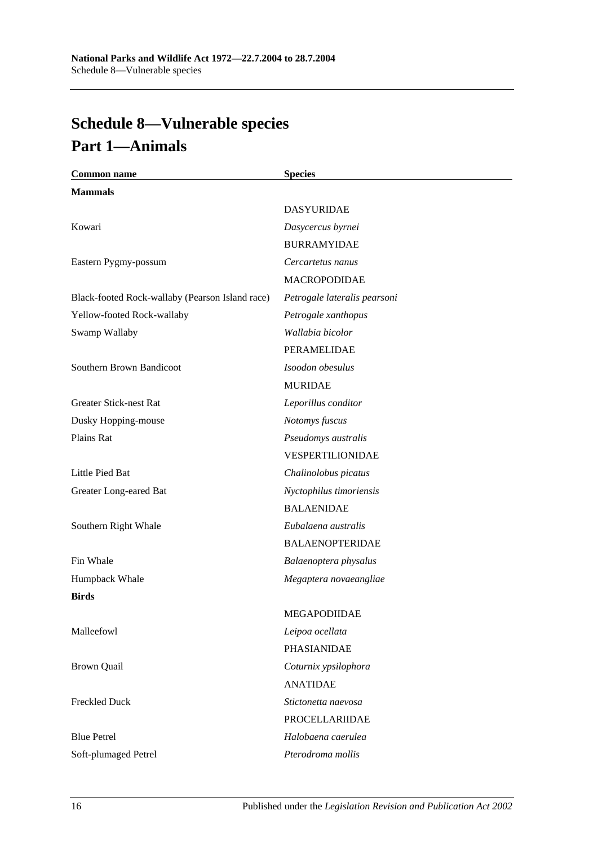# **Schedule 8—Vulnerable species Part 1—Animals**

| <b>Common name</b>                              | <b>Species</b>               |
|-------------------------------------------------|------------------------------|
| <b>Mammals</b>                                  |                              |
|                                                 | <b>DASYURIDAE</b>            |
| Kowari                                          | Dasycercus byrnei            |
|                                                 | <b>BURRAMYIDAE</b>           |
| Eastern Pygmy-possum                            | Cercartetus nanus            |
|                                                 | <b>MACROPODIDAE</b>          |
| Black-footed Rock-wallaby (Pearson Island race) | Petrogale lateralis pearsoni |
| Yellow-footed Rock-wallaby                      | Petrogale xanthopus          |
| Swamp Wallaby                                   | Wallabia bicolor             |
|                                                 | PERAMELIDAE                  |
| Southern Brown Bandicoot                        | Isoodon obesulus             |
|                                                 | <b>MURIDAE</b>               |
| <b>Greater Stick-nest Rat</b>                   | Leporillus conditor          |
| Dusky Hopping-mouse                             | Notomys fuscus               |
| Plains Rat                                      | Pseudomys australis          |
|                                                 | VESPERTILIONIDAE             |
| Little Pied Bat                                 | Chalinolobus picatus         |
| Greater Long-eared Bat                          | Nyctophilus timoriensis      |
|                                                 | <b>BALAENIDAE</b>            |
| Southern Right Whale                            | Eubalaena australis          |
|                                                 | <b>BALAENOPTERIDAE</b>       |
| Fin Whale                                       | Balaenoptera physalus        |
| Humpback Whale                                  | Megaptera novaeangliae       |
| <b>Birds</b>                                    |                              |
|                                                 | MEGAPODIIDAE                 |
| Malleefowl                                      | Leipoa ocellata              |
|                                                 | PHASIANIDAE                  |
| <b>Brown Quail</b>                              | Coturnix ypsilophora         |
|                                                 | <b>ANATIDAE</b>              |
| <b>Freckled Duck</b>                            | Stictonetta naevosa          |
|                                                 | PROCELLARIIDAE               |
| <b>Blue Petrel</b>                              | Halobaena caerulea           |
| Soft-plumaged Petrel                            | Pterodroma mollis            |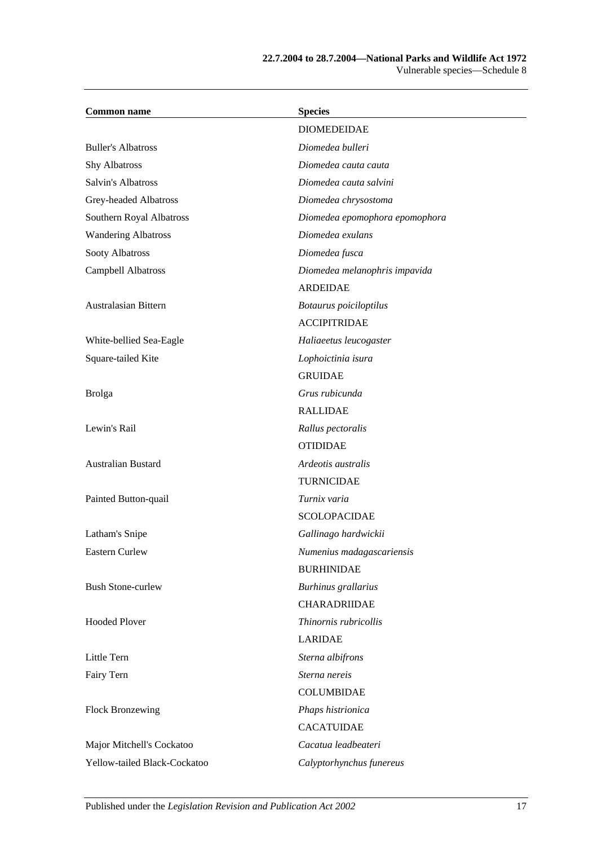#### **22.7.2004 to 28.7.2004—National Parks and Wildlife Act 1972** Vulnerable species—Schedule 8

| <b>Common name</b>           | <b>Species</b>                 |
|------------------------------|--------------------------------|
|                              | <b>DIOMEDEIDAE</b>             |
| <b>Buller's Albatross</b>    | Diomedea bulleri               |
| <b>Shy Albatross</b>         | Diomedea cauta cauta           |
| Salvin's Albatross           | Diomedea cauta salvini         |
| Grey-headed Albatross        | Diomedea chrysostoma           |
| Southern Royal Albatross     | Diomedea epomophora epomophora |
| <b>Wandering Albatross</b>   | Diomedea exulans               |
| Sooty Albatross              | Diomedea fusca                 |
| Campbell Albatross           | Diomedea melanophris impavida  |
|                              | <b>ARDEIDAE</b>                |
| Australasian Bittern         | Botaurus poiciloptilus         |
|                              | <b>ACCIPITRIDAE</b>            |
| White-bellied Sea-Eagle      | Haliaeetus leucogaster         |
| Square-tailed Kite           | Lophoictinia isura             |
|                              | <b>GRUIDAE</b>                 |
| <b>Brolga</b>                | Grus rubicunda                 |
|                              | <b>RALLIDAE</b>                |
| Lewin's Rail                 | Rallus pectoralis              |
|                              | <b>OTIDIDAE</b>                |
| Australian Bustard           | Ardeotis australis             |
|                              | <b>TURNICIDAE</b>              |
| Painted Button-quail         | Turnix varia                   |
|                              | <b>SCOLOPACIDAE</b>            |
| Latham's Snipe               | Gallinago hardwickii           |
| Eastern Curlew               | Numenius madagascariensis      |
|                              | <b>BURHINIDAE</b>              |
| <b>Bush Stone-curlew</b>     | Burhinus grallarius            |
|                              | CHARADRIIDAE                   |
| <b>Hooded Plover</b>         | Thinornis rubricollis          |
|                              | <b>LARIDAE</b>                 |
| Little Tern                  | Sterna albifrons               |
| Fairy Tern                   | Sterna nereis                  |
|                              | <b>COLUMBIDAE</b>              |
| <b>Flock Bronzewing</b>      | Phaps histrionica              |
|                              | <b>CACATUIDAE</b>              |
| Major Mitchell's Cockatoo    | Cacatua leadbeateri            |
| Yellow-tailed Black-Cockatoo | Calyptorhynchus funereus       |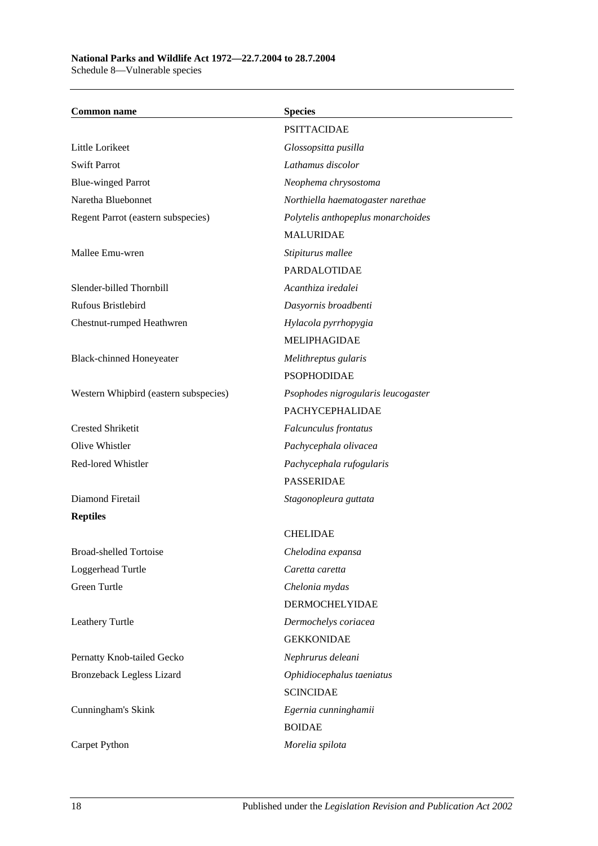| <b>Common name</b>                    | <b>Species</b>                     |
|---------------------------------------|------------------------------------|
|                                       | <b>PSITTACIDAE</b>                 |
| Little Lorikeet                       | Glossopsitta pusilla               |
| <b>Swift Parrot</b>                   | Lathamus discolor                  |
| <b>Blue-winged Parrot</b>             | Neophema chrysostoma               |
| Naretha Bluebonnet                    | Northiella haematogaster narethae  |
| Regent Parrot (eastern subspecies)    | Polytelis anthopeplus monarchoides |
|                                       | <b>MALURIDAE</b>                   |
| Mallee Emu-wren                       | Stipiturus mallee                  |
|                                       | PARDALOTIDAE                       |
| Slender-billed Thornbill              | Acanthiza iredalei                 |
| <b>Rufous Bristlebird</b>             | Dasyornis broadbenti               |
| Chestnut-rumped Heathwren             | Hylacola pyrrhopygia               |
|                                       | <b>MELIPHAGIDAE</b>                |
| <b>Black-chinned Honeyeater</b>       | Melithreptus gularis               |
|                                       | <b>PSOPHODIDAE</b>                 |
| Western Whipbird (eastern subspecies) | Psophodes nigrogularis leucogaster |
|                                       | PACHYCEPHALIDAE                    |
| <b>Crested Shriketit</b>              | Falcunculus frontatus              |
| Olive Whistler                        | Pachycephala olivacea              |
| Red-lored Whistler                    | Pachycephala rufogularis           |
|                                       | <b>PASSERIDAE</b>                  |
| Diamond Firetail                      | Stagonopleura guttata              |
| <b>Reptiles</b>                       |                                    |
|                                       | <b>CHELIDAE</b>                    |
| Broad-shelled Tortoise                | Chelodina expansa                  |
| Loggerhead Turtle                     | Caretta caretta                    |
| Green Turtle                          | Chelonia mydas                     |
|                                       | <b>DERMOCHELYIDAE</b>              |
| Leathery Turtle                       | Dermochelys coriacea               |
|                                       | <b>GEKKONIDAE</b>                  |
| Pernatty Knob-tailed Gecko            | Nephrurus deleani                  |
| <b>Bronzeback Legless Lizard</b>      | Ophidiocephalus taeniatus          |
|                                       | <b>SCINCIDAE</b>                   |
| Cunningham's Skink                    | Egernia cunninghamii               |
|                                       | <b>BOIDAE</b>                      |
| Carpet Python                         | Morelia spilota                    |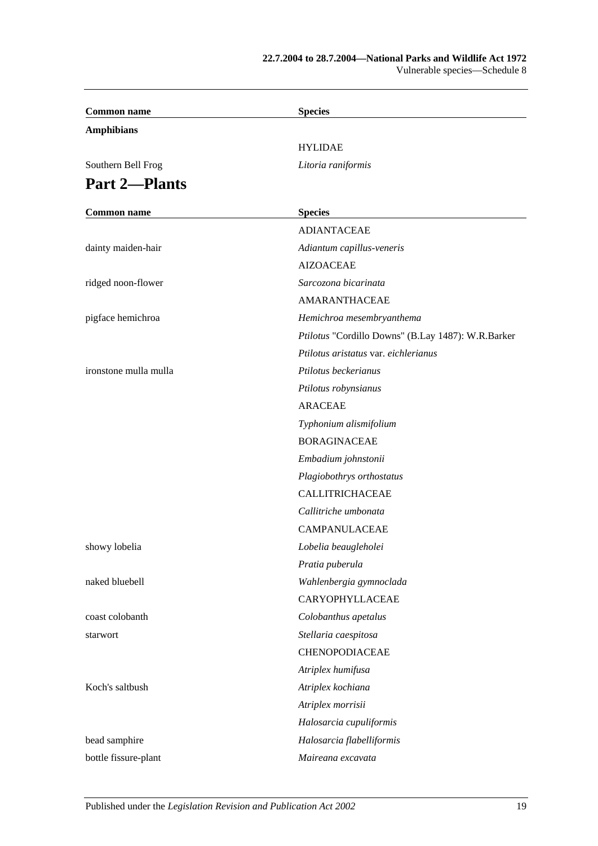#### **22.7.2004 to 28.7.2004—National Parks and Wildlife Act 1972** Vulnerable species—Schedule 8

| <b>Common name</b>    | <b>Species</b>                                     |
|-----------------------|----------------------------------------------------|
| <b>Amphibians</b>     |                                                    |
|                       | <b>HYLIDAE</b>                                     |
| Southern Bell Frog    | Litoria raniformis                                 |
| <b>Part 2-Plants</b>  |                                                    |
|                       |                                                    |
| <b>Common name</b>    | <b>Species</b>                                     |
|                       | <b>ADIANTACEAE</b>                                 |
| dainty maiden-hair    | Adiantum capillus-veneris                          |
|                       | <b>AIZOACEAE</b>                                   |
| ridged noon-flower    | Sarcozona bicarinata                               |
|                       | AMARANTHACEAE                                      |
| pigface hemichroa     | Hemichroa mesembryanthema                          |
|                       | Ptilotus "Cordillo Downs" (B.Lay 1487): W.R.Barker |
|                       | Ptilotus aristatus var. eichlerianus               |
| ironstone mulla mulla | Ptilotus beckerianus                               |
|                       | Ptilotus robynsianus                               |
|                       | <b>ARACEAE</b>                                     |
|                       | Typhonium alismifolium                             |
|                       | <b>BORAGINACEAE</b>                                |
|                       | Embadium johnstonii                                |
|                       | Plagiobothrys orthostatus                          |
|                       | CALLITRICHACEAE                                    |
|                       | Callitriche umbonata                               |
|                       | <b>CAMPANULACEAE</b>                               |
| showy lobelia         | Lobelia beaugleholei                               |
|                       | Pratia puberula                                    |
| naked bluebell        | Wahlenbergia gymnoclada                            |
|                       | CARYOPHYLLACEAE                                    |
| coast colobanth       | Colobanthus apetalus                               |
| starwort              | Stellaria caespitosa                               |
|                       | CHENOPODIACEAE                                     |
|                       | Atriplex humifusa                                  |
| Koch's saltbush       | Atriplex kochiana                                  |
|                       | Atriplex morrisii                                  |
|                       | Halosarcia cupuliformis                            |
| bead samphire         | Halosarcia flabelliformis                          |
| bottle fissure-plant  | Maireana excavata                                  |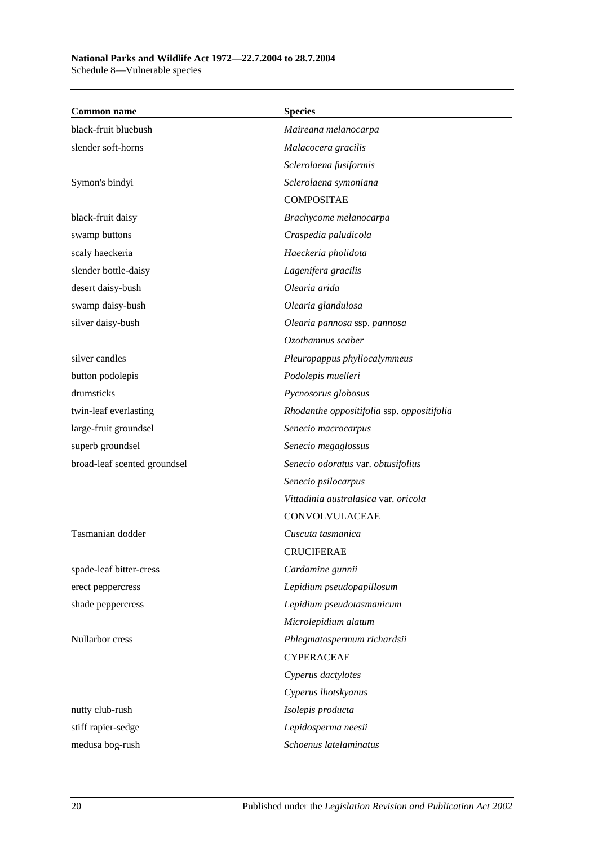## **National Parks and Wildlife Act 1972—22.7.2004 to 28.7.2004**

Schedule 8—Vulnerable species

| <b>Common name</b>           | <b>Species</b>                             |
|------------------------------|--------------------------------------------|
| black-fruit bluebush         | Maireana melanocarpa                       |
| slender soft-horns           | Malacocera gracilis                        |
|                              | Sclerolaena fusiformis                     |
| Symon's bindyi               | Sclerolaena symoniana                      |
|                              | <b>COMPOSITAE</b>                          |
| black-fruit daisy            | Brachycome melanocarpa                     |
| swamp buttons                | Craspedia paludicola                       |
| scaly haeckeria              | Haeckeria pholidota                        |
| slender bottle-daisy         | Lagenifera gracilis                        |
| desert daisy-bush            | Olearia arida                              |
| swamp daisy-bush             | Olearia glandulosa                         |
| silver daisy-bush            | Olearia pannosa ssp. pannosa               |
|                              | Ozothamnus scaber                          |
| silver candles               | Pleuropappus phyllocalymmeus               |
| button podolepis             | Podolepis muelleri                         |
| drumsticks                   | Pycnosorus globosus                        |
| twin-leaf everlasting        | Rhodanthe oppositifolia ssp. oppositifolia |
| large-fruit groundsel        | Senecio macrocarpus                        |
| superb groundsel             | Senecio megaglossus                        |
| broad-leaf scented groundsel | Senecio odoratus var. obtusifolius         |
|                              | Senecio psilocarpus                        |
|                              | Vittadinia australasica var. oricola       |
|                              | CONVOLVULACEAE                             |
| Tasmanian dodder             | Cuscuta tasmanica                          |
|                              | <b>CRUCIFERAE</b>                          |
| spade-leaf bitter-cress      | Cardamine gunnii                           |
| erect peppercress            | Lepidium pseudopapillosum                  |
| shade peppercress            | Lepidium pseudotasmanicum                  |
|                              | Microlepidium alatum                       |
| Nullarbor cress              | Phlegmatospermum richardsii                |
|                              | <b>CYPERACEAE</b>                          |
|                              | Cyperus dactylotes                         |
|                              | Cyperus lhotskyanus                        |
| nutty club-rush              | Isolepis producta                          |
| stiff rapier-sedge           | Lepidosperma neesii                        |
| medusa bog-rush              | Schoenus latelaminatus                     |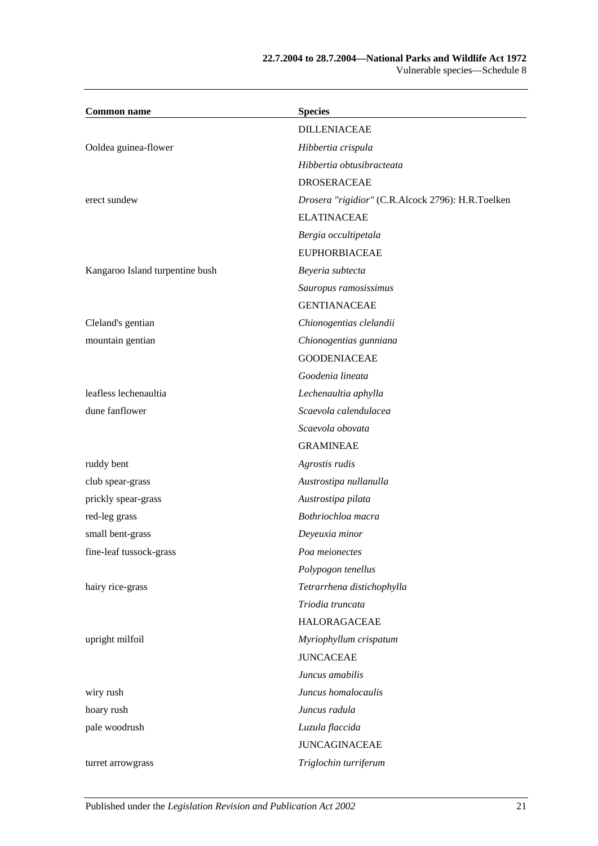### **22.7.2004 to 28.7.2004—National Parks and Wildlife Act 1972** Vulnerable species—Schedule 8

| <b>Common name</b>              | <b>Species</b>                                    |
|---------------------------------|---------------------------------------------------|
|                                 | <b>DILLENIACEAE</b>                               |
| Ooldea guinea-flower            | Hibbertia crispula                                |
|                                 | Hibbertia obtusibracteata                         |
|                                 | <b>DROSERACEAE</b>                                |
| erect sundew                    | Drosera "rigidior" (C.R.Alcock 2796): H.R.Toelken |
|                                 | <b>ELATINACEAE</b>                                |
|                                 | Bergia occultipetala                              |
|                                 | <b>EUPHORBIACEAE</b>                              |
| Kangaroo Island turpentine bush | Beyeria subtecta                                  |
|                                 | Sauropus ramosissimus                             |
|                                 | <b>GENTIANACEAE</b>                               |
| Cleland's gentian               | Chionogentias clelandii                           |
| mountain gentian                | Chionogentias gunniana                            |
|                                 | <b>GOODENIACEAE</b>                               |
|                                 | Goodenia lineata                                  |
| leafless lechenaultia           | Lechenaultia aphylla                              |
| dune fanflower                  | Scaevola calendulacea                             |
|                                 | Scaevola obovata                                  |
|                                 | <b>GRAMINEAE</b>                                  |
| ruddy bent                      | Agrostis rudis                                    |
| club spear-grass                | Austrostipa nullanulla                            |
| prickly spear-grass             | Austrostipa pilata                                |
| red-leg grass                   | Bothriochloa macra                                |
| small bent-grass                | Deyeuxia minor                                    |
| fine-leaf tussock-grass         | Poa meionectes                                    |
|                                 | Polypogon tenellus                                |
| hairy rice-grass                | Tetrarrhena distichophylla                        |
|                                 | Triodia truncata                                  |
|                                 | <b>HALORAGACEAE</b>                               |
| upright milfoil                 | Myriophyllum crispatum                            |
|                                 | <b>JUNCACEAE</b>                                  |
|                                 | Juncus amabilis                                   |
| wiry rush                       | Juncus homalocaulis                               |
| hoary rush                      | Juncus radula                                     |
| pale woodrush                   | Luzula flaccida                                   |
|                                 | <b>JUNCAGINACEAE</b>                              |
| turret arrowgrass               | Triglochin turriferum                             |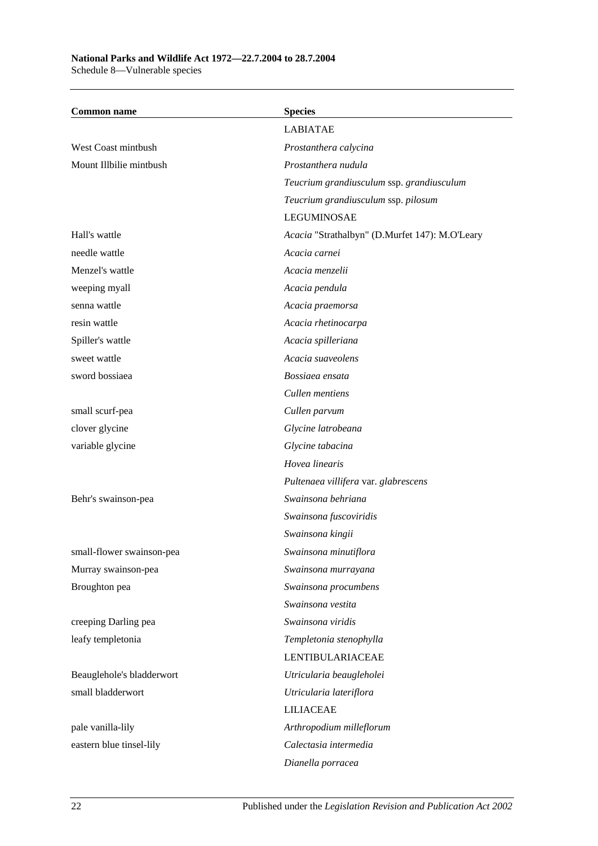### **National Parks and Wildlife Act 1972—22.7.2004 to 28.7.2004** Schedule 8—Vulnerable species

| <b>Common name</b>        | <b>Species</b>                                 |
|---------------------------|------------------------------------------------|
|                           | <b>LABIATAE</b>                                |
| West Coast mintbush       | Prostanthera calycina                          |
| Mount Illbilie mintbush   | Prostanthera nudula                            |
|                           | Teucrium grandiusculum ssp. grandiusculum      |
|                           | Teucrium grandiusculum ssp. pilosum            |
|                           | <b>LEGUMINOSAE</b>                             |
| Hall's wattle             | Acacia "Strathalbyn" (D.Murfet 147): M.O'Leary |
| needle wattle             | Acacia carnei                                  |
| Menzel's wattle           | Acacia menzelii                                |
| weeping myall             | Acacia pendula                                 |
| senna wattle              | Acacia praemorsa                               |
| resin wattle              | Acacia rhetinocarpa                            |
| Spiller's wattle          | Acacia spilleriana                             |
| sweet wattle              | Acacia suaveolens                              |
| sword bossiaea            | Bossiaea ensata                                |
|                           | Cullen mentiens                                |
| small scurf-pea           | Cullen parvum                                  |
| clover glycine            | Glycine latrobeana                             |
| variable glycine          | Glycine tabacina                               |
|                           | Hovea linearis                                 |
|                           | Pultenaea villifera var. glabrescens           |
| Behr's swainson-pea       | Swainsona behriana                             |
|                           | Swainsona fuscoviridis                         |
|                           | Swainsona kingii                               |
| small-flower swainson-pea | Swainsona minutiflora                          |
| Murray swainson-pea       | Swainsona murrayana                            |
| Broughton pea             | Swainsona procumbens                           |
|                           | Swainsona vestita                              |
| creeping Darling pea      | Swainsona viridis                              |
| leafy templetonia         | Templetonia stenophylla                        |
|                           | <b>LENTIBULARIACEAE</b>                        |
| Beauglehole's bladderwort | Utricularia beaugleholei                       |
| small bladderwort         | Utricularia lateriflora                        |
|                           | <b>LILIACEAE</b>                               |
| pale vanilla-lily         | Arthropodium milleflorum                       |
| eastern blue tinsel-lily  | Calectasia intermedia                          |
|                           | Dianella porracea                              |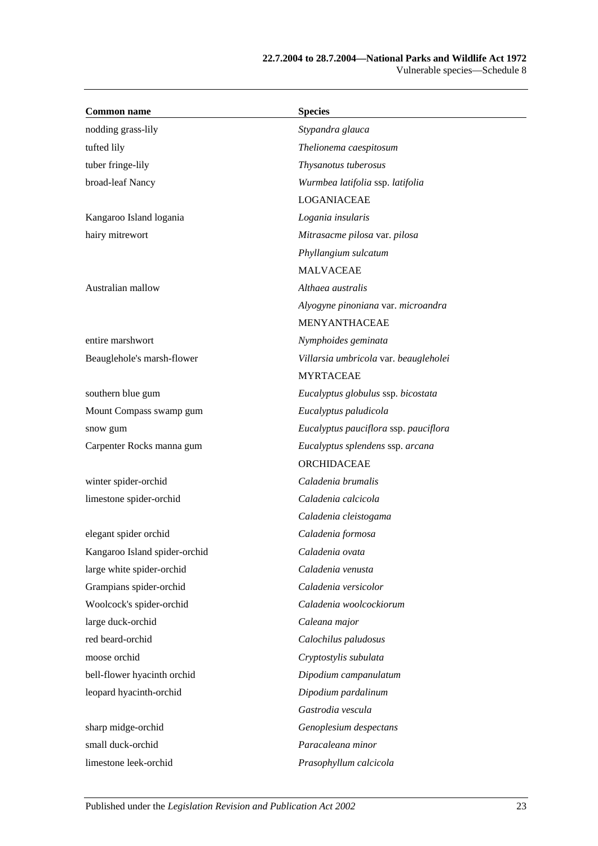#### **22.7.2004 to 28.7.2004—National Parks and Wildlife Act 1972** Vulnerable species—Schedule 8

| <b>Common name</b>            | <b>Species</b>                        |
|-------------------------------|---------------------------------------|
| nodding grass-lily            | Stypandra glauca                      |
| tufted lily                   | Thelionema caespitosum                |
| tuber fringe-lily             | Thysanotus tuberosus                  |
| broad-leaf Nancy              | Wurmbea latifolia ssp. latifolia      |
|                               | LOGANIACEAE                           |
| Kangaroo Island logania       | Logania insularis                     |
| hairy mitrewort               | Mitrasacme pilosa var. pilosa         |
|                               | Phyllangium sulcatum                  |
|                               | <b>MALVACEAE</b>                      |
| Australian mallow             | Althaea australis                     |
|                               | Alyogyne pinoniana var. microandra    |
|                               | <b>MENYANTHACEAE</b>                  |
| entire marshwort              | Nymphoides geminata                   |
| Beauglehole's marsh-flower    | Villarsia umbricola var. beaugleholei |
|                               | <b>MYRTACEAE</b>                      |
| southern blue gum             | Eucalyptus globulus ssp. bicostata    |
| Mount Compass swamp gum       | Eucalyptus paludicola                 |
| snow gum                      | Eucalyptus pauciflora ssp. pauciflora |
| Carpenter Rocks manna gum     | Eucalyptus splendens ssp. arcana      |
|                               | ORCHIDACEAE                           |
| winter spider-orchid          | Caladenia brumalis                    |
| limestone spider-orchid       | Caladenia calcicola                   |
|                               | Caladenia cleistogama                 |
| elegant spider orchid         | Caladenia formosa                     |
| Kangaroo Island spider-orchid | Caladenia ovata                       |
| large white spider-orchid     | Caladenia venusta                     |
| Grampians spider-orchid       | Caladenia versicolor                  |
| Woolcock's spider-orchid      | Caladenia woolcockiorum               |
| large duck-orchid             | Caleana major                         |
| red beard-orchid              | Calochilus paludosus                  |
| moose orchid                  | Cryptostylis subulata                 |
| bell-flower hyacinth orchid   | Dipodium campanulatum                 |
| leopard hyacinth-orchid       | Dipodium pardalinum                   |
|                               | Gastrodia vescula                     |
| sharp midge-orchid            | Genoplesium despectans                |
| small duck-orchid             | Paracaleana minor                     |
| limestone leek-orchid         | Prasophyllum calcicola                |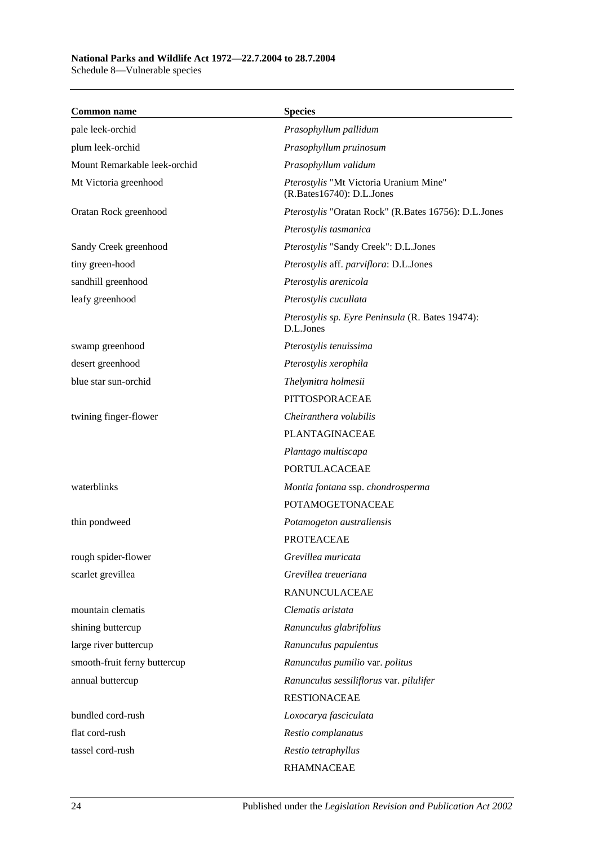#### **National Parks and Wildlife Act 1972—22.7.2004 to 28.7.2004** Schedule 8—Vulnerable species

**Common name Species** pale leek-orchid *Prasophyllum pallidum* plum leek-orchid *Prasophyllum pruinosum* Mount Remarkable leek-orchid *Prasophyllum validum* Mt Victoria greenhood *Pterostylis* "Mt Victoria Uranium Mine" (R.Bates16740): D.L.Jones Oratan Rock greenhood *Pterostylis* "Oratan Rock" (R.Bates 16756): D.L.Jones *Pterostylis tasmanica* Sandy Creek greenhood *Pterostylis* "Sandy Creek": D.L.Jones tiny green-hood *Pterostylis* aff. *parviflora*: D.L.Jones sandhill greenhood *Pterostylis arenicola* leafy greenhood *Pterostylis cucullata Pterostylis sp. Eyre Peninsula* (R. Bates 19474): D.L.Jones swamp greenhood *Pterostylis tenuissima* desert greenhood *Pterostylis xerophila* blue star sun-orchid *Thelymitra holmesii* PITTOSPORACEAE twining finger-flower *Cheiranthera volubilis* PLANTAGINACEAE *Plantago multiscapa* PORTULACACEAE waterblinks *Montia fontana* ssp. *chondrosperma* POTAMOGETONACEAE thin pondweed *Potamogeton australiensis* PROTEACEAE rough spider-flower *Grevillea muricata* scarlet grevillea *Grevillea treueriana* RANUNCULACEAE mountain clematis *Clematis aristata* shining buttercup *Ranunculus glabrifolius* large river buttercup *Ranunculus papulentus* smooth-fruit ferny buttercup *Ranunculus pumilio* var. *politus* annual buttercup *Ranunculus sessiliflorus* var. *pilulifer* RESTIONACEAE bundled cord-rush *Loxocarya fasciculata* flat cord-rush *Restio complanatus* tassel cord-rush *Restio tetraphyllus* RHAMNACEAE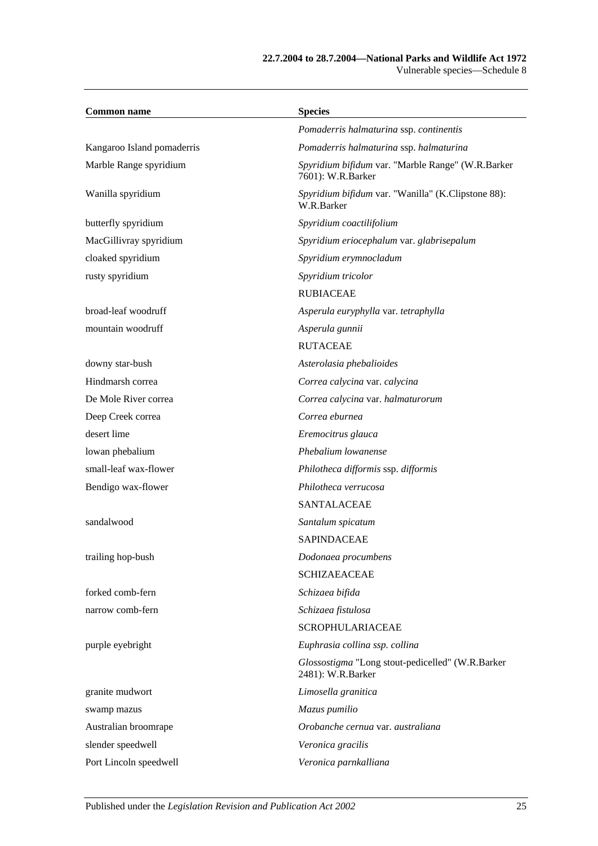#### **22.7.2004 to 28.7.2004—National Parks and Wildlife Act 1972** Vulnerable species—Schedule 8

| <b>Common name</b>         | <b>Species</b>                                                         |
|----------------------------|------------------------------------------------------------------------|
|                            | Pomaderris halmaturina ssp. continentis                                |
| Kangaroo Island pomaderris | Pomaderris halmaturina ssp. halmaturina                                |
| Marble Range spyridium     | Spyridium bifidum var. "Marble Range" (W.R.Barker<br>7601): W.R.Barker |
| Wanilla spyridium          | Spyridium bifidum var. "Wanilla" (K.Clipstone 88):<br>W.R.Barker       |
| butterfly spyridium        | Spyridium coactilifolium                                               |
| MacGillivray spyridium     | Spyridium eriocephalum var. glabrisepalum                              |
| cloaked spyridium          | Spyridium erymnocladum                                                 |
| rusty spyridium            | Spyridium tricolor                                                     |
|                            | <b>RUBIACEAE</b>                                                       |
| broad-leaf woodruff        | Asperula euryphylla var. tetraphylla                                   |
| mountain woodruff          | Asperula gunnii                                                        |
|                            | <b>RUTACEAE</b>                                                        |
| downy star-bush            | Asterolasia phebalioides                                               |
| Hindmarsh correa           | Correa calycina var. calycina                                          |
| De Mole River correa       | Correa calycina var. halmaturorum                                      |
| Deep Creek correa          | Correa eburnea                                                         |
| desert lime                | Eremocitrus glauca                                                     |
| lowan phebalium            | Phebalium lowanense                                                    |
| small-leaf wax-flower      | Philotheca difformis ssp. difformis                                    |
| Bendigo wax-flower         | Philotheca verrucosa                                                   |
|                            | <b>SANTALACEAE</b>                                                     |
| sandalwood                 | Santalum spicatum                                                      |
|                            | <b>SAPINDACEAE</b>                                                     |
| trailing hop-bush          | Dodonaea procumbens                                                    |
|                            | <b>SCHIZAEACEAE</b>                                                    |
| forked comb-fern           | Schizaea bifida                                                        |
| narrow comb-fern           | Schizaea fistulosa                                                     |
|                            | <b>SCROPHULARIACEAE</b>                                                |
| purple eyebright           | Euphrasia collina ssp. collina                                         |
|                            | Glossostigma "Long stout-pedicelled" (W.R.Barker<br>2481): W.R.Barker  |
| granite mudwort            | Limosella granitica                                                    |
| swamp mazus                | Mazus pumilio                                                          |
| Australian broomrape       | Orobanche cernua var. australiana                                      |
| slender speedwell          | Veronica gracilis                                                      |
| Port Lincoln speedwell     | Veronica parnkalliana                                                  |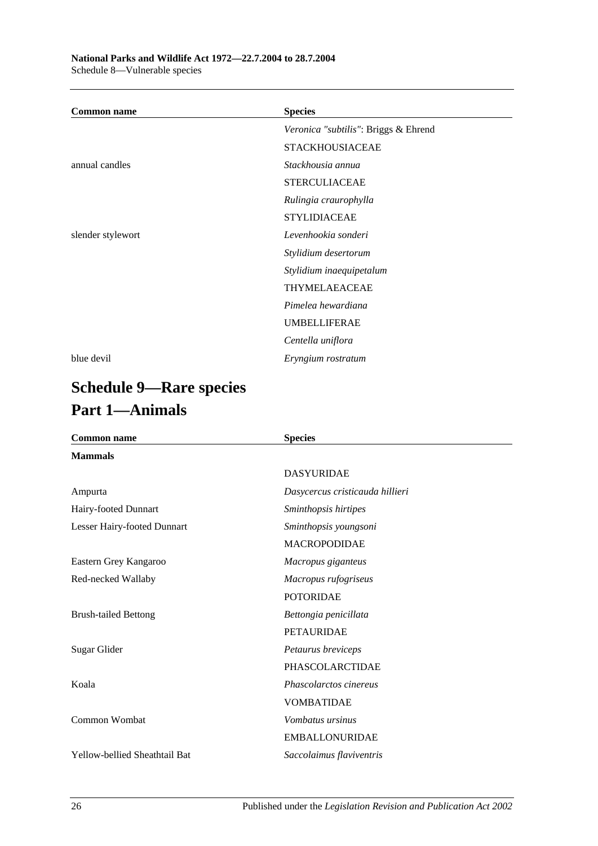| <b>Common name</b> | <b>Species</b>                       |
|--------------------|--------------------------------------|
|                    | Veronica "subtilis": Briggs & Ehrend |
|                    | <b>STACKHOUSIACEAE</b>               |
| annual candles     | Stackhousia annua                    |
|                    | <b>STERCULIACEAE</b>                 |
|                    | Rulingia craurophylla                |
|                    | <b>STYLIDIACEAE</b>                  |
| slender stylewort  | Levenhookia sonderi                  |
|                    | Stylidium desertorum                 |
|                    | Stylidium inaequipetalum             |
|                    | THYMELAEACEAE                        |
|                    | Pimelea hewardiana                   |
|                    | <b>UMBELLIFERAE</b>                  |
|                    | Centella uniflora                    |
| blue devil         | Eryngium rostratum                   |

# **Schedule 9—Rare species Part 1—Animals**

| <b>Common name</b>            | <b>Species</b>                  |  |
|-------------------------------|---------------------------------|--|
| <b>Mammals</b>                |                                 |  |
|                               | <b>DASYURIDAE</b>               |  |
| Ampurta                       | Dasycercus cristicauda hillieri |  |
| Hairy-footed Dunnart          | Sminthopsis hirtipes            |  |
| Lesser Hairy-footed Dunnart   | Sminthopsis youngsoni           |  |
|                               | <b>MACROPODIDAE</b>             |  |
| Eastern Grey Kangaroo         | Macropus giganteus              |  |
| Red-necked Wallaby            | Macropus rufogriseus            |  |
|                               | <b>POTORIDAE</b>                |  |
| <b>Brush-tailed Bettong</b>   | Bettongia penicillata           |  |
|                               | <b>PETAURIDAE</b>               |  |
| Sugar Glider                  | Petaurus breviceps              |  |
|                               | PHASCOLARCTIDAE                 |  |
| Koala                         | Phascolarctos cinereus          |  |
|                               | <b>VOMBATIDAE</b>               |  |
| Common Wombat                 | <i>Vombatus ursinus</i>         |  |
|                               | <b>EMBALLONURIDAE</b>           |  |
| Yellow-bellied Sheathtail Bat | Saccolaimus flaviventris        |  |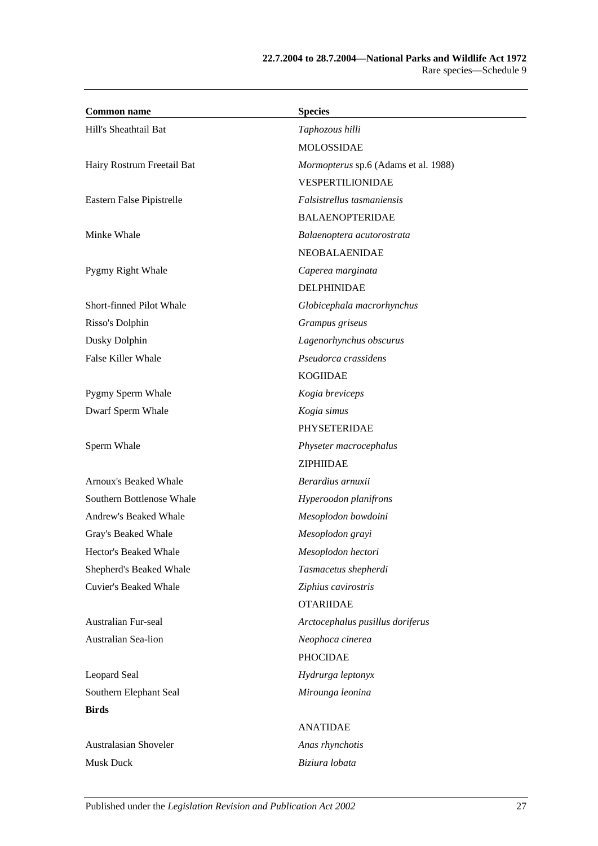| <b>Common name</b>           | <b>Species</b>                       |
|------------------------------|--------------------------------------|
| Hill's Sheathtail Bat        | Taphozous hilli                      |
|                              | <b>MOLOSSIDAE</b>                    |
| Hairy Rostrum Freetail Bat   | Mormopterus sp.6 (Adams et al. 1988) |
|                              | VESPERTILIONIDAE                     |
| Eastern False Pipistrelle    | Falsistrellus tasmaniensis           |
|                              | <b>BALAENOPTERIDAE</b>               |
| Minke Whale                  | Balaenoptera acutorostrata           |
|                              | <b>NEOBALAENIDAE</b>                 |
| Pygmy Right Whale            | Caperea marginata                    |
|                              | DELPHINIDAE                          |
| Short-finned Pilot Whale     | Globicephala macrorhynchus           |
| Risso's Dolphin              | Grampus griseus                      |
| Dusky Dolphin                | Lagenorhynchus obscurus              |
| <b>False Killer Whale</b>    | Pseudorca crassidens                 |
|                              | <b>KOGIIDAE</b>                      |
| Pygmy Sperm Whale            | Kogia breviceps                      |
| Dwarf Sperm Whale            | Kogia simus                          |
|                              | PHYSETERIDAE                         |
| Sperm Whale                  | Physeter macrocephalus               |
|                              | ZIPHIIDAE                            |
| Arnoux's Beaked Whale        | Berardius arnuxii                    |
| Southern Bottlenose Whale    | Hyperoodon planifrons                |
| Andrew's Beaked Whale        | Mesoplodon bowdoini                  |
| Gray's Beaked Whale          | Mesoplodon grayi                     |
| Hector's Beaked Whale        | Mesoplodon hectori                   |
| Shepherd's Beaked Whale      | Tasmacetus shepherdi                 |
| <b>Cuvier's Beaked Whale</b> | Ziphius cavirostris                  |
|                              | <b>OTARIIDAE</b>                     |
| Australian Fur-seal          | Arctocephalus pusillus doriferus     |
| Australian Sea-lion          | Neophoca cinerea                     |
|                              | <b>PHOCIDAE</b>                      |
| Leopard Seal                 | Hydrurga leptonyx                    |
| Southern Elephant Seal       | Mirounga leonina                     |
| <b>Birds</b>                 |                                      |
|                              | <b>ANATIDAE</b>                      |
| Australasian Shoveler        | Anas rhynchotis                      |
| <b>Musk Duck</b>             | Biziura lobata                       |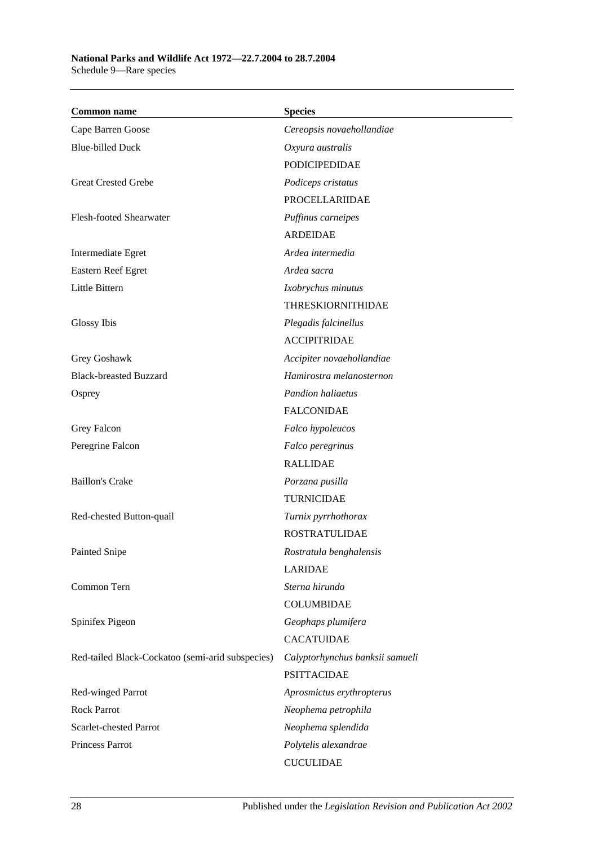| <b>Common name</b>                               | <b>Species</b>                  |
|--------------------------------------------------|---------------------------------|
| Cape Barren Goose                                | Cereopsis novaehollandiae       |
| <b>Blue-billed Duck</b>                          | Oxyura australis                |
|                                                  | <b>PODICIPEDIDAE</b>            |
| <b>Great Crested Grebe</b>                       | Podiceps cristatus              |
|                                                  | <b>PROCELLARIIDAE</b>           |
| Flesh-footed Shearwater                          | Puffinus carneipes              |
|                                                  | <b>ARDEIDAE</b>                 |
| Intermediate Egret                               | Ardea intermedia                |
| Eastern Reef Egret                               | Ardea sacra                     |
| Little Bittern                                   | Ixobrychus minutus              |
|                                                  | <b>THRESKIORNITHIDAE</b>        |
| Glossy Ibis                                      | Plegadis falcinellus            |
|                                                  | <b>ACCIPITRIDAE</b>             |
| Grey Goshawk                                     | Accipiter novaehollandiae       |
| <b>Black-breasted Buzzard</b>                    | Hamirostra melanosternon        |
| Osprey                                           | <b>Pandion haliaetus</b>        |
|                                                  | <b>FALCONIDAE</b>               |
| Grey Falcon                                      | Falco hypoleucos                |
| Peregrine Falcon                                 | Falco peregrinus                |
|                                                  | <b>RALLIDAE</b>                 |
| <b>Baillon's Crake</b>                           | Porzana pusilla                 |
|                                                  | <b>TURNICIDAE</b>               |
| Red-chested Button-quail                         | Turnix pyrrhothorax             |
|                                                  | <b>ROSTRATULIDAE</b>            |
| Painted Snipe                                    | Rostratula benghalensis         |
|                                                  | <b>LARIDAE</b>                  |
| Common Tern                                      | Sterna hirundo                  |
|                                                  | <b>COLUMBIDAE</b>               |
| Spinifex Pigeon                                  | Geophaps plumifera              |
|                                                  | <b>CACATUIDAE</b>               |
| Red-tailed Black-Cockatoo (semi-arid subspecies) | Calyptorhynchus banksii samueli |
|                                                  | <b>PSITTACIDAE</b>              |
| Red-winged Parrot                                | Aprosmictus erythropterus       |
| <b>Rock Parrot</b>                               | Neophema petrophila             |
| Scarlet-chested Parrot                           | Neophema splendida              |
| Princess Parrot                                  | Polytelis alexandrae            |
|                                                  | <b>CUCULIDAE</b>                |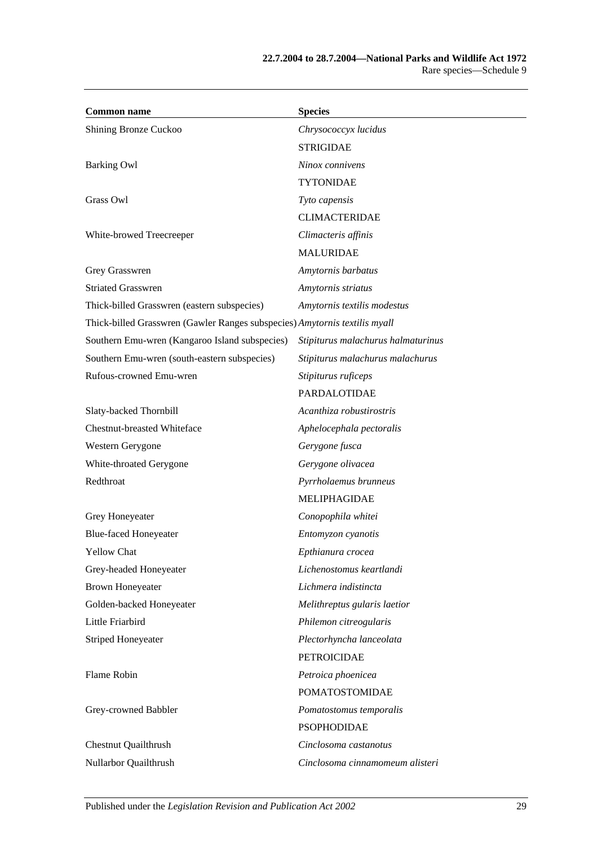| <b>Common name</b>                                                         | <b>Species</b>                     |
|----------------------------------------------------------------------------|------------------------------------|
| Shining Bronze Cuckoo                                                      | Chrysococcyx lucidus               |
|                                                                            | <b>STRIGIDAE</b>                   |
| <b>Barking Owl</b>                                                         | Ninox connivens                    |
|                                                                            | <b>TYTONIDAE</b>                   |
| Grass Owl                                                                  | Tyto capensis                      |
|                                                                            | <b>CLIMACTERIDAE</b>               |
| White-browed Treecreeper                                                   | Climacteris affinis                |
|                                                                            | <b>MALURIDAE</b>                   |
| Grey Grasswren                                                             | Amytornis barbatus                 |
| <b>Striated Grasswren</b>                                                  | Amytornis striatus                 |
| Thick-billed Grasswren (eastern subspecies)                                | Amytornis textilis modestus        |
| Thick-billed Grasswren (Gawler Ranges subspecies) Amytornis textilis myall |                                    |
| Southern Emu-wren (Kangaroo Island subspecies)                             | Stipiturus malachurus halmaturinus |
| Southern Emu-wren (south-eastern subspecies)                               | Stipiturus malachurus malachurus   |
| Rufous-crowned Emu-wren                                                    | Stipiturus ruficeps                |
|                                                                            | <b>PARDALOTIDAE</b>                |
| Slaty-backed Thornbill                                                     | Acanthiza robustirostris           |
| <b>Chestnut-breasted Whiteface</b>                                         | Aphelocephala pectoralis           |
| Western Gerygone                                                           | Gerygone fusca                     |
| White-throated Gerygone                                                    | Gerygone olivacea                  |
| Redthroat                                                                  | Pyrrholaemus brunneus              |
|                                                                            | MELIPHAGIDAE                       |
| Grey Honeyeater                                                            | Conopophila whitei                 |
| <b>Blue-faced Honeyeater</b>                                               | Entomyzon cyanotis                 |
| <b>Yellow Chat</b>                                                         | Epthianura crocea                  |
| Grey-headed Honeyeater                                                     | Lichenostomus keartlandi           |
| <b>Brown Honeyeater</b>                                                    | Lichmera indistincta               |
| Golden-backed Honeyeater                                                   | Melithreptus gularis laetior       |
| Little Friarbird                                                           | Philemon citreogularis             |
| <b>Striped Honeyeater</b>                                                  | Plectorhyncha lanceolata           |
|                                                                            | <b>PETROICIDAE</b>                 |
| Flame Robin                                                                | Petroica phoenicea                 |
|                                                                            | <b>POMATOSTOMIDAE</b>              |
| Grey-crowned Babbler                                                       | Pomatostomus temporalis            |
|                                                                            | <b>PSOPHODIDAE</b>                 |
| <b>Chestnut Quailthrush</b>                                                | Cinclosoma castanotus              |
| Nullarbor Quailthrush                                                      | Cinclosoma cinnamomeum alisteri    |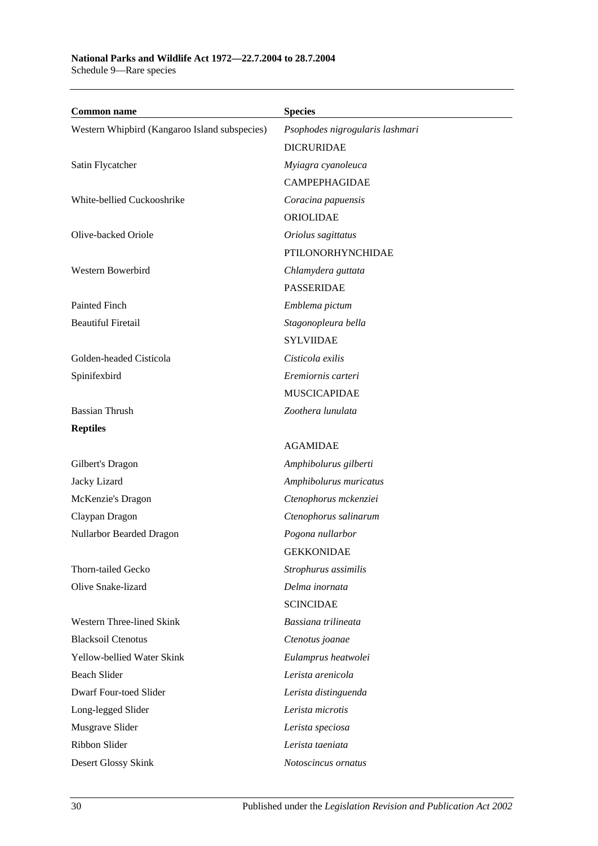| <b>Common name</b>                            | <b>Species</b>                  |
|-----------------------------------------------|---------------------------------|
| Western Whipbird (Kangaroo Island subspecies) | Psophodes nigrogularis lashmari |
|                                               | <b>DICRURIDAE</b>               |
| Satin Flycatcher                              | Myiagra cyanoleuca              |
|                                               | <b>CAMPEPHAGIDAE</b>            |
| White-bellied Cuckooshrike                    | Coracina papuensis              |
|                                               | ORIOLIDAE                       |
| Olive-backed Oriole                           | Oriolus sagittatus              |
|                                               | PTILONORHYNCHIDAE               |
| Western Bowerbird                             | Chlamydera guttata              |
|                                               | <b>PASSERIDAE</b>               |
| Painted Finch                                 | Emblema pictum                  |
| <b>Beautiful Firetail</b>                     | Stagonopleura bella             |
|                                               | <b>SYLVIIDAE</b>                |
| Golden-headed Cisticola                       | Cisticola exilis                |
| Spinifexbird                                  | Eremiornis carteri              |
|                                               | <b>MUSCICAPIDAE</b>             |
| <b>Bassian Thrush</b>                         | Zoothera lunulata               |
| <b>Reptiles</b>                               |                                 |
|                                               | <b>AGAMIDAE</b>                 |
| Gilbert's Dragon                              | Amphibolurus gilberti           |
| Jacky Lizard                                  | Amphibolurus muricatus          |
| McKenzie's Dragon                             | Ctenophorus mckenziei           |
| Claypan Dragon                                | Ctenophorus salinarum           |
| Nullarbor Bearded Dragon                      | Pogona nullarbor                |
|                                               | <b>GEKKONIDAE</b>               |
| Thorn-tailed Gecko                            | Strophurus assimilis            |
| Olive Snake-lizard                            | Delma inornata                  |
|                                               | <b>SCINCIDAE</b>                |
| Western Three-lined Skink                     | Bassiana trilineata             |
| <b>Blacksoil Ctenotus</b>                     | Ctenotus joanae                 |
| Yellow-bellied Water Skink                    | Eulamprus heatwolei             |
| <b>Beach Slider</b>                           | Lerista arenicola               |
| Dwarf Four-toed Slider                        | Lerista distinguenda            |
| Long-legged Slider                            | Lerista microtis                |
| Musgrave Slider                               | Lerista speciosa                |
| Ribbon Slider                                 | Lerista taeniata                |
| Desert Glossy Skink                           | Notoscincus ornatus             |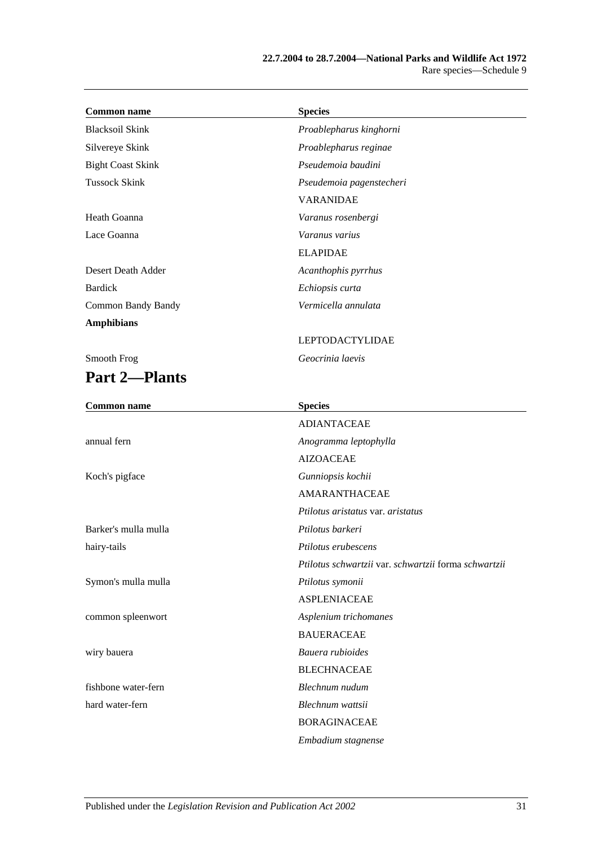| <b>Common name</b>        | <b>Species</b>                                       |
|---------------------------|------------------------------------------------------|
| <b>Blacksoil Skink</b>    | Proablepharus kinghorni                              |
| Silvereye Skink           | Proablepharus reginae                                |
| <b>Bight Coast Skink</b>  | Pseudemoia baudini                                   |
| <b>Tussock Skink</b>      | Pseudemoia pagenstecheri                             |
|                           | <b>VARANIDAE</b>                                     |
| Heath Goanna              | Varanus rosenbergi                                   |
| Lace Goanna               | Varanus varius                                       |
|                           | <b>ELAPIDAE</b>                                      |
| Desert Death Adder        | Acanthophis pyrrhus                                  |
| <b>Bardick</b>            | Echiopsis curta                                      |
| <b>Common Bandy Bandy</b> | Vermicella annulata                                  |
| <b>Amphibians</b>         |                                                      |
|                           | <b>LEPTODACTYLIDAE</b>                               |
| Smooth Frog               | Geocrinia laevis                                     |
| <b>Part 2-Plants</b>      |                                                      |
| <b>Common name</b>        | <b>Species</b>                                       |
|                           | <b>ADIANTACEAE</b>                                   |
| annual fern               | Anogramma leptophylla                                |
|                           | <b>AIZOACEAE</b>                                     |
| Koch's pigface            | Gunniopsis kochii                                    |
|                           | <b>AMARANTHACEAE</b>                                 |
|                           | Ptilotus aristatus var. aristatus                    |
| Barker's mulla mulla      | Ptilotus barkeri                                     |
| hairy-tails               | Ptilotus erubescens                                  |
|                           | Ptilotus schwartzii var. schwartzii forma schwartzii |
| Symon's mulla mulla       | Ptilotus symonii                                     |
|                           | <b>ASPLENIACEAE</b>                                  |
| common spleenwort         | Asplenium trichomanes                                |
|                           | <b>BAUERACEAE</b>                                    |
| wiry bauera               | Bauera rubioides                                     |
|                           | <b>BLECHNACEAE</b>                                   |
| fishbone water-fern       | Blechnum nudum                                       |
| hard water-fern           | Blechnum wattsii                                     |
|                           | <b>BORAGINACEAE</b>                                  |
|                           | Embadium stagnense                                   |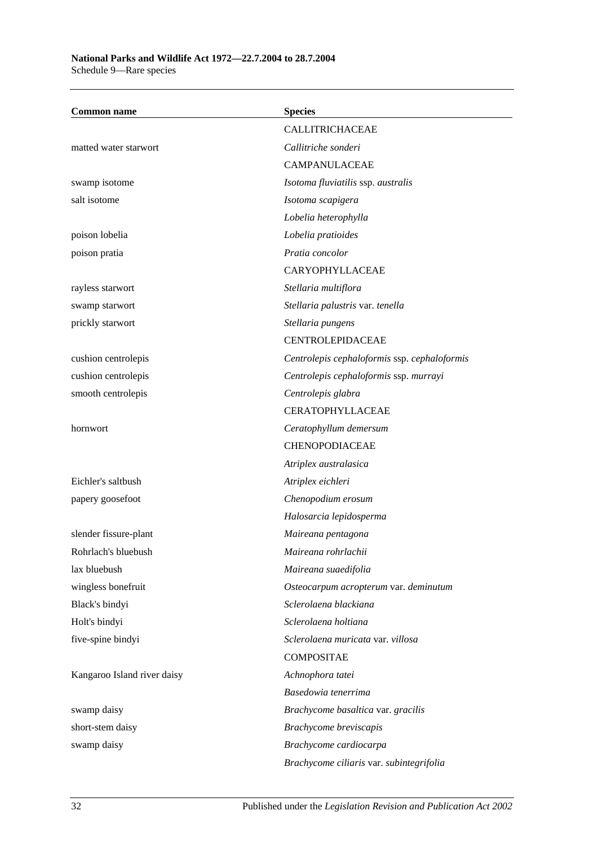#### **National Parks and Wildlife Act 1972—22.7.2004 to 28.7.2004** Schedule 9—Rare species

**Common name Species** CALLITRICHACEAE matted water starwort *Callitriche sonderi* CAMPANULACEAE swamp isotome *Isotoma fluviatilis* ssp. *australis* salt isotome *Isotoma scapigera Lobelia heterophylla* poison lobelia *Lobelia pratioides* poison pratia *Pratia concolor* CARYOPHYLLACEAE rayless starwort *Stellaria multiflora* swamp starwort *Stellaria palustris* var. *tenella* prickly starwort *Stellaria pungens* CENTROLEPIDACEAE cushion centrolepis *Centrolepis cephaloformis* ssp. *cephaloformis* cushion centrolepis *Centrolepis cephaloformis* ssp. *murrayi* smooth centrolepis *Centrolepis glabra* CERATOPHYLLACEAE hornwort *Ceratophyllum demersum* CHENOPODIACEAE *Atriplex australasica* Eichler's saltbush *Atriplex eichleri* papery goosefoot *Chenopodium erosum Halosarcia lepidosperma* slender fissure-plant *Maireana pentagona* Rohrlach's bluebush *Maireana rohrlachii* lax bluebush *Maireana suaedifolia* wingless bonefruit *Osteocarpum acropterum* var. *deminutum* Black's bindyi *Sclerolaena blackiana* Holt's bindyi *Sclerolaena holtiana* five-spine bindyi *Sclerolaena muricata* var. *villosa* **COMPOSITAE** Kangaroo Island river daisy *Achnophora tatei Basedowia tenerrima* swamp daisy *Brachycome basaltica* var. *gracilis* short-stem daisy *Brachycome breviscapis* swamp daisy *Brachycome cardiocarpa Brachycome ciliaris* var. *subintegrifolia*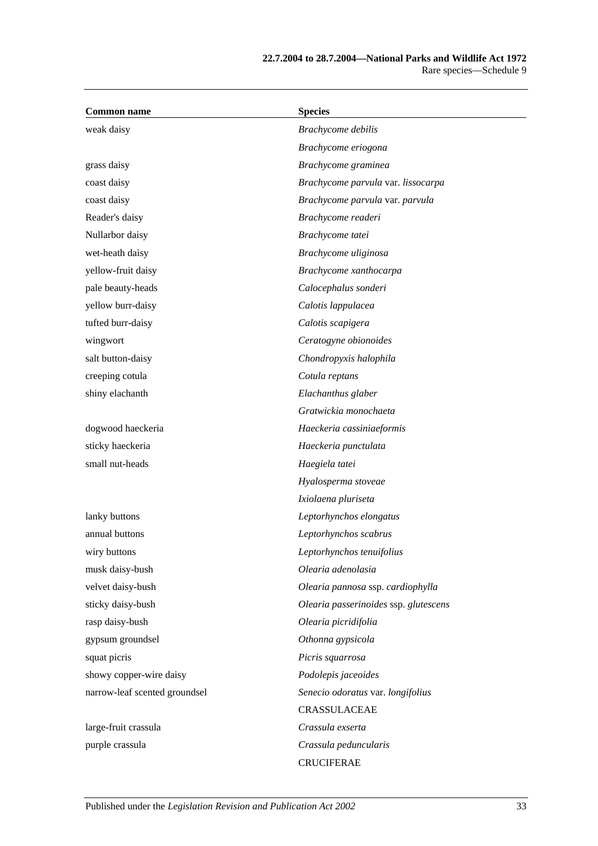| <b>Common name</b>            | <b>Species</b>                        |
|-------------------------------|---------------------------------------|
| weak daisy                    | Brachycome debilis                    |
|                               | Brachycome eriogona                   |
| grass daisy                   | Brachycome graminea                   |
| coast daisy                   | Brachycome parvula var. lissocarpa    |
| coast daisy                   | Brachycome parvula var. parvula       |
| Reader's daisy                | Brachycome readeri                    |
| Nullarbor daisy               | Brachycome tatei                      |
| wet-heath daisy               | Brachycome uliginosa                  |
| yellow-fruit daisy            | Brachycome xanthocarpa                |
| pale beauty-heads             | Calocephalus sonderi                  |
| yellow burr-daisy             | Calotis lappulacea                    |
| tufted burr-daisy             | Calotis scapigera                     |
| wingwort                      | Ceratogyne obionoides                 |
| salt button-daisy             | Chondropyxis halophila                |
| creeping cotula               | Cotula reptans                        |
| shiny elachanth               | Elachanthus glaber                    |
|                               | Gratwickia monochaeta                 |
| dogwood haeckeria             | Haeckeria cassiniaeformis             |
| sticky haeckeria              | Haeckeria punctulata                  |
| small nut-heads               | Haegiela tatei                        |
|                               | Hyalosperma stoveae                   |
|                               | Ixiolaena pluriseta                   |
| lanky buttons                 | Leptorhynchos elongatus               |
| annual buttons                | Leptorhynchos scabrus                 |
| wiry buttons                  | Leptorhynchos tenuifolius             |
| musk daisy-bush               | Olearia adenolasia                    |
| velvet daisy-bush             | Olearia pannosa ssp. cardiophylla     |
| sticky daisy-bush             | Olearia passerinoides ssp. glutescens |
| rasp daisy-bush               | Olearia picridifolia                  |
| gypsum groundsel              | Othonna gypsicola                     |
| squat picris                  | Picris squarrosa                      |
| showy copper-wire daisy       | Podolepis jaceoides                   |
| narrow-leaf scented groundsel | Senecio odoratus var. longifolius     |
|                               | CRASSULACEAE                          |
| large-fruit crassula          | Crassula exserta                      |
| purple crassula               | Crassula peduncularis                 |
|                               | <b>CRUCIFERAE</b>                     |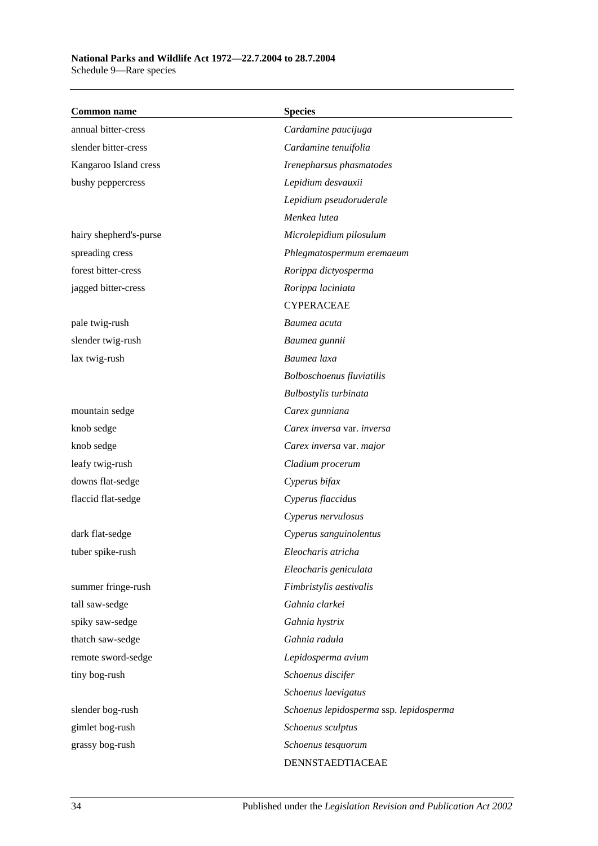### **National Parks and Wildlife Act 1972—22.7.2004 to 28.7.2004** Schedule 9—Rare species

| <b>Common name</b>     | <b>Species</b>                          |
|------------------------|-----------------------------------------|
| annual bitter-cress    | Cardamine paucijuga                     |
| slender bitter-cress   | Cardamine tenuifolia                    |
| Kangaroo Island cress  | Irenepharsus phasmatodes                |
| bushy peppercress      | Lepidium desvauxii                      |
|                        | Lepidium pseudoruderale                 |
|                        | Menkea lutea                            |
| hairy shepherd's-purse | Microlepidium pilosulum                 |
| spreading cress        | Phlegmatospermum eremaeum               |
| forest bitter-cress    | Rorippa dictyosperma                    |
| jagged bitter-cress    | Rorippa laciniata                       |
|                        | <b>CYPERACEAE</b>                       |
| pale twig-rush         | Baumea acuta                            |
| slender twig-rush      | Baumea gunnii                           |
| lax twig-rush          | Baumea laxa                             |
|                        | Bolboschoenus fluviatilis               |
|                        | Bulbostylis turbinata                   |
| mountain sedge         | Carex gunniana                          |
| knob sedge             | Carex inversa var. inversa              |
| knob sedge             | Carex inversa var. major                |
| leafy twig-rush        | Cladium procerum                        |
| downs flat-sedge       | Cyperus bifax                           |
| flaccid flat-sedge     | Cyperus flaccidus                       |
|                        | Cyperus nervulosus                      |
| dark flat-sedge        | Cyperus sanguinolentus                  |
| tuber spike-rush       | Eleocharis atricha                      |
|                        | Eleocharis geniculata                   |
| summer fringe-rush     | Fimbristylis aestivalis                 |
| tall saw-sedge         | Gahnia clarkei                          |
| spiky saw-sedge        | Gahnia hystrix                          |
| thatch saw-sedge       | Gahnia radula                           |
| remote sword-sedge     | Lepidosperma avium                      |
| tiny bog-rush          | Schoenus discifer                       |
|                        | Schoenus laevigatus                     |
| slender bog-rush       | Schoenus lepidosperma ssp. lepidosperma |
| gimlet bog-rush        | Schoenus sculptus                       |
| grassy bog-rush        | Schoenus tesquorum                      |
|                        | DENNSTAEDTIACEAE                        |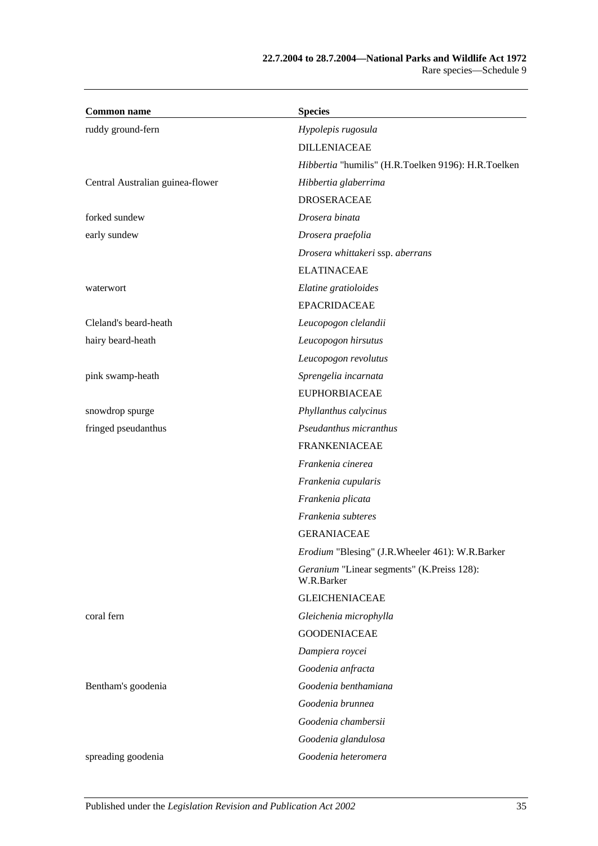| <b>Common name</b>               | <b>Species</b>                                           |
|----------------------------------|----------------------------------------------------------|
| ruddy ground-fern                | Hypolepis rugosula                                       |
|                                  | <b>DILLENIACEAE</b>                                      |
|                                  | Hibbertia "humilis" (H.R.Toelken 9196): H.R.Toelken      |
| Central Australian guinea-flower | Hibbertia glaberrima                                     |
|                                  | <b>DROSERACEAE</b>                                       |
| forked sundew                    | Drosera binata                                           |
| early sundew                     | Drosera praefolia                                        |
|                                  | Drosera whittakeri ssp. aberrans                         |
|                                  | <b>ELATINACEAE</b>                                       |
| waterwort                        | Elatine gratioloides                                     |
|                                  | <b>EPACRIDACEAE</b>                                      |
| Cleland's beard-heath            | Leucopogon clelandii                                     |
| hairy beard-heath                | Leucopogon hirsutus                                      |
|                                  | Leucopogon revolutus                                     |
| pink swamp-heath                 | Sprengelia incarnata                                     |
|                                  | <b>EUPHORBIACEAE</b>                                     |
| snowdrop spurge                  | Phyllanthus calycinus                                    |
| fringed pseudanthus              | Pseudanthus micranthus                                   |
|                                  | <b>FRANKENIACEAE</b>                                     |
|                                  | Frankenia cinerea                                        |
|                                  | Frankenia cupularis                                      |
|                                  | Frankenia plicata                                        |
|                                  | Frankenia subteres                                       |
|                                  | <b>GERANIACEAE</b>                                       |
|                                  | Erodium "Blesing" (J.R.Wheeler 461): W.R.Barker          |
|                                  | Geranium "Linear segments" (K.Preiss 128):<br>W.R.Barker |
|                                  | <b>GLEICHENIACEAE</b>                                    |
| coral fern                       | Gleichenia microphylla                                   |
|                                  | <b>GOODENIACEAE</b>                                      |
|                                  | Dampiera roycei                                          |
|                                  | Goodenia anfracta                                        |
| Bentham's goodenia               | Goodenia benthamiana                                     |
|                                  | Goodenia brunnea                                         |
|                                  | Goodenia chambersii                                      |
|                                  | Goodenia glandulosa                                      |
| spreading goodenia               | Goodenia heteromera                                      |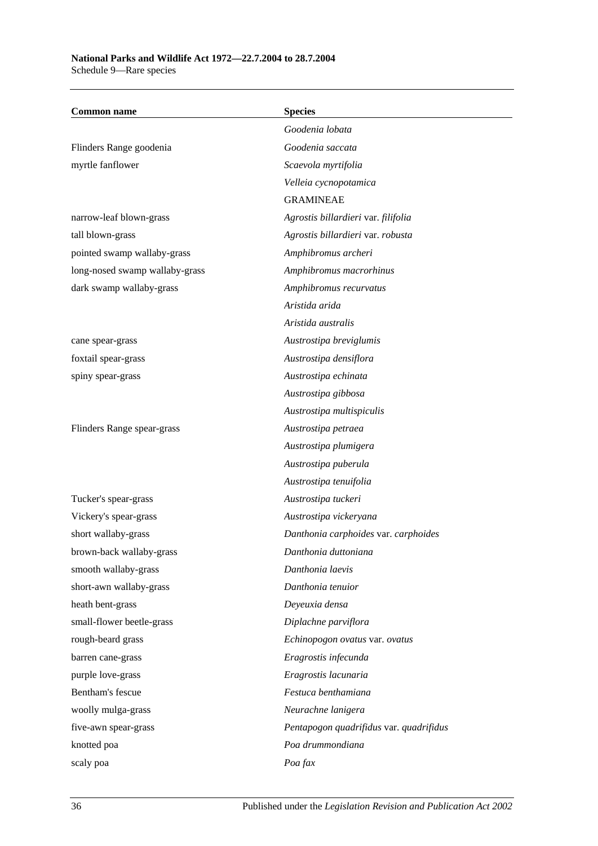| <b>Common name</b>             | <b>Species</b>                          |
|--------------------------------|-----------------------------------------|
|                                | Goodenia lobata                         |
| Flinders Range goodenia        | Goodenia saccata                        |
| myrtle fanflower               | Scaevola myrtifolia                     |
|                                | Velleia cycnopotamica                   |
|                                | <b>GRAMINEAE</b>                        |
| narrow-leaf blown-grass        | Agrostis billardieri var. filifolia     |
| tall blown-grass               | Agrostis billardieri var. robusta       |
| pointed swamp wallaby-grass    | Amphibromus archeri                     |
| long-nosed swamp wallaby-grass | Amphibromus macrorhinus                 |
| dark swamp wallaby-grass       | Amphibromus recurvatus                  |
|                                | Aristida arida                          |
|                                | Aristida australis                      |
| cane spear-grass               | Austrostipa breviglumis                 |
| foxtail spear-grass            | Austrostipa densiflora                  |
| spiny spear-grass              | Austrostipa echinata                    |
|                                | Austrostipa gibbosa                     |
|                                | Austrostipa multispiculis               |
| Flinders Range spear-grass     | Austrostipa petraea                     |
|                                | Austrostipa plumigera                   |
|                                | Austrostipa puberula                    |
|                                | Austrostipa tenuifolia                  |
| Tucker's spear-grass           | Austrostipa tuckeri                     |
| Vickery's spear-grass          | Austrostipa vickeryana                  |
| short wallaby-grass            | Danthonia carphoides var. carphoides    |
| brown-back wallaby-grass       | Danthonia duttoniana                    |
| smooth wallaby-grass           | Danthonia laevis                        |
| short-awn wallaby-grass        | Danthonia tenuior                       |
| heath bent-grass               | Deyeuxia densa                          |
| small-flower beetle-grass      | Diplachne parviflora                    |
| rough-beard grass              | Echinopogon ovatus var. ovatus          |
| barren cane-grass              | Eragrostis infecunda                    |
| purple love-grass              | Eragrostis lacunaria                    |
| Bentham's fescue               | Festuca benthamiana                     |
| woolly mulga-grass             | Neurachne lanigera                      |
| five-awn spear-grass           | Pentapogon quadrifidus var. quadrifidus |
| knotted poa                    | Poa drummondiana                        |
| scaly poa                      | Poa fax                                 |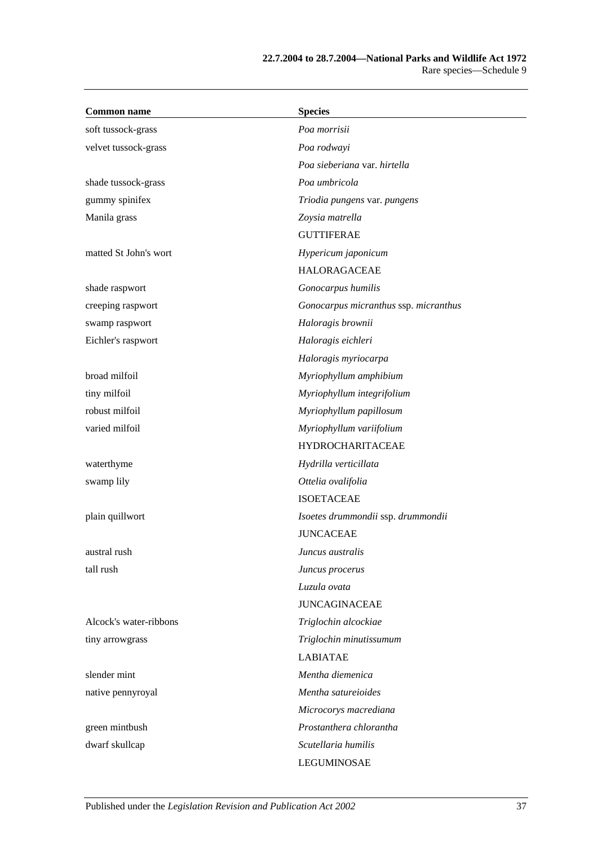| <b>Common name</b>     | <b>Species</b>                        |
|------------------------|---------------------------------------|
| soft tussock-grass     | Poa morrisii                          |
| velvet tussock-grass   | Poa rodwayi                           |
|                        | Poa sieberiana var. hirtella          |
| shade tussock-grass    | Poa umbricola                         |
| gummy spinifex         | Triodia pungens var. pungens          |
| Manila grass           | Zoysia matrella                       |
|                        | <b>GUTTIFERAE</b>                     |
| matted St John's wort  | Hypericum japonicum                   |
|                        | <b>HALORAGACEAE</b>                   |
| shade raspwort         | Gonocarpus humilis                    |
| creeping raspwort      | Gonocarpus micranthus ssp. micranthus |
| swamp raspwort         | Haloragis brownii                     |
| Eichler's raspwort     | Haloragis eichleri                    |
|                        | Haloragis myriocarpa                  |
| broad milfoil          | Myriophyllum amphibium                |
| tiny milfoil           | Myriophyllum integrifolium            |
| robust milfoil         | Myriophyllum papillosum               |
| varied milfoil         | Myriophyllum variifolium              |
|                        | <b>HYDROCHARITACEAE</b>               |
| waterthyme             | Hydrilla verticillata                 |
| swamp lily             | Ottelia ovalifolia                    |
|                        | <b>ISOETACEAE</b>                     |
| plain quillwort        | Isoetes drummondii ssp. drummondii    |
|                        | <b>JUNCACEAE</b>                      |
| austral rush           | Juncus australis                      |
| tall rush              | Juncus procerus                       |
|                        | Luzula ovata                          |
|                        | <b>JUNCAGINACEAE</b>                  |
| Alcock's water-ribbons | Triglochin alcockiae                  |
| tiny arrowgrass        | Triglochin minutissumum               |
|                        | <b>LABIATAE</b>                       |
| slender mint           | Mentha diemenica                      |
| native pennyroyal      | Mentha satureioides                   |
|                        | Microcorys macrediana                 |
| green mintbush         | Prostanthera chlorantha               |
| dwarf skullcap         | Scutellaria humilis                   |
|                        | LEGUMINOSAE                           |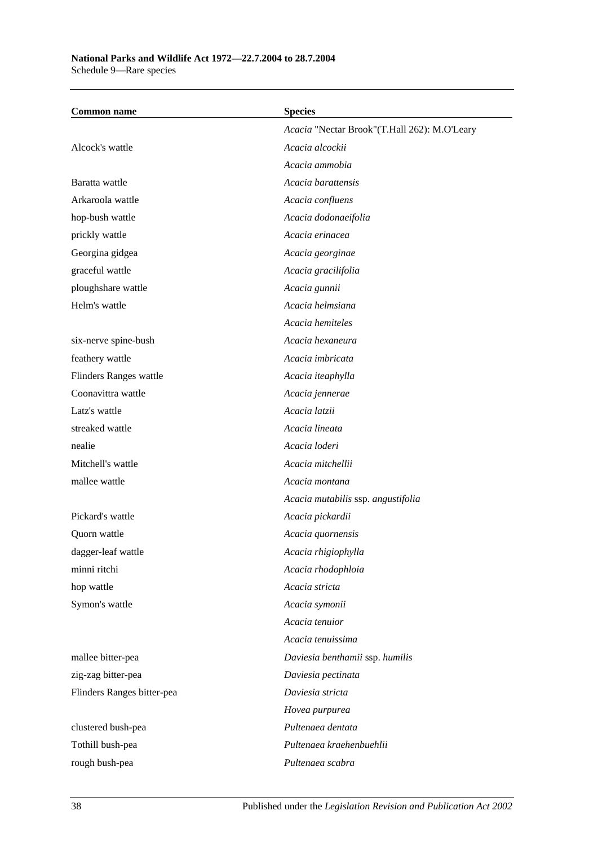# **National Parks and Wildlife Act 1972—22.7.2004 to 28.7.2004**

Schedule 9—Rare species

| <b>Common name</b>         | <b>Species</b>                               |
|----------------------------|----------------------------------------------|
|                            | Acacia "Nectar Brook"(T.Hall 262): M.O'Leary |
| Alcock's wattle            | Acacia alcockii                              |
|                            | Acacia ammobia                               |
| Baratta wattle             | Acacia barattensis                           |
| Arkaroola wattle           | Acacia confluens                             |
| hop-bush wattle            | Acacia dodonaeifolia                         |
| prickly wattle             | Acacia erinacea                              |
| Georgina gidgea            | Acacia georginae                             |
| graceful wattle            | Acacia gracilifolia                          |
| ploughshare wattle         | Acacia gunnii                                |
| Helm's wattle              | Acacia helmsiana                             |
|                            | Acacia hemiteles                             |
| six-nerve spine-bush       | Acacia hexaneura                             |
| feathery wattle            | Acacia imbricata                             |
| Flinders Ranges wattle     | Acacia iteaphylla                            |
| Coonavittra wattle         | Acacia jennerae                              |
| Latz's wattle              | Acacia latzii                                |
| streaked wattle            | Acacia lineata                               |
| nealie                     | Acacia loderi                                |
| Mitchell's wattle          | Acacia mitchellii                            |
| mallee wattle              | Acacia montana                               |
|                            | Acacia mutabilis ssp. angustifolia           |
| Pickard's wattle           | Acacia pickardii                             |
| Quorn wattle               | Acacia quornensis                            |
| dagger-leaf wattle         | Acacia rhigiophylla                          |
| minni ritchi               | Acacia rhodophloia                           |
| hop wattle                 | Acacia stricta                               |
| Symon's wattle             | Acacia symonii                               |
|                            | Acacia tenuior                               |
|                            | Acacia tenuissima                            |
| mallee bitter-pea          | Daviesia benthamii ssp. humilis              |
| zig-zag bitter-pea         | Daviesia pectinata                           |
| Flinders Ranges bitter-pea | Daviesia stricta                             |
|                            | Hovea purpurea                               |
| clustered bush-pea         | Pultenaea dentata                            |
| Tothill bush-pea           | Pultenaea kraehenbuehlii                     |
| rough bush-pea             | Pultenaea scabra                             |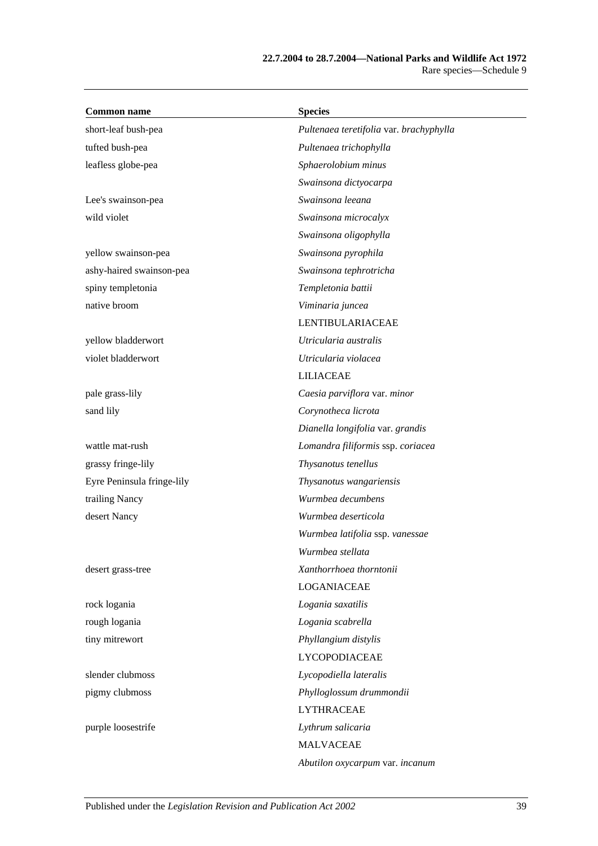| <b>Common name</b>         | <b>Species</b>                          |
|----------------------------|-----------------------------------------|
| short-leaf bush-pea        | Pultenaea teretifolia var. brachyphylla |
| tufted bush-pea            | Pultenaea trichophylla                  |
| leafless globe-pea         | Sphaerolobium minus                     |
|                            | Swainsona dictyocarpa                   |
| Lee's swainson-pea         | Swainsona leeana                        |
| wild violet                | Swainsona microcalyx                    |
|                            | Swainsona oligophylla                   |
| yellow swainson-pea        | Swainsona pyrophila                     |
| ashy-haired swainson-pea   | Swainsona tephrotricha                  |
| spiny templetonia          | Templetonia battii                      |
| native broom               | Viminaria juncea                        |
|                            | LENTIBULARIACEAE                        |
| yellow bladderwort         | Utricularia australis                   |
| violet bladderwort         | Utricularia violacea                    |
|                            | <b>LILIACEAE</b>                        |
| pale grass-lily            | Caesia parviflora var. minor            |
| sand lily                  | Corynotheca licrota                     |
|                            | Dianella longifolia var. grandis        |
| wattle mat-rush            | Lomandra filiformis ssp. coriacea       |
| grassy fringe-lily         | Thysanotus tenellus                     |
| Eyre Peninsula fringe-lily | Thysanotus wangariensis                 |
| trailing Nancy             | Wurmbea decumbens                       |
| desert Nancy               | Wurmbea deserticola                     |
|                            | Wurmbea latifolia ssp. vanessae         |
|                            | Wurmbea stellata                        |
| desert grass-tree          | Xanthorrhoea thorntonii                 |
|                            | LOGANIACEAE                             |
| rock logania               | Logania saxatilis                       |
| rough logania              | Logania scabrella                       |
| tiny mitrewort             | Phyllangium distylis                    |
|                            | <b>LYCOPODIACEAE</b>                    |
| slender clubmoss           | Lycopodiella lateralis                  |
| pigmy clubmoss             | Phylloglossum drummondii                |
|                            | <b>LYTHRACEAE</b>                       |
| purple loosestrife         | Lythrum salicaria                       |
|                            | <b>MALVACEAE</b>                        |
|                            | Abutilon oxycarpum var. incanum         |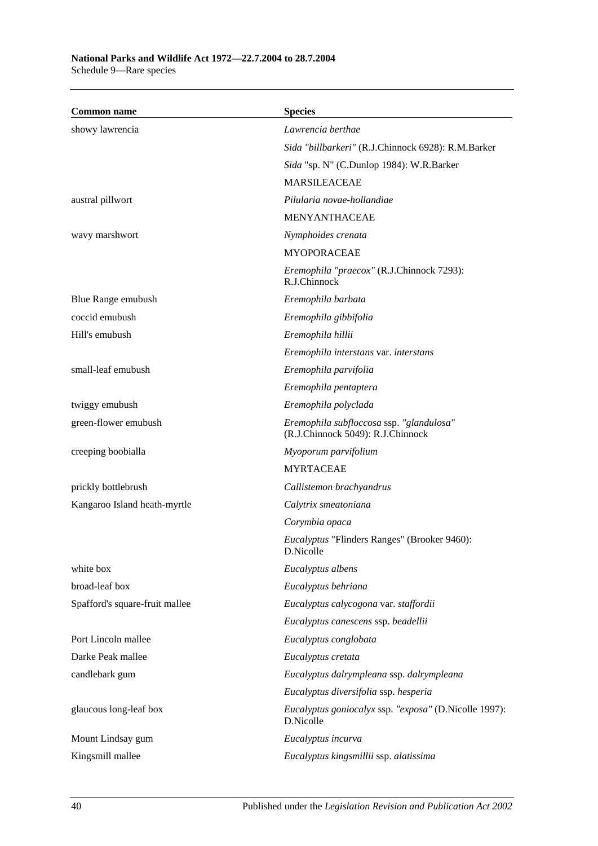| <b>Common name</b>             | <b>Species</b>                                                                |
|--------------------------------|-------------------------------------------------------------------------------|
| showy lawrencia                | Lawrencia berthae                                                             |
|                                | Sida "billbarkeri" (R.J.Chinnock 6928): R.M.Barker                            |
|                                | Sida "sp. N" (C.Dunlop 1984): W.R.Barker                                      |
|                                | <b>MARSILEACEAE</b>                                                           |
| austral pillwort               | Pilularia novae-hollandiae                                                    |
|                                | <b>MENYANTHACEAE</b>                                                          |
| wavy marshwort                 | Nymphoides crenata                                                            |
|                                | <b>MYOPORACEAE</b>                                                            |
|                                | Eremophila "praecox" (R.J.Chinnock 7293):<br>R.J.Chinnock                     |
| Blue Range emubush             | Eremophila barbata                                                            |
| coccid emubush                 | Eremophila gibbifolia                                                         |
| Hill's emubush                 | Eremophila hillii                                                             |
|                                | Eremophila interstans var. interstans                                         |
| small-leaf emubush             | Eremophila parvifolia                                                         |
|                                | Eremophila pentaptera                                                         |
| twiggy emubush                 | Eremophila polyclada                                                          |
| green-flower emubush           | Eremophila subfloccosa ssp. "glandulosa"<br>(R.J.Chinnock 5049): R.J.Chinnock |
| creeping boobialla             | Myoporum parvifolium                                                          |
|                                | <b>MYRTACEAE</b>                                                              |
| prickly bottlebrush            | Callistemon brachyandrus                                                      |
| Kangaroo Island heath-myrtle   | Calytrix smeatoniana                                                          |
|                                | Corymbia opaca                                                                |
|                                | <i>Eucalyptus</i> "Flinders Ranges" (Brooker 9460):<br>D.Nicolle              |
| white box                      | Eucalyptus albens                                                             |
| broad-leaf box                 | Eucalyptus behriana                                                           |
| Spafford's square-fruit mallee | Eucalyptus calycogona var. staffordii                                         |
|                                | Eucalyptus canescens ssp. beadellii                                           |
| Port Lincoln mallee            | Eucalyptus conglobata                                                         |
| Darke Peak mallee              | Eucalyptus cretata                                                            |
| candlebark gum                 | Eucalyptus dalrympleana ssp. dalrympleana                                     |
|                                | Eucalyptus diversifolia ssp. hesperia                                         |
| glaucous long-leaf box         | Eucalyptus goniocalyx ssp. "exposa" (D.Nicolle 1997):<br>D.Nicolle            |
| Mount Lindsay gum              | Eucalyptus incurva                                                            |
| Kingsmill mallee               | Eucalyptus kingsmillii ssp. alatissima                                        |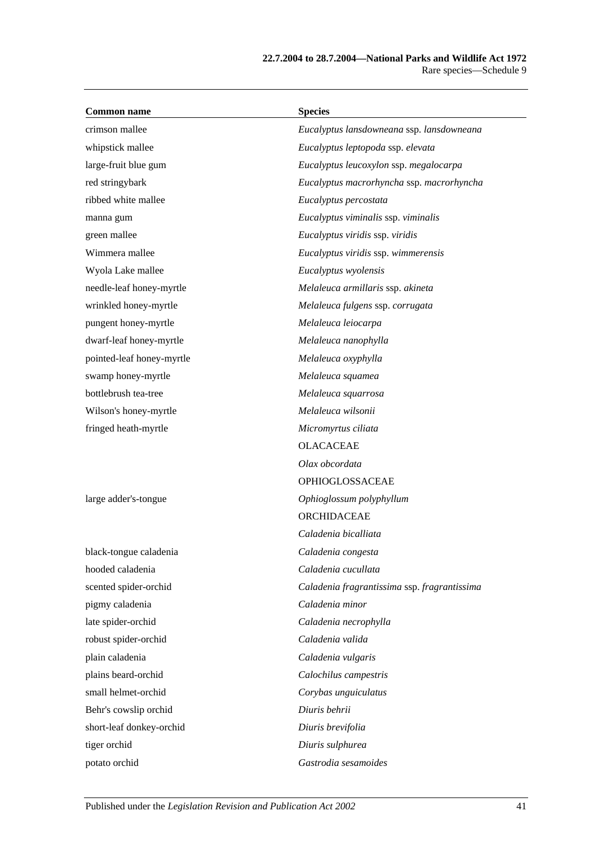| <b>Common name</b>        | <b>Species</b>                               |
|---------------------------|----------------------------------------------|
| crimson mallee            | Eucalyptus lansdowneana ssp. lansdowneana    |
| whipstick mallee          | Eucalyptus leptopoda ssp. elevata            |
| large-fruit blue gum      | Eucalyptus leucoxylon ssp. megalocarpa       |
| red stringybark           | Eucalyptus macrorhyncha ssp. macrorhyncha    |
| ribbed white mallee       | Eucalyptus percostata                        |
| manna gum                 | Eucalyptus viminalis ssp. viminalis          |
| green mallee              | Eucalyptus viridis ssp. viridis              |
| Wimmera mallee            | Eucalyptus viridis ssp. wimmerensis          |
| Wyola Lake mallee         | Eucalyptus wyolensis                         |
| needle-leaf honey-myrtle  | Melaleuca armillaris ssp. akineta            |
| wrinkled honey-myrtle     | Melaleuca fulgens ssp. corrugata             |
| pungent honey-myrtle      | Melaleuca leiocarpa                          |
| dwarf-leaf honey-myrtle   | Melaleuca nanophylla                         |
| pointed-leaf honey-myrtle | Melaleuca oxyphylla                          |
| swamp honey-myrtle        | Melaleuca squamea                            |
| bottlebrush tea-tree      | Melaleuca squarrosa                          |
| Wilson's honey-myrtle     | Melaleuca wilsonii                           |
| fringed heath-myrtle      | Micromyrtus ciliata                          |
|                           | <b>OLACACEAE</b>                             |
|                           | Olax obcordata                               |
|                           | OPHIOGLOSSACEAE                              |
| large adder's-tongue      | Ophioglossum polyphyllum                     |
|                           | ORCHIDACEAE                                  |
|                           | Caladenia bicalliata                         |
| black-tongue caladenia    | Caladenia congesta                           |
| hooded caladenia          | Caladenia cucullata                          |
| scented spider-orchid     | Caladenia fragrantissima ssp. fragrantissima |
| pigmy caladenia           | Caladenia minor                              |
| late spider-orchid        | Caladenia necrophylla                        |
| robust spider-orchid      | Caladenia valida                             |
| plain caladenia           | Caladenia vulgaris                           |
| plains beard-orchid       | Calochilus campestris                        |
| small helmet-orchid       | Corybas unguiculatus                         |
| Behr's cowslip orchid     | Diuris behrii                                |
| short-leaf donkey-orchid  | Diuris brevifolia                            |
| tiger orchid              | Diuris sulphurea                             |
| potato orchid             | Gastrodia sesamoides                         |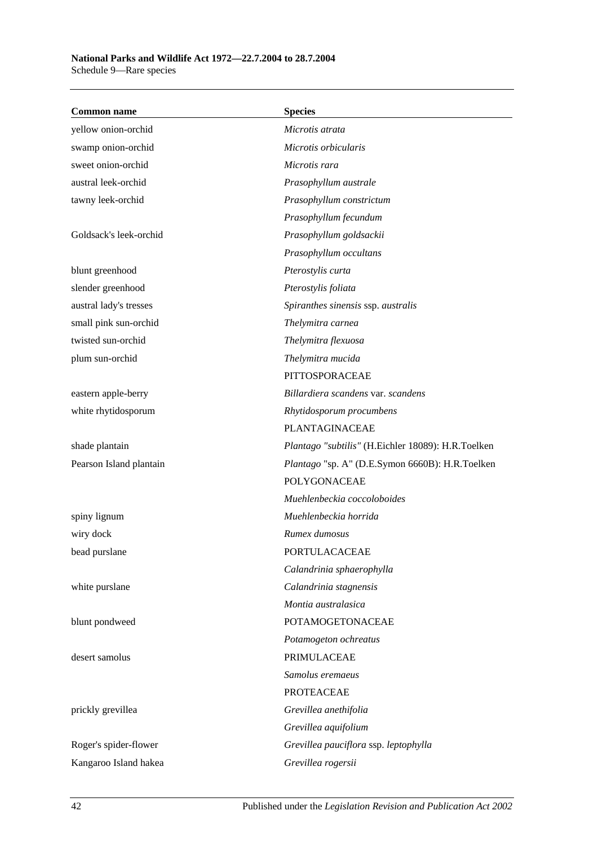### **National Parks and Wildlife Act 1972—22.7.2004 to 28.7.2004** Schedule 9—Rare species

| <b>Common name</b>      | <b>Species</b>                                     |  |
|-------------------------|----------------------------------------------------|--|
| yellow onion-orchid     | Microtis atrata                                    |  |
| swamp onion-orchid      | Microtis orbicularis                               |  |
| sweet onion-orchid      | Microtis rara                                      |  |
| austral leek-orchid     | Prasophyllum australe                              |  |
| tawny leek-orchid       | Prasophyllum constrictum                           |  |
|                         | Prasophyllum fecundum                              |  |
| Goldsack's leek-orchid  | Prasophyllum goldsackii                            |  |
|                         | Prasophyllum occultans                             |  |
| blunt greenhood         | Pterostylis curta                                  |  |
| slender greenhood       | Pterostylis foliata                                |  |
| austral lady's tresses  | Spiranthes sinensis ssp. australis                 |  |
| small pink sun-orchid   | Thelymitra carnea                                  |  |
| twisted sun-orchid      | Thelymitra flexuosa                                |  |
| plum sun-orchid         | Thelymitra mucida                                  |  |
|                         | PITTOSPORACEAE                                     |  |
| eastern apple-berry     | Billardiera scandens var. scandens                 |  |
| white rhytidosporum     | Rhytidosporum procumbens                           |  |
|                         | PLANTAGINACEAE                                     |  |
| shade plantain          | Plantago "subtilis" (H.Eichler 18089): H.R.Toelken |  |
| Pearson Island plantain | Plantago "sp. A" (D.E.Symon 6660B): H.R.Toelken    |  |
|                         | POLYGONACEAE                                       |  |
|                         | Muehlenbeckia coccoloboides                        |  |
| spiny lignum            | Muehlenbeckia horrida                              |  |
| wiry dock               | Rumex dumosus                                      |  |
| bead purslane           | PORTULACACEAE                                      |  |
|                         | Calandrinia sphaerophylla                          |  |
| white purslane          | Calandrinia stagnensis                             |  |
|                         | Montia australasica                                |  |
| blunt pondweed          | <b>POTAMOGETONACEAE</b>                            |  |
|                         | Potamogeton ochreatus                              |  |
| desert samolus          | PRIMULACEAE                                        |  |
|                         | Samolus eremaeus                                   |  |
|                         | <b>PROTEACEAE</b>                                  |  |
| prickly grevillea       | Grevillea anethifolia                              |  |
|                         | Grevillea aquifolium                               |  |
| Roger's spider-flower   | Grevillea pauciflora ssp. leptophylla              |  |
| Kangaroo Island hakea   | Grevillea rogersii                                 |  |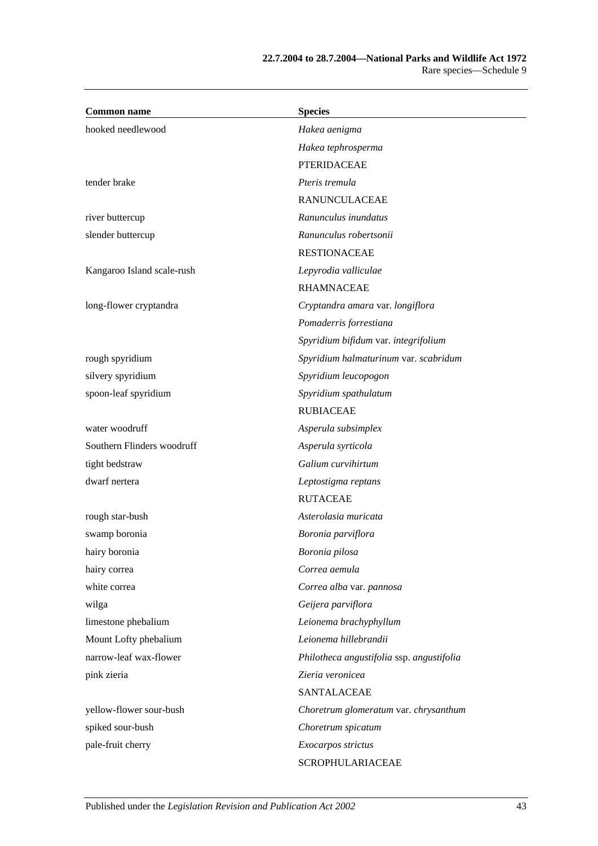| <b>Common name</b>         | <b>Species</b>                            |  |  |
|----------------------------|-------------------------------------------|--|--|
| hooked needlewood          | Hakea aenigma                             |  |  |
|                            | Hakea tephrosperma                        |  |  |
|                            | <b>PTERIDACEAE</b>                        |  |  |
| tender brake               | Pteris tremula                            |  |  |
|                            | <b>RANUNCULACEAE</b>                      |  |  |
| river buttercup            | Ranunculus inundatus                      |  |  |
| slender buttercup          | Ranunculus robertsonii                    |  |  |
|                            | <b>RESTIONACEAE</b>                       |  |  |
| Kangaroo Island scale-rush | Lepyrodia valliculae                      |  |  |
|                            | <b>RHAMNACEAE</b>                         |  |  |
| long-flower cryptandra     | Cryptandra amara var. longiflora          |  |  |
|                            | Pomaderris forrestiana                    |  |  |
|                            | Spyridium bifidum var. integrifolium      |  |  |
| rough spyridium            | Spyridium halmaturinum var. scabridum     |  |  |
| silvery spyridium          | Spyridium leucopogon                      |  |  |
| spoon-leaf spyridium       | Spyridium spathulatum                     |  |  |
|                            | <b>RUBIACEAE</b>                          |  |  |
| water woodruff             | Asperula subsimplex                       |  |  |
| Southern Flinders woodruff | Asperula syrticola                        |  |  |
| tight bedstraw             | Galium curvihirtum                        |  |  |
| dwarf nertera              | Leptostigma reptans                       |  |  |
|                            | <b>RUTACEAE</b>                           |  |  |
| rough star-bush            | Asterolasia muricata                      |  |  |
| swamp boronia              | Boronia parviflora                        |  |  |
| hairy boronia              | Boronia pilosa                            |  |  |
| hairy correa               | Correa aemula                             |  |  |
| white correa               | Correa alba var. pannosa                  |  |  |
| wilga                      | Geijera parviflora                        |  |  |
| limestone phebalium        | Leionema brachyphyllum                    |  |  |
| Mount Lofty phebalium      | Leionema hillebrandii                     |  |  |
| narrow-leaf wax-flower     | Philotheca angustifolia ssp. angustifolia |  |  |
| pink zieria                | Zieria veronicea                          |  |  |
|                            | SANTALACEAE                               |  |  |
| yellow-flower sour-bush    | Choretrum glomeratum var. chrysanthum     |  |  |
| spiked sour-bush           | Choretrum spicatum                        |  |  |
| pale-fruit cherry          | Exocarpos strictus                        |  |  |
|                            | SCROPHULARIACEAE                          |  |  |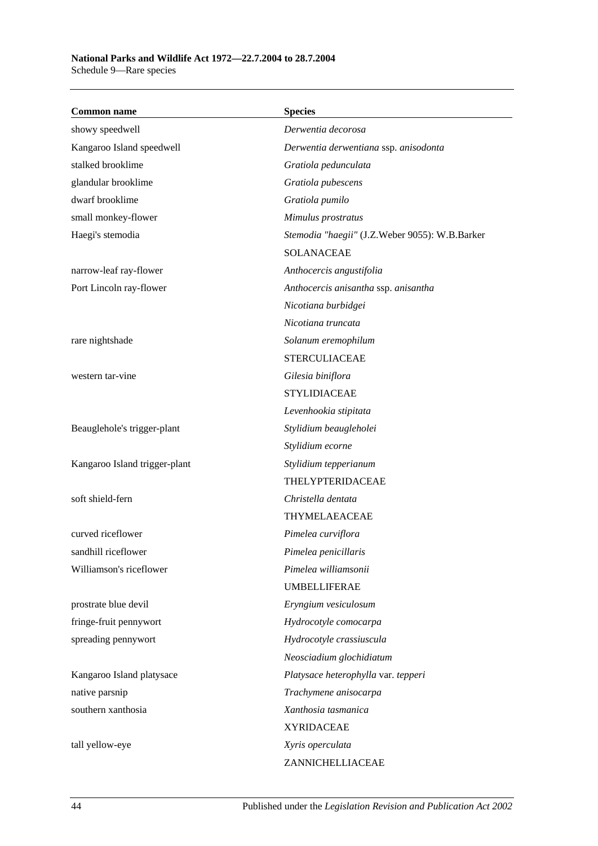| <b>Common name</b>            | <b>Species</b>                                 |
|-------------------------------|------------------------------------------------|
| showy speedwell               | Derwentia decorosa                             |
| Kangaroo Island speedwell     | Derwentia derwentiana ssp. anisodonta          |
| stalked brooklime             | Gratiola pedunculata                           |
| glandular brooklime           | Gratiola pubescens                             |
| dwarf brooklime               | Gratiola pumilo                                |
| small monkey-flower           | Mimulus prostratus                             |
| Haegi's stemodia              | Stemodia "haegii" (J.Z.Weber 9055): W.B.Barker |
|                               | <b>SOLANACEAE</b>                              |
| narrow-leaf ray-flower        | Anthocercis angustifolia                       |
| Port Lincoln ray-flower       | Anthocercis anisantha ssp. anisantha           |
|                               | Nicotiana burbidgei                            |
|                               | Nicotiana truncata                             |
| rare nightshade               | Solanum eremophilum                            |
|                               | <b>STERCULIACEAE</b>                           |
| western tar-vine              | Gilesia biniflora                              |
|                               | <b>STYLIDIACEAE</b>                            |
|                               | Levenhookia stipitata                          |
| Beauglehole's trigger-plant   | Stylidium beaugleholei                         |
|                               | Stylidium ecorne                               |
| Kangaroo Island trigger-plant | Stylidium tepperianum                          |
|                               | THELYPTERIDACEAE                               |
| soft shield-fern              | Christella dentata                             |
|                               | THYMELAEACEAE                                  |
| curved riceflower             | Pimelea curviflora                             |
| sandhill riceflower           | Pimelea penicillaris                           |
| Williamson's riceflower       | Pimelea williamsonii                           |
|                               | <b>UMBELLIFERAE</b>                            |
| prostrate blue devil          | Eryngium vesiculosum                           |
| fringe-fruit pennywort        | Hydrocotyle comocarpa                          |
| spreading pennywort           | Hydrocotyle crassiuscula                       |
|                               | Neosciadium glochidiatum                       |
| Kangaroo Island platysace     | Platysace heterophylla var. tepperi            |
| native parsnip                | Trachymene anisocarpa                          |
| southern xanthosia            | Xanthosia tasmanica                            |
|                               | <b>XYRIDACEAE</b>                              |
| tall yellow-eye               | Xyris operculata                               |
|                               | ZANNICHELLIACEAE                               |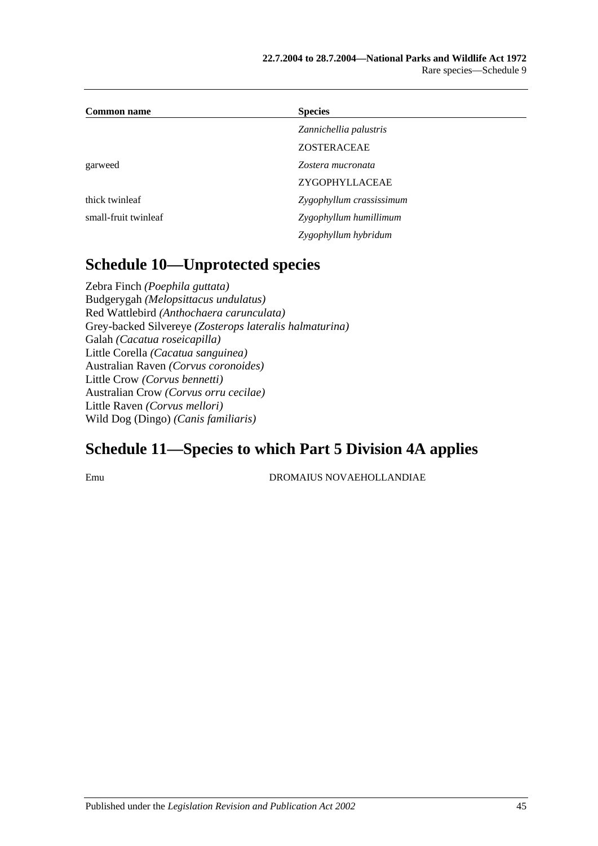| <b>Common name</b>   | <b>Species</b>           |  |
|----------------------|--------------------------|--|
|                      | Zannichellia palustris   |  |
|                      | <b>ZOSTERACEAE</b>       |  |
| garweed              | Zostera mucronata        |  |
|                      | ZYGOPHYLLACEAE           |  |
| thick twinleaf       | Zygophyllum crassissimum |  |
| small-fruit twinleaf | Zygophyllum humillimum   |  |
|                      | Zygophyllum hybridum     |  |

# **Schedule 10—Unprotected species**

Zebra Finch *(Poephila guttata)* Budgerygah *(Melopsittacus undulatus)* Red Wattlebird *(Anthochaera carunculata)* Grey-backed Silvereye *(Zosterops lateralis halmaturina)* Galah *(Cacatua roseicapilla)* Little Corella *(Cacatua sanguinea)* Australian Raven *(Corvus coronoides)* Little Crow *(Corvus bennetti)* Australian Crow *(Corvus orru cecilae)* Little Raven *(Corvus mellori)* Wild Dog (Dingo) *(Canis familiaris)*

# **Schedule 11—Species to which Part 5 Division 4A applies**

Emu DROMAIUS NOVAEHOLLANDIAE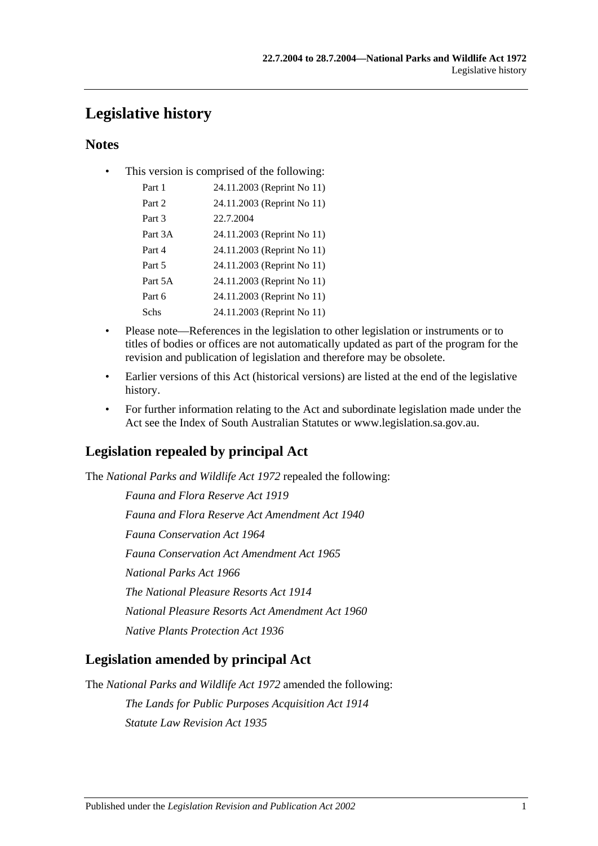# **Legislative history**

## **Notes**

• This version is comprised of the following:

| Part 1  | 24.11.2003 (Reprint No 11) |
|---------|----------------------------|
| Part 2  | 24.11.2003 (Reprint No 11) |
| Part 3  | 22.7.2004                  |
| Part 3A | 24.11.2003 (Reprint No 11) |
| Part 4  | 24.11.2003 (Reprint No 11) |
| Part 5  | 24.11.2003 (Reprint No 11) |
| Part 5A | 24.11.2003 (Reprint No 11) |
| Part 6  | 24.11.2003 (Reprint No 11) |
| Schs    | 24.11.2003 (Reprint No 11) |

- Please note—References in the legislation to other legislation or instruments or to titles of bodies or offices are not automatically updated as part of the program for the revision and publication of legislation and therefore may be obsolete.
- Earlier versions of this Act (historical versions) are listed at the end of the legislative history.
- For further information relating to the Act and subordinate legislation made under the Act see the Index of South Australian Statutes or www.legislation.sa.gov.au.

## **Legislation repealed by principal Act**

The *National Parks and Wildlife Act 1972* repealed the following:

*Fauna and Flora Reserve Act 1919 Fauna and Flora Reserve Act Amendment Act 1940 Fauna Conservation Act 1964 Fauna Conservation Act Amendment Act 1965 National Parks Act 1966 The National Pleasure Resorts Act 1914 National Pleasure Resorts Act Amendment Act 1960 Native Plants Protection Act 1936*

## **Legislation amended by principal Act**

The *National Parks and Wildlife Act 1972* amended the following: *The Lands for Public Purposes Acquisition Act 1914 Statute Law Revision Act 1935*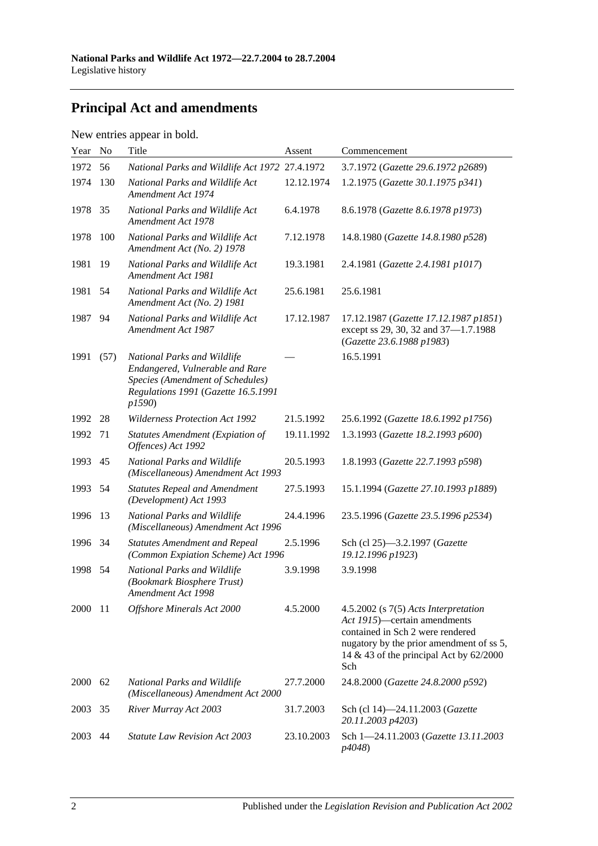# **Principal Act and amendments**

| New entries appear in bold. |  |  |
|-----------------------------|--|--|
|                             |  |  |

| Year | N <sub>o</sub> | Title                                                                                                                                               | Assent     | Commencement                                                                                                                                                                                                 |
|------|----------------|-----------------------------------------------------------------------------------------------------------------------------------------------------|------------|--------------------------------------------------------------------------------------------------------------------------------------------------------------------------------------------------------------|
| 1972 | 56             | National Parks and Wildlife Act 1972 27.4.1972                                                                                                      |            | 3.7.1972 (Gazette 29.6.1972 p2689)                                                                                                                                                                           |
| 1974 | 130            | National Parks and Wildlife Act<br>Amendment Act 1974                                                                                               | 12.12.1974 | 1.2.1975 (Gazette 30.1.1975 p341)                                                                                                                                                                            |
| 1978 | 35             | National Parks and Wildlife Act<br>Amendment Act 1978                                                                                               | 6.4.1978   | 8.6.1978 (Gazette 8.6.1978 p1973)                                                                                                                                                                            |
| 1978 | 100            | National Parks and Wildlife Act<br>Amendment Act (No. 2) 1978                                                                                       | 7.12.1978  | 14.8.1980 (Gazette 14.8.1980 p528)                                                                                                                                                                           |
| 1981 | 19             | National Parks and Wildlife Act<br>Amendment Act 1981                                                                                               | 19.3.1981  | 2.4.1981 (Gazette 2.4.1981 p1017)                                                                                                                                                                            |
| 1981 | 54             | National Parks and Wildlife Act<br>Amendment Act (No. 2) 1981                                                                                       | 25.6.1981  | 25.6.1981                                                                                                                                                                                                    |
| 1987 | 94             | National Parks and Wildlife Act<br>Amendment Act 1987                                                                                               | 17.12.1987 | 17.12.1987 (Gazette 17.12.1987 p1851)<br>except ss 29, 30, 32 and 37-1.7.1988<br>(Gazette 23.6.1988 p1983)                                                                                                   |
| 1991 | (57)           | National Parks and Wildlife<br>Endangered, Vulnerable and Rare<br>Species (Amendment of Schedules)<br>Regulations 1991 (Gazette 16.5.1991<br>p1590) |            | 16.5.1991                                                                                                                                                                                                    |
| 1992 | 28             | <b>Wilderness Protection Act 1992</b>                                                                                                               | 21.5.1992  | 25.6.1992 (Gazette 18.6.1992 p1756)                                                                                                                                                                          |
| 1992 | 71             | <b>Statutes Amendment (Expiation of</b><br>Offences) Act 1992                                                                                       | 19.11.1992 | 1.3.1993 (Gazette 18.2.1993 p600)                                                                                                                                                                            |
| 1993 | 45             | National Parks and Wildlife<br>(Miscellaneous) Amendment Act 1993                                                                                   | 20.5.1993  | 1.8.1993 (Gazette 22.7.1993 p598)                                                                                                                                                                            |
| 1993 | 54             | <b>Statutes Repeal and Amendment</b><br>(Development) Act 1993                                                                                      | 27.5.1993  | 15.1.1994 (Gazette 27.10.1993 p1889)                                                                                                                                                                         |
| 1996 | 13             | National Parks and Wildlife<br>(Miscellaneous) Amendment Act 1996                                                                                   | 24.4.1996  | 23.5.1996 (Gazette 23.5.1996 p2534)                                                                                                                                                                          |
| 1996 | 34             | <b>Statutes Amendment and Repeal</b><br>(Common Expiation Scheme) Act 1996                                                                          | 2.5.1996   | Sch (cl 25)-3.2.1997 (Gazette<br>19.12.1996 p1923)                                                                                                                                                           |
| 1998 | 54             | National Parks and Wildlife<br>(Bookmark Biosphere Trust)<br>Amendment Act 1998                                                                     | 3.9.1998   | 3.9.1998                                                                                                                                                                                                     |
| 2000 | -11            | Offshore Minerals Act 2000                                                                                                                          | 4.5.2000   | $4.5.2002$ (s $7(5)$ Acts Interpretation<br>Act 1915)—certain amendments<br>contained in Sch 2 were rendered<br>nugatory by the prior amendment of ss 5,<br>14 & 43 of the principal Act by $62/2000$<br>Sch |
| 2000 | 62             | National Parks and Wildlife<br>(Miscellaneous) Amendment Act 2000                                                                                   | 27.7.2000  | 24.8.2000 (Gazette 24.8.2000 p592)                                                                                                                                                                           |
| 2003 | 35             | River Murray Act 2003                                                                                                                               | 31.7.2003  | Sch (cl 14)-24.11.2003 (Gazette<br>20.11.2003 p4203)                                                                                                                                                         |
| 2003 | 44             | <b>Statute Law Revision Act 2003</b>                                                                                                                | 23.10.2003 | Sch 1-24.11.2003 (Gazette 13.11.2003<br>p4048)                                                                                                                                                               |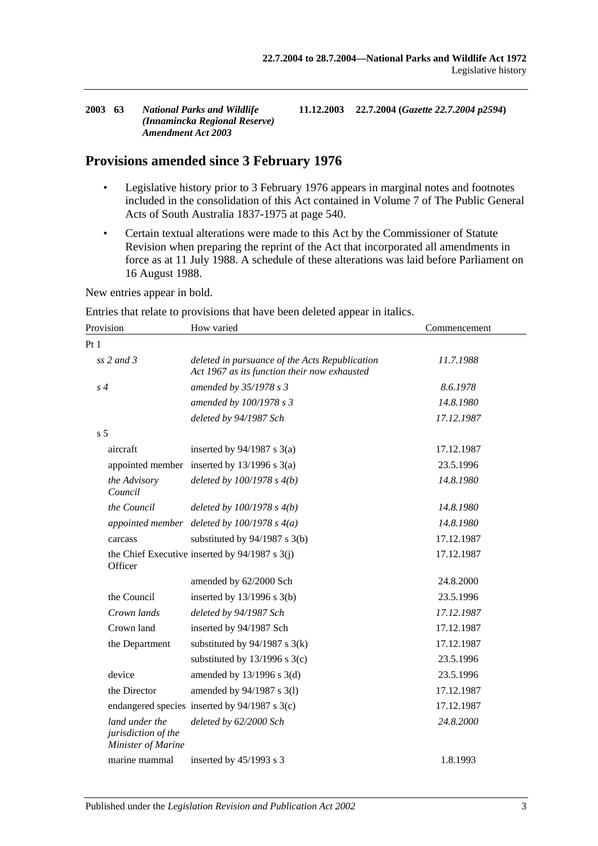| <b>Amendment Act 2003</b> | 2003 63 | <b>National Parks and Wildlife</b><br>(Innamincka Regional Reserve) |  | 11.12.2003 22.7.2004 (Gazette 22.7.2004 p2594) |
|---------------------------|---------|---------------------------------------------------------------------|--|------------------------------------------------|
|---------------------------|---------|---------------------------------------------------------------------|--|------------------------------------------------|

## **Provisions amended since 3 February 1976**

- Legislative history prior to 3 February 1976 appears in marginal notes and footnotes included in the consolidation of this Act contained in Volume 7 of The Public General Acts of South Australia 1837-1975 at page 540.
- Certain textual alterations were made to this Act by the Commissioner of Statute Revision when preparing the reprint of the Act that incorporated all amendments in force as at 11 July 1988. A schedule of these alterations was laid before Parliament on 16 August 1988.

New entries appear in bold.

Entries that relate to provisions that have been deleted appear in italics.

| Provision                                                   | How varied                                                                                     | Commencement |
|-------------------------------------------------------------|------------------------------------------------------------------------------------------------|--------------|
| Pt1                                                         |                                                                                                |              |
| $ss$ 2 and 3                                                | deleted in pursuance of the Acts Republication<br>Act 1967 as its function their now exhausted | 11.7.1988    |
| $s\,4$                                                      | amended by 35/1978 s 3                                                                         | 8.6.1978     |
|                                                             | amended by 100/1978 s 3                                                                        | 14.8.1980    |
|                                                             | deleted by 94/1987 Sch                                                                         | 17.12.1987   |
| s <sub>5</sub>                                              |                                                                                                |              |
| aircraft                                                    | inserted by $94/1987$ s 3(a)                                                                   | 17.12.1987   |
|                                                             | appointed member inserted by $13/1996$ s $3(a)$                                                | 23.5.1996    |
| the Advisory<br>Council                                     | deleted by $100/1978 s 4(b)$                                                                   | 14.8.1980    |
| the Council                                                 | deleted by $100/1978 s 4(b)$                                                                   | 14.8.1980    |
|                                                             | appointed member deleted by $100/1978 s 4(a)$                                                  | 14.8.1980    |
| carcass                                                     | substituted by $94/1987$ s 3(b)                                                                | 17.12.1987   |
| Officer                                                     | the Chief Executive inserted by 94/1987 s 3(j)                                                 | 17.12.1987   |
|                                                             | amended by 62/2000 Sch                                                                         | 24.8.2000    |
| the Council                                                 | inserted by $13/1996$ s $3(b)$                                                                 | 23.5.1996    |
| Crown lands                                                 | deleted by 94/1987 Sch                                                                         | 17.12.1987   |
| Crown land                                                  | inserted by 94/1987 Sch                                                                        | 17.12.1987   |
| the Department                                              | substituted by $94/1987$ s 3(k)                                                                | 17.12.1987   |
|                                                             | substituted by $13/1996$ s $3(c)$                                                              | 23.5.1996    |
| device                                                      | amended by $13/1996$ s $3(d)$                                                                  | 23.5.1996    |
| the Director                                                | amended by 94/1987 s 3(l)                                                                      | 17.12.1987   |
|                                                             | endangered species inserted by 94/1987 s 3(c)                                                  | 17.12.1987   |
| land under the<br>jurisdiction of the<br>Minister of Marine | deleted by 62/2000 Sch                                                                         | 24.8.2000    |
| marine mammal                                               | inserted by 45/1993 s 3                                                                        | 1.8.1993     |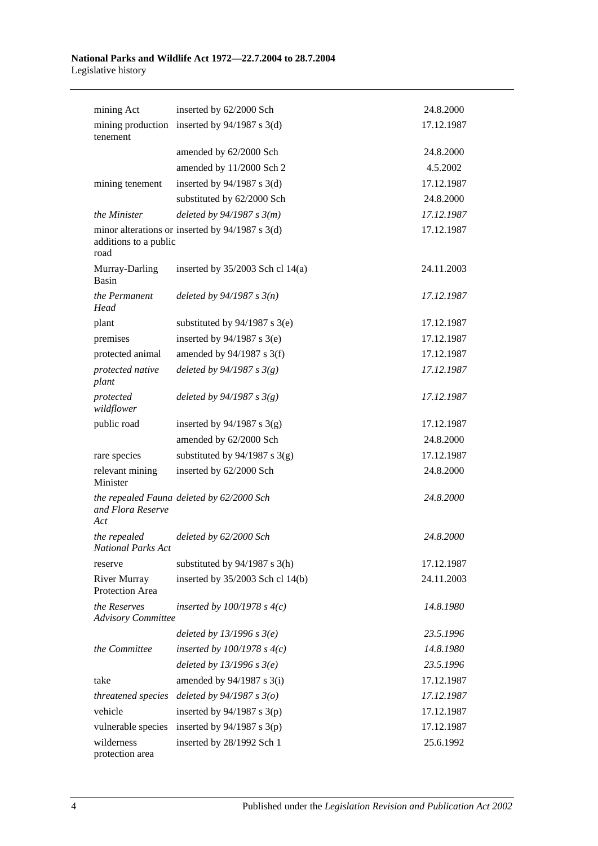| mining Act                                | inserted by 62/2000 Sch                           | 24.8.2000  |
|-------------------------------------------|---------------------------------------------------|------------|
| mining production<br>tenement             | inserted by $94/1987$ s 3(d)                      | 17.12.1987 |
|                                           | amended by 62/2000 Sch                            | 24.8.2000  |
|                                           | amended by 11/2000 Sch 2                          | 4.5.2002   |
| mining tenement                           | inserted by $94/1987$ s 3(d)                      | 17.12.1987 |
|                                           | substituted by 62/2000 Sch                        | 24.8.2000  |
| the Minister                              | deleted by $94/1987 s 3(m)$                       | 17.12.1987 |
| additions to a public<br>road             | minor alterations or inserted by $94/1987$ s 3(d) | 17.12.1987 |
| Murray-Darling<br>Basin                   | inserted by $35/2003$ Sch cl 14(a)                | 24.11.2003 |
| the Permanent<br>Head                     | deleted by $94/1987 s 3(n)$                       | 17.12.1987 |
| plant                                     | substituted by $94/1987$ s 3(e)                   | 17.12.1987 |
| premises                                  | inserted by $94/1987$ s 3(e)                      | 17.12.1987 |
| protected animal                          | amended by $94/1987$ s 3(f)                       | 17.12.1987 |
| protected native<br>plant                 | deleted by $94/1987 s 3(g)$                       | 17.12.1987 |
| protected<br>wildflower                   | deleted by $94/1987 s 3(g)$                       | 17.12.1987 |
| public road                               | inserted by $94/1987$ s 3(g)                      | 17.12.1987 |
|                                           | amended by 62/2000 Sch                            | 24.8.2000  |
| rare species                              | substituted by $94/1987$ s 3(g)                   | 17.12.1987 |
| relevant mining<br>Minister               | inserted by 62/2000 Sch                           | 24.8.2000  |
| and Flora Reserve<br>Act                  | the repealed Fauna deleted by 62/2000 Sch         | 24.8.2000  |
| the repealed<br>National Parks Act        | deleted by 62/2000 Sch                            | 24.8.2000  |
| reserve                                   | substituted by $94/1987$ s 3(h)                   | 17.12.1987 |
| <b>River Murray</b><br>Protection Area    | inserted by 35/2003 Sch cl 14(b)                  | 24.11.2003 |
| the Reserves<br><b>Advisory Committee</b> | inserted by $100/1978$ s $4(c)$                   | 14.8.1980  |
|                                           | deleted by $13/1996 s 3(e)$                       | 23.5.1996  |
| the Committee                             | inserted by $100/1978$ s $4(c)$                   | 14.8.1980  |
|                                           | deleted by $13/1996 s 3(e)$                       | 23.5.1996  |
| take                                      | amended by $94/1987$ s 3(i)                       | 17.12.1987 |
| threatened species                        | deleted by $94/1987 s 3(o)$                       | 17.12.1987 |
| vehicle                                   | inserted by $94/1987$ s 3(p)                      | 17.12.1987 |
| vulnerable species                        | inserted by $94/1987$ s 3(p)                      | 17.12.1987 |
| wilderness<br>protection area             | inserted by 28/1992 Sch 1                         | 25.6.1992  |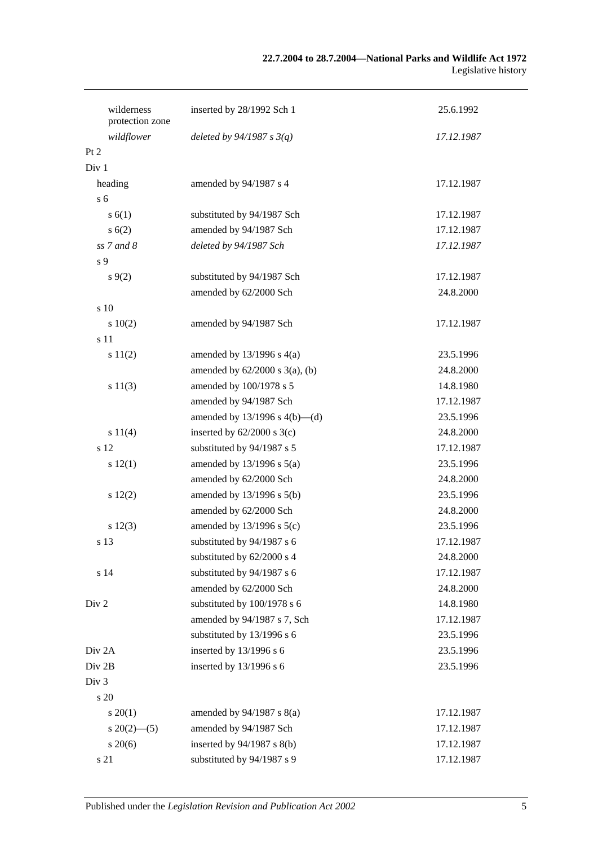### **22.7.2004 to 28.7.2004—National Parks and Wildlife Act 1972** Legislative history

| wilderness<br>protection zone | inserted by 28/1992 Sch 1           | 25.6.1992  |
|-------------------------------|-------------------------------------|------------|
| wildflower                    | deleted by $94/1987 s 3(q)$         | 17.12.1987 |
| Pt 2                          |                                     |            |
| Div <sub>1</sub>              |                                     |            |
| heading                       | amended by 94/1987 s 4              | 17.12.1987 |
| s <sub>6</sub>                |                                     |            |
| s(6(1))                       | substituted by 94/1987 Sch          | 17.12.1987 |
| s(6(2))                       | amended by 94/1987 Sch              | 17.12.1987 |
| $ss$ 7 and 8                  | deleted by 94/1987 Sch              | 17.12.1987 |
| s 9                           |                                     |            |
| s(9(2)                        | substituted by 94/1987 Sch          | 17.12.1987 |
|                               | amended by 62/2000 Sch              | 24.8.2000  |
| s 10                          |                                     |            |
| 10(2)                         | amended by 94/1987 Sch              | 17.12.1987 |
| s 11                          |                                     |            |
| s 11(2)                       | amended by $13/1996$ s $4(a)$       | 23.5.1996  |
|                               | amended by $62/2000$ s $3(a)$ , (b) | 24.8.2000  |
| s 11(3)                       | amended by 100/1978 s 5             | 14.8.1980  |
|                               | amended by 94/1987 Sch              | 17.12.1987 |
|                               | amended by $13/1996$ s $4(b)$ —(d)  | 23.5.1996  |
| s 11(4)                       | inserted by $62/2000$ s $3(c)$      | 24.8.2000  |
| s 12                          | substituted by 94/1987 s 5          | 17.12.1987 |
| s 12(1)                       | amended by $13/1996$ s $5(a)$       | 23.5.1996  |
|                               | amended by 62/2000 Sch              | 24.8.2000  |
| 12(2)                         | amended by $13/1996$ s $5(b)$       | 23.5.1996  |
|                               | amended by 62/2000 Sch              | 24.8.2000  |
| s 12(3)                       | amended by $13/1996$ s $5(c)$       | 23.5.1996  |
| s 13                          | substituted by 94/1987 s 6          | 17.12.1987 |
|                               | substituted by 62/2000 s 4          | 24.8.2000  |
| s 14                          | substituted by 94/1987 s 6          | 17.12.1987 |
|                               | amended by 62/2000 Sch              | 24.8.2000  |
| Div <sub>2</sub>              | substituted by 100/1978 s 6         | 14.8.1980  |
|                               | amended by 94/1987 s 7, Sch         | 17.12.1987 |
|                               | substituted by 13/1996 s 6          | 23.5.1996  |
| Div <sub>2A</sub>             | inserted by 13/1996 s 6             | 23.5.1996  |
| Div 2B                        | inserted by 13/1996 s 6             | 23.5.1996  |
| Div <sub>3</sub>              |                                     |            |
| s 20                          |                                     |            |
| $s \ 20(1)$                   | amended by $94/1987$ s $8(a)$       | 17.12.1987 |
| $s\,20(2)$ —(5)               | amended by 94/1987 Sch              | 17.12.1987 |
| $s\,20(6)$                    | inserted by $94/1987$ s $8(b)$      | 17.12.1987 |
| s 21                          | substituted by 94/1987 s 9          | 17.12.1987 |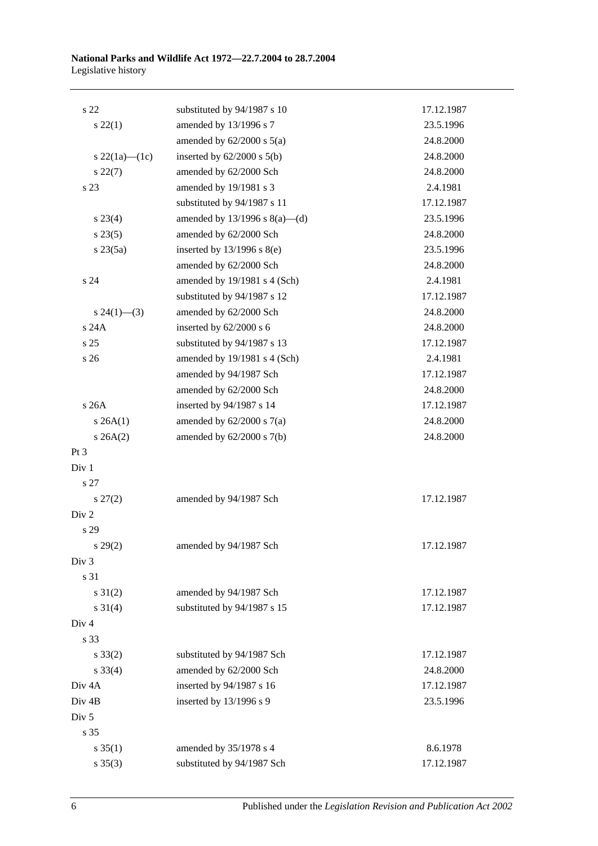| s <sub>22</sub>     | substituted by 94/1987 s 10      | 17.12.1987 |
|---------------------|----------------------------------|------------|
| $s\,22(1)$          | amended by 13/1996 s 7           | 23.5.1996  |
|                     | amended by $62/2000$ s $5(a)$    | 24.8.2000  |
| s $22(1a)$ — $(1c)$ | inserted by $62/2000$ s $5(b)$   | 24.8.2000  |
| $s\,22(7)$          | amended by 62/2000 Sch           | 24.8.2000  |
| s 23                | amended by 19/1981 s 3           | 2.4.1981   |
|                     | substituted by 94/1987 s 11      | 17.12.1987 |
| $s\,23(4)$          | amended by 13/1996 s $8(a)$ —(d) | 23.5.1996  |
| s 23(5)             | amended by 62/2000 Sch           | 24.8.2000  |
| $s \, 23(5a)$       | inserted by 13/1996 s 8(e)       | 23.5.1996  |
|                     | amended by 62/2000 Sch           | 24.8.2000  |
| s 24                | amended by 19/1981 s 4 (Sch)     | 2.4.1981   |
|                     | substituted by 94/1987 s 12      | 17.12.1987 |
| $s\,24(1)$ —(3)     | amended by 62/2000 Sch           | 24.8.2000  |
| s 24A               | inserted by 62/2000 s 6          | 24.8.2000  |
| s 25                | substituted by 94/1987 s 13      | 17.12.1987 |
| s 26                | amended by 19/1981 s 4 (Sch)     | 2.4.1981   |
|                     | amended by 94/1987 Sch           | 17.12.1987 |
|                     | amended by 62/2000 Sch           | 24.8.2000  |
| s26A                | inserted by 94/1987 s 14         | 17.12.1987 |
| $s \, 26A(1)$       | amended by $62/2000$ s $7(a)$    | 24.8.2000  |
| $s \, 26A(2)$       | amended by $62/2000$ s $7(b)$    | 24.8.2000  |
| Pt 3                |                                  |            |
| Div 1               |                                  |            |
| s 27                |                                  |            |
| $s\,27(2)$          | amended by 94/1987 Sch           | 17.12.1987 |
| Div <sub>2</sub>    |                                  |            |
| s 29                |                                  |            |
| $s\,29(2)$          | amended by 94/1987 Sch           | 17.12.1987 |
| Div 3               |                                  |            |
| s 31                |                                  |            |
| $s \ 31(2)$         | amended by 94/1987 Sch           | 17.12.1987 |
| $s \ 31(4)$         | substituted by 94/1987 s 15      | 17.12.1987 |
| Div <sub>4</sub>    |                                  |            |
| s 33                |                                  |            |
| $s \, 33(2)$        | substituted by 94/1987 Sch       | 17.12.1987 |
| $s \, 33(4)$        | amended by 62/2000 Sch           | 24.8.2000  |
| Div <sub>4A</sub>   | inserted by 94/1987 s 16         | 17.12.1987 |
| Div <sub>4B</sub>   | inserted by 13/1996 s 9          | 23.5.1996  |
| Div <sub>5</sub>    |                                  |            |
| s 35                |                                  |            |
| $s \, 35(1)$        | amended by 35/1978 s 4           | 8.6.1978   |
| $s \; 35(3)$        | substituted by 94/1987 Sch       | 17.12.1987 |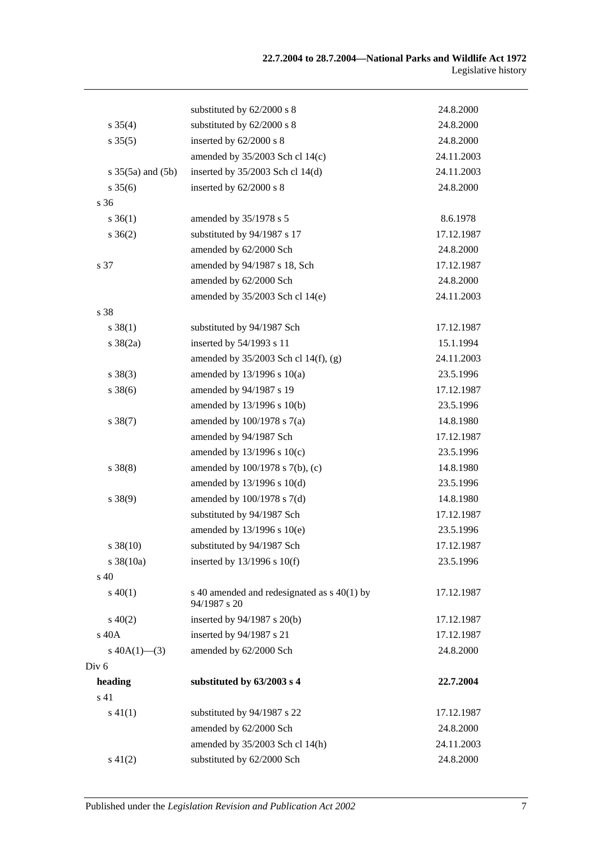|                          | substituted by 62/2000 s 8                                  | 24.8.2000  |
|--------------------------|-------------------------------------------------------------|------------|
| $s \, 35(4)$             | substituted by 62/2000 s 8                                  | 24.8.2000  |
| $s \, 35(5)$             | inserted by 62/2000 s 8                                     | 24.8.2000  |
|                          | amended by $35/2003$ Sch cl 14(c)                           | 24.11.2003 |
| $s \, 35(5a)$ and $(5b)$ | inserted by $35/2003$ Sch cl 14(d)                          | 24.11.2003 |
| $s \, 35(6)$             | inserted by 62/2000 s 8                                     | 24.8.2000  |
| s <sub>36</sub>          |                                                             |            |
| $s \; 36(1)$             | amended by 35/1978 s 5                                      | 8.6.1978   |
| $s \; 36(2)$             | substituted by 94/1987 s 17                                 | 17.12.1987 |
|                          | amended by 62/2000 Sch                                      | 24.8.2000  |
| s 37                     | amended by 94/1987 s 18, Sch                                | 17.12.1987 |
|                          | amended by 62/2000 Sch                                      | 24.8.2000  |
|                          | amended by 35/2003 Sch cl 14(e)                             | 24.11.2003 |
| s 38                     |                                                             |            |
| $s \, 38(1)$             | substituted by 94/1987 Sch                                  | 17.12.1987 |
| $s \frac{38(2a)}{2}$     | inserted by 54/1993 s 11                                    | 15.1.1994  |
|                          | amended by $35/2003$ Sch cl 14(f), (g)                      | 24.11.2003 |
| $s \ 38(3)$              | amended by $13/1996$ s $10(a)$                              | 23.5.1996  |
| $s \, 38(6)$             | amended by 94/1987 s 19                                     | 17.12.1987 |
|                          | amended by 13/1996 s 10(b)                                  | 23.5.1996  |
| $s \, 38(7)$             | amended by $100/1978$ s $7(a)$                              | 14.8.1980  |
|                          | amended by 94/1987 Sch                                      | 17.12.1987 |
|                          | amended by $13/1996$ s $10(c)$                              | 23.5.1996  |
| $s \ 38(8)$              | amended by 100/1978 s 7(b), (c)                             | 14.8.1980  |
|                          | amended by $13/1996$ s $10(d)$                              | 23.5.1996  |
| $s \ 38(9)$              | amended by $100/1978$ s $7(d)$                              | 14.8.1980  |
|                          | substituted by 94/1987 Sch                                  | 17.12.1987 |
|                          | amended by 13/1996 s 10(e)                                  | 23.5.1996  |
| $s \, 38(10)$            | substituted by 94/1987 Sch                                  | 17.12.1987 |
| $s \frac{38(10a)}{2}$    | inserted by $13/1996$ s $10(f)$                             | 23.5.1996  |
| $\rm s$ 40               |                                                             |            |
| $s\,40(1)$               | s 40 amended and redesignated as s 40(1) by<br>94/1987 s 20 | 17.12.1987 |
| $s\ 40(2)$               | inserted by 94/1987 s 20(b)                                 | 17.12.1987 |
| s 40A                    | inserted by 94/1987 s 21                                    | 17.12.1987 |
| s $40A(1)$ —(3)          | amended by 62/2000 Sch                                      | 24.8.2000  |
| Div <sub>6</sub>         |                                                             |            |
| heading                  | substituted by 63/2003 s 4                                  | 22.7.2004  |
| s 41                     |                                                             |            |
| $s\ 41(1)$               | substituted by 94/1987 s 22                                 | 17.12.1987 |
|                          | amended by 62/2000 Sch                                      | 24.8.2000  |
|                          | amended by 35/2003 Sch cl 14(h)                             | 24.11.2003 |
| $s\ 41(2)$               | substituted by 62/2000 Sch                                  | 24.8.2000  |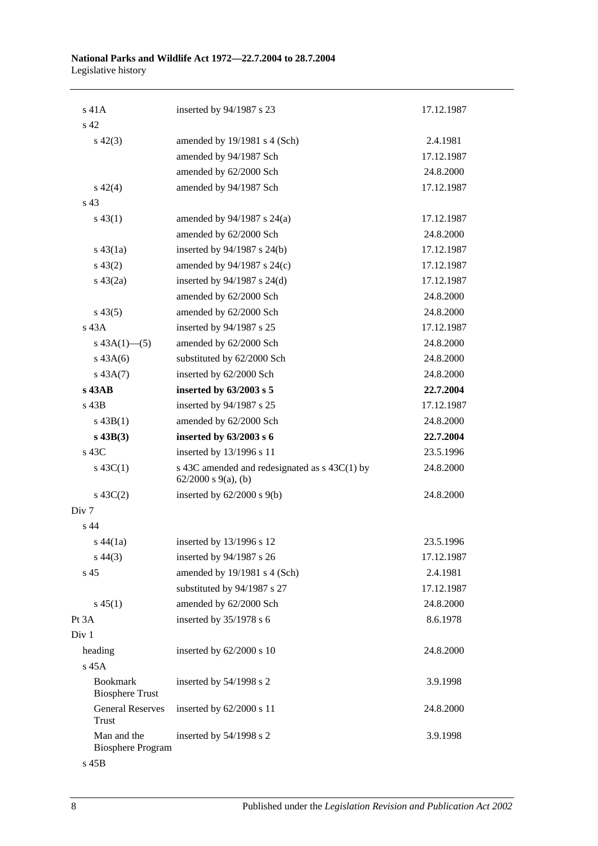| $s$ 41 $A$                                | inserted by 94/1987 s 23                                                    | 17.12.1987 |
|-------------------------------------------|-----------------------------------------------------------------------------|------------|
| s 42                                      |                                                                             |            |
| $s\ 42(3)$                                | amended by 19/1981 s 4 (Sch)                                                | 2.4.1981   |
|                                           | amended by 94/1987 Sch                                                      | 17.12.1987 |
|                                           | amended by 62/2000 Sch                                                      | 24.8.2000  |
| $s\ 42(4)$                                | amended by 94/1987 Sch                                                      | 17.12.1987 |
| s <sub>43</sub>                           |                                                                             |            |
| $s\,43(1)$                                | amended by 94/1987 s 24(a)                                                  | 17.12.1987 |
|                                           | amended by 62/2000 Sch                                                      | 24.8.2000  |
| $s\,43(1a)$                               | inserted by $94/1987$ s $24(b)$                                             | 17.12.1987 |
| $s\,43(2)$                                | amended by 94/1987 s 24(c)                                                  | 17.12.1987 |
| $s\,43(2a)$                               | inserted by $94/1987$ s $24(d)$                                             | 17.12.1987 |
|                                           | amended by 62/2000 Sch                                                      | 24.8.2000  |
| $s\,43(5)$                                | amended by 62/2000 Sch                                                      | 24.8.2000  |
| $s$ 43 $A$                                | inserted by 94/1987 s 25                                                    | 17.12.1987 |
| s $43A(1)$ - (5)                          | amended by 62/2000 Sch                                                      | 24.8.2000  |
| $s\,43A(6)$                               | substituted by 62/2000 Sch                                                  | 24.8.2000  |
| $s\,43A(7)$                               | inserted by 62/2000 Sch                                                     | 24.8.2000  |
| $s$ 43AB                                  | inserted by 63/2003 s 5                                                     | 22.7.2004  |
| s 43B                                     | inserted by 94/1987 s 25                                                    | 17.12.1987 |
| $s\,43B(1)$                               | amended by 62/2000 Sch                                                      | 24.8.2000  |
| $s$ 43B(3)                                | inserted by 63/2003 s 6                                                     | 22.7.2004  |
| $s\,43C$                                  | inserted by 13/1996 s 11                                                    | 23.5.1996  |
| $s\,43C(1)$                               | s 43C amended and redesignated as $s$ 43C(1) by<br>$62/2000$ s $9(a)$ , (b) | 24.8.2000  |
| $s\ 43C(2)$                               | inserted by $62/2000$ s $9(b)$                                              | 24.8.2000  |
| Div <sub>7</sub>                          |                                                                             |            |
| s <sub>44</sub>                           |                                                                             |            |
| $s\,44(1a)$                               | inserted by 13/1996 s 12                                                    | 23.5.1996  |
| $s\,44(3)$                                | inserted by 94/1987 s 26                                                    | 17.12.1987 |
| s <sub>45</sub>                           | amended by 19/1981 s 4 (Sch)                                                | 2.4.1981   |
|                                           | substituted by 94/1987 s 27                                                 | 17.12.1987 |
| $s\,45(1)$                                | amended by 62/2000 Sch                                                      | 24.8.2000  |
| Pt 3A                                     | inserted by 35/1978 s 6                                                     | 8.6.1978   |
| Div 1                                     |                                                                             |            |
| heading                                   | inserted by 62/2000 s 10                                                    | 24.8.2000  |
| s 45A                                     |                                                                             |            |
| <b>Bookmark</b><br><b>Biosphere Trust</b> | inserted by 54/1998 s 2                                                     | 3.9.1998   |
| <b>General Reserves</b><br>Trust          | inserted by 62/2000 s 11                                                    | 24.8.2000  |
| Man and the<br><b>Biosphere Program</b>   | inserted by 54/1998 s 2                                                     | 3.9.1998   |
|                                           |                                                                             |            |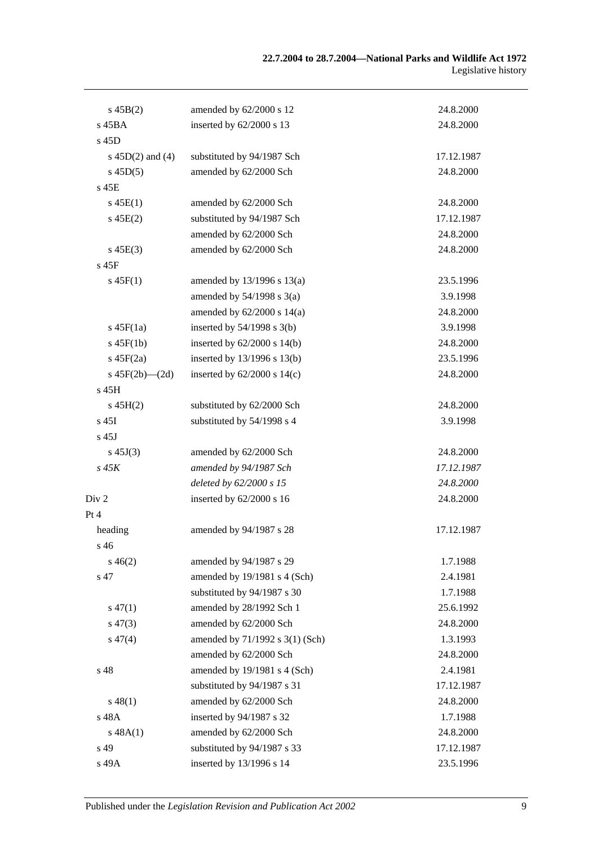| $s\,45B(2)$          | amended by 62/2000 s 12         | 24.8.2000  |
|----------------------|---------------------------------|------------|
| s 45BA               | inserted by 62/2000 s 13        | 24.8.2000  |
| s 45D                |                                 |            |
| s $45D(2)$ and $(4)$ | substituted by 94/1987 Sch      | 17.12.1987 |
| $s\,45D(5)$          | amended by 62/2000 Sch          | 24.8.2000  |
| $s$ 45 $E$           |                                 |            |
| $s\,45E(1)$          | amended by 62/2000 Sch          | 24.8.2000  |
| $s\,45E(2)$          | substituted by 94/1987 Sch      | 17.12.1987 |
|                      | amended by 62/2000 Sch          | 24.8.2000  |
| $s\,45E(3)$          | amended by 62/2000 Sch          | 24.8.2000  |
| $s$ 45 $F$           |                                 |            |
| $s\,45F(1)$          | amended by $13/1996$ s $13(a)$  | 23.5.1996  |
|                      | amended by $54/1998$ s $3(a)$   | 3.9.1998   |
|                      | amended by $62/2000$ s $14(a)$  | 24.8.2000  |
| $s\,45F(1a)$         | inserted by $54/1998$ s $3(b)$  | 3.9.1998   |
| $s$ 45 $F(1b)$       | inserted by $62/2000$ s $14(b)$ | 24.8.2000  |
| $s\ 45F(2a)$         | inserted by 13/1996 s 13(b)     | 23.5.1996  |
| s $45F(2b)$ - $(2d)$ | inserted by $62/2000$ s $14(c)$ | 24.8.2000  |
| s 45H                |                                 |            |
| $s\,45H(2)$          | substituted by 62/2000 Sch      | 24.8.2000  |
| $s$ 45I              | substituted by 54/1998 s 4      | 3.9.1998   |
| $s$ 45J              |                                 |            |
| $s\,45J(3)$          | amended by 62/2000 Sch          | 24.8.2000  |
| $s\,45K$             | amended by 94/1987 Sch          | 17.12.1987 |
|                      | deleted by 62/2000 s 15         | 24.8.2000  |
| Div <sub>2</sub>     | inserted by $62/2000$ s 16      | 24.8.2000  |
| Pt 4                 |                                 |            |
| heading              | amended by 94/1987 s 28         | 17.12.1987 |
| s 46                 |                                 |            |
| $s\,46(2)$           | amended by 94/1987 s 29         | 1.7.1988   |
| s 47                 | amended by 19/1981 s 4 (Sch)    | 2.4.1981   |
|                      | substituted by 94/1987 s 30     | 1.7.1988   |
| $s\,47(1)$           | amended by 28/1992 Sch 1        | 25.6.1992  |
| $s\,47(3)$           | amended by 62/2000 Sch          | 24.8.2000  |
| $s\,47(4)$           | amended by 71/1992 s 3(1) (Sch) | 1.3.1993   |
|                      | amended by 62/2000 Sch          | 24.8.2000  |
| s 48                 | amended by 19/1981 s 4 (Sch)    | 2.4.1981   |
|                      | substituted by 94/1987 s 31     | 17.12.1987 |
| $s\,48(1)$           | amended by 62/2000 Sch          | 24.8.2000  |
| s 48A                | inserted by 94/1987 s 32        | 1.7.1988   |
| s 48A(1)             | amended by 62/2000 Sch          | 24.8.2000  |
| s 49                 | substituted by 94/1987 s 33     | 17.12.1987 |
| s 49A                | inserted by 13/1996 s 14        | 23.5.1996  |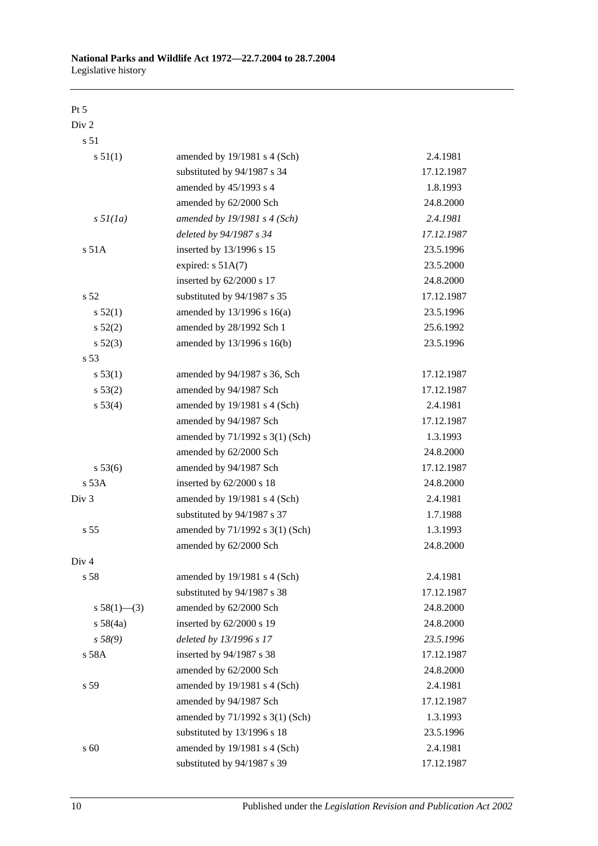### Pt 5

Div 2

s 51

| s 51(1)           | amended by 19/1981 s 4 (Sch)    | 2.4.1981   |
|-------------------|---------------------------------|------------|
|                   | substituted by 94/1987 s 34     | 17.12.1987 |
|                   | amended by 45/1993 s 4          | 1.8.1993   |
|                   | amended by 62/2000 Sch          | 24.8.2000  |
| $s \frac{5l}{la}$ | amended by $19/1981$ s 4 (Sch)  | 2.4.1981   |
|                   | deleted by 94/1987 s 34         | 17.12.1987 |
| s 51A             | inserted by 13/1996 s 15        | 23.5.1996  |
|                   | expired: $s$ 51A(7)             | 23.5.2000  |
|                   | inserted by 62/2000 s 17        | 24.8.2000  |
| s 52              | substituted by 94/1987 s 35     | 17.12.1987 |
| s 52(1)           | amended by 13/1996 s 16(a)      | 23.5.1996  |
| $s\,52(2)$        | amended by 28/1992 Sch 1        | 25.6.1992  |
| $s\,52(3)$        | amended by 13/1996 s 16(b)      | 23.5.1996  |
| s 53              |                                 |            |
| s 53(1)           | amended by 94/1987 s 36, Sch    | 17.12.1987 |
| $s\,53(2)$        | amended by 94/1987 Sch          | 17.12.1987 |
| s 53(4)           | amended by 19/1981 s 4 (Sch)    | 2.4.1981   |
|                   | amended by 94/1987 Sch          | 17.12.1987 |
|                   | amended by 71/1992 s 3(1) (Sch) | 1.3.1993   |
|                   | amended by 62/2000 Sch          | 24.8.2000  |
| s 53(6)           | amended by 94/1987 Sch          | 17.12.1987 |
| s 53A             | inserted by 62/2000 s 18        | 24.8.2000  |
| Div <sub>3</sub>  | amended by 19/1981 s 4 (Sch)    | 2.4.1981   |
|                   | substituted by 94/1987 s 37     | 1.7.1988   |
| s 55              | amended by 71/1992 s 3(1) (Sch) | 1.3.1993   |
|                   | amended by 62/2000 Sch          | 24.8.2000  |
| Div 4             |                                 |            |
| s 58              | amended by 19/1981 s 4 (Sch)    | 2.4.1981   |
|                   | substituted by 94/1987 s 38     | 17.12.1987 |
| s $58(1)$ (3)     | amended by 62/2000 Sch          | 24.8.2000  |
| s 58(4a)          | inserted by 62/2000 s 19        | 24.8.2000  |
| s 58(9)           | deleted by 13/1996 s 17         | 23.5.1996  |
| s 58A             | inserted by 94/1987 s 38        | 17.12.1987 |
|                   | amended by 62/2000 Sch          | 24.8.2000  |
| s 59              | amended by 19/1981 s 4 (Sch)    | 2.4.1981   |
|                   | amended by 94/1987 Sch          | 17.12.1987 |
|                   | amended by 71/1992 s 3(1) (Sch) | 1.3.1993   |
|                   | substituted by 13/1996 s 18     | 23.5.1996  |
| s 60              | amended by 19/1981 s 4 (Sch)    | 2.4.1981   |
|                   | substituted by 94/1987 s 39     | 17.12.1987 |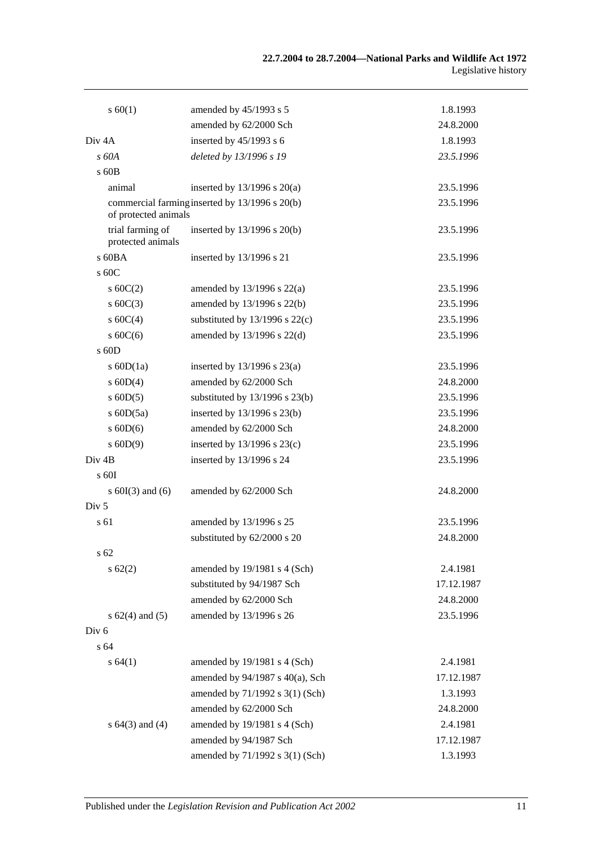| s 60(1)                               | amended by 45/1993 s 5                         | 1.8.1993   |
|---------------------------------------|------------------------------------------------|------------|
|                                       | amended by 62/2000 Sch                         | 24.8.2000  |
| Div <sub>4</sub> A                    | inserted by 45/1993 s 6                        | 1.8.1993   |
| $s$ 60 $A$                            | deleted by 13/1996 s 19                        | 23.5.1996  |
| s 60B                                 |                                                |            |
| animal                                | inserted by $13/1996$ s $20(a)$                | 23.5.1996  |
| of protected animals                  | commercial farming inserted by 13/1996 s 20(b) | 23.5.1996  |
| trial farming of<br>protected animals | inserted by $13/1996$ s $20(b)$                | 23.5.1996  |
| s 60BA                                | inserted by 13/1996 s 21                       | 23.5.1996  |
| s 60C                                 |                                                |            |
| $s \ 60C(2)$                          | amended by $13/1996$ s $22(a)$                 | 23.5.1996  |
| s $60C(3)$                            | amended by 13/1996 s 22(b)                     | 23.5.1996  |
| s $60C(4)$                            | substituted by $13/1996$ s $22(c)$             | 23.5.1996  |
| s $60C(6)$                            | amended by $13/1996$ s $22(d)$                 | 23.5.1996  |
| $s$ 60D                               |                                                |            |
| s $60D(1a)$                           | inserted by $13/1996$ s $23(a)$                | 23.5.1996  |
| $s$ 60D(4)                            | amended by 62/2000 Sch                         | 24.8.2000  |
| $s$ 60D(5)                            | substituted by $13/1996$ s $23(b)$             | 23.5.1996  |
| s $60D(5a)$                           | inserted by $13/1996$ s $23(b)$                | 23.5.1996  |
| $s$ 60D(6)                            | amended by 62/2000 Sch                         | 24.8.2000  |
| $s$ 60D(9)                            | inserted by $13/1996$ s $23(c)$                | 23.5.1996  |
| Div <sub>4B</sub>                     | inserted by 13/1996 s 24                       | 23.5.1996  |
| $\rm s$ 60I                           |                                                |            |
| s $60I(3)$ and $(6)$                  | amended by 62/2000 Sch                         | 24.8.2000  |
| Div 5                                 |                                                |            |
| s 61                                  | amended by 13/1996 s 25                        | 23.5.1996  |
|                                       | substituted by 62/2000 s 20                    | 24.8.2000  |
| s <sub>62</sub>                       |                                                |            |
| $s \, 62(2)$                          | amended by 19/1981 s 4 (Sch)                   | 2.4.1981   |
|                                       | substituted by 94/1987 Sch                     | 17.12.1987 |
|                                       | amended by 62/2000 Sch                         | 24.8.2000  |
| s $62(4)$ and $(5)$                   | amended by 13/1996 s 26                        | 23.5.1996  |
| Div <sub>6</sub>                      |                                                |            |
| s 64                                  |                                                |            |
| s 64(1)                               | amended by 19/1981 s 4 (Sch)                   | 2.4.1981   |
|                                       | amended by $94/1987$ s $40(a)$ , Sch           | 17.12.1987 |
|                                       | amended by 71/1992 s 3(1) (Sch)                | 1.3.1993   |
|                                       | amended by 62/2000 Sch                         | 24.8.2000  |
| s $64(3)$ and $(4)$                   | amended by 19/1981 s 4 (Sch)                   | 2.4.1981   |
|                                       | amended by 94/1987 Sch                         | 17.12.1987 |
|                                       | amended by 71/1992 s 3(1) (Sch)                | 1.3.1993   |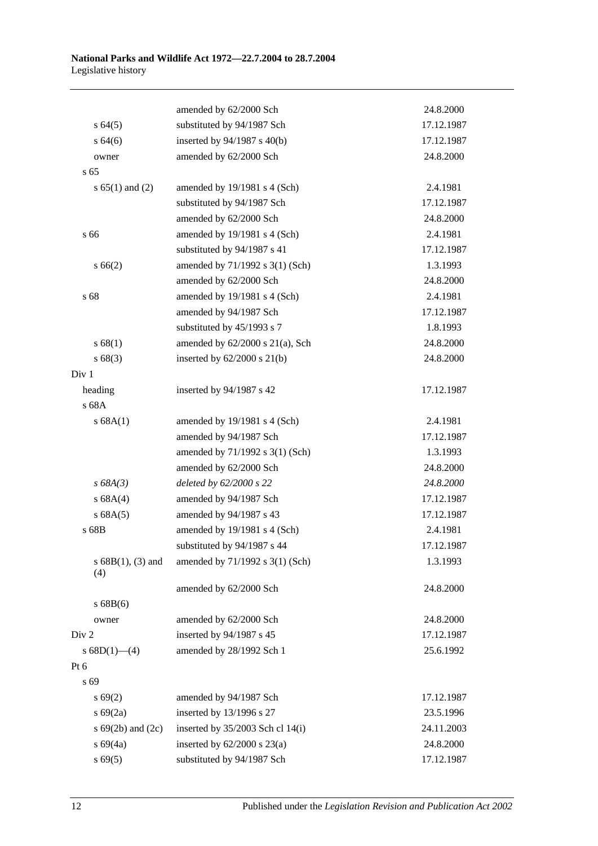|                             | amended by 62/2000 Sch               | 24.8.2000  |
|-----------------------------|--------------------------------------|------------|
| $s \, 64(5)$                | substituted by 94/1987 Sch           | 17.12.1987 |
| s 64(6)                     | inserted by 94/1987 s 40(b)          | 17.12.1987 |
| owner                       | amended by 62/2000 Sch               | 24.8.2000  |
| s <sub>65</sub>             |                                      |            |
| s $65(1)$ and $(2)$         | amended by 19/1981 s 4 (Sch)         | 2.4.1981   |
|                             | substituted by 94/1987 Sch           | 17.12.1987 |
|                             | amended by 62/2000 Sch               | 24.8.2000  |
| s 66                        | amended by 19/1981 s 4 (Sch)         | 2.4.1981   |
|                             | substituted by 94/1987 s 41          | 17.12.1987 |
| s 66(2)                     | amended by 71/1992 s 3(1) (Sch)      | 1.3.1993   |
|                             | amended by 62/2000 Sch               | 24.8.2000  |
| s 68                        | amended by 19/1981 s 4 (Sch)         | 2.4.1981   |
|                             | amended by 94/1987 Sch               | 17.12.1987 |
|                             | substituted by 45/1993 s 7           | 1.8.1993   |
| s 68(1)                     | amended by $62/2000$ s $21(a)$ , Sch | 24.8.2000  |
| s68(3)                      | inserted by 62/2000 s 21(b)          | 24.8.2000  |
| Div 1                       |                                      |            |
| heading                     | inserted by 94/1987 s 42             | 17.12.1987 |
| s 68A                       |                                      |            |
| s 68A(1)                    | amended by 19/1981 s 4 (Sch)         | 2.4.1981   |
|                             | amended by 94/1987 Sch               | 17.12.1987 |
|                             | amended by 71/1992 s 3(1) (Sch)      | 1.3.1993   |
|                             | amended by 62/2000 Sch               | 24.8.2000  |
| s 68A(3)                    | deleted by 62/2000 s 22              | 24.8.2000  |
| s 68A(4)                    | amended by 94/1987 Sch               | 17.12.1987 |
| s 68A(5)                    | amended by 94/1987 s 43              | 17.12.1987 |
| s 68B                       | amended by 19/1981 s 4 (Sch)         | 2.4.1981   |
|                             | substituted by 94/1987 s 44          | 17.12.1987 |
| s $68B(1)$ , (3) and<br>(4) | amended by 71/1992 s 3(1) (Sch)      | 1.3.1993   |
|                             | amended by 62/2000 Sch               | 24.8.2000  |
| s 68B(6)                    |                                      |            |
| owner                       | amended by 62/2000 Sch               | 24.8.2000  |
| Div 2                       | inserted by 94/1987 s 45             | 17.12.1987 |
| s $68D(1)$ - (4)            | amended by 28/1992 Sch 1             | 25.6.1992  |
| Pt 6                        |                                      |            |
| s 69                        |                                      |            |
| s 69(2)                     | amended by 94/1987 Sch               | 17.12.1987 |
| s 69(2a)                    | inserted by 13/1996 s 27             | 23.5.1996  |
| s $69(2b)$ and $(2c)$       | inserted by 35/2003 Sch cl 14(i)     | 24.11.2003 |
| s 69(4a)                    | inserted by $62/2000$ s $23(a)$      | 24.8.2000  |
| s 69(5)                     | substituted by 94/1987 Sch           | 17.12.1987 |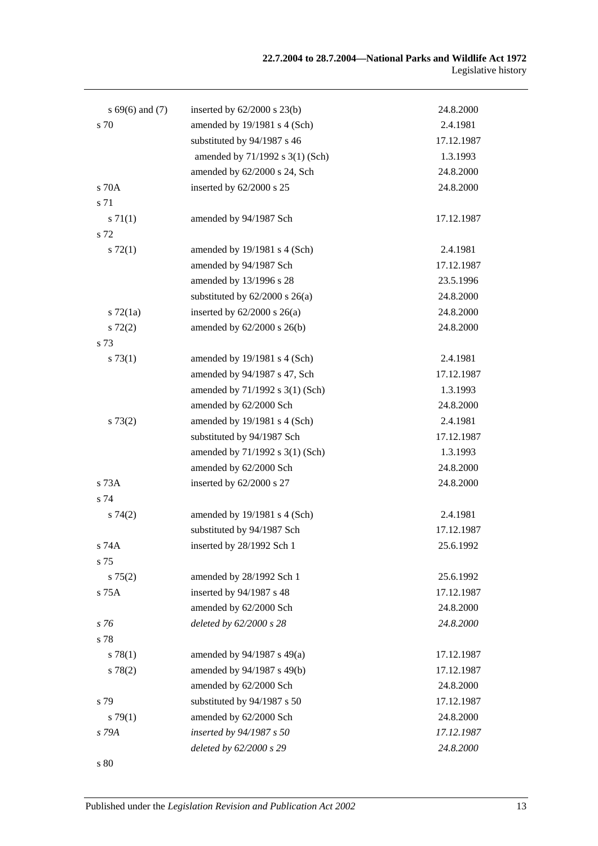| $s\,69(6)$ and (7) | inserted by $62/2000$ s $23(b)$    | 24.8.2000  |
|--------------------|------------------------------------|------------|
| s 70               | amended by 19/1981 s 4 (Sch)       | 2.4.1981   |
|                    | substituted by 94/1987 s 46        | 17.12.1987 |
|                    | amended by 71/1992 s 3(1) (Sch)    | 1.3.1993   |
|                    | amended by 62/2000 s 24, Sch       | 24.8.2000  |
| s 70A              | inserted by 62/2000 s 25           | 24.8.2000  |
| s 71               |                                    |            |
| s 71(1)            | amended by 94/1987 Sch             | 17.12.1987 |
| s 72               |                                    |            |
| $s \, 72(1)$       | amended by 19/1981 s 4 (Sch)       | 2.4.1981   |
|                    | amended by 94/1987 Sch             | 17.12.1987 |
|                    | amended by 13/1996 s 28            | 23.5.1996  |
|                    | substituted by $62/2000$ s $26(a)$ | 24.8.2000  |
| $s \, 72(1a)$      | inserted by $62/2000$ s $26(a)$    | 24.8.2000  |
| $s\ 72(2)$         | amended by 62/2000 s 26(b)         | 24.8.2000  |
| s 73               |                                    |            |
| s 73(1)            | amended by 19/1981 s 4 (Sch)       | 2.4.1981   |
|                    | amended by 94/1987 s 47, Sch       | 17.12.1987 |
|                    | amended by 71/1992 s 3(1) (Sch)    | 1.3.1993   |
|                    | amended by 62/2000 Sch             | 24.8.2000  |
| s 73(2)            | amended by 19/1981 s 4 (Sch)       | 2.4.1981   |
|                    | substituted by 94/1987 Sch         | 17.12.1987 |
|                    | amended by 71/1992 s 3(1) (Sch)    | 1.3.1993   |
|                    | amended by 62/2000 Sch             | 24.8.2000  |
| s 73A              | inserted by 62/2000 s 27           | 24.8.2000  |
| s 74               |                                    |            |
| s 74(2)            | amended by 19/1981 s 4 (Sch)       | 2.4.1981   |
|                    | substituted by 94/1987 Sch         | 17.12.1987 |
| s 74A              | inserted by 28/1992 Sch 1          | 25.6.1992  |
| s 75               |                                    |            |
| s 75(2)            | amended by 28/1992 Sch 1           | 25.6.1992  |
| s 75A              | inserted by 94/1987 s 48           | 17.12.1987 |
|                    | amended by 62/2000 Sch             | 24.8.2000  |
| s 76               | deleted by 62/2000 s 28            | 24.8.2000  |
| s 78               |                                    |            |
| s 78(1)            | amended by $94/1987$ s $49(a)$     | 17.12.1987 |
| s 78(2)            | amended by 94/1987 s 49(b)         | 17.12.1987 |
|                    | amended by 62/2000 Sch             | 24.8.2000  |
| s 79               | substituted by 94/1987 s 50        | 17.12.1987 |
| s79(1)             | amended by 62/2000 Sch             | 24.8.2000  |
| s 79A              | inserted by 94/1987 s 50           | 17.12.1987 |
|                    | deleted by 62/2000 s 29            | 24.8.2000  |
| s 80               |                                    |            |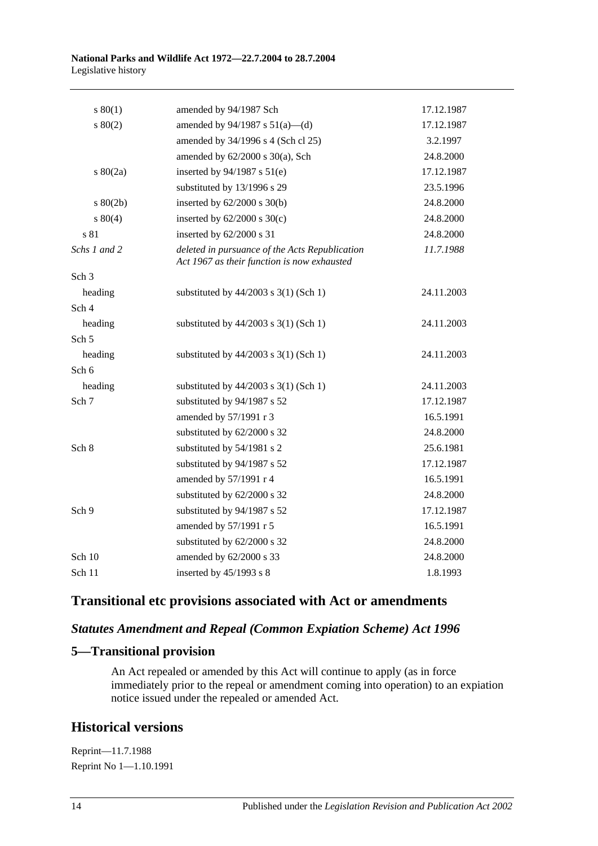| s 80(1)          | amended by 94/1987 Sch                                                                        | 17.12.1987 |
|------------------|-----------------------------------------------------------------------------------------------|------------|
| 80(2)            | amended by $94/1987$ s $51(a)$ —(d)                                                           | 17.12.1987 |
|                  | amended by 34/1996 s 4 (Sch cl 25)                                                            | 3.2.1997   |
|                  | amended by $62/2000$ s $30(a)$ , Sch                                                          | 24.8.2000  |
| $s\ 80(2a)$      | inserted by $94/1987$ s $51(e)$                                                               | 17.12.1987 |
|                  | substituted by 13/1996 s 29                                                                   | 23.5.1996  |
| $s\ 80(2b)$      | inserted by $62/2000$ s $30(b)$                                                               | 24.8.2000  |
| $s\ 80(4)$       | inserted by $62/2000$ s $30(c)$                                                               | 24.8.2000  |
| s 81             | inserted by 62/2000 s 31                                                                      | 24.8.2000  |
| Schs 1 and 2     | deleted in pursuance of the Acts Republication<br>Act 1967 as their function is now exhausted | 11.7.1988  |
| Sch <sub>3</sub> |                                                                                               |            |
| heading          | substituted by $44/2003$ s 3(1) (Sch 1)                                                       | 24.11.2003 |
| Sch 4            |                                                                                               |            |
| heading          | substituted by $44/2003$ s 3(1) (Sch 1)                                                       | 24.11.2003 |
| Sch <sub>5</sub> |                                                                                               |            |
| heading          | substituted by $44/2003$ s 3(1) (Sch 1)                                                       | 24.11.2003 |
| Sch 6            |                                                                                               |            |
| heading          | substituted by $44/2003$ s 3(1) (Sch 1)                                                       | 24.11.2003 |
| Sch 7            | substituted by 94/1987 s 52                                                                   | 17.12.1987 |
|                  | amended by 57/1991 r 3                                                                        | 16.5.1991  |
|                  | substituted by 62/2000 s 32                                                                   | 24.8.2000  |
| Sch <sub>8</sub> | substituted by 54/1981 s 2                                                                    | 25.6.1981  |
|                  | substituted by 94/1987 s 52                                                                   | 17.12.1987 |
|                  | amended by 57/1991 r 4                                                                        | 16.5.1991  |
|                  | substituted by 62/2000 s 32                                                                   | 24.8.2000  |
| Sch 9            | substituted by 94/1987 s 52                                                                   | 17.12.1987 |
|                  | amended by 57/1991 r 5                                                                        | 16.5.1991  |
|                  | substituted by 62/2000 s 32                                                                   | 24.8.2000  |
| Sch $10$         | amended by 62/2000 s 33                                                                       | 24.8.2000  |
| Sch 11           | inserted by $45/1993$ s 8                                                                     | 1.8.1993   |
|                  |                                                                                               |            |

## **Transitional etc provisions associated with Act or amendments**

### *Statutes Amendment and Repeal (Common Expiation Scheme) Act 1996*

### **5—Transitional provision**

An Act repealed or amended by this Act will continue to apply (as in force immediately prior to the repeal or amendment coming into operation) to an expiation notice issued under the repealed or amended Act.

## **Historical versions**

Reprint—11.7.1988 Reprint No 1—1.10.1991